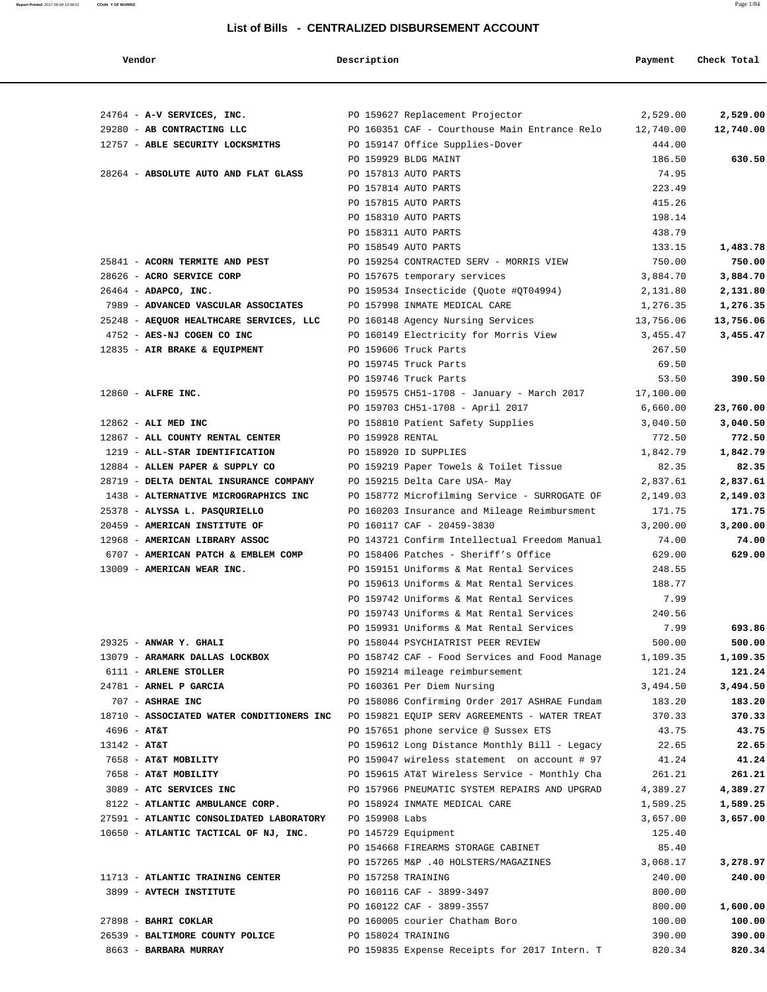| Vendor                                    | Description                                  |                                                                                      | Payment         | Check Total |
|-------------------------------------------|----------------------------------------------|--------------------------------------------------------------------------------------|-----------------|-------------|
|                                           |                                              |                                                                                      |                 |             |
| 24764 - A-V SERVICES, INC.                |                                              | PO 159627 Replacement Projector                                                      | 2,529.00        | 2,529.00    |
| 29280 - AB CONTRACTING LLC                |                                              | PO 160351 CAF - Courthouse Main Entrance Relo                                        | 12,740.00       | 12,740.00   |
| 12757 - ABLE SECURITY LOCKSMITHS          |                                              | PO 159147 Office Supplies-Dover                                                      | 444.00          |             |
|                                           | PO 159929 BLDG MAINT<br>PO 157813 AUTO PARTS |                                                                                      | 186.50<br>74.95 | 630.50      |
| 28264 - ABSOLUTE AUTO AND FLAT GLASS      | PO 157814 AUTO PARTS                         |                                                                                      | 223.49          |             |
|                                           | PO 157815 AUTO PARTS                         |                                                                                      | 415.26          |             |
|                                           | PO 158310 AUTO PARTS                         |                                                                                      | 198.14          |             |
|                                           | PO 158311 AUTO PARTS                         |                                                                                      | 438.79          |             |
|                                           | PO 158549 AUTO PARTS                         |                                                                                      | 133.15          | 1,483.78    |
| 25841 - ACORN TERMITE AND PEST            |                                              | PO 159254 CONTRACTED SERV - MORRIS VIEW                                              | 750.00          | 750.00      |
| 28626 - ACRO SERVICE CORP                 |                                              | PO 157675 temporary services                                                         | 3,884.70        | 3,884.70    |
| 26464 - ADAPCO, INC.                      |                                              | PO 159534 Insecticide (Quote #QT04994)                                               | 2,131.80        | 2,131.80    |
| 7989 - ADVANCED VASCULAR ASSOCIATES       |                                              | PO 157998 INMATE MEDICAL CARE                                                        | 1,276.35        | 1,276.35    |
| 25248 - AEQUOR HEALTHCARE SERVICES, LLC   |                                              | PO 160148 Agency Nursing Services                                                    | 13,756.06       | 13,756.06   |
| 4752 - AES-NJ COGEN CO INC                |                                              | PO 160149 Electricity for Morris View                                                | 3,455.47        | 3,455.47    |
| 12835 - AIR BRAKE & EQUIPMENT             |                                              | PO 159606 Truck Parts                                                                | 267.50          |             |
|                                           |                                              | PO 159745 Truck Parts                                                                | 69.50           |             |
|                                           |                                              | PO 159746 Truck Parts                                                                | 53.50           | 390.50      |
| $12860$ - ALFRE INC.                      |                                              | PO 159575 CH51-1708 - January - March 2017                                           | 17,100.00       |             |
|                                           |                                              | PO 159703 CH51-1708 - April 2017                                                     | 6,660.00        | 23,760.00   |
| $12862$ - ALI MED INC                     |                                              | PO 158810 Patient Safety Supplies                                                    | 3,040.50        | 3,040.50    |
| 12867 - ALL COUNTY RENTAL CENTER          | PO 159928 RENTAL                             |                                                                                      | 772.50          | 772.50      |
| 1219 - ALL-STAR IDENTIFICATION            |                                              | PO 158920 ID SUPPLIES                                                                | 1,842.79        | 1,842.79    |
| 12884 - ALLEN PAPER & SUPPLY CO           |                                              | PO 159219 Paper Towels & Toilet Tissue                                               | 82.35           | 82.35       |
| 28719 - DELTA DENTAL INSURANCE COMPANY    |                                              | PO 159215 Delta Care USA- May                                                        | 2,837.61        | 2,837.61    |
| 1438 - ALTERNATIVE MICROGRAPHICS INC      |                                              | PO 158772 Microfilming Service - SURROGATE OF                                        | 2,149.03        | 2,149.03    |
| 25378 - ALYSSA L. PASQURIELLO             |                                              | PO 160203 Insurance and Mileage Reimbursment                                         | 171.75          | 171.75      |
| 20459 - AMERICAN INSTITUTE OF             |                                              | PO 160117 CAF - 20459-3830                                                           | 3,200.00        | 3,200.00    |
| 12968 - AMERICAN LIBRARY ASSOC            |                                              | PO 143721 Confirm Intellectual Freedom Manual                                        | 74.00           | 74.00       |
| 6707 - AMERICAN PATCH & EMBLEM COMP       |                                              | PO 158406 Patches - Sheriff's Office                                                 | 629.00          | 629.00      |
| 13009 - AMERICAN WEAR INC.                |                                              | PO 159151 Uniforms & Mat Rental Services                                             | 248.55          |             |
|                                           |                                              | PO 159613 Uniforms & Mat Rental Services<br>PO 159742 Uniforms & Mat Rental Services | 188.77<br>7.99  |             |
|                                           |                                              |                                                                                      | 240.56          |             |
|                                           |                                              | PO 159743 Uniforms & Mat Rental Services<br>PO 159931 Uniforms & Mat Rental Services | 7.99            | 693.86      |
| 29325 - ANWAR Y. GHALI                    |                                              | PO 158044 PSYCHIATRIST PEER REVIEW                                                   | 500.00          | 500.00      |
| 13079 - ARAMARK DALLAS LOCKBOX            |                                              | PO 158742 CAF - Food Services and Food Manage                                        | 1,109.35        | 1,109.35    |
| 6111 - ARLENE STOLLER                     |                                              | PO 159214 mileage reimbursement                                                      | 121.24          | 121.24      |
| 24781 - ARNEL P GARCIA                    |                                              | PO 160361 Per Diem Nursing                                                           | 3,494.50        | 3,494.50    |
| 707 - ASHRAE INC                          |                                              | PO 158086 Confirming Order 2017 ASHRAE Fundam                                        | 183.20          | 183.20      |
| 18710 - ASSOCIATED WATER CONDITIONERS INC |                                              | PO 159821 EQUIP SERV AGREEMENTS - WATER TREAT                                        | 370.33          | 370.33      |
| $4696 - AT&T$                             |                                              | PO 157651 phone service @ Sussex ETS                                                 | 43.75           | 43.75       |
| $13142 - AT&T$                            |                                              | PO 159612 Long Distance Monthly Bill - Legacy                                        | 22.65           | 22.65       |
| 7658 - AT&T MOBILITY                      |                                              | PO 159047 wireless statement on account # 97                                         | 41.24           | 41.24       |
| 7658 - AT&T MOBILITY                      |                                              | PO 159615 AT&T Wireless Service - Monthly Cha                                        | 261.21          | 261.21      |
| 3089 - ATC SERVICES INC                   |                                              | PO 157966 PNEUMATIC SYSTEM REPAIRS AND UPGRAD                                        | 4,389.27        | 4,389.27    |
| 8122 - ATLANTIC AMBULANCE CORP.           |                                              | PO 158924 INMATE MEDICAL CARE                                                        | 1,589.25        | 1,589.25    |
| 27591 - ATLANTIC CONSOLIDATED LABORATORY  | PO 159908 Labs                               |                                                                                      | 3,657.00        | 3,657.00    |
| 10650 - ATLANTIC TACTICAL OF NJ, INC.     | PO 145729 Equipment                          |                                                                                      | 125.40          |             |
|                                           |                                              | PO 154668 FIREARMS STORAGE CABINET                                                   | 85.40           |             |
|                                           |                                              | PO 157265 M&P .40 HOLSTERS/MAGAZINES                                                 | 3,068.17        | 3,278.97    |
| 11713 - ATLANTIC TRAINING CENTER          | PO 157258 TRAINING                           |                                                                                      | 240.00          | 240.00      |
| 3899 - AVTECH INSTITUTE                   |                                              | PO 160116 CAF - 3899-3497                                                            | 800.00          |             |
|                                           |                                              | PO 160122 CAF - 3899-3557                                                            | 800.00          | 1,600.00    |
| 27898 - BAHRI COKLAR                      |                                              | PO 160005 courier Chatham Boro                                                       | 100.00          | 100.00      |
| 26539 - BALTIMORE COUNTY POLICE           | PO 158024 TRAINING                           |                                                                                      | 390.00          | 390.00      |
| 8663 - BARBARA MURRAY                     |                                              | PO 159835 Expense Receipts for 2017 Intern. T                                        | 820.34          | 820.34      |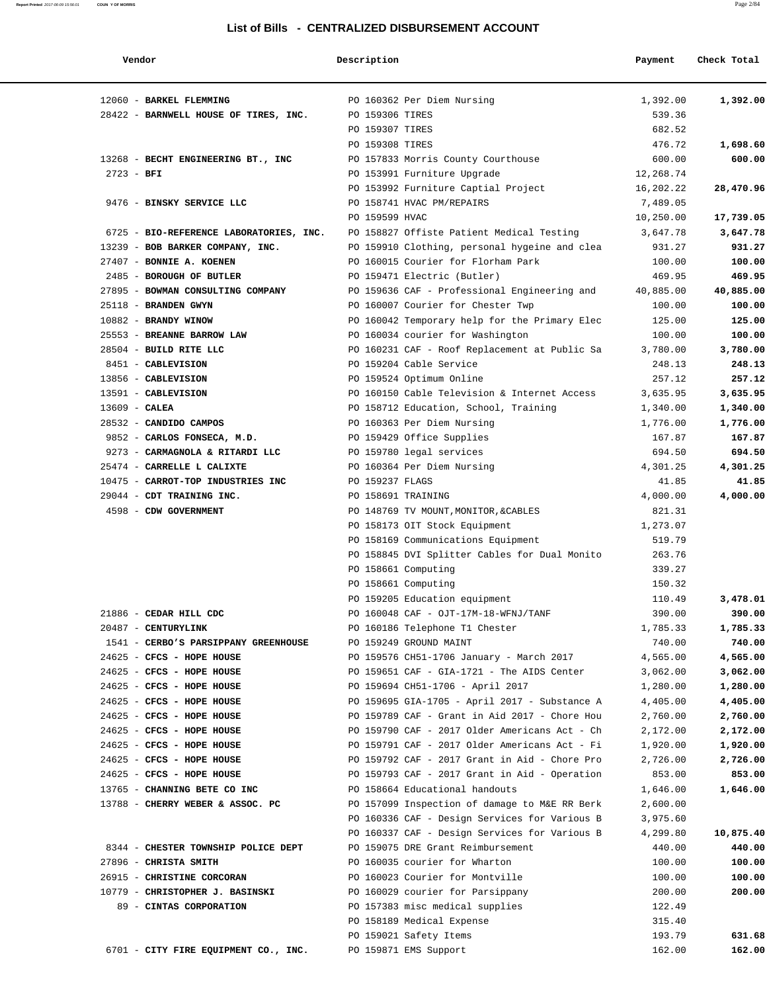**Vendor Description Payment Check Total** 12060 - **BARKEL FLEMMING** PO 160362 Per Diem Nursing 1,392.00 **1,392.00** 28422 - **BARNWELL HOUSE OF TIRES, INC.** PO 159306 TIRES 539.36 PO 159307 TIRES 682.52 PO 159308 TIRES 476.72 **1,698.60** 13268 - **BECHT ENGINEERING BT., INC** PO 157833 Morris County Courthouse 600.00 **600.00** 2723 - **BFI** PO 153991 Furniture Upgrade 12,268.74 PO 153992 Furniture Captial Project 16,202.22 **28,470.96** 9476 - **BINSKY SERVICE LLC** PO 158741 HVAC PM/REPAIRS 7,489.05 PO 159599 HVAC 10,250.00 **17,739.05** 6725 - **BIO-REFERENCE LABORATORIES, INC.** PO 158827 Offiste Patient Medical Testing 3,647.78 **3,647.78** 13239 - **BOB BARKER COMPANY, INC.** PO 159910 Clothing, personal hygeine and clea 931.27 **931.27** 27407 - **BONNIE A. KOENEN** PO 160015 Courier for Florham Park 100.00 **100.00** 2485 - **BOROUGH OF BUTLER PO 159471 Electric (Butler)** 469.95<br>27895 - **BOWMAN CONSULTING COMPANY PO 159636 CAF** - Professional Engineering and 40,885.00 **40,885.00**  27895 - **BOWMAN CONSULTING COMPANY** PO 159636 CAF - Professional Engineering and 40,885.00 **40,885.00** 25118 - **BRANDEN GWYN** PO 160007 Courier for Chester Twp 100.00 **100.00** 10882 - **BRANDY WINOW** PO 160042 Temporary help for the Primary Elec 125.00 **125.00** 25553 - **BREANNE BARROW LAW** PO 160034 courier for Washington 100.00 **100.00** 28504 - **BUILD RITE LLC** PO 160231 CAF - Roof Replacement at Public Sa 3,780.00 **3,780.00** 8451 - **CABLEVISION** PO 159204 Cable Service 248.13 **248.13** 13856 - **CABLEVISION** PO 159524 Optimum Online 257.12 **257.12** 13591 - **CABLEVISION** PO 160150 Cable Television & Internet Access 3,635.95 **3,635.95** 13609 - **CALEA** PO 158712 Education, School, Training 1,340.00 **1,340.00** 28532 - **CANDIDO CAMPOS** PO 160363 Per Diem Nursing 1,776.00 **1,776.00** 9852 - **CARLOS FONSECA, M.D.** PO 159429 Office Supplies 167.87 **167.87** 9273 - **CARMAGNOLA & RITARDI LLC** PO 159780 legal services 694.50 **694.50** 25474 - **CARRELLE L CALIXTE** PO 160364 Per Diem Nursing 4,301.25 **4,301.25** 10475 - **CARROT-TOP INDUSTRIES INC** PO 159237 FLAGS 41.85 **41.85** 29044 - **CDT TRAINING INC.** PO 158691 TRAINING 4,000.00 **4,000.00** 4598 - **CDW GOVERNMENT** PO 148769 TV MOUNT,MONITOR,&CABLES 821.31 PO 158173 OIT Stock Equipment 1,273.07 PO 158169 Communications Equipment 519.79 PO 158845 DVI Splitter Cables for Dual Monito 263.76 PO 158661 Computing 339.27 PO 158661 Computing 150.32 PO 159205 Education equipment 110.49 **3,478.01** 21886 - **CEDAR HILL CDC** PO 160048 CAF - OJT-17M-18-WFNJ/TANF 390.00 **390.00** 20487 - **CENTURYLINK** PO 160186 Telephone T1 Chester 1,785.33 **1,785.33** 1541 - **CERBO'S PARSIPPANY GREENHOUSE** PO 159249 GROUND MAINT 740.00 **740.00** 24625 - **CFCS - HOPE HOUSE** PO 159576 CH51-1706 January - March 2017 4,565.00 **4,565.00** 24625 - **CFCS - HOPE HOUSE** PO 159651 CAF - GIA-1721 - The AIDS Center 3,062.00 **3,062.00** 24625 - **CFCS - HOPE HOUSE** PO 159694 CH51-1706 - April 2017 1,280.00 **1,280.00** 24625 - **CFCS - HOPE HOUSE** PO 159695 GIA-1705 - April 2017 - Substance A 4,405.00 **4,405.00** 24625 - **CFCS - HOPE HOUSE** PO 159789 CAF - Grant in Aid 2017 - Chore Hou 2,760.00 **2,760.00** 24625 - **CFCS - HOPE HOUSE** PO 159790 CAF - 2017 Older Americans Act - Ch 2,172.00 **2,172.00** 24625 - **CFCS - HOPE HOUSE** PO 159791 CAF - 2017 Older Americans Act - Fi 1,920.00 **1,920.00** 24625 - **CFCS - HOPE HOUSE** PO 159792 CAF - 2017 Grant in Aid - Chore Pro 2,726.00 **2,726.00** 24625 - **CFCS - HOPE HOUSE** PO 159793 CAF - 2017 Grant in Aid - Operation 853.00 **853.00** 13765 - **CHANNING BETE CO INC** PO 158664 Educational handouts 1,646.00 **1,646.00** 13788 - **CHERRY WEBER & ASSOC. PC** PO 157099 Inspection of damage to M&E RR Berk 2,600.00 PO 160336 CAF - Design Services for Various B 3,975.60 PO 160337 CAF - Design Services for Various B 4,299.80 **10,875.40** 8344 - **CHESTER TOWNSHIP POLICE DEPT** PO 159075 DRE Grant Reimbursement 440.00 **440.00** 27896 - **CHRISTA SMITH** PO 160035 courier for Wharton 100.00 **100.00** 26915 - **CHRISTINE CORCORAN** PO 160023 Courier for Montville 100.00 **100.00** 10779 - **CHRISTOPHER J. BASINSKI** PO 160029 courier for Parsippany 200.00 **200.00** 89 - **CINTAS CORPORATION** PO 157383 misc medical supplies 122.49 PO 158189 Medical Expense 315.40 PO 159021 Safety Items 193.79 **631.68** 6701 - **CITY FIRE EQUIPMENT CO., INC.** PO 159871 EMS Support 162.00 **162.00**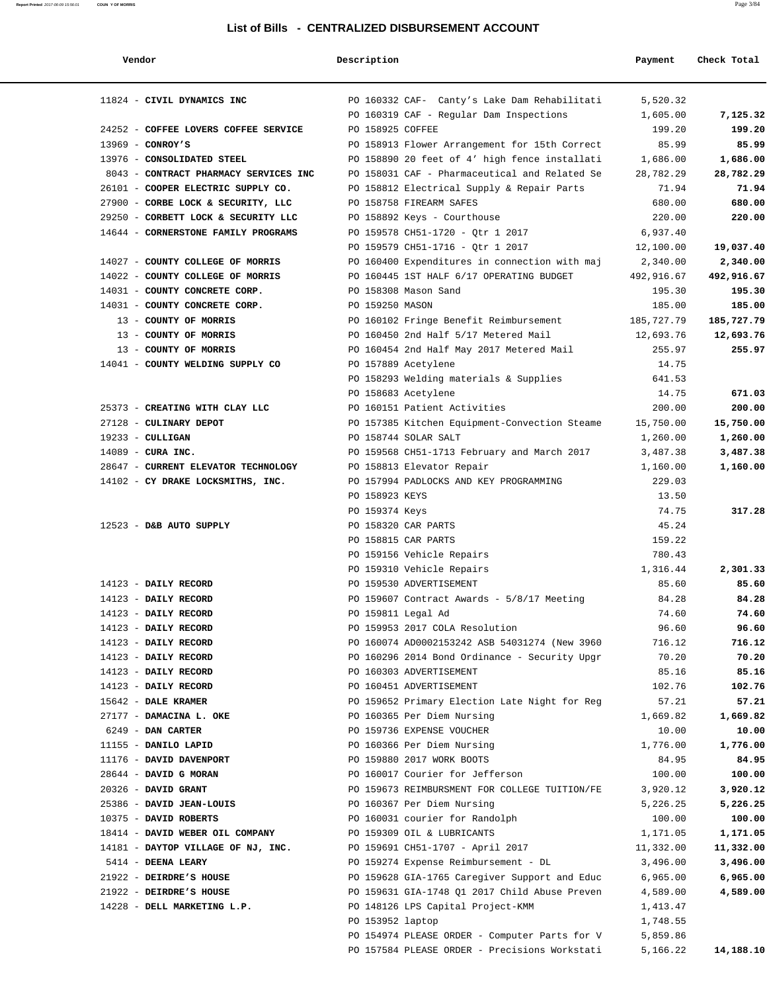**Report Printed** 2017-06-09 15:56:01 **COUN Y OF MORRIS** Page 3/84

| Vendor                                | Description      |                                               | Payment    | Check Total |
|---------------------------------------|------------------|-----------------------------------------------|------------|-------------|
| 11824 - CIVIL DYNAMICS INC            |                  | PO 160332 CAF- Canty's Lake Dam Rehabilitati  | 5,520.32   |             |
|                                       |                  | PO 160319 CAF - Regular Dam Inspections       | 1,605.00   | 7,125.32    |
| 24252 - COFFEE LOVERS COFFEE SERVICE  | PO 158925 COFFEE |                                               | 199.20     | 199.20      |
| $13969$ - CONROY'S                    |                  | PO 158913 Flower Arrangement for 15th Correct | 85.99      | 85.99       |
| 13976 - CONSOLIDATED STEEL            |                  | PO 158890 20 feet of 4' high fence installati | 1,686.00   | 1,686.00    |
| 8043 - CONTRACT PHARMACY SERVICES INC |                  | PO 158031 CAF - Pharmaceutical and Related Se | 28,782.29  | 28,782.29   |
| 26101 - COOPER ELECTRIC SUPPLY CO.    |                  | PO 158812 Electrical Supply & Repair Parts    | 71.94      | 71.94       |
| 27900 - CORBE LOCK & SECURITY, LLC    |                  | PO 158758 FIREARM SAFES                       | 680.00     | 680.00      |
| 29250 - CORBETT LOCK & SECURITY LLC   |                  | PO 158892 Keys - Courthouse                   | 220.00     | 220.00      |
| 14644 - CORNERSTONE FAMILY PROGRAMS   |                  | PO 159578 CH51-1720 - Qtr 1 2017              | 6,937.40   |             |
|                                       |                  | PO 159579 CH51-1716 - Qtr 1 2017              | 12,100.00  | 19,037.40   |
| 14027 - COUNTY COLLEGE OF MORRIS      |                  | PO 160400 Expenditures in connection with maj | 2,340.00   | 2,340.00    |
| 14022 - COUNTY COLLEGE OF MORRIS      |                  | PO 160445 1ST HALF 6/17 OPERATING BUDGET      | 492,916.67 | 492,916.67  |
| 14031 - COUNTY CONCRETE CORP.         |                  | PO 158308 Mason Sand                          | 195.30     | 195.30      |
| 14031 - COUNTY CONCRETE CORP.         | PO 159250 MASON  |                                               | 185.00     | 185.00      |
| 13 - COUNTY OF MORRIS                 |                  | PO 160102 Fringe Benefit Reimbursement        | 185,727.79 | 185,727.79  |
| 13 - COUNTY OF MORRIS                 |                  | PO 160450 2nd Half 5/17 Metered Mail          | 12,693.76  | 12,693.76   |
| 13 - COUNTY OF MORRIS                 |                  | PO 160454 2nd Half May 2017 Metered Mail      | 255.97     | 255.97      |
| 14041 - COUNTY WELDING SUPPLY CO      |                  |                                               | 14.75      |             |
|                                       |                  | PO 157889 Acetylene                           | 641.53     |             |
|                                       |                  | PO 158293 Welding materials & Supplies        |            |             |
|                                       |                  | PO 158683 Acetylene                           | 14.75      | 671.03      |
| 25373 - CREATING WITH CLAY LLC        |                  | PO 160151 Patient Activities                  | 200.00     | 200.00      |
| 27128 - CULINARY DEPOT                |                  | PO 157385 Kitchen Equipment-Convection Steame | 15,750.00  | 15,750.00   |
| $19233 - \text{CULLIGAN}$             |                  | PO 158744 SOLAR SALT                          | 1,260.00   | 1,260.00    |
| $14089$ - CURA INC.                   |                  | PO 159568 CH51-1713 February and March 2017   | 3,487.38   | 3,487.38    |
| 28647 - CURRENT ELEVATOR TECHNOLOGY   |                  | PO 158813 Elevator Repair                     | 1,160.00   | 1,160.00    |
| 14102 - CY DRAKE LOCKSMITHS, INC.     |                  | PO 157994 PADLOCKS AND KEY PROGRAMMING        | 229.03     |             |
|                                       | PO 158923 KEYS   |                                               | 13.50      |             |
|                                       | PO 159374 Keys   |                                               | 74.75      | 317.28      |
| 12523 - D&B AUTO SUPPLY               |                  | PO 158320 CAR PARTS                           | 45.24      |             |
|                                       |                  | PO 158815 CAR PARTS                           | 159.22     |             |
|                                       |                  | PO 159156 Vehicle Repairs                     | 780.43     |             |
|                                       |                  | PO 159310 Vehicle Repairs                     | 1,316.44   | 2,301.33    |
| 14123 - DAILY RECORD                  |                  | PO 159530 ADVERTISEMENT                       | 85.60      | 85.60       |
| 14123 - DAILY RECORD                  |                  | PO 159607 Contract Awards - $5/8/17$ Meeting  | 84.28      | 84.28       |
| 14123 - DAILY RECORD                  |                  | PO 159811 Legal Ad                            | 74.60      | 74.60       |
| 14123 - DAILY RECORD                  |                  | PO 159953 2017 COLA Resolution                | 96.60      | 96.60       |
| 14123 - DAILY RECORD                  |                  | PO 160074 AD0002153242 ASB 54031274 (New 3960 | 716.12     | 716.12      |
| 14123 - DAILY RECORD                  |                  | PO 160296 2014 Bond Ordinance - Security Upgr | 70.20      | 70.20       |
| 14123 - DAILY RECORD                  |                  | PO 160303 ADVERTISEMENT                       | 85.16      | 85.16       |
| 14123 - DAILY RECORD                  |                  | PO 160451 ADVERTISEMENT                       | 102.76     | 102.76      |
| 15642 - DALE KRAMER                   |                  | PO 159652 Primary Election Late Night for Reg | 57.21      | 57.21       |
| 27177 - DAMACINA L. OKE               |                  | PO 160365 Per Diem Nursing                    | 1,669.82   | 1,669.82    |
| 6249 - DAN CARTER                     |                  | PO 159736 EXPENSE VOUCHER                     | 10.00      | 10.00       |
| 11155 - DANILO LAPID                  |                  | PO 160366 Per Diem Nursing                    | 1,776.00   | 1,776.00    |
| 11176 - DAVID DAVENPORT               |                  | PO 159880 2017 WORK BOOTS                     | 84.95      | 84.95       |
| 28644 - DAVID G MORAN                 |                  | PO 160017 Courier for Jefferson               | 100.00     | 100.00      |
| 20326 - DAVID GRANT                   |                  | PO 159673 REIMBURSMENT FOR COLLEGE TUITION/FE | 3,920.12   | 3,920.12    |
| 25386 - DAVID JEAN-LOUIS              |                  | PO 160367 Per Diem Nursing                    | 5,226.25   | 5,226.25    |
| 10375 - DAVID ROBERTS                 |                  | PO 160031 courier for Randolph                | 100.00     | 100.00      |
| 18414 - DAVID WEBER OIL COMPANY       |                  | PO 159309 OIL & LUBRICANTS                    | 1,171.05   | 1,171.05    |
| 14181 - DAYTOP VILLAGE OF NJ, INC.    |                  | PO 159691 CH51-1707 - April 2017              | 11,332.00  | 11,332.00   |
| 5414 - DEENA LEARY                    |                  | PO 159274 Expense Reimbursement - DL          | 3,496.00   | 3,496.00    |
| 21922 - DEIRDRE'S HOUSE               |                  | PO 159628 GIA-1765 Caregiver Support and Educ | 6,965.00   | 6,965.00    |
| 21922 - DEIRDRE'S HOUSE               |                  | PO 159631 GIA-1748 Q1 2017 Child Abuse Preven | 4,589.00   | 4,589.00    |
| 14228 - DELL MARKETING L.P.           |                  | PO 148126 LPS Capital Project-KMM             | 1,413.47   |             |
|                                       | PO 153952 laptop |                                               | 1,748.55   |             |
|                                       |                  | PO 154974 PLEASE ORDER - Computer Parts for V | 5,859.86   |             |
|                                       |                  | PO 157584 PLEASE ORDER - Precisions Workstati | 5,166.22   | 14,188.10   |
|                                       |                  |                                               |            |             |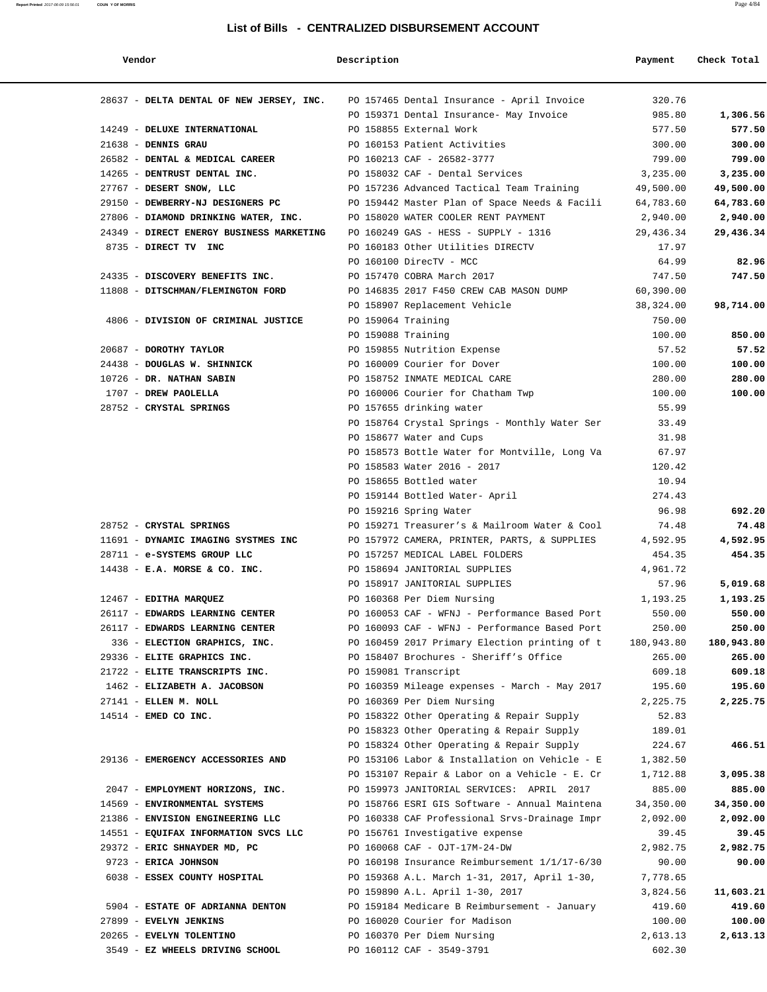| Report Printed 2017-06-09 15:56:01 COUN Y OF MORRIS | Page 4/84 |  |
|-----------------------------------------------------|-----------|--|
|                                                     |           |  |

| Vendor                                                                              | Description        |                                               | Payment    | Check Total |
|-------------------------------------------------------------------------------------|--------------------|-----------------------------------------------|------------|-------------|
| 28637 - DELTA DENTAL OF NEW JERSEY, INC. PO 157465 Dental Insurance - April Invoice |                    |                                               | 320.76     |             |
|                                                                                     |                    | PO 159371 Dental Insurance- May Invoice       | 985.80     | 1,306.56    |
| 14249 - DELUXE INTERNATIONAL                                                        |                    | PO 158855 External Work                       | 577.50     | 577.50      |
| $21638$ - DENNIS GRAU                                                               |                    | PO 160153 Patient Activities                  | 300.00     | 300.00      |
| 26582 - DENTAL & MEDICAL CAREER PO 160213 CAF - 26582-3777                          |                    |                                               | 799.00     | 799.00      |
| 14265 - DENTRUST DENTAL INC.                                                        |                    | PO 158032 CAF - Dental Services               | 3,235.00   | 3,235.00    |
| 27767 - DESERT SNOW, LLC                                                            |                    | PO 157236 Advanced Tactical Team Training     | 49,500.00  | 49,500.00   |
| 29150 - DEWBERRY-NJ DESIGNERS PC                                                    |                    | PO 159442 Master Plan of Space Needs & Facili | 64,783.60  | 64,783.60   |
| 27806 - DIAMOND DRINKING WATER, INC.                                                |                    | PO 158020 WATER COOLER RENT PAYMENT           | 2,940.00   | 2,940.00    |
| 24349 - DIRECT ENERGY BUSINESS MARKETING                                            |                    | PO 160249 GAS - HESS - SUPPLY - 1316          | 29,436.34  | 29,436.34   |
| 8735 - DIRECT TV INC                                                                |                    | PO 160183 Other Utilities DIRECTV             | 17.97      |             |
|                                                                                     |                    | PO 160100 DirecTV - MCC                       | 64.99      | 82.96       |
| 24335 - DISCOVERY BENEFITS INC.                                                     |                    | PO 157470 COBRA March 2017                    | 747.50     | 747.50      |
| 11808 - DITSCHMAN/FLEMINGTON FORD                                                   |                    | PO 146835 2017 F450 CREW CAB MASON DUMP       | 60,390.00  |             |
|                                                                                     |                    | PO 158907 Replacement Vehicle                 | 38,324.00  | 98,714.00   |
| 4806 - DIVISION OF CRIMINAL JUSTICE                                                 | PO 159064 Training |                                               | 750.00     |             |
|                                                                                     |                    | PO 159088 Training                            | 100.00     | 850.00      |
| 20687 - DOROTHY TAYLOR                                                              |                    | PO 159855 Nutrition Expense                   | 57.52      | 57.52       |
| 24438 - DOUGLAS W. SHINNICK                                                         |                    | PO 160009 Courier for Dover                   | 100.00     | 100.00      |
| 10726 - DR. NATHAN SABIN                                                            |                    | PO 158752 INMATE MEDICAL CARE                 | 280.00     | 280.00      |
| 1707 - DREW PAOLELLA                                                                |                    | PO 160006 Courier for Chatham Twp             | 100.00     | 100.00      |
| 28752 - CRYSTAL SPRINGS                                                             |                    | PO 157655 drinking water                      | 55.99      |             |
|                                                                                     |                    | PO 158764 Crystal Springs - Monthly Water Ser | 33.49      |             |
|                                                                                     |                    | PO 158677 Water and Cups                      | 31.98      |             |
|                                                                                     |                    | PO 158573 Bottle Water for Montville, Long Va | 67.97      |             |
|                                                                                     |                    | PO 158583 Water 2016 - 2017                   | 120.42     |             |
|                                                                                     |                    | PO 158655 Bottled water                       | 10.94      |             |
|                                                                                     |                    | PO 159144 Bottled Water- April                | 274.43     |             |
|                                                                                     |                    | PO 159216 Spring Water                        | 96.98      | 692.20      |
| 28752 - CRYSTAL SPRINGS                                                             |                    | PO 159271 Treasurer's & Mailroom Water & Cool | 74.48      | 74.48       |
| 11691 - DYNAMIC IMAGING SYSTMES INC PO 157972 CAMERA, PRINTER, PARTS, & SUPPLIES    |                    |                                               | 4,592.95   | 4,592.95    |
| 28711 - e-SYSTEMS GROUP LLC                                                         |                    | PO 157257 MEDICAL LABEL FOLDERS               | 454.35     | 454.35      |
| $14438$ - E.A. MORSE & CO. INC.                                                     |                    | PO 158694 JANITORIAL SUPPLIES                 | 4,961.72   |             |
|                                                                                     |                    | PO 158917 JANITORIAL SUPPLIES                 | 57.96      | 5,019.68    |
| 12467 - EDITHA MARQUEZ                                                              |                    | PO 160368 Per Diem Nursing                    | 1,193.25   | 1,193.25    |
| 26117 - EDWARDS LEARNING CENTER                                                     |                    | PO 160053 CAF - WFNJ - Performance Based Port | 550.00     | 550.00      |
| 26117 - EDWARDS LEARNING CENTER                                                     |                    | PO 160093 CAF - WFNJ - Performance Based Port | 250.00     | 250.00      |
| 336 - ELECTION GRAPHICS, INC.                                                       |                    | PO 160459 2017 Primary Election printing of t | 180,943.80 | 180,943.80  |
| 29336 - ELITE GRAPHICS INC.                                                         |                    | PO 158407 Brochures - Sheriff's Office        | 265.00     | 265.00      |
| 21722 - ELITE TRANSCRIPTS INC.                                                      |                    | PO 159081 Transcript                          | 609.18     | 609.18      |
| 1462 - ELIZABETH A. JACOBSON                                                        |                    | PO 160359 Mileage expenses - March - May 2017 | 195.60     | 195.60      |
| 27141 - ELLEN M. NOLL                                                               |                    | PO 160369 Per Diem Nursing                    | 2,225.75   | 2,225.75    |
| $14514$ - EMED CO INC.                                                              |                    | PO 158322 Other Operating & Repair Supply     | 52.83      |             |
|                                                                                     |                    | PO 158323 Other Operating & Repair Supply     | 189.01     |             |
|                                                                                     |                    | PO 158324 Other Operating & Repair Supply     | 224.67     | 466.51      |
| 29136 - EMERGENCY ACCESSORIES AND                                                   |                    | PO 153106 Labor & Installation on Vehicle - E | 1,382.50   |             |
|                                                                                     |                    | PO 153107 Repair & Labor on a Vehicle - E. Cr | 1,712.88   | 3,095.38    |
| 2047 - EMPLOYMENT HORIZONS, INC.                                                    |                    | PO 159973 JANITORIAL SERVICES: APRIL 2017     | 885.00     | 885.00      |
| 14569 - ENVIRONMENTAL SYSTEMS                                                       |                    | PO 158766 ESRI GIS Software - Annual Maintena | 34,350.00  | 34,350.00   |
| 21386 - ENVISION ENGINEERING LLC                                                    |                    | PO 160338 CAF Professional Srvs-Drainage Impr | 2,092.00   | 2,092.00    |
| 14551 - EQUIFAX INFORMATION SVCS LLC                                                |                    | PO 156761 Investigative expense               | 39.45      | 39.45       |
| 29372 - ERIC SHNAYDER MD, PC                                                        |                    | PO 160068 CAF - OJT-17M-24-DW                 | 2,982.75   | 2,982.75    |
| 9723 - ERICA JOHNSON                                                                |                    | PO 160198 Insurance Reimbursement 1/1/17-6/30 | 90.00      | 90.00       |
| 6038 - ESSEX COUNTY HOSPITAL                                                        |                    | PO 159368 A.L. March 1-31, 2017, April 1-30,  | 7,778.65   |             |
|                                                                                     |                    | PO 159890 A.L. April 1-30, 2017               | 3,824.56   | 11,603.21   |
| 5904 - ESTATE OF ADRIANNA DENTON                                                    |                    | PO 159184 Medicare B Reimbursement - January  | 419.60     | 419.60      |
| 27899 - EVELYN JENKINS                                                              |                    | PO 160020 Courier for Madison                 | 100.00     | 100.00      |
| 20265 - EVELYN TOLENTINO                                                            |                    | PO 160370 Per Diem Nursing                    | 2,613.13   | 2,613.13    |

3549 - **EZ WHEELS DRIVING SCHOOL** PO 160112 CAF - 3549-3791 602.30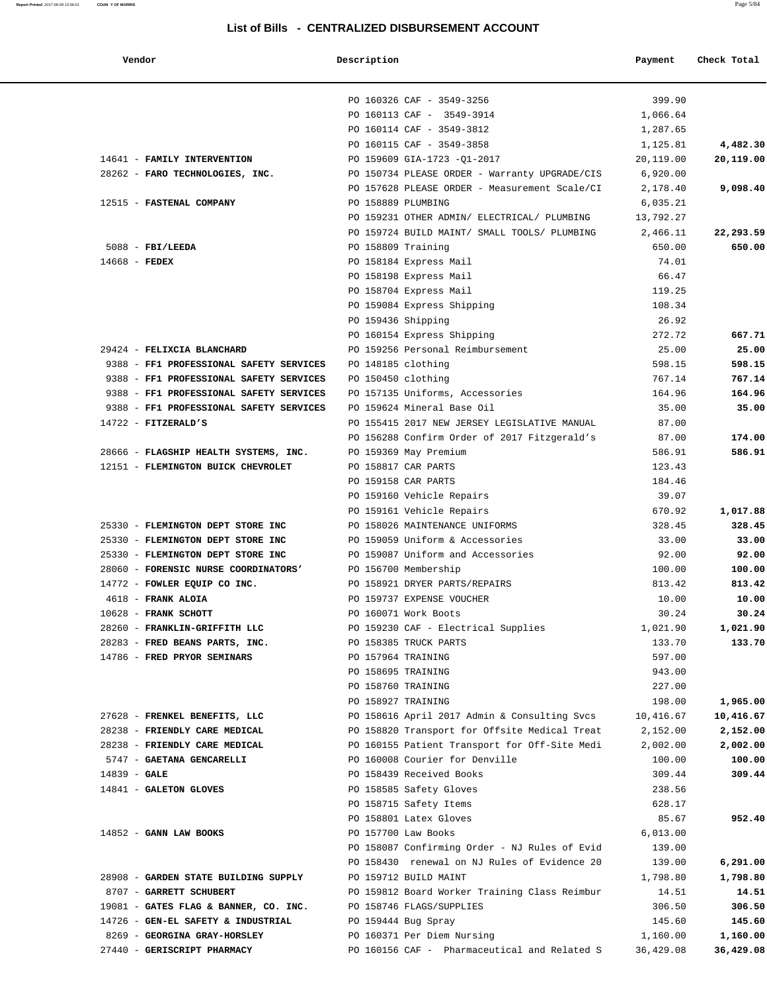**Report Printed** 2017-06-09 15:56:01 **COUN Y OF MORRIS** Page 5/84

| Vendor                                                                 | Description        |                                                                   | Payment          | Check Total        |
|------------------------------------------------------------------------|--------------------|-------------------------------------------------------------------|------------------|--------------------|
|                                                                        |                    | PO 160326 CAF - 3549-3256                                         | 399.90           |                    |
|                                                                        |                    | PO 160113 CAF - 3549-3914                                         | 1,066.64         |                    |
|                                                                        |                    | PO 160114 CAF - 3549-3812                                         | 1,287.65         |                    |
|                                                                        |                    | PO 160115 CAF - 3549-3858                                         | 1,125.81         | 4,482.30           |
| 14641 - FAMILY INTERVENTION                                            |                    | PO 159609 GIA-1723 -Q1-2017                                       | 20,119.00        | 20,119.00          |
| 28262 - FARO TECHNOLOGIES, INC.                                        |                    | PO 150734 PLEASE ORDER - Warranty UPGRADE/CIS                     | 6,920.00         |                    |
|                                                                        |                    | PO 157628 PLEASE ORDER - Measurement Scale/CI                     | 2,178.40         | 9,098.40           |
| 12515 - FASTENAL COMPANY                                               | PO 158889 PLUMBING |                                                                   | 6,035.21         |                    |
|                                                                        |                    | PO 159231 OTHER ADMIN/ ELECTRICAL/ PLUMBING                       | 13,792.27        |                    |
|                                                                        |                    | PO 159724 BUILD MAINT/ SMALL TOOLS/ PLUMBING                      | 2,466.11         | 22,293.59          |
| $5088$ - FBI/LEEDA                                                     | PO 158809 Training |                                                                   | 650.00           | 650.00             |
| $14668$ - FEDEX                                                        |                    | PO 158184 Express Mail                                            | 74.01            |                    |
|                                                                        |                    | PO 158198 Express Mail                                            | 66.47            |                    |
|                                                                        |                    | PO 158704 Express Mail                                            | 119.25           |                    |
|                                                                        |                    | PO 159084 Express Shipping                                        | 108.34           |                    |
|                                                                        | PO 159436 Shipping |                                                                   | 26.92            |                    |
|                                                                        |                    | PO 160154 Express Shipping                                        | 272.72           | 667.71             |
| 29424 - FELIXCIA BLANCHARD                                             |                    | PO 159256 Personal Reimbursement                                  | 25.00            | 25.00              |
| 9388 - FF1 PROFESSIONAL SAFETY SERVICES                                | PO 148185 clothing |                                                                   | 598.15           | 598.15             |
| 9388 - FF1 PROFESSIONAL SAFETY SERVICES                                | PO 150450 clothing |                                                                   | 767.14           | 767.14             |
| 9388 - FF1 PROFESSIONAL SAFETY SERVICES                                |                    | PO 157135 Uniforms, Accessories                                   | 164.96           | 164.96             |
| 9388 - FF1 PROFESSIONAL SAFETY SERVICES                                |                    | PO 159624 Mineral Base Oil                                        | 35.00            | 35.00              |
| $14722$ - FITZERALD'S                                                  |                    | PO 155415 2017 NEW JERSEY LEGISLATIVE MANUAL                      | 87.00            |                    |
|                                                                        |                    | PO 156288 Confirm Order of 2017 Fitzgerald's                      | 87.00            | 174.00             |
| 28666 - FLAGSHIP HEALTH SYSTEMS, INC.                                  |                    | PO 159369 May Premium                                             | 586.91           | 586.91             |
| 12151 - FLEMINGTON BUICK CHEVROLET                                     |                    | PO 158817 CAR PARTS                                               | 123.43           |                    |
|                                                                        |                    | PO 159158 CAR PARTS                                               | 184.46           |                    |
|                                                                        |                    | PO 159160 Vehicle Repairs                                         | 39.07            |                    |
|                                                                        |                    | PO 159161 Vehicle Repairs                                         | 670.92<br>328.45 | 1,017.88<br>328.45 |
| 25330 - FLEMINGTON DEPT STORE INC<br>25330 - FLEMINGTON DEPT STORE INC |                    | PO 158026 MAINTENANCE UNIFORMS<br>PO 159059 Uniform & Accessories | 33.00            | 33.00              |
| 25330 - FLEMINGTON DEPT STORE INC                                      |                    | PO 159087 Uniform and Accessories                                 | 92.00            | 92.00              |
| 28060 - FORENSIC NURSE COORDINATORS'                                   |                    | PO 156700 Membership                                              | 100.00           | 100.00             |
| 14772 - FOWLER EQUIP CO INC.                                           |                    | PO 158921 DRYER PARTS/REPAIRS                                     | 813.42           | 813.42             |
| 4618 - FRANK ALOIA                                                     |                    | PO 159737 EXPENSE VOUCHER                                         | 10.00            | 10.00              |
| $10628$ - FRANK SCHOTT                                                 |                    | PO 160071 Work Boots                                              | 30.24            | 30.24              |
| 28260 - FRANKLIN-GRIFFITH LLC                                          |                    | PO 159230 CAF - Electrical Supplies                               | 1,021.90         | 1,021.90           |
| 28283 - FRED BEANS PARTS, INC.                                         |                    | PO 158385 TRUCK PARTS                                             | 133.70           | 133.70             |
| 14786 - FRED PRYOR SEMINARS                                            | PO 157964 TRAINING |                                                                   | 597.00           |                    |
|                                                                        | PO 158695 TRAINING |                                                                   | 943.00           |                    |
|                                                                        | PO 158760 TRAINING |                                                                   | 227.00           |                    |
|                                                                        | PO 158927 TRAINING |                                                                   | 198.00           | 1,965.00           |
| 27628 - FRENKEL BENEFITS, LLC                                          |                    | PO 158616 April 2017 Admin & Consulting Svcs                      | 10,416.67        | 10,416.67          |
| 28238 - FRIENDLY CARE MEDICAL                                          |                    | PO 158820 Transport for Offsite Medical Treat                     | 2,152.00         | 2,152.00           |
| 28238 - FRIENDLY CARE MEDICAL                                          |                    | PO 160155 Patient Transport for Off-Site Medi                     | 2,002.00         | 2,002.00           |
| 5747 - GAETANA GENCARELLI                                              |                    | PO 160008 Courier for Denville                                    | 100.00           | 100.00             |
| $14839 - GALE$                                                         |                    | PO 158439 Received Books                                          | 309.44           | 309.44             |
| 14841 - GALETON GLOVES                                                 |                    | PO 158585 Safety Gloves                                           | 238.56           |                    |
|                                                                        |                    | PO 158715 Safety Items                                            | 628.17           |                    |
|                                                                        |                    | PO 158801 Latex Gloves                                            | 85.67            | 952.40             |
| $14852$ - GANN LAW BOOKS                                               |                    | PO 157700 Law Books                                               | 6,013.00         |                    |
|                                                                        |                    | PO 158087 Confirming Order - NJ Rules of Evid                     | 139.00           |                    |
|                                                                        |                    | PO 158430 renewal on NJ Rules of Evidence 20                      | 139.00           | 6,291.00           |
| 28908 - GARDEN STATE BUILDING SUPPLY                                   |                    | PO 159712 BUILD MAINT                                             | 1,798.80         | 1,798.80           |
| 8707 - GARRETT SCHUBERT                                                |                    | PO 159812 Board Worker Training Class Reimbur                     | 14.51            | 14.51              |
| 19081 - GATES FLAG & BANNER, CO. INC.                                  |                    | PO 158746 FLAGS/SUPPLIES                                          | 306.50           | 306.50             |
| 14726 - GEN-EL SAFETY & INDUSTRIAL                                     |                    | PO 159444 Bug Spray                                               | 145.60           | 145.60             |
| 8269 - GEORGINA GRAY-HORSLEY                                           |                    | PO 160371 Per Diem Nursing                                        | 1,160.00         | 1,160.00           |
| 27440 - GERISCRIPT PHARMACY                                            |                    | PO 160156 CAF - Pharmaceutical and Related S                      | 36,429.08        | 36,429.08          |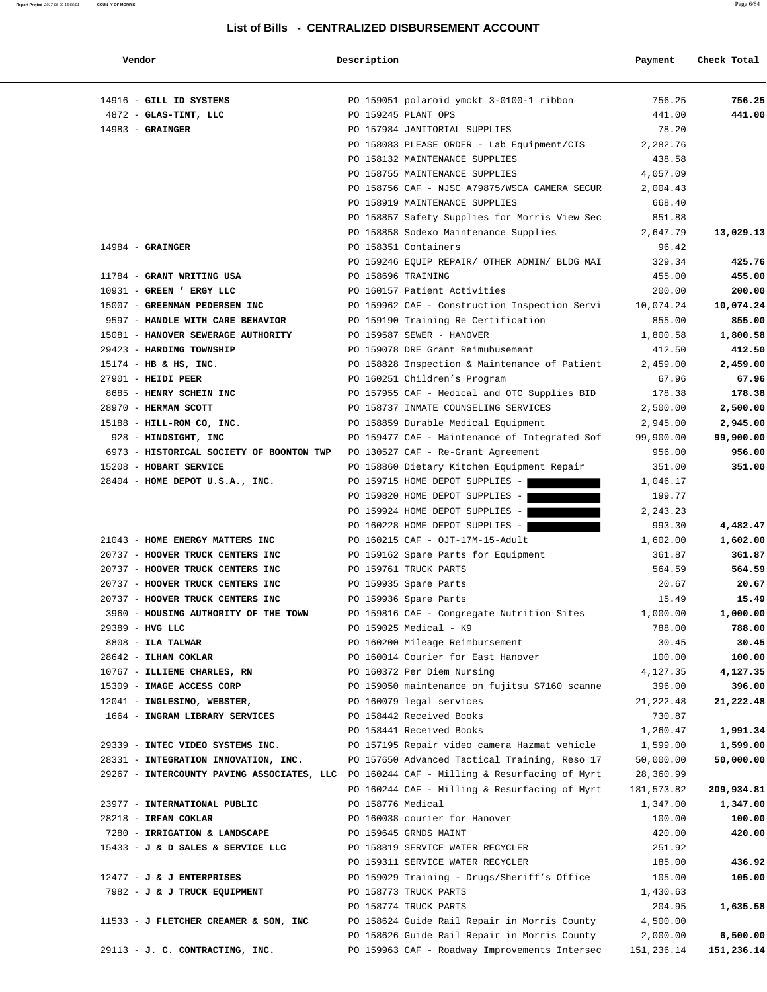| Vendor                                                                                   | Description        |                                                                | Payment           | Check Total        |
|------------------------------------------------------------------------------------------|--------------------|----------------------------------------------------------------|-------------------|--------------------|
| 14916 - GILL ID SYSTEMS                                                                  |                    | PO 159051 polaroid ymckt 3-0100-1 ribbon                       | 756.25            | 756.25             |
| 4872 - GLAS-TINT, LLC                                                                    |                    | PO 159245 PLANT OPS                                            | 441.00            | 441.00             |
| $14983$ - GRAINGER                                                                       |                    | PO 157984 JANITORIAL SUPPLIES                                  | 78.20             |                    |
|                                                                                          |                    | PO 158083 PLEASE ORDER - Lab Equipment/CIS                     | 2,282.76          |                    |
|                                                                                          |                    | PO 158132 MAINTENANCE SUPPLIES                                 | 438.58            |                    |
|                                                                                          |                    | PO 158755 MAINTENANCE SUPPLIES                                 | 4,057.09          |                    |
|                                                                                          |                    | PO 158756 CAF - NJSC A79875/WSCA CAMERA SECUR                  | 2,004.43          |                    |
|                                                                                          |                    | PO 158919 MAINTENANCE SUPPLIES                                 | 668.40            |                    |
|                                                                                          |                    | PO 158857 Safety Supplies for Morris View Sec                  | 851.88            |                    |
|                                                                                          |                    | PO 158858 Sodexo Maintenance Supplies                          | 2,647.79          | 13,029.13          |
| $14984$ - GRAINGER                                                                       |                    | PO 158351 Containers                                           | 96.42             |                    |
|                                                                                          |                    | PO 159246 EQUIP REPAIR/ OTHER ADMIN/ BLDG MAI                  | 329.34            | 425.76             |
| 11784 - GRANT WRITING USA                                                                | PO 158696 TRAINING |                                                                | 455.00            | 455.00             |
| 10931 - GREEN ' ERGY LLC                                                                 |                    | PO 160157 Patient Activities                                   | 200.00            | 200.00             |
| 15007 - GREENMAN PEDERSEN INC                                                            |                    | PO 159962 CAF - Construction Inspection Servi                  | 10,074.24         | 10,074.24          |
| 9597 - HANDLE WITH CARE BEHAVIOR                                                         |                    | PO 159190 Training Re Certification                            | 855.00            | 855.00             |
| 15081 - HANOVER SEWERAGE AUTHORITY<br>29423 - HARDING TOWNSHIP                           |                    | PO 159587 SEWER - HANOVER<br>PO 159078 DRE Grant Reimubusement | 1,800.58          | 1,800.58<br>412.50 |
| 15174 - HB & HS, INC.                                                                    |                    | PO 158828 Inspection & Maintenance of Patient                  | 412.50            |                    |
| $27901$ - HEIDI PEER                                                                     |                    | PO 160251 Children's Program                                   | 2,459.00<br>67.96 | 2,459.00<br>67.96  |
| 8685 - HENRY SCHEIN INC                                                                  |                    | PO 157955 CAF - Medical and OTC Supplies BID                   | 178.38            | 178.38             |
| 28970 - HERMAN SCOTT                                                                     |                    | PO 158737 INMATE COUNSELING SERVICES                           | 2,500.00          | 2,500.00           |
| 15188 - HILL-ROM CO, INC.                                                                |                    | PO 158859 Durable Medical Equipment                            | 2,945.00          | 2,945.00           |
| 928 - HINDSIGHT, INC                                                                     |                    | PO 159477 CAF - Maintenance of Integrated Sof                  | 99,900.00         | 99,900.00          |
| 6973 - HISTORICAL SOCIETY OF BOONTON TWP                                                 |                    | PO 130527 CAF - Re-Grant Agreement                             | 956.00            | 956.00             |
| 15208 - HOBART SERVICE                                                                   |                    | PO 158860 Dietary Kitchen Equipment Repair                     | 351.00            | 351.00             |
| 28404 - HOME DEPOT U.S.A., INC.                                                          |                    | PO 159715 HOME DEPOT SUPPLIES -                                | 1,046.17          |                    |
|                                                                                          |                    | PO 159820 HOME DEPOT SUPPLIES -                                | 199.77            |                    |
|                                                                                          |                    | PO 159924 HOME DEPOT SUPPLIES -                                | 2, 243.23         |                    |
|                                                                                          |                    | PO 160228 HOME DEPOT SUPPLIES -                                | 993.30            | 4,482.47           |
| 21043 - HOME ENERGY MATTERS INC                                                          |                    | PO 160215 CAF - OJT-17M-15-Adult                               | 1,602.00          | 1,602.00           |
| 20737 - HOOVER TRUCK CENTERS INC                                                         |                    | PO 159162 Spare Parts for Equipment                            | 361.87            | 361.87             |
| 20737 - HOOVER TRUCK CENTERS INC                                                         |                    | PO 159761 TRUCK PARTS                                          | 564.59            | 564.59             |
| 20737 - HOOVER TRUCK CENTERS INC                                                         |                    | PO 159935 Spare Parts                                          | 20.67             | 20.67              |
| 20737 - HOOVER TRUCK CENTERS INC                                                         |                    | PO 159936 Spare Parts                                          | 15.49             | 15.49              |
| 3960 - HOUSING AUTHORITY OF THE TOWN                                                     |                    | PO 159816 CAF - Congregate Nutrition Sites                     | 1,000.00          | 1,000.00           |
| 29389 - HVG LLC                                                                          |                    | PO 159025 Medical - K9                                         | 788.00            | 788.00             |
| $8808$ - ILA TALWAR                                                                      |                    | PO 160200 Mileage Reimbursement                                | 30.45             | 30.45              |
| 28642 - ILHAN COKLAR                                                                     |                    | PO 160014 Courier for East Hanover                             | 100.00            | 100.00             |
| 10767 - ILLIENE CHARLES, RN                                                              |                    | PO 160372 Per Diem Nursing                                     | 4,127.35          | 4,127.35           |
| 15309 - IMAGE ACCESS CORP                                                                |                    | PO 159050 maintenance on fujitsu S7160 scanne                  | 396.00            | 396.00             |
| 12041 - INGLESINO, WEBSTER,                                                              |                    | PO 160079 legal services                                       | 21,222.48         | 21,222.48          |
| 1664 - INGRAM LIBRARY SERVICES                                                           |                    | PO 158442 Received Books                                       | 730.87            |                    |
|                                                                                          |                    | PO 158441 Received Books                                       | 1,260.47          | 1,991.34           |
| 29339 - INTEC VIDEO SYSTEMS INC.                                                         |                    | PO 157195 Repair video camera Hazmat vehicle                   | 1,599.00          | 1,599.00           |
| 28331 - INTEGRATION INNOVATION, INC.                                                     |                    | PO 157650 Advanced Tactical Training, Reso 17                  | 50,000.00         | 50,000.00          |
| 29267 - INTERCOUNTY PAVING ASSOCIATES, LLC PO 160244 CAF - Milling & Resurfacing of Myrt |                    |                                                                | 28,360.99         |                    |
|                                                                                          |                    | PO 160244 CAF - Milling & Resurfacing of Myrt                  | 181,573.82        | 209,934.81         |
| 23977 - INTERNATIONAL PUBLIC                                                             | PO 158776 Medical  |                                                                | 1,347.00          | 1,347.00           |
| 28218 - IRFAN COKLAR                                                                     |                    | PO 160038 courier for Hanover                                  | 100.00            | 100.00             |
| 7280 - IRRIGATION & LANDSCAPE                                                            |                    | PO 159645 GRNDS MAINT                                          | 420.00            | 420.00             |
| 15433 - J & D SALES & SERVICE LLC                                                        |                    | PO 158819 SERVICE WATER RECYCLER                               | 251.92            |                    |
|                                                                                          |                    | PO 159311 SERVICE WATER RECYCLER                               | 185.00            | 436.92             |
| $12477 - J$ & J ENTERPRISES                                                              |                    | PO 159029 Training - Drugs/Sheriff's Office                    | 105.00            | 105.00             |
| 7982 - J & J TRUCK EQUIPMENT                                                             |                    | PO 158773 TRUCK PARTS                                          | 1,430.63          |                    |
|                                                                                          |                    | PO 158774 TRUCK PARTS                                          | 204.95            | 1,635.58           |
| 11533 - J FLETCHER CREAMER & SON, INC                                                    |                    | PO 158624 Guide Rail Repair in Morris County                   | 4,500.00          |                    |
|                                                                                          |                    | PO 158626 Guide Rail Repair in Morris County                   | 2,000.00          | 6,500.00           |
| 29113 - J. C. CONTRACTING, INC.                                                          |                    | PO 159963 CAF - Roadway Improvements Intersec                  | 151,236.14        | 151,236.14         |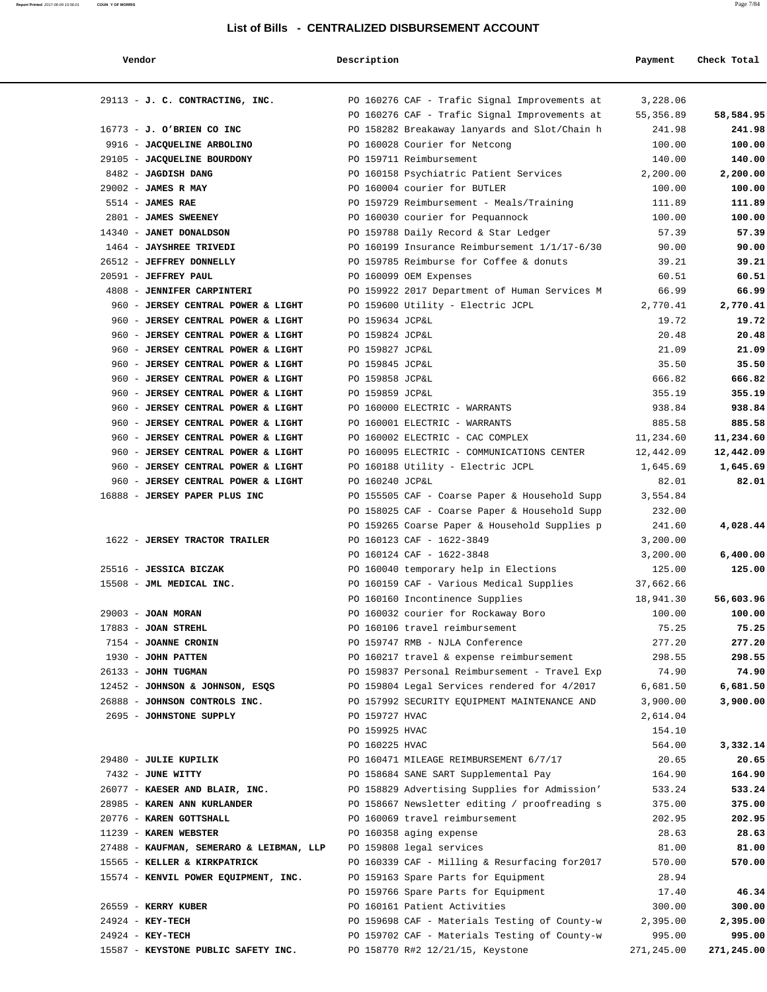**Report Printed** 2017-06-09 15:56:01 **COUN Y OF MORRIS** Page 7/84

| Vendor                                             | Description     |                                                | Payment          | Check Total        |
|----------------------------------------------------|-----------------|------------------------------------------------|------------------|--------------------|
| 29113 - J. C. CONTRACTING, INC.                    |                 | PO 160276 CAF - Trafic Signal Improvements at  | 3,228.06         |                    |
|                                                    |                 | PO 160276 CAF - Trafic Signal Improvements at  | 55,356.89        | 58,584.95          |
| $16773 - J.$ O'BRIEN CO INC                        |                 | PO 158282 Breakaway lanyards and Slot/Chain h  | 241.98           | 241.98             |
| 9916 - JACQUELINE ARBOLINO                         |                 | PO 160028 Courier for Netcong                  | 100.00           | 100.00             |
| 29105 - JACQUELINE BOURDONY                        |                 | PO 159711 Reimbursement                        | 140.00           | 140.00             |
| 8482 - JAGDISH DANG                                |                 | PO 160158 Psychiatric Patient Services         | 2,200.00         | 2,200.00           |
| $29002$ - JAMES R MAY                              |                 | PO 160004 courier for BUTLER                   | 100.00           | 100.00             |
| $5514$ - JAMES RAE                                 |                 | PO 159729 Reimbursement - Meals/Training       | 111.89           | 111.89             |
| 2801 - JAMES SWEENEY                               |                 | PO 160030 courier for Pequannock               | 100.00           | 100.00             |
| 14340 - JANET DONALDSON                            |                 | PO 159788 Daily Record & Star Ledger           | 57.39            | 57.39              |
| 1464 - JAYSHREE TRIVEDI                            |                 | PO 160199 Insurance Reimbursement 1/1/17-6/30  | 90.00            | 90.00              |
| 26512 - JEFFREY DONNELLY                           |                 | PO 159785 Reimburse for Coffee & donuts        | 39.21            | 39.21              |
| 20591 - JEFFREY PAUL                               |                 | PO 160099 OEM Expenses                         | 60.51            | 60.51              |
| 4808 - JENNIFER CARPINTERI                         |                 | PO 159922 2017 Department of Human Services M  | 66.99            | 66.99              |
| 960 - JERSEY CENTRAL POWER & LIGHT                 |                 | PO 159600 Utility - Electric JCPL              | 2,770.41         | 2,770.41           |
| 960 - JERSEY CENTRAL POWER & LIGHT                 | PO 159634 JCP&L |                                                | 19.72            | 19.72              |
| 960 - JERSEY CENTRAL POWER & LIGHT                 | PO 159824 JCP&L |                                                | 20.48            | 20.48              |
| 960 - JERSEY CENTRAL POWER & LIGHT                 | PO 159827 JCP&L |                                                | 21.09            | 21.09              |
| 960 - JERSEY CENTRAL POWER & LIGHT                 | PO 159845 JCP&L |                                                | 35.50            | 35.50              |
| 960 - JERSEY CENTRAL POWER & LIGHT                 | PO 159858 JCP&L |                                                | 666.82           | 666.82             |
| 960 - JERSEY CENTRAL POWER & LIGHT                 | PO 159859 JCP&L |                                                | 355.19           | 355.19             |
| 960 - JERSEY CENTRAL POWER & LIGHT                 |                 | PO 160000 ELECTRIC - WARRANTS                  | 938.84           | 938.84             |
| 960 - JERSEY CENTRAL POWER & LIGHT                 |                 | PO 160001 ELECTRIC - WARRANTS                  | 885.58           | 885.58             |
| 960 - JERSEY CENTRAL POWER & LIGHT                 |                 | PO 160002 ELECTRIC - CAC COMPLEX               | 11,234.60        | 11,234.60          |
| 960 - JERSEY CENTRAL POWER & LIGHT                 |                 | PO 160095 ELECTRIC - COMMUNICATIONS CENTER     | 12,442.09        | 12,442.09          |
| 960 - JERSEY CENTRAL POWER & LIGHT                 |                 | PO 160188 Utility - Electric JCPL              | 1,645.69         | 1,645.69           |
| 960 - JERSEY CENTRAL POWER & LIGHT                 | PO 160240 JCP&L |                                                | 82.01            | 82.01              |
| 16888 - JERSEY PAPER PLUS INC                      |                 |                                                | 3,554.84         |                    |
|                                                    |                 | PO 155505 CAF - Coarse Paper & Household Supp  |                  |                    |
|                                                    |                 | PO 158025 CAF - Coarse Paper & Household Supp  | 232.00<br>241.60 |                    |
|                                                    |                 | PO 159265 Coarse Paper & Household Supplies p  |                  | 4,028.44           |
| 1622 - JERSEY TRACTOR TRAILER                      |                 | PO 160123 CAF - 1622-3849                      | 3,200.00         |                    |
|                                                    |                 | PO 160124 CAF - 1622-3848                      | 3,200.00         | 6,400.00<br>125.00 |
| 25516 - JESSICA BICZAK<br>15508 - JML MEDICAL INC. |                 | PO 160040 temporary help in Elections          | 125.00           |                    |
|                                                    |                 | PO 160159 CAF - Various Medical Supplies       | 37,662.66        |                    |
|                                                    |                 | PO 160160 Incontinence Supplies                | 18,941.30        | 56,603.96          |
| 29003 - JOAN MORAN                                 |                 | PO 160032 courier for Rockaway Boro            | 100.00           | 100.00             |
| $17883$ - JOAN STREHL                              |                 | PO 160106 travel reimbursement                 | 75.25            | 75.25              |
| 7154 - JOANNE CRONIN                               |                 | PO 159747 RMB - NJLA Conference                | 277.20           | 277.20             |
| 1930 - JOHN PATTEN                                 |                 | PO 160217 travel & expense reimbursement       | 298.55           | 298.55             |
| 26133 - JOHN TUGMAN                                |                 | PO 159837 Personal Reimbursement - Travel Exp  | 74.90            | 74.90              |
| 12452 - JOHNSON & JOHNSON, ESOS                    |                 | PO 159804 Legal Services rendered for 4/2017   | 6,681.50         | 6,681.50           |
| 26888 - JOHNSON CONTROLS INC.                      |                 | PO 157992 SECURITY EQUIPMENT MAINTENANCE AND   | 3,900.00         | 3,900.00           |
| 2695 - JOHNSTONE SUPPLY                            | PO 159727 HVAC  |                                                | 2,614.04         |                    |
|                                                    | PO 159925 HVAC  |                                                | 154.10           |                    |
|                                                    | PO 160225 HVAC  |                                                | 564.00           | 3,332.14           |
| 29480 - JULIE KUPILIK                              |                 | PO 160471 MILEAGE REIMBURSEMENT 6/7/17         | 20.65            | 20.65              |
| 7432 - JUNE WITTY                                  |                 | PO 158684 SANE SART Supplemental Pay           | 164.90           | 164.90             |
| 26077 - KAESER AND BLAIR, INC.                     |                 | PO 158829 Advertising Supplies for Admission'  | 533.24           | 533.24             |
| 28985 - KAREN ANN KURLANDER                        |                 | PO 158667 Newsletter editing / proofreading s  | 375.00           | 375.00             |
| 20776 - KAREN GOTTSHALL                            |                 | PO 160069 travel reimbursement                 | 202.95           | 202.95             |
| 11239 - KAREN WEBSTER                              |                 | PO 160358 aging expense                        | 28.63            | 28.63              |
| 27488 - KAUFMAN, SEMERARO & LEIBMAN, LLP           |                 | PO 159808 legal services                       | 81.00            | 81.00              |
| 15565 - KELLER & KIRKPATRICK                       |                 | PO 160339 CAF - Milling & Resurfacing for 2017 | 570.00           | 570.00             |
| 15574 - KENVIL POWER EQUIPMENT, INC.               |                 | PO 159163 Spare Parts for Equipment            | 28.94            |                    |
|                                                    |                 | PO 159766 Spare Parts for Equipment            | 17.40            | 46.34              |
| 26559 - KERRY KUBER                                |                 | PO 160161 Patient Activities                   | 300.00           | 300.00             |
| 24924 - KEY-TECH                                   |                 | PO 159698 CAF - Materials Testing of County-w  | 2,395.00         | 2,395.00           |
| 24924 - KEY-TECH                                   |                 | PO 159702 CAF - Materials Testing of County-w  | 995.00           | 995.00             |
| 15587 - KEYSTONE PUBLIC SAFETY INC.                |                 | PO 158770 R#2 12/21/15, Keystone               | 271,245.00       | 271,245.00         |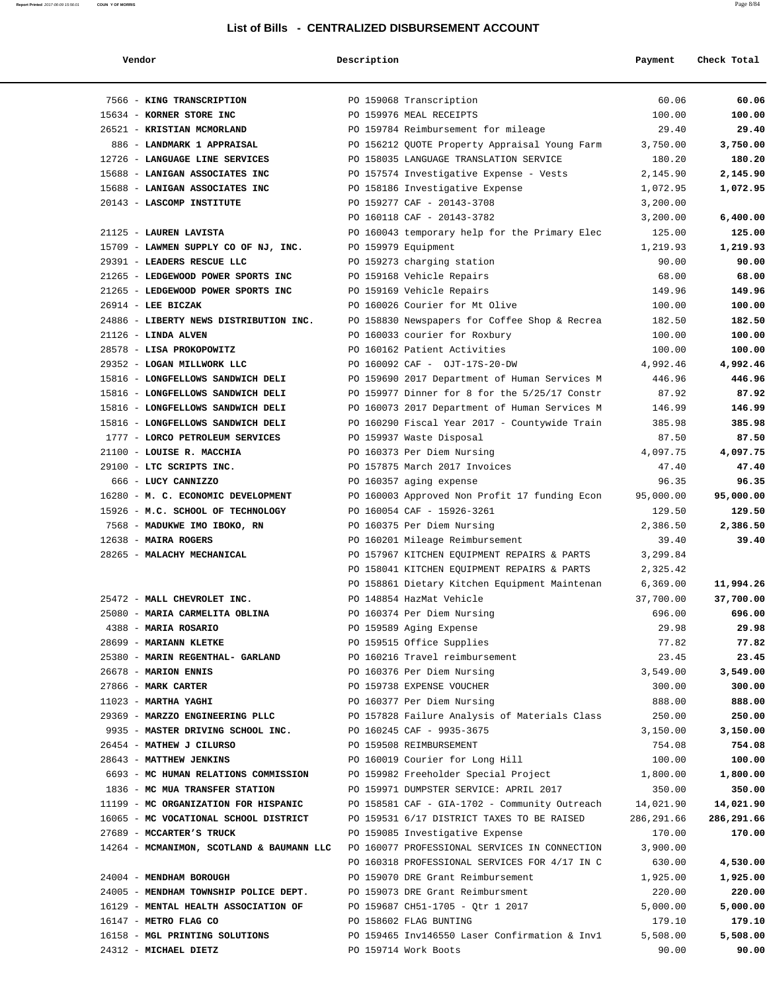| end | Y.<br>o |
|-----|---------|
|-----|---------|

| Report Printed 2017-06-09 15:56:01 | COUN Y OF MORRIS                                                     |             |                                                        |                    | Page 8/84         |
|------------------------------------|----------------------------------------------------------------------|-------------|--------------------------------------------------------|--------------------|-------------------|
|                                    |                                                                      |             | List of Bills - CENTRALIZED DISBURSEMENT ACCOUNT       |                    |                   |
|                                    |                                                                      |             |                                                        |                    |                   |
|                                    | Vendor                                                               | Description |                                                        | Payment            | Check Total       |
|                                    |                                                                      |             |                                                        |                    |                   |
|                                    | 7566 - KING TRANSCRIPTION                                            |             | PO 159068 Transcription                                | 60.06              | 60.06             |
|                                    | 15634 - KORNER STORE INC                                             |             | PO 159976 MEAL RECEIPTS                                | 100.00             | 100.00            |
|                                    | 26521 - KRISTIAN MCMORLAND                                           |             | PO 159784 Reimbursement for mileage                    | 29.40              | 29.40             |
|                                    | 886 - LANDMARK 1 APPRAISAL                                           |             | PO 156212 QUOTE Property Appraisal Young Farm          | 3,750.00           | 3,750.00          |
|                                    | 12726 - LANGUAGE LINE SERVICES                                       |             | PO 158035 LANGUAGE TRANSLATION SERVICE                 | 180.20             | 180.20            |
|                                    | 15688 - LANIGAN ASSOCIATES INC                                       |             | PO 157574 Investigative Expense - Vests                | 2,145.90           | 2,145.90          |
|                                    | 15688 - LANIGAN ASSOCIATES INC                                       |             | PO 158186 Investigative Expense                        | 1,072.95           | 1,072.95          |
|                                    | 20143 - LASCOMP INSTITUTE                                            |             | PO 159277 CAF - 20143-3708                             | 3,200.00           |                   |
|                                    |                                                                      |             | PO 160118 CAF - 20143-3782                             | 3,200.00           | 6,400.00          |
|                                    | 21125 - LAUREN LAVISTA                                               |             | PO 160043 temporary help for the Primary Elec          | 125.00             | 125.00            |
|                                    | 15709 - LAWMEN SUPPLY CO OF NJ, INC.                                 |             | PO 159979 Equipment                                    | 1,219.93           | 1,219.93          |
|                                    | 29391 - LEADERS RESCUE LLC                                           |             | PO 159273 charging station                             | 90.00              | 90.00             |
|                                    | 21265 - LEDGEWOOD POWER SPORTS INC                                   |             | PO 159168 Vehicle Repairs                              | 68.00              | 68.00             |
|                                    | 21265 - LEDGEWOOD POWER SPORTS INC<br>$26914$ - LEE BICZAK           |             | PO 159169 Vehicle Repairs                              | 149.96             | 149.96<br>100.00  |
|                                    |                                                                      |             | PO 160026 Courier for Mt Olive                         | 100.00             |                   |
|                                    | 24886 - LIBERTY NEWS DISTRIBUTION INC.                               |             | PO 158830 Newspapers for Coffee Shop & Recrea          | 182.50             | 182.50            |
|                                    | $21126$ - LINDA ALVEN                                                |             | PO 160033 courier for Roxbury                          | 100.00             | 100.00            |
|                                    | 28578 - LISA PROKOPOWITZ                                             |             | PO 160162 Patient Activities                           | 100.00             | 100.00            |
|                                    | 29352 - LOGAN MILLWORK LLC                                           |             | PO 160092 CAF - OJT-17S-20-DW                          | 4,992.46<br>446.96 | 4,992.46          |
|                                    | 15816 - LONGFELLOWS SANDWICH DELI                                    |             | PO 159690 2017 Department of Human Services M          |                    | 446.96            |
|                                    | 15816 - LONGFELLOWS SANDWICH DELI                                    |             | PO 159977 Dinner for 8 for the 5/25/17 Constr          | 87.92              | 87.92<br>146.99   |
|                                    | 15816 - LONGFELLOWS SANDWICH DELI                                    |             | PO 160073 2017 Department of Human Services M          | 146.99             |                   |
|                                    | 15816 - LONGFELLOWS SANDWICH DELI<br>1777 - LORCO PETROLEUM SERVICES |             | PO 160290 Fiscal Year 2017 - Countywide Train          | 385.98<br>87.50    | 385.98            |
|                                    | 21100 - LOUISE R. MACCHIA                                            |             | PO 159937 Waste Disposal<br>PO 160373 Per Diem Nursing | 4,097.75           | 87.50<br>4,097.75 |
|                                    | 29100 - LTC SCRIPTS INC.                                             |             | PO 157875 March 2017 Invoices                          |                    |                   |
|                                    | 666 - LUCY CANNIZZO                                                  |             | PO 160357 aging expense                                | 47.40<br>96.35     | 47.40<br>96.35    |
|                                    | 16280 - M. C. ECONOMIC DEVELOPMENT                                   |             | PO 160003 Approved Non Profit 17 funding Econ          | 95,000.00          | 95,000.00         |
|                                    | 15926 - M.C. SCHOOL OF TECHNOLOGY                                    |             | PO 160054 CAF - 15926-3261                             | 129.50             | 129.50            |
|                                    | 7568 - MADUKWE IMO IBOKO, RN                                         |             | PO 160375 Per Diem Nursing                             | 2,386.50           | 2,386.50          |
|                                    | $12638$ - MAIRA ROGERS                                               |             | PO 160201 Mileage Reimbursement                        | 39.40              | 39.40             |
|                                    | 28265 - MALACHY MECHANICAL                                           |             | PO 157967 KITCHEN EQUIPMENT REPAIRS & PARTS            | 3,299.84           |                   |
|                                    |                                                                      |             | PO 158041 KITCHEN EQUIPMENT REPAIRS & PARTS            | 2,325.42           |                   |
|                                    |                                                                      |             | PO 158861 Dietary Kitchen Equipment Maintenan          | 6,369.00           | 11,994.26         |
|                                    | 25472 - MALL CHEVROLET INC.                                          |             | PO 148854 HazMat Vehicle                               | 37,700.00          | 37,700.00         |
|                                    | 25080 - MARIA CARMELITA OBLINA                                       |             | PO 160374 Per Diem Nursing                             | 696.00             | 696.00            |
|                                    | 4388 - MARIA ROSARIO                                                 |             | PO 159589 Aging Expense                                | 29.98              | 29.98             |
|                                    | 28699 - MARIANN KLETKE                                               |             | PO 159515 Office Supplies                              | 77.82              | 77.82             |
|                                    | 25380 - MARIN REGENTHAL- GARLAND                                     |             | PO 160216 Travel reimbursement                         | 23.45              | 23.45             |
|                                    | 26678 - MARION ENNIS                                                 |             | PO 160376 Per Diem Nursing                             | 3,549.00           | 3,549.00          |
|                                    | 27866 - MARK CARTER                                                  |             | PO 159738 EXPENSE VOUCHER                              | 300.00             | 300.00            |
|                                    | $11023$ - MARTHA YAGHI                                               |             | PO 160377 Per Diem Nursing                             | 888.00             | 888.00            |
|                                    | 29369 - MARZZO ENGINEERING PLLC                                      |             | PO 157828 Failure Analysis of Materials Class          | 250.00             | 250.00            |
|                                    | 9935 - MASTER DRIVING SCHOOL INC.                                    |             | PO 160245 CAF - 9935-3675                              | 3,150.00           | 3,150.00          |
|                                    | 26454 - MATHEW J CILURSO                                             |             | PO 159508 REIMBURSEMENT                                | 754.08             | 754.08            |

| 28643 - MATTHEW JENKINS                   | PO 160019 Courier for Long Hill               | 100.00     | 100.00     |
|-------------------------------------------|-----------------------------------------------|------------|------------|
| 6693 - MC HUMAN RELATIONS COMMISSION      | PO 159982 Freeholder Special Project          | 1,800.00   | 1,800.00   |
| 1836 - MC MUA TRANSFER STATION            | PO 159971 DUMPSTER SERVICE: APRIL 2017        | 350.00     | 350.00     |
| 11199 - MC ORGANIZATION FOR HISPANIC      | PO 158581 CAF - GIA-1702 - Community Outreach | 14,021.90  | 14,021.90  |
| 16065 - MC VOCATIONAL SCHOOL DISTRICT     | PO 159531 6/17 DISTRICT TAXES TO BE RAISED    | 286,291.66 | 286,291.66 |
| 27689 - MCCARTER'S TRUCK                  | PO 159085 Investigative Expense               | 170.00     | 170.00     |
| 14264 - MCMANIMON, SCOTLAND & BAUMANN LLC | PO 160077 PROFESSIONAL SERVICES IN CONNECTION | 3,900.00   |            |
|                                           | PO 160318 PROFESSIONAL SERVICES FOR 4/17 IN C | 630.00     | 4,530.00   |
| 24004 - MENDHAM BOROUGH                   | PO 159070 DRE Grant Reimbursement             | 1,925.00   | 1,925.00   |
| 24005 - MENDHAM TOWNSHIP POLICE DEPT.     | PO 159073 DRE Grant Reimbursment              | 220.00     | 220.00     |
| 16129 - MENTAL HEALTH ASSOCIATION OF      | PO 159687 CH51-1705 - Otr 1 2017              | 5,000.00   | 5,000.00   |
| $16147$ - METRO FLAG CO                   | PO 158602 FLAG BUNTING                        | 179.10     | 179.10     |
| 16158 - MGL PRINTING SOLUTIONS            | PO 159465 Inv146550 Laser Confirmation & Inv1 | 5,508.00   | 5,508.00   |
| 24312 - MICHAEL DIETZ                     | PO 159714 Work Boots                          | 90.00      | 90.00      |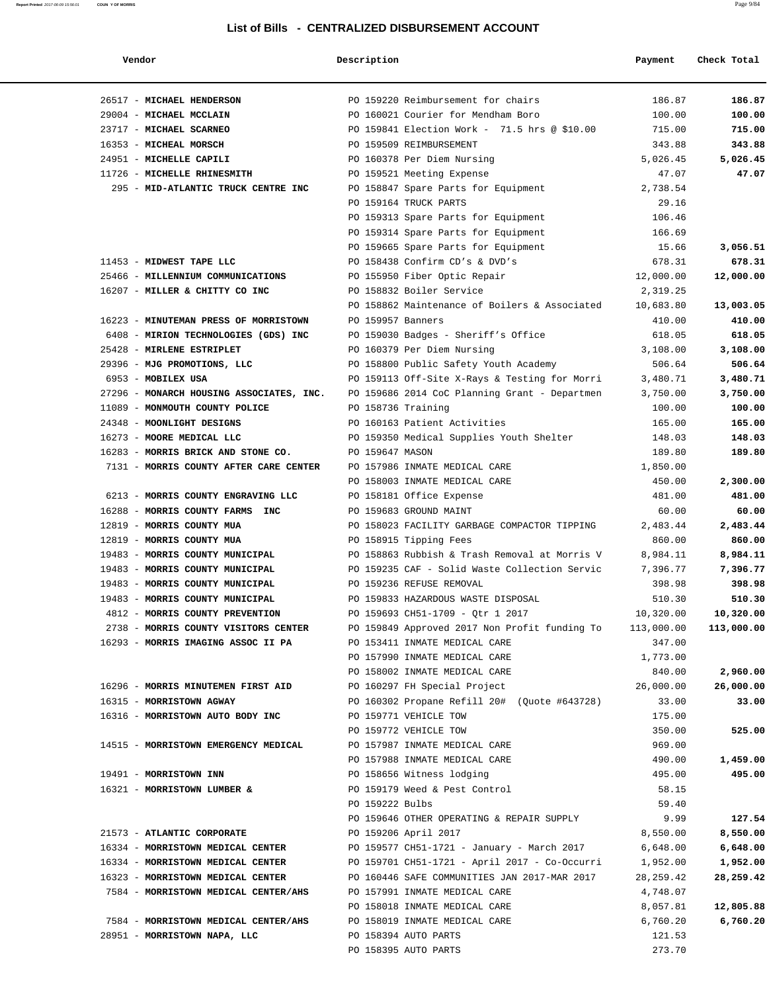| Vendor                                   | Description        |                                               | Payment    | Check Total |
|------------------------------------------|--------------------|-----------------------------------------------|------------|-------------|
| 26517 - MICHAEL HENDERSON                |                    | PO 159220 Reimbursement for chairs            | 186.87     | 186.87      |
| 29004 - MICHAEL MCCLAIN                  |                    | PO 160021 Courier for Mendham Boro            | 100.00     | 100.00      |
| 23717 - MICHAEL SCARNEO                  |                    | PO 159841 Election Work - 71.5 hrs @ \$10.00  | 715.00     | 715.00      |
| 16353 - MICHEAL MORSCH                   |                    | PO 159509 REIMBURSEMENT                       | 343.88     | 343.88      |
| 24951 - MICHELLE CAPILI                  |                    | PO 160378 Per Diem Nursing                    | 5,026.45   | 5,026.45    |
| 11726 - MICHELLE RHINESMITH              |                    | PO 159521 Meeting Expense                     | 47.07      | 47.07       |
| 295 - MID-ATLANTIC TRUCK CENTRE INC      |                    | PO 158847 Spare Parts for Equipment           | 2,738.54   |             |
|                                          |                    | PO 159164 TRUCK PARTS                         | 29.16      |             |
|                                          |                    | PO 159313 Spare Parts for Equipment           | 106.46     |             |
|                                          |                    | PO 159314 Spare Parts for Equipment           | 166.69     |             |
|                                          |                    | PO 159665 Spare Parts for Equipment           | 15.66      | 3,056.51    |
| 11453 - MIDWEST TAPE LLC                 |                    | PO 158438 Confirm CD's & DVD's                | 678.31     | 678.31      |
| 25466 - MILLENNIUM COMMUNICATIONS        |                    | PO 155950 Fiber Optic Repair                  | 12,000.00  | 12,000.00   |
| 16207 - MILLER & CHITTY CO INC           |                    | PO 158832 Boiler Service                      | 2,319.25   |             |
|                                          |                    | PO 158862 Maintenance of Boilers & Associated | 10,683.80  | 13,003.05   |
| 16223 - MINUTEMAN PRESS OF MORRISTOWN    | PO 159957 Banners  |                                               | 410.00     | 410.00      |
| 6408 - MIRION TECHNOLOGIES (GDS) INC     |                    | PO 159030 Badges - Sheriff's Office           | 618.05     | 618.05      |
| 25428 - MIRLENE ESTRIPLET                |                    | PO 160379 Per Diem Nursing                    | 3,108.00   | 3,108.00    |
| 29396 - MJG PROMOTIONS, LLC              |                    | PO 158800 Public Safety Youth Academy         | 506.64     | 506.64      |
| 6953 - MOBILEX USA                       |                    | PO 159113 Off-Site X-Rays & Testing for Morri | 3,480.71   | 3,480.71    |
| 27296 - MONARCH HOUSING ASSOCIATES, INC. |                    | PO 159686 2014 CoC Planning Grant - Departmen | 3,750.00   | 3,750.00    |
| 11089 - MONMOUTH COUNTY POLICE           | PO 158736 Training |                                               | 100.00     | 100.00      |
| 24348 - MOONLIGHT DESIGNS                |                    | PO 160163 Patient Activities                  | 165.00     | 165.00      |
| 16273 - MOORE MEDICAL LLC                |                    | PO 159350 Medical Supplies Youth Shelter      | 148.03     | 148.03      |
| 16283 - MORRIS BRICK AND STONE CO.       | PO 159647 MASON    |                                               | 189.80     | 189.80      |
| 7131 - MORRIS COUNTY AFTER CARE CENTER   |                    | PO 157986 INMATE MEDICAL CARE                 | 1,850.00   |             |
|                                          |                    | PO 158003 INMATE MEDICAL CARE                 | 450.00     | 2,300.00    |
| 6213 - MORRIS COUNTY ENGRAVING LLC       |                    | PO 158181 Office Expense                      | 481.00     | 481.00      |
| 16288 - MORRIS COUNTY FARMS INC          |                    | PO 159683 GROUND MAINT                        | 60.00      | 60.00       |
| 12819 - MORRIS COUNTY MUA                |                    | PO 158023 FACILITY GARBAGE COMPACTOR TIPPING  | 2,483.44   | 2,483.44    |
| 12819 - MORRIS COUNTY MUA                |                    | PO 158915 Tipping Fees                        | 860.00     | 860.00      |
| 19483 - MORRIS COUNTY MUNICIPAL          |                    | PO 158863 Rubbish & Trash Removal at Morris V | 8,984.11   | 8,984.11    |
| 19483 - MORRIS COUNTY MUNICIPAL          |                    | PO 159235 CAF - Solid Waste Collection Servic | 7,396.77   | 7,396.77    |
| 19483 - MORRIS COUNTY MUNICIPAL          |                    | PO 159236 REFUSE REMOVAL                      | 398.98     | 398.98      |
| 19483 - MORRIS COUNTY MUNICIPAL          |                    | PO 159833 HAZARDOUS WASTE DISPOSAL            | 510.30     | 510.30      |
| 4812 - MORRIS COUNTY PREVENTION          |                    | PO 159693 CH51-1709 - Qtr 1 2017              | 10,320.00  | 10,320.00   |
| 2738 - MORRIS COUNTY VISITORS CENTER     |                    | PO 159849 Approved 2017 Non Profit funding To | 113,000.00 | 113,000.00  |
| 16293 - MORRIS IMAGING ASSOC II PA       |                    | PO 153411 INMATE MEDICAL CARE                 | 347.00     |             |
|                                          |                    | PO 157990 INMATE MEDICAL CARE                 | 1,773.00   |             |
|                                          |                    | PO 158002 INMATE MEDICAL CARE                 | 840.00     | 2,960.00    |
| 16296 - MORRIS MINUTEMEN FIRST AID       |                    | PO 160297 FH Special Project                  | 26,000.00  | 26,000.00   |
| 16315 - MORRISTOWN AGWAY                 |                    | PO 160302 Propane Refill 20# (Ouote #643728)  | 33.00      | 33.00       |
| 16316 - MORRISTOWN AUTO BODY INC         |                    | PO 159771 VEHICLE TOW                         | 175.00     |             |
|                                          |                    | PO 159772 VEHICLE TOW                         | 350.00     | 525.00      |
| 14515 - MORRISTOWN EMERGENCY MEDICAL     |                    | PO 157987 INMATE MEDICAL CARE                 | 969.00     |             |
|                                          |                    | PO 157988 INMATE MEDICAL CARE                 | 490.00     | 1,459.00    |
| 19491 - MORRISTOWN INN                   |                    | PO 158656 Witness lodging                     | 495.00     | 495.00      |
| 16321 - MORRISTOWN LUMBER &              |                    | PO 159179 Weed & Pest Control                 | 58.15      |             |
|                                          | PO 159222 Bulbs    |                                               | 59.40      |             |
|                                          |                    |                                               |            |             |
|                                          |                    | PO 159646 OTHER OPERATING & REPAIR SUPPLY     | 9.99       | 127.54      |
| 21573 - ATLANTIC CORPORATE               |                    | PO 159206 April 2017                          | 8,550.00   | 8,550.00    |
| 16334 - MORRISTOWN MEDICAL CENTER        |                    | PO 159577 CH51-1721 - January - March 2017    | 6,648.00   | 6,648.00    |
| 16334 - MORRISTOWN MEDICAL CENTER        |                    | PO 159701 CH51-1721 - April 2017 - Co-Occurri | 1,952.00   | 1,952.00    |
| 16323 - MORRISTOWN MEDICAL CENTER        |                    | PO 160446 SAFE COMMUNITIES JAN 2017-MAR 2017  | 28,259.42  | 28,259.42   |
| 7584 - MORRISTOWN MEDICAL CENTER/AHS     |                    | PO 157991 INMATE MEDICAL CARE                 | 4,748.07   |             |
|                                          |                    | PO 158018 INMATE MEDICAL CARE                 | 8,057.81   | 12,805.88   |
| 7584 - MORRISTOWN MEDICAL CENTER/AHS     |                    | PO 158019 INMATE MEDICAL CARE                 | 6,760.20   | 6,760.20    |
| 28951 - MORRISTOWN NAPA, LLC             |                    | PO 158394 AUTO PARTS                          | 121.53     |             |
|                                          |                    | PO 158395 AUTO PARTS                          | 273.70     |             |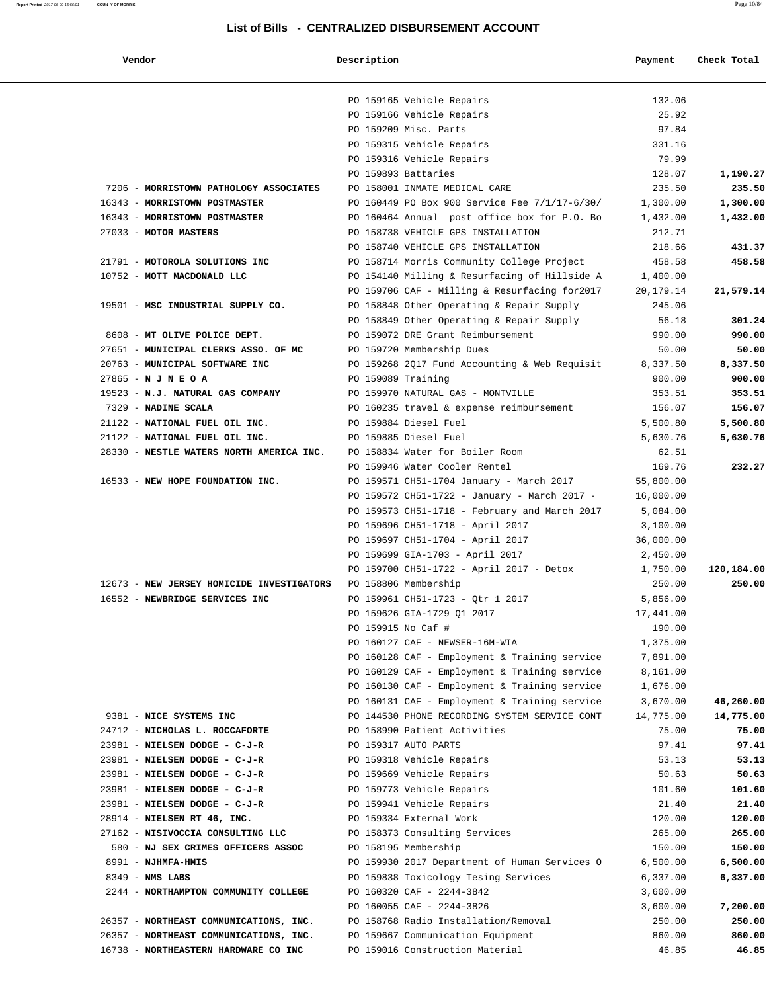| Vendor                                    | Description        |                                                                                   | Payment              | Check Total |
|-------------------------------------------|--------------------|-----------------------------------------------------------------------------------|----------------------|-------------|
|                                           |                    | PO 159165 Vehicle Repairs                                                         | 132.06               |             |
|                                           |                    | PO 159166 Vehicle Repairs                                                         | 25.92                |             |
|                                           |                    | PO 159209 Misc. Parts                                                             | 97.84                |             |
|                                           |                    | PO 159315 Vehicle Repairs                                                         | 331.16               |             |
|                                           |                    | PO 159316 Vehicle Repairs                                                         | 79.99                |             |
|                                           |                    | PO 159893 Battaries                                                               | 128.07               | 1,190.27    |
| 7206 - MORRISTOWN PATHOLOGY ASSOCIATES    |                    | PO 158001 INMATE MEDICAL CARE                                                     | 235.50               | 235.50      |
| 16343 - MORRISTOWN POSTMASTER             |                    | PO 160449 PO Box 900 Service Fee 7/1/17-6/30/                                     | 1,300.00             | 1,300.00    |
| 16343 - MORRISTOWN POSTMASTER             |                    | PO 160464 Annual post office box for P.O. Bo                                      | 1,432.00             | 1,432.00    |
| 27033 - MOTOR MASTERS                     |                    | PO 158738 VEHICLE GPS INSTALLATION                                                | 212.71               |             |
|                                           |                    | PO 158740 VEHICLE GPS INSTALLATION                                                | 218.66               | 431.37      |
| 21791 - MOTOROLA SOLUTIONS INC            |                    | PO 158714 Morris Community College Project                                        | 458.58               | 458.58      |
| 10752 - MOTT MACDONALD LLC                |                    | PO 154140 Milling & Resurfacing of Hillside A                                     | 1,400.00             |             |
|                                           |                    | PO 159706 CAF - Milling & Resurfacing for2017                                     | 20, 179. 14          | 21,579.14   |
| 19501 - MSC INDUSTRIAL SUPPLY CO.         |                    | PO 158848 Other Operating & Repair Supply                                         | 245.06               |             |
|                                           |                    | PO 158849 Other Operating & Repair Supply                                         | 56.18                | 301.24      |
| 8608 - MT OLIVE POLICE DEPT.              |                    | PO 159072 DRE Grant Reimbursement                                                 | 990.00               | 990.00      |
| 27651 - MUNICIPAL CLERKS ASSO. OF MC      |                    | PO 159720 Membership Dues                                                         | 50.00                | 50.00       |
| 20763 - MUNICIPAL SOFTWARE INC            |                    | PO 159268 2017 Fund Accounting & Web Requisit                                     | 8,337.50             | 8,337.50    |
| $27865 - N J N E O A$                     | PO 159089 Training |                                                                                   | 900.00               | 900.00      |
| 19523 - N.J. NATURAL GAS COMPANY          |                    | PO 159970 NATURAL GAS - MONTVILLE                                                 | 353.51               | 353.51      |
| 7329 - NADINE SCALA                       |                    | PO 160235 travel & expense reimbursement                                          | 156.07               | 156.07      |
| 21122 - NATIONAL FUEL OIL INC.            |                    | PO 159884 Diesel Fuel                                                             | 5,500.80             | 5,500.80    |
| 21122 - NATIONAL FUEL OIL INC.            |                    | PO 159885 Diesel Fuel                                                             | 5,630.76             | 5,630.76    |
| 28330 - NESTLE WATERS NORTH AMERICA INC.  |                    | PO 158834 Water for Boiler Room                                                   | 62.51                |             |
|                                           |                    | PO 159946 Water Cooler Rentel                                                     | 169.76               | 232.27      |
| 16533 - NEW HOPE FOUNDATION INC.          |                    | PO 159571 CH51-1704 January - March 2017                                          | 55,800.00            |             |
|                                           |                    | PO 159572 CH51-1722 - January - March 2017 -                                      | 16,000.00            |             |
|                                           |                    | PO 159573 CH51-1718 - February and March 2017<br>PO 159696 CH51-1718 - April 2017 | 5,084.00<br>3,100.00 |             |
|                                           |                    | PO 159697 CH51-1704 - April 2017                                                  | 36,000.00            |             |
|                                           |                    | PO 159699 GIA-1703 - April 2017                                                   | 2,450.00             |             |
|                                           |                    | PO 159700 CH51-1722 - April 2017 - Detox                                          | 1,750.00             | 120,184.00  |
| 12673 - NEW JERSEY HOMICIDE INVESTIGATORS |                    | PO 158806 Membership                                                              | 250.00               | 250.00      |
| 16552 - NEWBRIDGE SERVICES INC            |                    | PO 159961 CH51-1723 - Qtr 1 2017                                                  | 5,856.00             |             |
|                                           |                    | PO 159626 GIA-1729 01 2017                                                        | 17,441.00            |             |
|                                           | PO 159915 No Caf # |                                                                                   | 190.00               |             |
|                                           |                    | PO 160127 CAF - NEWSER-16M-WIA                                                    | 1,375.00             |             |
|                                           |                    | PO 160128 CAF - Employment & Training service                                     | 7,891.00             |             |
|                                           |                    | PO 160129 CAF - Employment & Training service                                     | 8,161.00             |             |
|                                           |                    | PO 160130 CAF - Employment & Training service                                     | 1,676.00             |             |
|                                           |                    | PO 160131 CAF - Employment & Training service                                     | 3,670.00             | 46,260.00   |
| 9381 - NICE SYSTEMS INC                   |                    | PO 144530 PHONE RECORDING SYSTEM SERVICE CONT                                     | 14,775.00            | 14,775.00   |
| 24712 - NICHOLAS L. ROCCAFORTE            |                    | PO 158990 Patient Activities                                                      | 75.00                | 75.00       |
| 23981 - NIELSEN DODGE - C-J-R             |                    | PO 159317 AUTO PARTS                                                              | 97.41                | 97.41       |
| 23981 - NIELSEN DODGE - C-J-R             |                    | PO 159318 Vehicle Repairs                                                         | 53.13                | 53.13       |
| 23981 - NIELSEN DODGE - C-J-R             |                    | PO 159669 Vehicle Repairs                                                         | 50.63                | 50.63       |
| 23981 - NIELSEN DODGE - C-J-R             |                    | PO 159773 Vehicle Repairs                                                         | 101.60               | 101.60      |
| 23981 - NIELSEN DODGE - C-J-R             |                    | PO 159941 Vehicle Repairs                                                         | 21.40                | 21.40       |
| 28914 - NIELSEN RT 46, INC.               |                    | PO 159334 External Work                                                           | 120.00               | 120.00      |
| 27162 - NISIVOCCIA CONSULTING LLC         |                    | PO 158373 Consulting Services                                                     | 265.00               | 265.00      |
| 580 - NJ SEX CRIMES OFFICERS ASSOC        |                    | PO 158195 Membership                                                              | 150.00               | 150.00      |
| 8991 - NJHMFA-HMIS                        |                    | PO 159930 2017 Department of Human Services O                                     | 6,500.00             | 6,500.00    |
| 8349 - NMS LABS                           |                    | PO 159838 Toxicology Tesing Services                                              | 6,337.00             | 6,337.00    |
| 2244 - NORTHAMPTON COMMUNITY COLLEGE      |                    | PO 160320 CAF - 2244-3842                                                         | 3,600.00             |             |
|                                           |                    | PO 160055 CAF - 2244-3826                                                         | 3,600.00             | 7,200.00    |
| 26357 - NORTHEAST COMMUNICATIONS, INC.    |                    | PO 158768 Radio Installation/Removal                                              | 250.00               | 250.00      |
| 26357 - NORTHEAST COMMUNICATIONS, INC.    |                    | PO 159667 Communication Equipment                                                 | 860.00               | 860.00      |
| 16738 - NORTHEASTERN HARDWARE CO INC      |                    | PO 159016 Construction Material                                                   | 46.85                | 46.85       |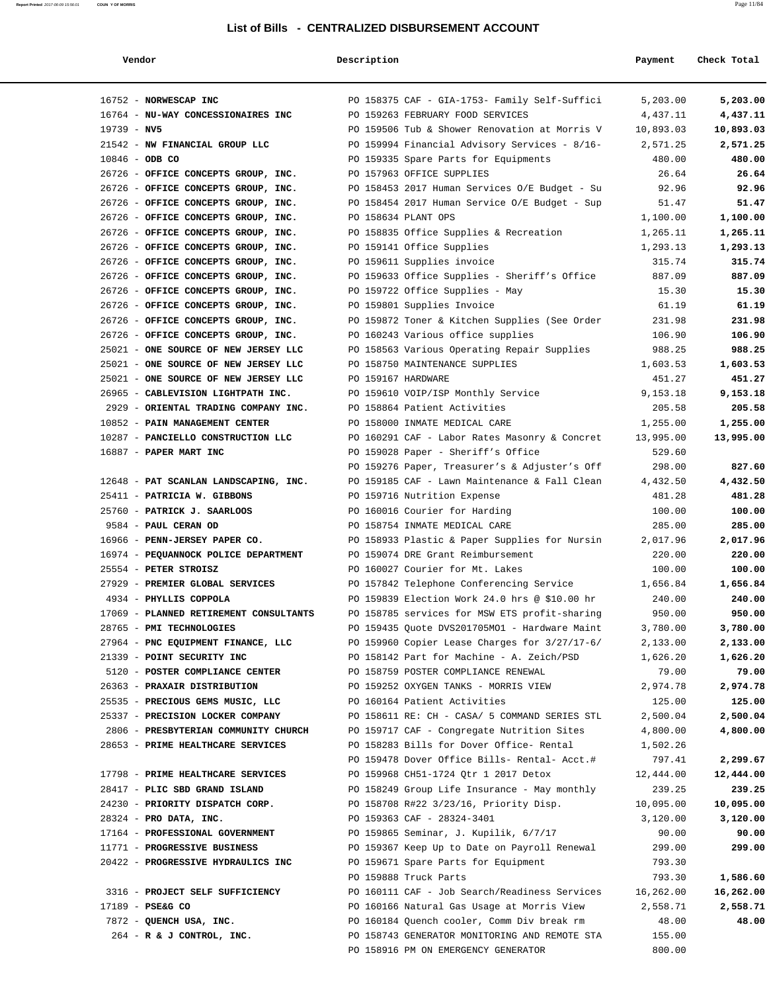**Report Printed** 2017-06-09 15:56:01 **COUN Y OF MORRIS** Page 11/84

#### **Vendor Description Payment Check Total**

| 16752 - NORWESCAP INC                                                    |  | PO 158375 CAF - GIA-1753- Family Self-Suffici                                               | 5,203.00             | 5,203.00           |
|--------------------------------------------------------------------------|--|---------------------------------------------------------------------------------------------|----------------------|--------------------|
| 16764 - NU-WAY CONCESSIONAIRES INC                                       |  | PO 159263 FEBRUARY FOOD SERVICES                                                            | 4,437.11             | 4,437.11           |
| $19739 - NV5$                                                            |  | PO 159506 Tub & Shower Renovation at Morris V                                               | 10,893.03            | 10,893.03          |
| 21542 - NW FINANCIAL GROUP LLC                                           |  | PO 159994 Financial Advisory Services - 8/16-                                               | 2,571.25             | 2,571.25           |
| $10846 - ODB CO$                                                         |  | PO 159335 Spare Parts for Equipments                                                        | 480.00               | 480.00             |
| 26726 - OFFICE CONCEPTS GROUP, INC.                                      |  | PO 157963 OFFICE SUPPLIES                                                                   | 26.64                | 26.64              |
| 26726 - OFFICE CONCEPTS GROUP, INC.                                      |  | PO 158453 2017 Human Services O/E Budget - Su                                               | 92.96                | 92.96              |
| 26726 - OFFICE CONCEPTS GROUP, INC.                                      |  | PO 158454 2017 Human Service O/E Budget - Sup                                               | 51.47                | 51.47              |
| 26726 - OFFICE CONCEPTS GROUP, INC.                                      |  | PO 158634 PLANT OPS                                                                         | 1,100.00             | 1,100.00           |
| 26726 - OFFICE CONCEPTS GROUP, INC.                                      |  | PO 158835 Office Supplies & Recreation                                                      | 1,265.11             | 1,265.11           |
| 26726 - OFFICE CONCEPTS GROUP, INC.                                      |  | PO 159141 Office Supplies                                                                   | 1,293.13             | 1,293.13           |
| 26726 - OFFICE CONCEPTS GROUP, INC.                                      |  | PO 159611 Supplies invoice                                                                  | 315.74               | 315.74             |
| 26726 - OFFICE CONCEPTS GROUP, INC.                                      |  | PO 159633 Office Supplies - Sheriff's Office                                                | 887.09               | 887.09             |
| 26726 - OFFICE CONCEPTS GROUP, INC.                                      |  | PO 159722 Office Supplies - May                                                             | 15.30                | 15.30              |
| 26726 - OFFICE CONCEPTS GROUP, INC.                                      |  | PO 159801 Supplies Invoice                                                                  | 61.19                | 61.19              |
| 26726 - OFFICE CONCEPTS GROUP, INC.                                      |  | PO 159872 Toner & Kitchen Supplies (See Order                                               | 231.98               | 231.98             |
| 26726 - OFFICE CONCEPTS GROUP, INC.                                      |  | PO 160243 Various office supplies                                                           | 106.90               | 106.90             |
| 25021 - ONE SOURCE OF NEW JERSEY LLC                                     |  | PO 158563 Various Operating Repair Supplies                                                 | 988.25               | 988.25             |
| 25021 - ONE SOURCE OF NEW JERSEY LLC                                     |  | PO 158750 MAINTENANCE SUPPLIES                                                              | 1,603.53             | 1,603.53           |
| 25021 - ONE SOURCE OF NEW JERSEY LLC                                     |  | PO 159167 HARDWARE                                                                          | 451.27               | 451.27             |
| 26965 - CABLEVISION LIGHTPATH INC.                                       |  | PO 159610 VOIP/ISP Monthly Service                                                          | 9,153.18             | 9,153.18           |
| 2929 - ORIENTAL TRADING COMPANY INC.                                     |  | PO 158864 Patient Activities                                                                | 205.58               | 205.58             |
| 10852 - PAIN MANAGEMENT CENTER                                           |  | PO 158000 INMATE MEDICAL CARE                                                               | 1,255.00             | 1,255.00           |
| 10287 - PANCIELLO CONSTRUCTION LLC                                       |  | PO 160291 CAF - Labor Rates Masonry & Concret                                               | 13,995.00            | 13,995.00          |
| 16887 - PAPER MART INC                                                   |  | PO 159028 Paper - Sheriff's Office                                                          | 529.60               |                    |
|                                                                          |  | PO 159276 Paper, Treasurer's & Adjuster's Off                                               | 298.00               | 827.60             |
| 12648 - PAT SCANLAN LANDSCAPING, INC.                                    |  | PO 159185 CAF - Lawn Maintenance & Fall Clean                                               | 4,432.50             | 4,432.50           |
| 25411 - PATRICIA W. GIBBONS                                              |  | PO 159716 Nutrition Expense                                                                 | 481.28               | 481.28             |
| 25760 - PATRICK J. SAARLOOS                                              |  | PO 160016 Courier for Harding                                                               | 100.00               | 100.00             |
| 9584 - PAUL CERAN OD                                                     |  | PO 158754 INMATE MEDICAL CARE                                                               | 285.00               | 285.00             |
| 16966 - PENN-JERSEY PAPER CO.                                            |  | PO 158933 Plastic & Paper Supplies for Nursin                                               | 2,017.96             | 2,017.96           |
| 16974 - PEQUANNOCK POLICE DEPARTMENT                                     |  | PO 159074 DRE Grant Reimbursement                                                           | 220.00               | 220.00             |
| 25554 - PETER STROISZ                                                    |  | PO 160027 Courier for Mt. Lakes                                                             | 100.00               | 100.00             |
| 27929 - PREMIER GLOBAL SERVICES<br>4934 - PHYLLIS COPPOLA                |  | PO 157842 Telephone Conferencing Service                                                    | 1,656.84             | 1,656.84           |
|                                                                          |  | PO 159839 Election Work 24.0 hrs @ \$10.00 hr                                               | 240.00<br>950.00     | 240.00<br>950.00   |
| 17069 - PLANNED RETIREMENT CONSULTANTS                                   |  | PO 158785 services for MSW ETS profit-sharing                                               |                      |                    |
| 28765 - PMI TECHNOLOGIES                                                 |  | PO 159435 Quote DVS201705MO1 - Hardware Maint                                               | 3,780.00             | 3,780.00           |
| 27964 - PNC EQUIPMENT FINANCE, LLC                                       |  | PO 159960 Copier Lease Charges for 3/27/17-6/<br>PO 158142 Part for Machine - A. Zeich/PSD  | 2,133.00             | 2,133.00           |
| 21339 - POINT SECURITY INC                                               |  |                                                                                             | 1,626.20             | 1,626.20<br>79.00  |
| 5120 - POSTER COMPLIANCE CENTER<br>26363 - PRAXAIR DISTRIBUTION          |  | PO 158759 POSTER COMPLIANCE RENEWAL                                                         | 79.00<br>2,974.78    |                    |
| 25535 - PRECIOUS GEMS MUSIC, LLC                                         |  | PO 159252 OXYGEN TANKS - MORRIS VIEW                                                        |                      | 2,974.78<br>125.00 |
|                                                                          |  | PO 160164 Patient Activities                                                                | 125.00               | 2,500.04           |
| 25337 - PRECISION LOCKER COMPANY<br>2806 - PRESBYTERIAN COMMUNITY CHURCH |  | PO 158611 RE: CH - CASA/ 5 COMMAND SERIES STL<br>PO 159717 CAF - Congregate Nutrition Sites | 2,500.04<br>4,800.00 | 4,800.00           |
| 28653 - PRIME HEALTHCARE SERVICES                                        |  | PO 158283 Bills for Dover Office- Rental                                                    | 1,502.26             |                    |
|                                                                          |  | PO 159478 Dover Office Bills- Rental- Acct.#                                                | 797.41               | 2,299.67           |
| 17798 - PRIME HEALTHCARE SERVICES                                        |  | PO 159968 CH51-1724 Qtr 1 2017 Detox                                                        | 12,444.00            | 12,444.00          |
| 28417 - PLIC SBD GRAND ISLAND                                            |  | PO 158249 Group Life Insurance - May monthly                                                | 239.25               | 239.25             |
| 24230 - PRIORITY DISPATCH CORP.                                          |  | PO 158708 R#22 3/23/16, Priority Disp.                                                      | 10,095.00            | 10,095.00          |
| 28324 - PRO DATA, INC.                                                   |  | PO 159363 CAF - 28324-3401                                                                  | 3,120.00             | 3,120.00           |
| 17164 - PROFESSIONAL GOVERNMENT                                          |  | PO 159865 Seminar, J. Kupilik, 6/7/17                                                       | 90.00                | 90.00              |
| 11771 - PROGRESSIVE BUSINESS                                             |  | PO 159367 Keep Up to Date on Payroll Renewal                                                | 299.00               | 299.00             |
| 20422 - PROGRESSIVE HYDRAULICS INC                                       |  | PO 159671 Spare Parts for Equipment                                                         | 793.30               |                    |
|                                                                          |  | PO 159888 Truck Parts                                                                       | 793.30               | 1,586.60           |
| 3316 - PROJECT SELF SUFFICIENCY                                          |  | PO 160111 CAF - Job Search/Readiness Services                                               | 16,262.00            | 16,262.00          |
| 17189 - PSE&G CO                                                         |  | PO 160166 Natural Gas Usage at Morris View                                                  | 2,558.71             | 2,558.71           |
| 7872 - QUENCH USA, INC.                                                  |  | PO 160184 Quench cooler, Comm Div break rm                                                  | 48.00                | 48.00              |
| $264$ - R & J CONTROL, INC.                                              |  | PO 158743 GENERATOR MONITORING AND REMOTE STA                                               | 155.00               |                    |
|                                                                          |  | PO 158916 PM ON EMERGENCY GENERATOR                                                         | 800.00               |                    |
|                                                                          |  |                                                                                             |                      |                    |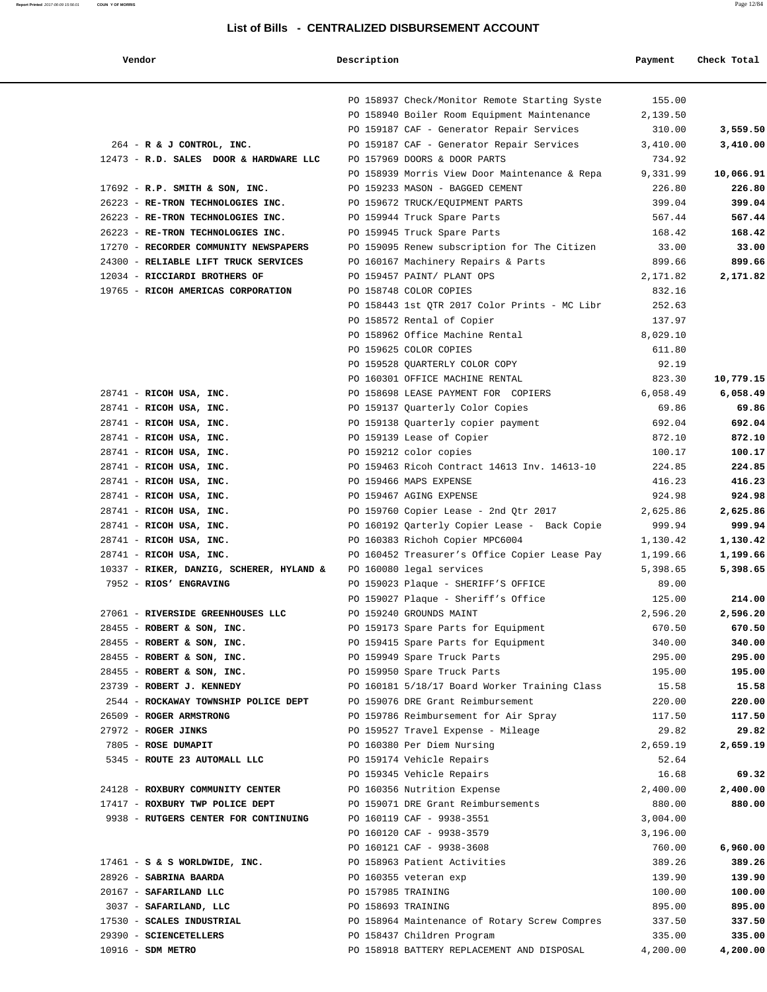|--|

#### **Vendor Description Payment Check Total**

|                                                                   | PO 158937 Check/Monitor Remote Starting Syste      | 155.00   |           |
|-------------------------------------------------------------------|----------------------------------------------------|----------|-----------|
|                                                                   | PO 158940 Boiler Room Equipment Maintenance        | 2,139.50 |           |
|                                                                   | PO 159187 CAF - Generator Repair Services          | 310.00   | 3,559.50  |
| 264 - R & J CONTROL, INC.                                         | PO 159187 CAF - Generator Repair Services          | 3,410.00 | 3,410.00  |
| 12473 - R.D. SALES DOOR & HARDWARE LLC                            | PO 157969 DOORS & DOOR PARTS                       | 734.92   |           |
|                                                                   | PO 158939 Morris View Door Maintenance & Repa      | 9,331.99 | 10,066.91 |
| $17692$ - R.P. SMITH & SON, INC.                                  | PO 159233 MASON - BAGGED CEMENT                    | 226.80   | 226.80    |
| 26223 - RE-TRON TECHNOLOGIES INC.                                 | PO 159672 TRUCK/EQUIPMENT PARTS                    | 399.04   | 399.04    |
| 26223 - RE-TRON TECHNOLOGIES INC.                                 | PO 159944 Truck Spare Parts                        | 567.44   | 567.44    |
| 26223 - RE-TRON TECHNOLOGIES INC.                                 | PO 159945 Truck Spare Parts                        | 168.42   | 168.42    |
| 17270 - RECORDER COMMUNITY NEWSPAPERS                             | PO 159095 Renew subscription for The Citizen 33.00 |          | 33.00     |
| 24300 - RELIABLE LIFT TRUCK SERVICES                              | PO 160167 Machinery Repairs & Parts                | 899.66   | 899.66    |
| 12034 - RICCIARDI BROTHERS OF                                     | PO 159457 PAINT/ PLANT OPS                         | 2,171.82 | 2,171.82  |
| 19765 - RICOH AMERICAS CORPORATION                                | PO 158748 COLOR COPIES                             | 832.16   |           |
|                                                                   | PO 158443 1st QTR 2017 Color Prints - MC Libr      | 252.63   |           |
|                                                                   | PO 158572 Rental of Copier                         | 137.97   |           |
|                                                                   | PO 158962 Office Machine Rental                    | 8,029.10 |           |
|                                                                   | PO 159625 COLOR COPIES                             | 611.80   |           |
|                                                                   | PO 159528 QUARTERLY COLOR COPY                     | 92.19    |           |
|                                                                   | PO 160301 OFFICE MACHINE RENTAL                    | 823.30   | 10,779.15 |
| $28741$ - RICOH USA, INC.                                         | PO 158698 LEASE PAYMENT FOR COPIERS                | 6,058.49 | 6,058.49  |
| $28741$ - RICOH USA, INC.                                         | PO 159137 Quarterly Color Copies                   | 69.86    | 69.86     |
| $28741$ - RICOH USA, INC.                                         | PO 159138 Quarterly copier payment                 | 692.04   | 692.04    |
| 28741 - RICOH USA, INC.                                           | PO 159139 Lease of Copier                          | 872.10   | 872.10    |
| 28741 - RICOH USA, INC.                                           | PO 159212 color copies                             | 100.17   | 100.17    |
| $28741$ - RICOH USA, INC.                                         | PO 159463 Ricoh Contract 14613 Inv. 14613-10       | 224.85   | 224.85    |
| $28741$ - RICOH USA, INC.                                         | PO 159466 MAPS EXPENSE                             | 416.23   | 416.23    |
| $28741$ - RICOH USA, INC.                                         | PO 159467 AGING EXPENSE                            | 924.98   | 924.98    |
|                                                                   |                                                    | 2,625.86 |           |
| 28741 - RICOH USA, INC.                                           | PO 159760 Copier Lease - 2nd Qtr 2017              |          | 2,625.86  |
| 28741 - RICOH USA, INC.                                           | PO 160192 Qarterly Copier Lease - Back Copie       | 999.94   | 999.94    |
| $28741$ - RICOH USA, INC.                                         | PO 160383 Richoh Copier MPC6004                    | 1,130.42 | 1,130.42  |
| 28741 - RICOH USA, INC.                                           | PO 160452 Treasurer's Office Copier Lease Pay      | 1,199.66 | 1,199.66  |
| 10337 - RIKER, DANZIG, SCHERER, HYLAND & PO 160080 legal services |                                                    | 5,398.65 | 5,398.65  |
| 7952 - RIOS' ENGRAVING                                            | PO 159023 Plaque - SHERIFF'S OFFICE                | 89.00    |           |
|                                                                   | PO 159027 Plaque - Sheriff's Office                | 125.00   | 214.00    |
| 27061 - RIVERSIDE GREENHOUSES LLC                                 | PO 159240 GROUNDS MAINT                            | 2,596.20 | 2,596.20  |
| 28455 - ROBERT & SON, INC.                                        | PO 159173 Spare Parts for Equipment                | 670.50   | 670.50    |
| 28455 - ROBERT & SON, INC.                                        | PO 159415 Spare Parts for Equipment                | 340.00   | 340.00    |
| 28455 - ROBERT & SON, INC.                                        | PO 159949 Spare Truck Parts                        | 295.00   | 295.00    |
| 28455 - ROBERT & SON, INC.                                        | PO 159950 Spare Truck Parts                        | 195.00   | 195.00    |
| 23739 - ROBERT J. KENNEDY                                         | PO 160181 5/18/17 Board Worker Training Class      | 15.58    | 15.58     |
| 2544 - ROCKAWAY TOWNSHIP POLICE DEPT                              | PO 159076 DRE Grant Reimbursement                  | 220.00   | 220.00    |
| 26509 - ROGER ARMSTRONG                                           | PO 159786 Reimbursement for Air Spray              | 117.50   | 117.50    |
| 27972 - ROGER JINKS                                               | PO 159527 Travel Expense - Mileage                 | 29.82    | 29.82     |
| 7805 - ROSE DUMAPIT                                               | PO 160380 Per Diem Nursing                         | 2,659.19 | 2,659.19  |
| 5345 - ROUTE 23 AUTOMALL LLC                                      | PO 159174 Vehicle Repairs                          | 52.64    |           |
|                                                                   | PO 159345 Vehicle Repairs                          | 16.68    | 69.32     |
| 24128 - ROXBURY COMMUNITY CENTER                                  | PO 160356 Nutrition Expense                        | 2,400.00 | 2,400.00  |
| 17417 - ROXBURY TWP POLICE DEPT                                   | PO 159071 DRE Grant Reimbursements                 | 880.00   | 880.00    |
| 9938 - RUTGERS CENTER FOR CONTINUING                              | PO 160119 CAF - 9938-3551                          | 3,004.00 |           |
|                                                                   | PO 160120 CAF - 9938-3579                          | 3,196.00 |           |
|                                                                   | PO 160121 CAF - 9938-3608                          | 760.00   | 6,960.00  |
| $17461 - S$ & S WORLDWIDE, INC.                                   | PO 158963 Patient Activities                       | 389.26   | 389.26    |
| 28926 - SABRINA BAARDA                                            | PO 160355 veteran exp                              | 139.90   | 139.90    |
| 20167 - SAFARILAND LLC                                            | PO 157985 TRAINING                                 | 100.00   | 100.00    |
| 3037 - SAFARILAND, LLC                                            | PO 158693 TRAINING                                 | 895.00   | 895.00    |
| 17530 - SCALES INDUSTRIAL                                         | PO 158964 Maintenance of Rotary Screw Compres      | 337.50   | 337.50    |
| 29390 - SCIENCETELLERS                                            | PO 158437 Children Program                         | 335.00   | 335.00    |
| 10916 - SDM METRO                                                 | PO 158918 BATTERY REPLACEMENT AND DISPOSAL         | 4,200.00 | 4,200.00  |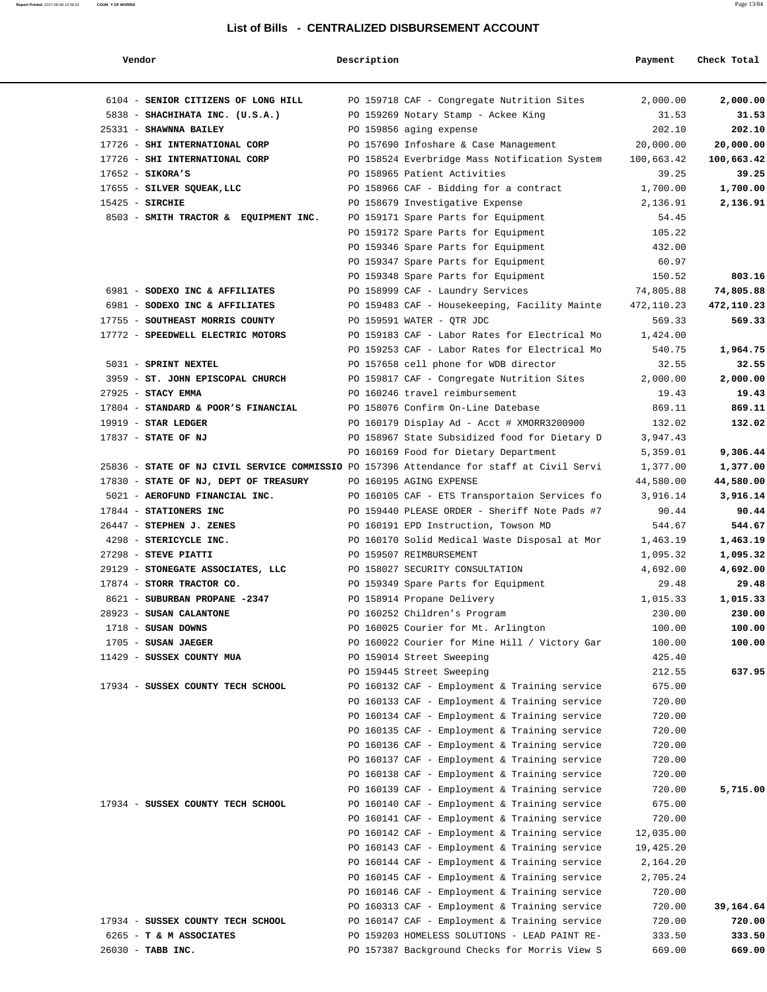**Report Printed** 2017-06-09 15:56:01 **COUN Y OF MORRIS** Page 13/84

|--|--|

| Vendor                                | Description                                                                               | Payment    | Check Total |
|---------------------------------------|-------------------------------------------------------------------------------------------|------------|-------------|
| 6104 - SENIOR CITIZENS OF LONG HILL   | PO 159718 CAF - Congregate Nutrition Sites                                                | 2,000.00   | 2,000.00    |
| 5838 - SHACHIHATA INC. (U.S.A.)       | PO 159269 Notary Stamp - Ackee King                                                       | 31.53      | 31.53       |
| 25331 - SHAWNNA BAILEY                | PO 159856 aging expense                                                                   | 202.10     | 202.10      |
| 17726 - SHI INTERNATIONAL CORP        | PO 157690 Infoshare & Case Management                                                     | 20,000.00  | 20,000.00   |
| 17726 - SHI INTERNATIONAL CORP        | PO 158524 Everbridge Mass Notification System                                             | 100,663.42 | 100,663.42  |
| $17652 -$ SIKORA'S                    | PO 158965 Patient Activities                                                              | 39.25      | 39.25       |
| 17655 - SILVER SQUEAK, LLC            | PO 158966 CAF - Bidding for a contract                                                    | 1,700.00   | 1,700.00    |
| $15425$ - SIRCHIE                     | PO 158679 Investigative Expense                                                           | 2,136.91   | 2,136.91    |
| 8503 - SMITH TRACTOR & EQUIPMENT INC. | PO 159171 Spare Parts for Equipment                                                       | 54.45      |             |
|                                       | PO 159172 Spare Parts for Equipment                                                       | 105.22     |             |
|                                       | PO 159346 Spare Parts for Equipment                                                       | 432.00     |             |
|                                       | PO 159347 Spare Parts for Equipment                                                       | 60.97      |             |
|                                       | PO 159348 Spare Parts for Equipment                                                       | 150.52     | 803.16      |
| 6981 - SODEXO INC & AFFILIATES        | PO 158999 CAF - Laundry Services                                                          | 74,805.88  | 74,805.88   |
| 6981 - SODEXO INC & AFFILIATES        | PO 159483 CAF - Housekeeping, Facility Mainte                                             | 472,110.23 | 472,110.23  |
| 17755 - SOUTHEAST MORRIS COUNTY       | PO 159591 WATER - OTR JDC                                                                 | 569.33     | 569.33      |
| 17772 - SPEEDWELL ELECTRIC MOTORS     | PO 159183 CAF - Labor Rates for Electrical Mo                                             | 1,424.00   |             |
|                                       | PO 159253 CAF - Labor Rates for Electrical Mo                                             | 540.75     | 1,964.75    |
| 5031 - SPRINT NEXTEL                  | PO 157658 cell phone for WDB director                                                     | 32.55      | 32.55       |
| 3959 - ST. JOHN EPISCOPAL CHURCH      | PO 159817 CAF - Congregate Nutrition Sites                                                | 2,000.00   | 2,000.00    |
| $27925$ - STACY EMMA                  | PO 160246 travel reimbursement                                                            | 19.43      | 19.43       |
| 17804 - STANDARD & POOR'S FINANCIAL   | PO 158076 Confirm On-Line Datebase                                                        | 869.11     | 869.11      |
| $19919$ - STAR LEDGER                 | PO 160179 Display Ad - Acct # XMORR3200900                                                | 132.02     | 132.02      |
| 17837 - STATE OF NJ                   | PO 158967 State Subsidized food for Dietary D                                             | 3,947.43   |             |
|                                       | PO 160169 Food for Dietary Department                                                     | 5,359.01   | 9,306.44    |
|                                       | 25836 - STATE OF NJ CIVIL SERVICE COMMISSIO PO 157396 Attendance for staff at Civil Servi | 1,377.00   | 1,377.00    |
| 17830 - STATE OF NJ, DEPT OF TREASURY | PO 160195 AGING EXPENSE                                                                   | 44,580.00  | 44,580.00   |
| 5021 - AEROFUND FINANCIAL INC.        | PO 160105 CAF - ETS Transportaion Services fo                                             | 3,916.14   | 3,916.14    |
| 17844 - STATIONERS INC                | PO 159440 PLEASE ORDER - Sheriff Note Pads #7                                             | 90.44      | 90.44       |
| 26447 - STEPHEN J. ZENES              | PO 160191 EPD Instruction, Towson MD                                                      | 544.67     | 544.67      |
| 4298 - STERICYCLE INC.                | PO 160170 Solid Medical Waste Disposal at Mor                                             | 1,463.19   | 1,463.19    |
| 27298 - STEVE PIATTI                  | PO 159507 REIMBURSEMENT                                                                   | 1,095.32   | 1,095.32    |
| 29129 - STONEGATE ASSOCIATES, LLC     | PO 158027 SECURITY CONSULTATION                                                           | 4,692.00   | 4,692.00    |
| 17874 - STORR TRACTOR CO.             | PO 159349 Spare Parts for Equipment                                                       | 29.48      | 29.48       |
| 8621 - SUBURBAN PROPANE -2347         | PO 158914 Propane Delivery                                                                | 1,015.33   | 1,015.33    |
| 28923 - SUSAN CALANTONE               | PO 160252 Children's Program                                                              | 230.00     | 230.00      |
| $1718$ - SUSAN DOWNS                  | PO 160025 Courier for Mt. Arlington                                                       | 100.00     | 100.00      |
| 1705 - SUSAN JAEGER                   | PO 160022 Courier for Mine Hill / Victory Gar                                             | 100.00     | 100.00      |
| 11429 - SUSSEX COUNTY MUA             | PO 159014 Street Sweeping                                                                 | 425.40     |             |
|                                       | PO 159445 Street Sweeping                                                                 | 212.55     | 637.95      |
| 17934 - SUSSEX COUNTY TECH SCHOOL     | PO 160132 CAF - Employment & Training service                                             | 675.00     |             |
|                                       | PO 160133 CAF - Employment & Training service                                             | 720.00     |             |
|                                       | PO 160134 CAF - Employment & Training service                                             | 720.00     |             |
|                                       | PO 160135 CAF - Employment & Training service                                             | 720.00     |             |
|                                       | PO 160136 CAF - Employment & Training service                                             | 720.00     |             |
|                                       | PO 160137 CAF - Employment & Training service                                             | 720.00     |             |
|                                       | PO 160138 CAF - Employment & Training service                                             | 720.00     |             |
|                                       | PO 160139 CAF - Employment & Training service                                             | 720.00     | 5,715.00    |
| 17934 - SUSSEX COUNTY TECH SCHOOL     | PO 160140 CAF - Employment & Training service                                             | 675.00     |             |
|                                       | PO 160141 CAF - Employment & Training service                                             | 720.00     |             |
|                                       | PO 160142 CAF - Employment & Training service                                             | 12,035.00  |             |
|                                       | PO 160143 CAF - Employment & Training service                                             | 19,425.20  |             |
|                                       | PO 160144 CAF - Employment & Training service                                             | 2,164.20   |             |
|                                       | PO 160145 CAF - Employment & Training service                                             | 2,705.24   |             |
|                                       | PO 160146 CAF - Employment & Training service                                             | 720.00     |             |
|                                       | PO 160313 CAF - Employment & Training service                                             | 720.00     | 39,164.64   |
| 17934 - SUSSEX COUNTY TECH SCHOOL     | PO 160147 CAF - Employment & Training service                                             | 720.00     | 720.00      |
| 6265 - T & M ASSOCIATES               | PO 159203 HOMELESS SOLUTIONS - LEAD PAINT RE-                                             | 333.50     | 333.50      |
| 26030 - TABB INC.                     | PO 157387 Background Checks for Morris View S                                             | 669.00     | 669.00      |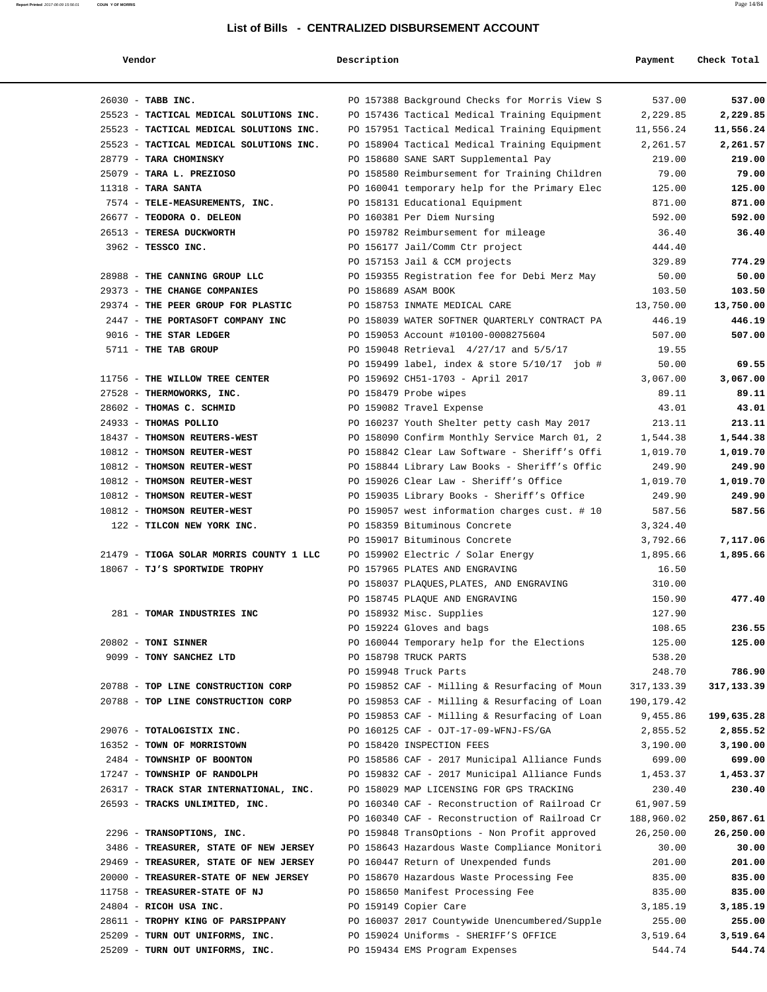| Vendor                                  | Description |                                               | Payment     | Check Total |
|-----------------------------------------|-------------|-----------------------------------------------|-------------|-------------|
| 26030 - TABB INC.                       |             | PO 157388 Background Checks for Morris View S | 537.00      | 537.00      |
| 25523 - TACTICAL MEDICAL SOLUTIONS INC. |             | PO 157436 Tactical Medical Training Equipment | 2,229.85    | 2,229.85    |
| 25523 - TACTICAL MEDICAL SOLUTIONS INC. |             | PO 157951 Tactical Medical Training Equipment | 11,556.24   | 11,556.24   |
| 25523 - TACTICAL MEDICAL SOLUTIONS INC. |             | PO 158904 Tactical Medical Training Equipment | 2,261.57    | 2,261.57    |
| 28779 - TARA CHOMINSKY                  |             | PO 158680 SANE SART Supplemental Pay          | 219.00      | 219.00      |
| 25079 - TARA L. PREZIOSO                |             | PO 158580 Reimbursement for Training Children | 79.00       | 79.00       |
| $11318$ - TARA SANTA                    |             | PO 160041 temporary help for the Primary Elec | 125.00      | 125.00      |
| 7574 - TELE-MEASUREMENTS, INC.          |             | PO 158131 Educational Equipment               | 871.00      | 871.00      |
| 26677 - TEODORA O. DELEON               |             | PO 160381 Per Diem Nursing                    | 592.00      | 592.00      |
| 26513 - TERESA DUCKWORTH                |             | PO 159782 Reimbursement for mileage           | 36.40       | 36.40       |
| 3962 - TESSCO INC.                      |             | PO 156177 Jail/Comm Ctr project               | 444.40      |             |
|                                         |             | PO 157153 Jail & CCM projects                 | 329.89      | 774.29      |
| 28988 - THE CANNING GROUP LLC           |             | PO 159355 Registration fee for Debi Merz May  | 50.00       | 50.00       |
| 29373 - THE CHANGE COMPANIES            |             | PO 158689 ASAM BOOK                           | 103.50      | 103.50      |
| 29374 - THE PEER GROUP FOR PLASTIC      |             | PO 158753 INMATE MEDICAL CARE                 | 13,750.00   | 13,750.00   |
| 2447 - THE PORTASOFT COMPANY INC        |             | PO 158039 WATER SOFTNER QUARTERLY CONTRACT PA | 446.19      | 446.19      |
| 9016 - THE STAR LEDGER                  |             | PO 159053 Account #10100-0008275604           | 507.00      | 507.00      |
| 5711 - THE TAB GROUP                    |             | PO 159048 Retrieval 4/27/17 and 5/5/17        | 19.55       |             |
|                                         |             | PO 159499 label, index & store 5/10/17 job #  | 50.00       | 69.55       |
| 11756 - THE WILLOW TREE CENTER          |             | PO 159692 CH51-1703 - April 2017              | 3,067.00    | 3,067.00    |
| 27528 - THERMOWORKS, INC.               |             | PO 158479 Probe wipes                         | 89.11       | 89.11       |
| 28602 - THOMAS C. SCHMID                |             | PO 159082 Travel Expense                      | 43.01       | 43.01       |
| 24933 - THOMAS POLLIO                   |             | PO 160237 Youth Shelter petty cash May 2017   | 213.11      | 213.11      |
| 18437 - THOMSON REUTERS-WEST            |             | PO 158090 Confirm Monthly Service March 01, 2 | 1,544.38    | 1,544.38    |
| 10812 - THOMSON REUTER-WEST             |             | PO 158842 Clear Law Software - Sheriff's Offi | 1,019.70    | 1,019.70    |
| 10812 - THOMSON REUTER-WEST             |             | PO 158844 Library Law Books - Sheriff's Offic | 249.90      | 249.90      |
| 10812 - THOMSON REUTER-WEST             |             | PO 159026 Clear Law - Sheriff's Office        | 1,019.70    | 1,019.70    |
| 10812 - THOMSON REUTER-WEST             |             | PO 159035 Library Books - Sheriff's Office    | 249.90      | 249.90      |
| 10812 - THOMSON REUTER-WEST             |             | PO 159057 west information charges cust. # 10 | 587.56      | 587.56      |
| 122 - TILCON NEW YORK INC.              |             | PO 158359 Bituminous Concrete                 | 3,324.40    |             |
|                                         |             | PO 159017 Bituminous Concrete                 | 3,792.66    | 7,117.06    |
| 21479 - TIOGA SOLAR MORRIS COUNTY 1 LLC |             | PO 159902 Electric / Solar Energy             | 1,895.66    | 1,895.66    |
| 18067 - TJ'S SPORTWIDE TROPHY           |             | PO 157965 PLATES AND ENGRAVING                | 16.50       |             |
|                                         |             | PO 158037 PLAQUES, PLATES, AND ENGRAVING      | 310.00      |             |
|                                         |             | PO 158745 PLAOUE AND ENGRAVING                | 150.90      | 477.40      |
| 281 - TOMAR INDUSTRIES INC              |             | PO 158932 Misc. Supplies                      | 127.90      |             |
|                                         |             | PO 159224 Gloves and bags                     | 108.65      | 236.55      |
| 20802 - TONI SINNER                     |             | PO 160044 Temporary help for the Elections    | 125.00      | 125.00      |
| 9099 - TONY SANCHEZ LTD                 |             | PO 158798 TRUCK PARTS                         | 538.20      |             |
|                                         |             | PO 159948 Truck Parts                         | 248.70      | 786.90      |
| 20788 - TOP LINE CONSTRUCTION CORP      |             | PO 159852 CAF - Milling & Resurfacing of Moun | 317, 133.39 | 317,133.39  |
| 20788 - TOP LINE CONSTRUCTION CORP      |             | PO 159853 CAF - Milling & Resurfacing of Loan | 190,179.42  |             |
|                                         |             | PO 159853 CAF - Milling & Resurfacing of Loan | 9,455.86    | 199,635.28  |
| 29076 - TOTALOGISTIX INC.               |             | PO 160125 CAF - OJT-17-09-WFNJ-FS/GA          | 2,855.52    | 2,855.52    |
| 16352 - TOWN OF MORRISTOWN              |             | PO 158420 INSPECTION FEES                     | 3,190.00    | 3,190.00    |
| 2484 - TOWNSHIP OF BOONTON              |             | PO 158586 CAF - 2017 Municipal Alliance Funds | 699.00      | 699.00      |
| 17247 - TOWNSHIP OF RANDOLPH            |             | PO 159832 CAF - 2017 Municipal Alliance Funds | 1,453.37    | 1,453.37    |
| 26317 - TRACK STAR INTERNATIONAL, INC.  |             | PO 158029 MAP LICENSING FOR GPS TRACKING      | 230.40      | 230.40      |
| 26593 - TRACKS UNLIMITED, INC.          |             | PO 160340 CAF - Reconstruction of Railroad Cr | 61,907.59   |             |
|                                         |             | PO 160340 CAF - Reconstruction of Railroad Cr | 188,960.02  | 250,867.61  |
| 2296 - TRANSOPTIONS, INC.               |             | PO 159848 TransOptions - Non Profit approved  | 26,250.00   | 26,250.00   |
| 3486 - TREASURER, STATE OF NEW JERSEY   |             | PO 158643 Hazardous Waste Compliance Monitori | 30.00       | 30.00       |
| 29469 - TREASURER, STATE OF NEW JERSEY  |             | PO 160447 Return of Unexpended funds          | 201.00      | 201.00      |
| 20000 - TREASURER-STATE OF NEW JERSEY   |             | PO 158670 Hazardous Waste Processing Fee      | 835.00      | 835.00      |
| 11758 - TREASURER-STATE OF NJ           |             | PO 158650 Manifest Processing Fee             | 835.00      | 835.00      |
| 24804 - RICOH USA INC.                  |             | PO 159149 Copier Care                         | 3,185.19    | 3,185.19    |
| 28611 - TROPHY KING OF PARSIPPANY       |             | PO 160037 2017 Countywide Unencumbered/Supple | 255.00      | 255.00      |
| 25209 - TURN OUT UNIFORMS, INC.         |             | PO 159024 Uniforms - SHERIFF'S OFFICE         | 3,519.64    | 3,519.64    |
| 25209 - TURN OUT UNIFORMS, INC.         |             | PO 159434 EMS Program Expenses                | 544.74      | 544.74      |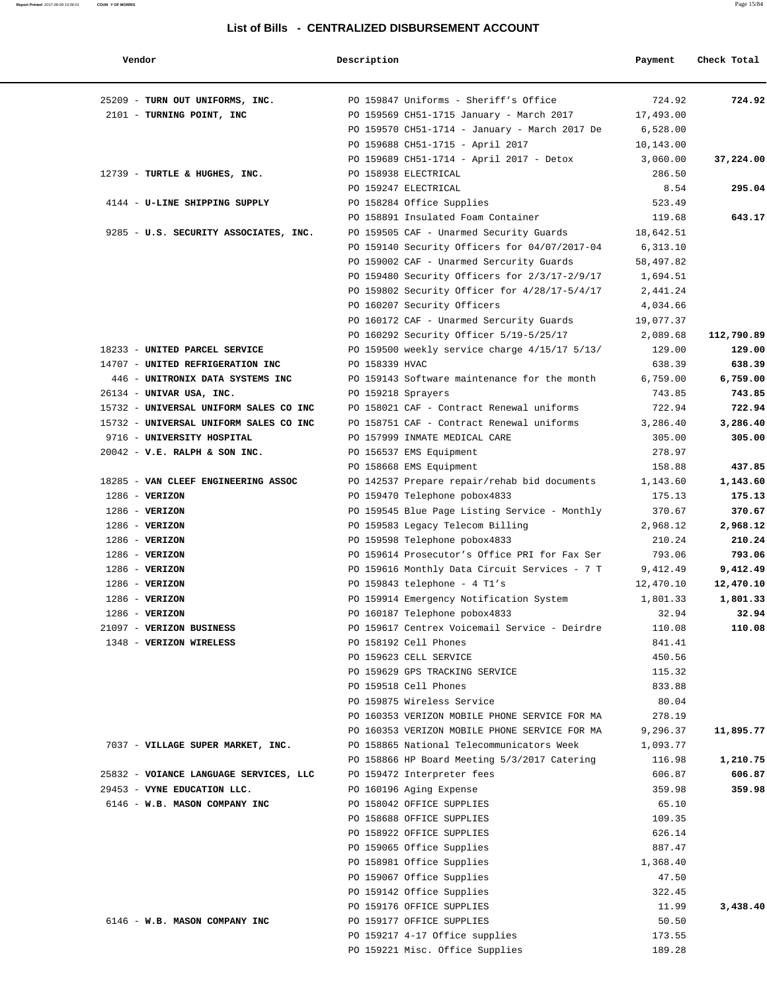| Vendor                                 | Description                                   | Payment   | Check Total |
|----------------------------------------|-----------------------------------------------|-----------|-------------|
| 25209 - TURN OUT UNIFORMS, INC.        | PO 159847 Uniforms - Sheriff's Office         | 724.92    | 724.92      |
| 2101 - TURNING POINT, INC              | PO 159569 CH51-1715 January - March 2017      | 17,493.00 |             |
|                                        | PO 159570 CH51-1714 - January - March 2017 De | 6,528.00  |             |
|                                        | PO 159688 CH51-1715 - April 2017              | 10,143.00 |             |
|                                        | PO 159689 CH51-1714 - April 2017 - Detox      | 3,060.00  | 37,224.00   |
| 12739 - TURTLE & HUGHES, INC.          | PO 158938 ELECTRICAL                          | 286.50    |             |
|                                        | PO 159247 ELECTRICAL                          | 8.54      | 295.04      |
| 4144 - U-LINE SHIPPING SUPPLY          | PO 158284 Office Supplies                     | 523.49    |             |
|                                        | PO 158891 Insulated Foam Container            | 119.68    | 643.17      |
| 9285 - U.S. SECURITY ASSOCIATES, INC.  | PO 159505 CAF - Unarmed Security Guards       | 18,642.51 |             |
|                                        | PO 159140 Security Officers for 04/07/2017-04 | 6,313.10  |             |
|                                        | PO 159002 CAF - Unarmed Sercurity Guards      | 58,497.82 |             |
|                                        | PO 159480 Security Officers for 2/3/17-2/9/17 | 1,694.51  |             |
|                                        | PO 159802 Security Officer for 4/28/17-5/4/17 | 2,441.24  |             |
|                                        | PO 160207 Security Officers                   | 4,034.66  |             |
|                                        | PO 160172 CAF - Unarmed Sercurity Guards      | 19,077.37 |             |
|                                        | PO 160292 Security Officer 5/19-5/25/17       | 2,089.68  | 112,790.89  |
| 18233 - UNITED PARCEL SERVICE          | PO 159500 weekly service charge 4/15/17 5/13/ | 129.00    | 129.00      |
| 14707 - UNITED REFRIGERATION INC       | PO 158339 HVAC                                | 638.39    | 638.39      |
| 446 - UNITRONIX DATA SYSTEMS INC       | PO 159143 Software maintenance for the month  | 6,759.00  | 6,759.00    |
| 26134 - UNIVAR USA, INC.               | PO 159218 Sprayers                            | 743.85    | 743.85      |
| 15732 - UNIVERSAL UNIFORM SALES CO INC | PO 158021 CAF - Contract Renewal uniforms     | 722.94    | 722.94      |
| 15732 - UNIVERSAL UNIFORM SALES CO INC | PO 158751 CAF - Contract Renewal uniforms     | 3,286.40  | 3,286.40    |
| 9716 - UNIVERSITY HOSPITAL             | PO 157999 INMATE MEDICAL CARE                 | 305.00    | 305.00      |
| $20042$ - V.E. RALPH & SON INC.        | PO 156537 EMS Equipment                       | 278.97    |             |
|                                        | PO 158668 EMS Equipment                       | 158.88    | 437.85      |
| 18285 - VAN CLEEF ENGINEERING ASSOC    | PO 142537 Prepare repair/rehab bid documents  | 1,143.60  | 1,143.60    |
| $1286$ - VERIZON                       | PO 159470 Telephone pobox4833                 | 175.13    | 175.13      |
| $1286 - VERIZON$                       | PO 159545 Blue Page Listing Service - Monthly | 370.67    | 370.67      |
| $1286 - VERIZON$                       | PO 159583 Legacy Telecom Billing              | 2,968.12  | 2,968.12    |
| $1286 - VERIZON$                       | PO 159598 Telephone pobox4833                 | 210.24    | 210.24      |
| $1286$ - VERIZON                       | PO 159614 Prosecutor's Office PRI for Fax Ser | 793.06    | 793.06      |
| $1286$ - VERIZON                       | PO 159616 Monthly Data Circuit Services - 7 T | 9,412.49  | 9,412.49    |
| $1286 - VERIZON$                       | PO 159843 telephone - 4 T1's                  | 12,470.10 | 12,470.10   |
| $1286$ - VERIZON                       | PO 159914 Emergency Notification System       | 1,801.33  | 1,801.33    |
| $1286$ - VERIZON                       | PO 160187 Telephone pobox4833                 | 32.94     | 32.94       |
| 21097 - VERIZON BUSINESS               | PO 159617 Centrex Voicemail Service - Deirdre | 110.08    | 110.08      |
| 1348 - VERIZON WIRELESS                | PO 158192 Cell Phones                         | 841.41    |             |
|                                        | PO 159623 CELL SERVICE                        | 450.56    |             |
|                                        | PO 159629 GPS TRACKING SERVICE                | 115.32    |             |
|                                        | PO 159518 Cell Phones                         | 833.88    |             |
|                                        | PO 159875 Wireless Service                    | 80.04     |             |
|                                        | PO 160353 VERIZON MOBILE PHONE SERVICE FOR MA | 278.19    |             |
|                                        | PO 160353 VERIZON MOBILE PHONE SERVICE FOR MA | 9,296.37  | 11,895.77   |
| 7037 - VILLAGE SUPER MARKET, INC.      | PO 158865 National Telecommunicators Week     | 1,093.77  |             |
|                                        | PO 158866 HP Board Meeting 5/3/2017 Catering  | 116.98    | 1,210.75    |
| 25832 - VOIANCE LANGUAGE SERVICES, LLC | PO 159472 Interpreter fees                    | 606.87    | 606.87      |
| 29453 - VYNE EDUCATION LLC.            | PO 160196 Aging Expense                       | 359.98    | 359.98      |
| 6146 - W.B. MASON COMPANY INC          | PO 158042 OFFICE SUPPLIES                     | 65.10     |             |
|                                        | PO 158688 OFFICE SUPPLIES                     | 109.35    |             |
|                                        | PO 158922 OFFICE SUPPLIES                     | 626.14    |             |
|                                        | PO 159065 Office Supplies                     | 887.47    |             |
|                                        | PO 158981 Office Supplies                     | 1,368.40  |             |
|                                        | PO 159067 Office Supplies                     | 47.50     |             |
|                                        | PO 159142 Office Supplies                     | 322.45    |             |
|                                        | PO 159176 OFFICE SUPPLIES                     | 11.99     | 3,438.40    |
| 6146 - W.B. MASON COMPANY INC          | PO 159177 OFFICE SUPPLIES                     | 50.50     |             |
|                                        | PO 159217 4-17 Office supplies                | 173.55    |             |
|                                        | PO 159221 Misc. Office Supplies               | 189.28    |             |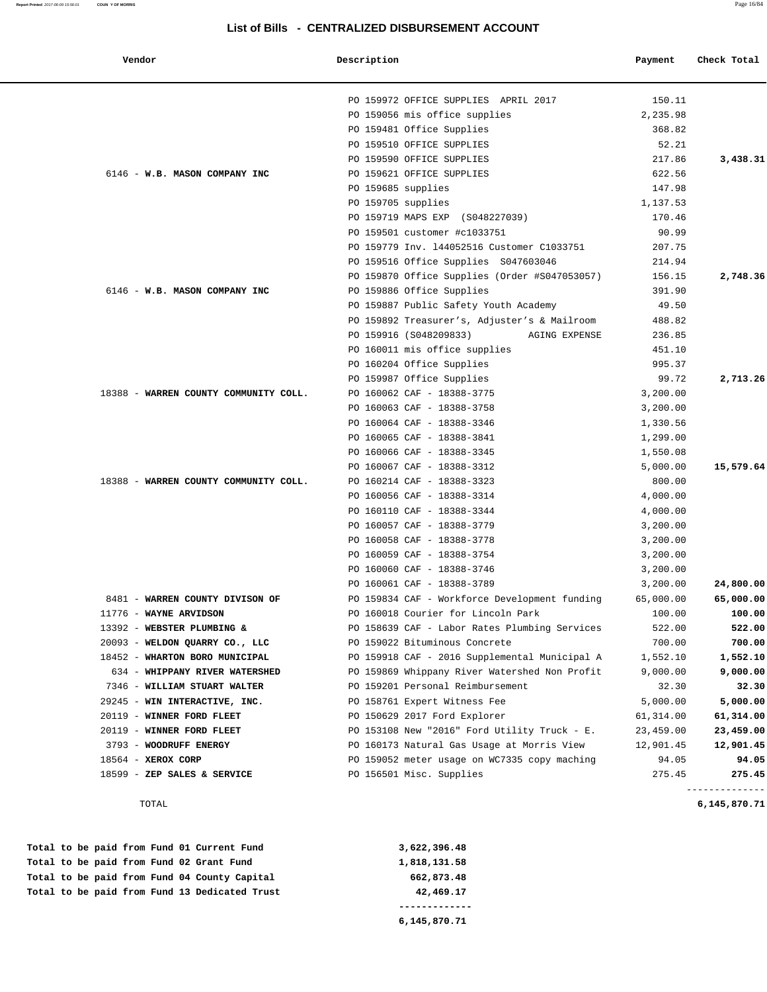| Vendor                                | Description                                   | Payment                        | Check Total    |
|---------------------------------------|-----------------------------------------------|--------------------------------|----------------|
|                                       | PO 159972 OFFICE SUPPLIES APRIL 2017          | 150.11                         |                |
|                                       | PO 159056 mis office supplies                 | 2,235.98                       |                |
|                                       | PO 159481 Office Supplies                     | 368.82                         |                |
|                                       | PO 159510 OFFICE SUPPLIES                     | 52.21                          |                |
|                                       | PO 159590 OFFICE SUPPLIES                     | 217.86                         | 3,438.31       |
| 6146 - W.B. MASON COMPANY INC         | PO 159621 OFFICE SUPPLIES                     | 622.56                         |                |
|                                       | PO 159685 supplies                            | 147.98                         |                |
|                                       | PO 159705 supplies                            | 1,137.53                       |                |
|                                       | PO 159719 MAPS EXP<br>(S048227039)            | 170.46                         |                |
|                                       | PO 159501 customer #c1033751                  | 90.99                          |                |
|                                       | PO 159779 Inv. 144052516 Customer C1033751    | 207.75                         |                |
|                                       | PO 159516 Office Supplies S047603046          | 214.94                         |                |
|                                       | PO 159870 Office Supplies (Order #S047053057) | 156.15                         | 2,748.36       |
| 6146 - W.B. MASON COMPANY INC         | PO 159886 Office Supplies                     | 391.90                         |                |
|                                       | PO 159887 Public Safety Youth Academy         | 49.50                          |                |
|                                       | PO 159892 Treasurer's, Adjuster's & Mailroom  | 488.82                         |                |
|                                       | PO 159916 (S048209833)                        | 236.85<br><b>AGING EXPENSE</b> |                |
|                                       | PO 160011 mis office supplies                 | 451.10                         |                |
|                                       | PO 160204 Office Supplies                     | 995.37                         |                |
|                                       | PO 159987 Office Supplies                     | 99.72                          | 2,713.26       |
| 18388 - WARREN COUNTY COMMUNITY COLL. | PO 160062 CAF - 18388-3775                    | 3,200.00                       |                |
|                                       | PO 160063 CAF - 18388-3758                    | 3,200.00                       |                |
|                                       | PO 160064 CAF - 18388-3346                    | 1,330.56                       |                |
|                                       | PO 160065 CAF - 18388-3841                    | 1,299.00                       |                |
|                                       | PO 160066 CAF - 18388-3345                    | 1,550.08                       |                |
|                                       | PO 160067 CAF - 18388-3312                    | 5,000.00                       | 15,579.64      |
| 18388 - WARREN COUNTY COMMUNITY COLL. | PO 160214 CAF - 18388-3323                    | 800.00                         |                |
|                                       | PO 160056 CAF - 18388-3314                    | 4,000.00                       |                |
|                                       | PO 160110 CAF - 18388-3344                    | 4,000.00                       |                |
|                                       | PO 160057 CAF - 18388-3779                    | 3,200.00                       |                |
|                                       | PO 160058 CAF - 18388-3778                    | 3,200.00                       |                |
|                                       | PO 160059 CAF - 18388-3754                    | 3,200.00                       |                |
|                                       | PO 160060 CAF - 18388-3746                    | 3,200.00                       |                |
|                                       | PO 160061 CAF - 18388-3789                    | 3,200.00                       | 24,800.00      |
| 8481 - WARREN COUNTY DIVISON OF       | PO 159834 CAF - Workforce Development funding | 65,000.00                      | 65,000.00      |
| 11776 - WAYNE ARVIDSON                | PO 160018 Courier for Lincoln Park            | 100.00                         | 100.00         |
| 13392 - WEBSTER PLUMBING &            | PO 158639 CAF - Labor Rates Plumbing Services | 522.00                         | 522.00         |
| 20093 - WELDON QUARRY CO., LLC        | PO 159022 Bituminous Concrete                 | 700.00                         | 700.00         |
| 18452 - WHARTON BORO MUNICIPAL        | PO 159918 CAF - 2016 Supplemental Municipal A | 1,552.10                       | 1,552.10       |
| 634 - WHIPPANY RIVER WATERSHED        | PO 159869 Whippany River Watershed Non Profit | 9,000.00                       | 9,000.00       |
| 7346 - WILLIAM STUART WALTER          | PO 159201 Personal Reimbursement              | 32.30                          | 32.30          |
| 29245 - WIN INTERACTIVE, INC.         | PO 158761 Expert Witness Fee                  | 5,000.00                       | 5,000.00       |
| 20119 - WINNER FORD FLEET             | PO 150629 2017 Ford Explorer                  | 61,314.00                      | 61,314.00      |
| 20119 - WINNER FORD FLEET             | PO 153108 New "2016" Ford Utility Truck - E.  | 23,459.00                      | 23,459.00      |
| 3793 - WOODRUFF ENERGY                | PO 160173 Natural Gas Usage at Morris View    | 12,901.45                      | 12,901.45      |
| 18564 - XEROX CORP                    | PO 159052 meter usage on WC7335 copy maching  | 94.05                          | 94.05          |
| 18599 - ZEP SALES & SERVICE           | PO 156501 Misc. Supplies                      | 275.45                         | 275.45         |
|                                       |                                               |                                | -------------- |

TOTAL **6,145,870.71**

 **Total to be paid from Fund 01 Current Fund 3,622,396.48** Total to be paid from Fund 02 Grant Fund 1,818,131.58  **Total to be paid from Fund 04 County Capital 662,873.48 Total to be paid from Fund 13 Dedicated Trust 42,469.17 -------------**

 **6,145,870.71**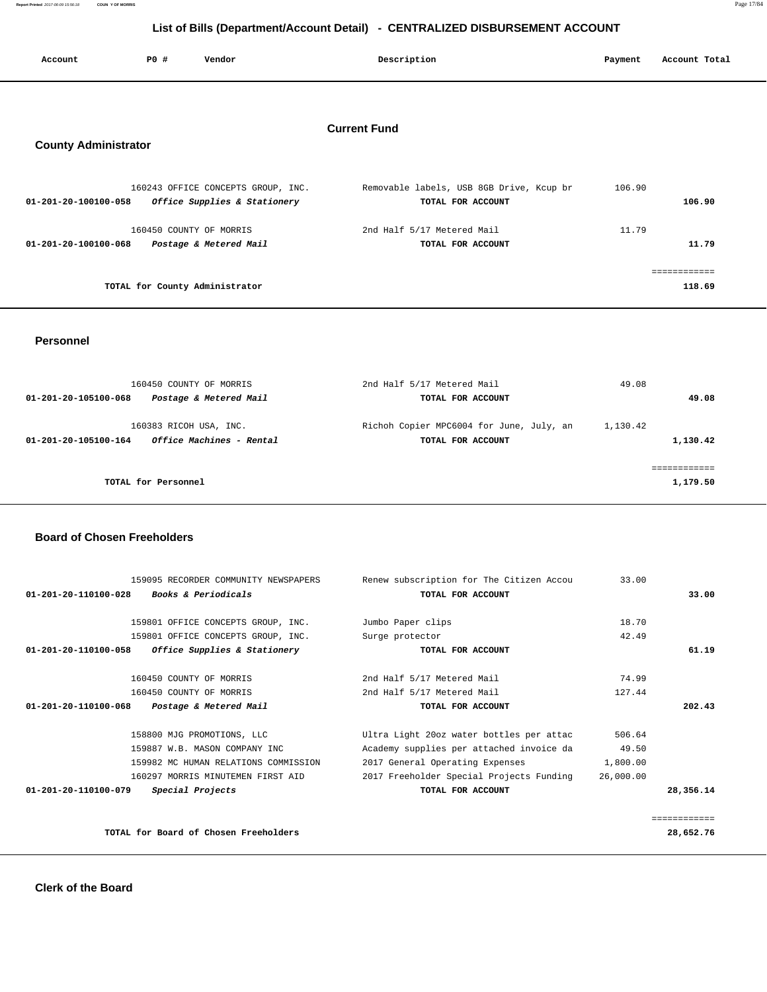**Report Printed** 2017-06-09 15:56:18 **COUN Y OF MORRIS** Page 17/84

| List of Bills (Department/Account Detail) - CENTRALIZED DISBURSEMENT ACCOUNT |     |                                    |                     |                                          |         |               |  |
|------------------------------------------------------------------------------|-----|------------------------------------|---------------------|------------------------------------------|---------|---------------|--|
| Account                                                                      | PO# | Vendor                             |                     | Description                              | Payment | Account Total |  |
|                                                                              |     |                                    |                     |                                          |         |               |  |
| <b>County Administrator</b>                                                  |     |                                    | <b>Current Fund</b> |                                          |         |               |  |
|                                                                              |     | 160243 OFFICE CONCEPTS GROUP, INC. |                     | Removable labels, USB 8GB Drive, Kcup br | 106.90  |               |  |
| $01 - 201 - 20 - 100100 - 058$                                               |     | Office Supplies & Stationery       |                     | TOTAL FOR ACCOUNT                        |         | 106.90        |  |
|                                                                              |     | 160450 COUNTY OF MORRIS            |                     | 2nd Half 5/17 Metered Mail               | 11.79   |               |  |
| 01-201-20-100100-068                                                         |     | Postage & Metered Mail             |                     | TOTAL FOR ACCOUNT                        |         | 11.79         |  |
|                                                                              |     |                                    |                     |                                          |         | ============  |  |
|                                                                              |     | TOTAL for County Administrator     |                     |                                          |         | 118.69        |  |
|                                                                              |     |                                    |                     |                                          |         |               |  |

 **Personnel** 

 160450 COUNTY OF MORRIS 2nd Half 5/17 Metered Mail 49.08  **01-201-20-105100-068 Postage & Metered Mail TOTAL FOR ACCOUNT 49.08** 160383 RICOH USA, INC. Richoh Copier MPC6004 for June, July, an 1,130.42  **01-201-20-105100-164 Office Machines - Rental TOTAL FOR ACCOUNT 1,130.42** ============ **TOTAL for Personnel 2003 1,179.50 1,179.50** 

## **Board of Chosen Freeholders**

| 159095 RECORDER COMMUNITY NEWSPAPERS                   | Renew subscription for The Citizen Accou | 33.00     |              |
|--------------------------------------------------------|------------------------------------------|-----------|--------------|
| <i>Books &amp; Periodicals</i><br>01-201-20-110100-028 | TOTAL FOR ACCOUNT                        |           | 33.00        |
| 159801 OFFICE CONCEPTS GROUP, INC.                     | Jumbo Paper clips                        | 18.70     |              |
| 159801 OFFICE CONCEPTS GROUP, INC.                     | Surge protector                          | 42.49     |              |
| Office Supplies & Stationery<br>01-201-20-110100-058   | TOTAL FOR ACCOUNT                        |           | 61.19        |
| 160450 COUNTY OF MORRIS                                | 2nd Half 5/17 Metered Mail               | 74.99     |              |
| 160450 COUNTY OF MORRIS                                | 2nd Half 5/17 Metered Mail               | 127.44    |              |
| 01-201-20-110100-068<br>Postage & Metered Mail         | TOTAL FOR ACCOUNT                        |           | 202.43       |
| 158800 MJG PROMOTIONS, LLC                             | Ultra Light 20oz water bottles per attac | 506.64    |              |
| 159887 W.B. MASON COMPANY INC                          | Academy supplies per attached invoice da | 49.50     |              |
| 159982 MC HUMAN RELATIONS COMMISSION                   | 2017 General Operating Expenses          | 1,800.00  |              |
| 160297 MORRIS MINUTEMEN FIRST AID                      | 2017 Freeholder Special Projects Funding | 26,000.00 |              |
| 01-201-20-110100-079<br>Special Projects               | TOTAL FOR ACCOUNT                        |           | 28,356.14    |
|                                                        |                                          |           | ============ |
| TOTAL for Board of Chosen Freeholders                  |                                          |           | 28,652.76    |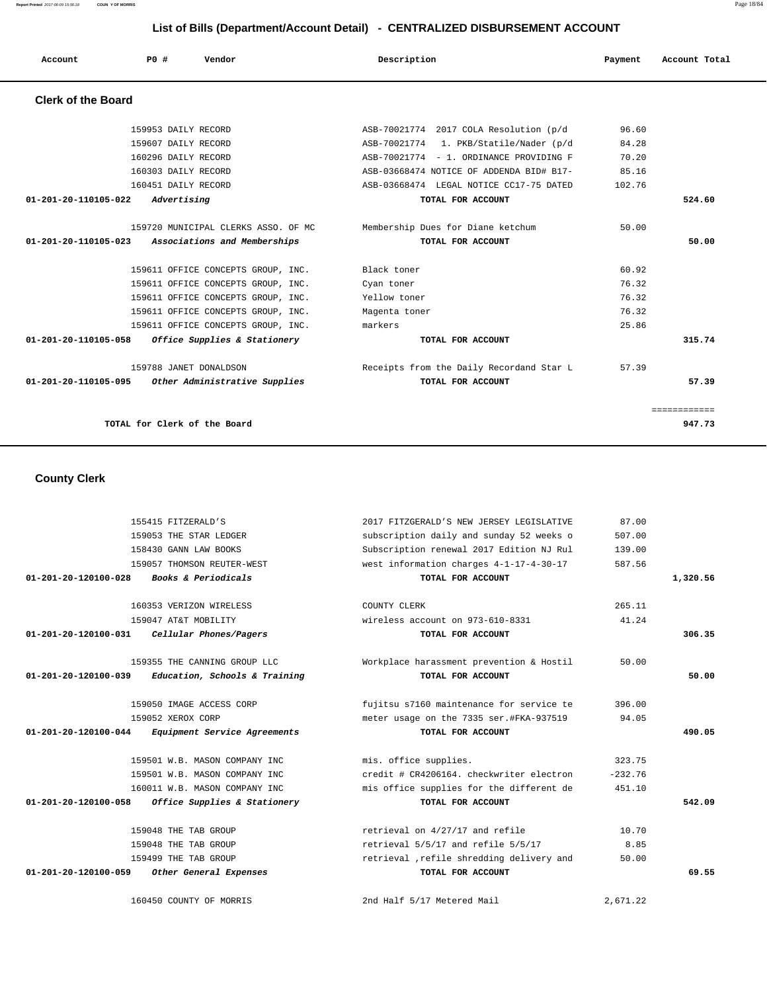**Report Printed** 2017-06-09 15:56:18 **COUN Y OF MORRIS** Page 18/84

## **List of Bills (Department/Account Detail) - CENTRALIZED DISBURSEMENT ACCOUNT**

| Account                        | PO# | Vendor                                                              | Description                                            | Payment | Account Total |
|--------------------------------|-----|---------------------------------------------------------------------|--------------------------------------------------------|---------|---------------|
| <b>Clerk of the Board</b>      |     |                                                                     |                                                        |         |               |
|                                |     | 159953 DAILY RECORD                                                 | ASB-70021774 2017 COLA Resolution (p/d                 | 96.60   |               |
|                                |     | 159607 DAILY RECORD                                                 | ASB-70021774 1. PKB/Statile/Nader (p/d                 | 84.28   |               |
|                                |     | 160296 DAILY RECORD                                                 | ASB-70021774 - 1. ORDINANCE PROVIDING F                | 70.20   |               |
|                                |     | 160303 DAILY RECORD                                                 | ASB-03668474 NOTICE OF ADDENDA BID# B17-               | 85.16   |               |
|                                |     | 160451 DAILY RECORD                                                 | ASB-03668474 LEGAL NOTICE CC17-75 DATED                | 102.76  |               |
| 01-201-20-110105-022           |     | Advertising                                                         | TOTAL FOR ACCOUNT                                      |         | 524.60        |
| $01 - 201 - 20 - 110105 - 023$ |     | 159720 MUNICIPAL CLERKS ASSO. OF MC<br>Associations and Memberships | Membership Dues for Diane ketchum<br>TOTAL FOR ACCOUNT | 50.00   | 50.00         |
|                                |     | 159611 OFFICE CONCEPTS GROUP, INC.                                  | Black toner                                            | 60.92   |               |
|                                |     | 159611 OFFICE CONCEPTS GROUP, INC.                                  | Cyan toner                                             | 76.32   |               |
|                                |     | 159611 OFFICE CONCEPTS GROUP, INC.                                  | Yellow toner                                           | 76.32   |               |
|                                |     | 159611 OFFICE CONCEPTS GROUP, INC.                                  | Magenta toner                                          | 76.32   |               |
|                                |     | 159611 OFFICE CONCEPTS GROUP, INC.                                  | markers                                                | 25.86   |               |
| 01-201-20-110105-058           |     | Office Supplies & Stationery                                        | TOTAL FOR ACCOUNT                                      |         | 315.74        |
|                                |     | 159788 JANET DONALDSON                                              | Receipts from the Daily Recordand Star L               | 57.39   |               |
| 01-201-20-110105-095           |     | Other Administrative Supplies                                       | TOTAL FOR ACCOUNT                                      |         | 57.39         |
|                                |     |                                                                     |                                                        |         | ============  |
|                                |     | TOTAL for Clerk of the Board                                        |                                                        |         | 947.73        |

 **County Clerk** 

| 155415 FITZERALD'S                                              | 2017 FITZGERALD'S NEW JERSEY LEGISLATIVE  | 87.00     |          |
|-----------------------------------------------------------------|-------------------------------------------|-----------|----------|
| 159053 THE STAR LEDGER                                          | subscription daily and sunday 52 weeks o  | 507.00    |          |
| 158430 GANN LAW BOOKS                                           | Subscription renewal 2017 Edition NJ Rul  | 139.00    |          |
| 159057 THOMSON REUTER-WEST                                      | west information charges 4-1-17-4-30-17   | 587.56    |          |
| 01-201-20-120100-028<br>Books & Periodicals                     | TOTAL FOR ACCOUNT                         |           | 1,320.56 |
| 160353 VERIZON WIRELESS                                         | COUNTY CLERK                              | 265.11    |          |
| 159047 AT&T MOBILITY                                            | wireless account on 973-610-8331          | 41.24     |          |
| $01 - 201 - 20 - 120100 - 031$<br>Cellular Phones/Pagers        | TOTAL FOR ACCOUNT                         |           | 306.35   |
| 159355 THE CANNING GROUP LLC                                    | Workplace harassment prevention & Hostil  | 50.00     |          |
| $01 - 201 - 20 - 120100 - 039$<br>Education, Schools & Training | TOTAL FOR ACCOUNT                         |           | 50.00    |
| 159050 IMAGE ACCESS CORP                                        | fujitsu s7160 maintenance for service te  | 396.00    |          |
| 159052 XEROX CORP                                               | meter usage on the 7335 ser.#FKA-937519   | 94.05     |          |
| $01 - 201 - 20 - 120100 - 044$<br>Equipment Service Agreements  | TOTAL FOR ACCOUNT                         |           | 490.05   |
| 159501 W.B. MASON COMPANY INC                                   | mis. office supplies.                     | 323.75    |          |
| 159501 W.B. MASON COMPANY INC                                   | credit # CR4206164. checkwriter electron  | $-232.76$ |          |
| 160011 W.B. MASON COMPANY INC                                   | mis office supplies for the different de  | 451.10    |          |
| $01 - 201 - 20 - 120100 - 058$<br>Office Supplies & Stationery  | TOTAL FOR ACCOUNT                         |           | 542.09   |
| 159048 THE TAB GROUP                                            | retrieval on 4/27/17 and refile           | 10.70     |          |
| 159048 THE TAB GROUP                                            | retrieval 5/5/17 and refile 5/5/17        | 8.85      |          |
| 159499 THE TAB GROUP                                            | retrieval , refile shredding delivery and | 50.00     |          |
| 01-201-20-120100-059<br>Other General Expenses                  | TOTAL FOR ACCOUNT                         |           | 69.55    |
| 160450 COUNTY OF MORRIS                                         | 2nd Half 5/17 Metered Mail                | 2,671.22  |          |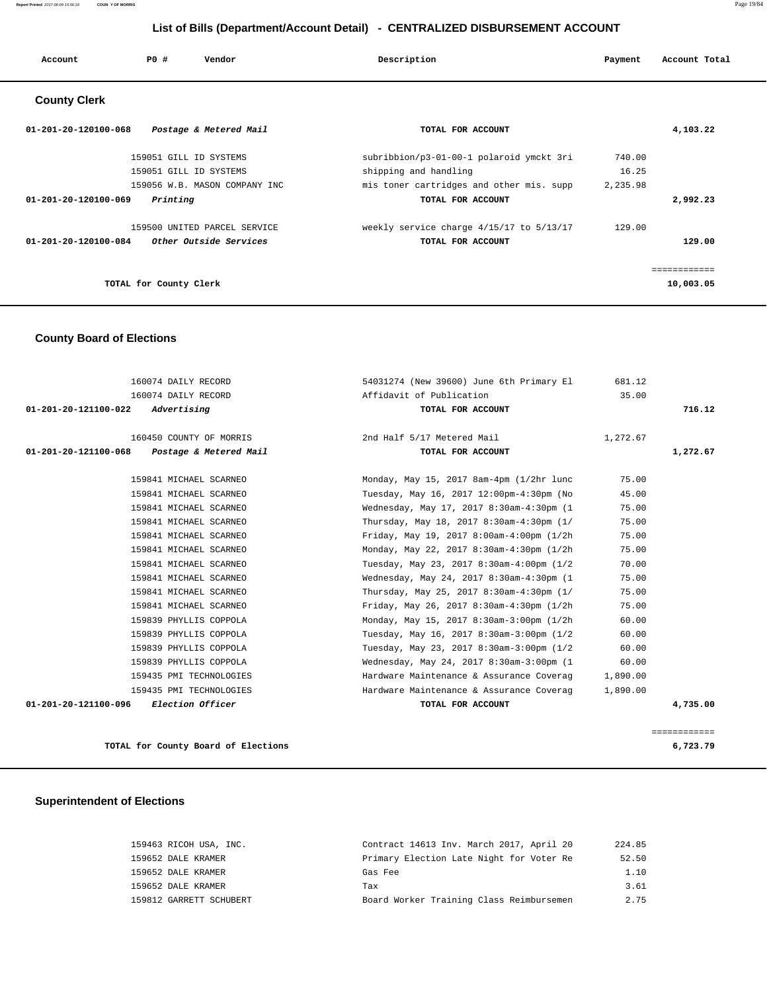#### **Report Printed** 2017-06-09 15:56:18 **COUN Y OF MORRIS** Page 19/84

## **List of Bills (Department/Account Detail) - CENTRALIZED DISBURSEMENT ACCOUNT**

| Account                        | PO#                    | Vendor                        | Description                              | Payment  | Account Total |
|--------------------------------|------------------------|-------------------------------|------------------------------------------|----------|---------------|
| <b>County Clerk</b>            |                        |                               |                                          |          |               |
| 01-201-20-120100-068           |                        | Postage & Metered Mail        | TOTAL FOR ACCOUNT                        |          | 4,103.22      |
|                                | 159051 GILL ID SYSTEMS |                               | subribbion/p3-01-00-1 polaroid ymckt 3ri | 740.00   |               |
|                                | 159051 GILL ID SYSTEMS |                               | shipping and handling                    | 16.25    |               |
|                                |                        | 159056 W.B. MASON COMPANY INC | mis toner cartridges and other mis. supp | 2,235.98 |               |
| 01-201-20-120100-069           | Printing               |                               | TOTAL FOR ACCOUNT                        |          | 2,992.23      |
|                                |                        | 159500 UNITED PARCEL SERVICE  | weekly service charge 4/15/17 to 5/13/17 | 129.00   |               |
| $01 - 201 - 20 - 120100 - 084$ |                        | Other Outside Services        | TOTAL FOR ACCOUNT                        |          | 129.00        |
|                                |                        |                               |                                          |          |               |

============

**TOTAL for County Clerk** 10,003.05

## **County Board of Elections**

| 160074 DAILY RECORD                             | 54031274 (New 39600) June 6th Primary El  | 681.12   |              |
|-------------------------------------------------|-------------------------------------------|----------|--------------|
| 160074 DAILY RECORD                             | Affidavit of Publication                  | 35.00    |              |
| 01-201-20-121100-022<br>Advertising             | TOTAL FOR ACCOUNT                         |          | 716.12       |
| 160450 COUNTY OF MORRIS                         | 2nd Half 5/17 Metered Mail                | 1,272.67 |              |
| Postage & Metered Mail<br>01-201-20-121100-068  | TOTAL FOR ACCOUNT                         |          | 1,272.67     |
| 159841 MICHAEL SCARNEO                          | Monday, May 15, 2017 8am-4pm (1/2hr lunc  | 75.00    |              |
| 159841 MICHAEL SCARNEO                          | Tuesday, May 16, 2017 12:00pm-4:30pm (No  | 45.00    |              |
| 159841 MICHAEL SCARNEO                          | Wednesday, May 17, 2017 8:30am-4:30pm (1  | 75.00    |              |
| 159841 MICHAEL SCARNEO                          | Thursday, May 18, 2017 8:30am-4:30pm (1/  | 75.00    |              |
| 159841 MICHAEL SCARNEO                          | Friday, May 19, 2017 8:00am-4:00pm (1/2h) | 75.00    |              |
| 159841 MICHAEL SCARNEO                          | Monday, May 22, 2017 8:30am-4:30pm (1/2h  | 75.00    |              |
| 159841 MICHAEL SCARNEO                          | Tuesday, May 23, 2017 8:30am-4:00pm (1/2  | 70.00    |              |
| 159841 MICHAEL SCARNEO                          | Wednesday, May 24, 2017 8:30am-4:30pm (1  | 75.00    |              |
| 159841 MICHAEL SCARNEO                          | Thursday, May 25, 2017 8:30am-4:30pm (1/  | 75.00    |              |
| 159841 MICHAEL SCARNEO                          | Friday, May 26, 2017 8:30am-4:30pm (1/2h  | 75.00    |              |
| 159839 PHYLLIS COPPOLA                          | Monday, May 15, 2017 8:30am-3:00pm (1/2h  | 60.00    |              |
| 159839 PHYLLIS COPPOLA                          | Tuesday, May 16, 2017 8:30am-3:00pm (1/2  | 60.00    |              |
| 159839 PHYLLIS COPPOLA                          | Tuesday, May 23, 2017 8:30am-3:00pm (1/2  | 60.00    |              |
| 159839 PHYLLIS COPPOLA                          | Wednesday, May 24, 2017 8:30am-3:00pm (1  | 60.00    |              |
| 159435 PMI TECHNOLOGIES                         | Hardware Maintenance & Assurance Coverag  | 1,890.00 |              |
| 159435 PMI TECHNOLOGIES                         | Hardware Maintenance & Assurance Coverag  | 1,890.00 |              |
| 01-201-20-121100-096<br><i>Election Officer</i> | TOTAL FOR ACCOUNT                         |          | 4,735.00     |
|                                                 |                                           |          |              |
|                                                 |                                           |          | ============ |

**TOTAL for County Board of Elections 6,723.79**

## **Superintendent of Elections**

| 159463 RICOH USA, INC.  | Contract 14613 Inv. March 2017, April 20 | 224.85 |
|-------------------------|------------------------------------------|--------|
| 159652 DALE KRAMER      | Primary Election Late Night for Voter Re | 52.50  |
| 159652 DALE KRAMER      | Gas Fee                                  | 1.10   |
| 159652 DALE KRAMER      | Tax                                      | 3.61   |
| 159812 GARRETT SCHUBERT | Board Worker Training Class Reimbursemen | 2.75   |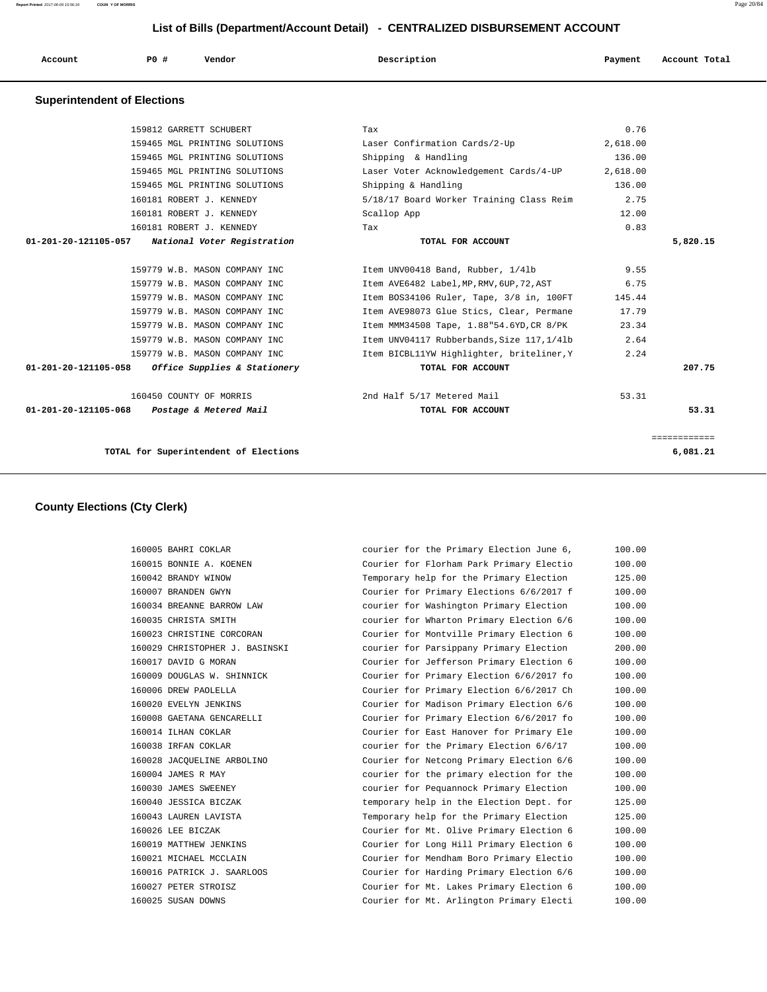**Report Printed** 2017-06-09 15:56:18 **COUN Y OF MORRIS** Page 20/84

## **List of Bills (Department/Account Detail) - CENTRALIZED DISBURSEMENT ACCOUNT**

| P0 #<br>Description<br>Vendor<br>Account<br>Payment<br>Account Total<br>. |  |
|---------------------------------------------------------------------------|--|
|---------------------------------------------------------------------------|--|

#### **Superintendent of Elections**

|                      | TOTAL for Superintendent of Elections            |                                            |          | 6,081.21     |
|----------------------|--------------------------------------------------|--------------------------------------------|----------|--------------|
|                      |                                                  |                                            |          | ============ |
| 01-201-20-121105-068 | Postage & Metered Mail                           | TOTAL FOR ACCOUNT                          |          | 53.31        |
|                      | 160450 COUNTY OF MORRIS                          | 2nd Half 5/17 Metered Mail                 | 53.31    |              |
| 01-201-20-121105-058 | <i>Office Supplies &amp; Stationery</i>          | TOTAL FOR ACCOUNT                          |          | 207.75       |
|                      | 159779 W.B. MASON COMPANY INC                    | Item BICBL11YW Highlighter, briteliner, Y  | 2.24     |              |
|                      | 159779 W.B. MASON COMPANY INC                    | Item UNV04117 Rubberbands, Size 117, 1/41b | 2.64     |              |
|                      | 159779 W.B. MASON COMPANY INC                    | Item MMM34508 Tape, 1.88"54.6YD, CR 8/PK   | 23.34    |              |
|                      | 159779 W.B. MASON COMPANY INC                    | Item AVE98073 Glue Stics, Clear, Permane   | 17.79    |              |
|                      | 159779 W.B. MASON COMPANY INC                    | Item BOS34106 Ruler, Tape, 3/8 in, 100FT   | 145.44   |              |
|                      | 159779 W.B. MASON COMPANY INC                    | Item AVE6482 Label, MP, RMV, 6UP, 72, AST  | 6.75     |              |
|                      | 159779 W.B. MASON COMPANY INC                    | Item UNV00418 Band, Rubber, 1/41b          | 9.55     |              |
|                      | 01-201-20-121105-057 National Voter Registration | TOTAL FOR ACCOUNT                          |          | 5,820.15     |
|                      | 160181 ROBERT J. KENNEDY                         | Tax                                        | 0.83     |              |
|                      | 160181 ROBERT J. KENNEDY                         | Scallop App                                | 12.00    |              |
|                      | 160181 ROBERT J. KENNEDY                         | 5/18/17 Board Worker Training Class Reim   | 2.75     |              |
|                      | 159465 MGL PRINTING SOLUTIONS                    | Shipping & Handling                        | 136.00   |              |
|                      | 159465 MGL PRINTING SOLUTIONS                    | Laser Voter Acknowledgement Cards/4-UP     | 2,618.00 |              |
|                      | 159465 MGL PRINTING SOLUTIONS                    | Shipping & Handling                        | 136.00   |              |
|                      | 159465 MGL PRINTING SOLUTIONS                    | Laser Confirmation Cards/2-Up              | 2,618.00 |              |
|                      | 159812 GARRETT SCHUBERT                          | Tax                                        | 0.76     |              |

### **County Elections (Cty Clerk)**

| 160005 BAHRI COKLAR            | courier for the Primary Election June 6, | 100.00 |
|--------------------------------|------------------------------------------|--------|
| 160015 BONNIE A. KOENEN        | Courier for Florham Park Primary Electio | 100.00 |
| 160042 BRANDY WINOW            | Temporary help for the Primary Election  | 125.00 |
| 160007 BRANDEN GWYN            | Courier for Primary Elections 6/6/2017 f | 100.00 |
| 160034 BREANNE BARROW LAW      | courier for Washington Primary Election  | 100.00 |
| 160035 CHRISTA SMITH           | courier for Wharton Primary Election 6/6 | 100.00 |
| 160023 CHRISTINE CORCORAN      | Courier for Montville Primary Election 6 | 100.00 |
| 160029 CHRISTOPHER J. BASINSKI | courier for Parsippany Primary Election  | 200.00 |
| 160017 DAVID G MORAN           | Courier for Jefferson Primary Election 6 | 100.00 |
| 160009 DOUGLAS W. SHINNICK     | Courier for Primary Election 6/6/2017 fo | 100.00 |
| 160006 DREW PAOLELLA           | Courier for Primary Election 6/6/2017 Ch | 100.00 |
| 160020 EVELYN JENKINS          | Courier for Madison Primary Election 6/6 | 100.00 |
| 160008 GAETANA GENCARELLI      | Courier for Primary Election 6/6/2017 fo | 100.00 |
| 160014 ILHAN COKLAR            | Courier for East Hanover for Primary Ele | 100.00 |
| 160038 IRFAN COKLAR            | courier for the Primary Election 6/6/17  | 100.00 |
| 160028 JACOUELINE ARBOLINO     | Courier for Netcong Primary Election 6/6 | 100.00 |
| 160004 JAMES R MAY             | courier for the primary election for the | 100.00 |
| 160030 JAMES SWEENEY           | courier for Pequannock Primary Election  | 100.00 |
| 160040 JESSICA BICZAK          | temporary help in the Election Dept. for | 125.00 |
| 160043 LAUREN LAVISTA          | Temporary help for the Primary Election  | 125.00 |
| 160026 LEE BICZAK              | Courier for Mt. Olive Primary Election 6 | 100.00 |
| 160019 MATTHEW JENKINS         | Courier for Long Hill Primary Election 6 | 100.00 |
| 160021 MICHAEL MCCLAIN         | Courier for Mendham Boro Primary Electio | 100.00 |
| 160016 PATRICK J. SAARLOOS     | Courier for Harding Primary Election 6/6 | 100.00 |
| 160027 PETER STROISZ           | Courier for Mt. Lakes Primary Election 6 | 100.00 |
| 160025 SUSAN DOWNS             | Courier for Mt. Arlington Primary Electi | 100.00 |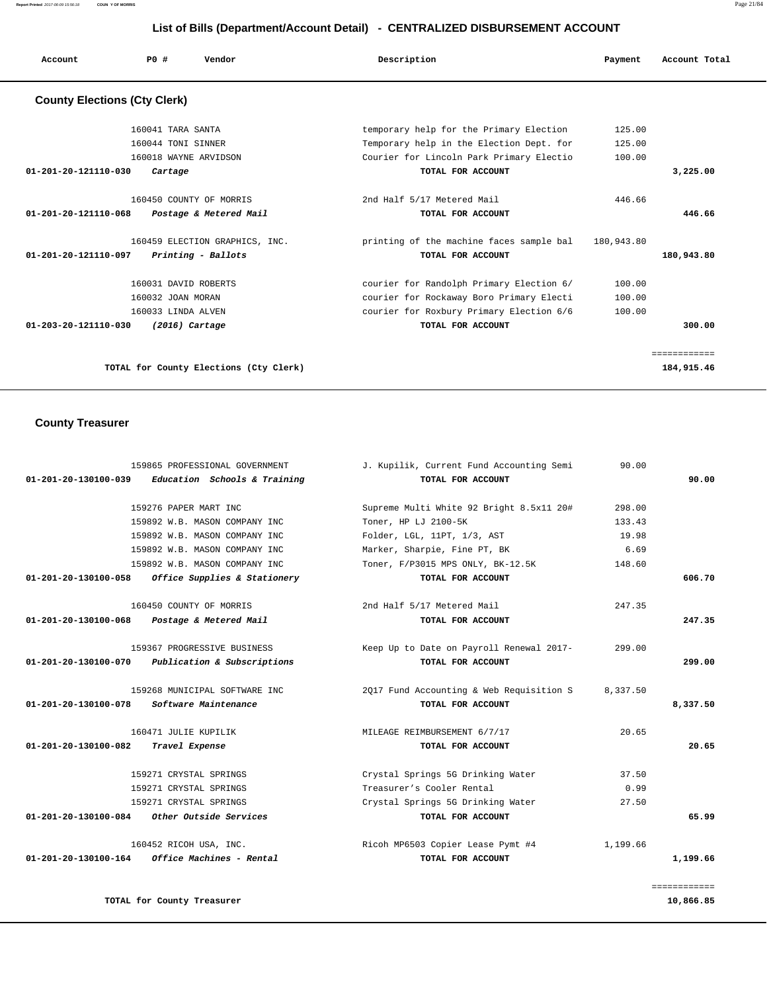**Report Printed** 2017-06-09 15:56:18 **COUN Y OF MORRIS** Page 21/84

## **List of Bills (Department/Account Detail) - CENTRALIZED DISBURSEMENT ACCOUNT**

| Account                             | PO#                                                             | Vendor                                               | Description                                                                                                                      | Payment                    | Account Total              |
|-------------------------------------|-----------------------------------------------------------------|------------------------------------------------------|----------------------------------------------------------------------------------------------------------------------------------|----------------------------|----------------------------|
| <b>County Elections (Cty Clerk)</b> |                                                                 |                                                      |                                                                                                                                  |                            |                            |
|                                     | 160041 TARA SANTA<br>160044 TONI SINNER                         | 160018 WAYNE ARVIDSON                                | temporary help for the Primary Election<br>Temporary help in the Election Dept. for<br>Courier for Lincoln Park Primary Electio  | 125.00<br>125.00<br>100.00 |                            |
| 01-201-20-121110-030                | Cartage                                                         |                                                      | TOTAL FOR ACCOUNT                                                                                                                |                            | 3,225.00                   |
| 01-201-20-121110-068                |                                                                 | 160450 COUNTY OF MORRIS<br>Postage & Metered Mail    | 2nd Half 5/17 Metered Mail<br>TOTAL FOR ACCOUNT                                                                                  | 446.66                     | 446.66                     |
| 01-201-20-121110-097                |                                                                 | 160459 ELECTION GRAPHICS, INC.<br>Printing - Ballots | printing of the machine faces sample bal 180,943.80<br>TOTAL FOR ACCOUNT                                                         |                            | 180,943.80                 |
|                                     | 160031 DAVID ROBERTS<br>160032 JOAN MORAN<br>160033 LINDA ALVEN |                                                      | courier for Randolph Primary Election 6/<br>courier for Rockaway Boro Primary Electi<br>courier for Roxbury Primary Election 6/6 | 100.00<br>100.00<br>100.00 |                            |
| $01 - 203 - 20 - 121110 - 030$      |                                                                 | $(2016)$ Cartage                                     | TOTAL FOR ACCOUNT                                                                                                                |                            | 300.00                     |
|                                     |                                                                 | TOTAL for County Elections (Cty Clerk)               |                                                                                                                                  |                            | ============<br>184,915.46 |

# **County Treasurer**

| 90.00        | J. Kupilik, Current Fund Accounting Semi | 159865 PROFESSIONAL GOVERNMENT                          |                                |
|--------------|------------------------------------------|---------------------------------------------------------|--------------------------------|
| 90.00        | TOTAL FOR ACCOUNT                        | Education Schools & Training                            | 01-201-20-130100-039           |
| 298.00       | Supreme Multi White 92 Bright 8.5x11 20# | 159276 PAPER MART INC                                   |                                |
| 133.43       | Toner, HP LJ 2100-5K                     | 159892 W.B. MASON COMPANY INC                           |                                |
| 19.98        | Folder, LGL, 11PT, 1/3, AST              | 159892 W.B. MASON COMPANY INC                           |                                |
| 6.69         | Marker, Sharpie, Fine PT, BK             | 159892 W.B. MASON COMPANY INC                           |                                |
| 148.60       | Toner, F/P3015 MPS ONLY, BK-12.5K        | 159892 W.B. MASON COMPANY INC                           |                                |
| 606.70       | TOTAL FOR ACCOUNT                        | Office Supplies & Stationery                            | 01-201-20-130100-058           |
| 247.35       | 2nd Half 5/17 Metered Mail               | 160450 COUNTY OF MORRIS                                 |                                |
| 247.35       | TOTAL FOR ACCOUNT                        | Postage & Metered Mail                                  | 01-201-20-130100-068           |
| 299.00       | Keep Up to Date on Payroll Renewal 2017- | 159367 PROGRESSIVE BUSINESS                             |                                |
| 299.00       | TOTAL FOR ACCOUNT                        | Publication & Subscriptions                             | 01-201-20-130100-070           |
| 8,337.50     | 2017 Fund Accounting & Web Requisition S | 159268 MUNICIPAL SOFTWARE INC                           |                                |
| 8,337.50     | TOTAL FOR ACCOUNT                        | Software Maintenance                                    | 01-201-20-130100-078           |
| 20.65        | MILEAGE REIMBURSEMENT 6/7/17             | 160471 JULIE KUPILIK                                    |                                |
| 20.65        | TOTAL FOR ACCOUNT                        | Travel Expense                                          | $01 - 201 - 20 - 130100 - 082$ |
| 37.50        | Crystal Springs 5G Drinking Water        | 159271 CRYSTAL SPRINGS                                  |                                |
| 0.99         | Treasurer's Cooler Rental                | 159271 CRYSTAL SPRINGS                                  |                                |
| 27.50        | Crystal Springs 5G Drinking Water        | 159271 CRYSTAL SPRINGS                                  |                                |
| 65.99        | TOTAL FOR ACCOUNT                        | 01-201-20-130100-084 Other Outside Services             |                                |
| 1,199.66     | Ricoh MP6503 Copier Lease Pymt #4        | 160452 RICOH USA, INC.                                  |                                |
| 1,199.66     | TOTAL FOR ACCOUNT                        | $01 - 201 - 20 - 130100 - 164$ Office Machines - Rental |                                |
| ============ |                                          |                                                         |                                |
| 10,866.85    |                                          | TOTAL for County Treasurer                              |                                |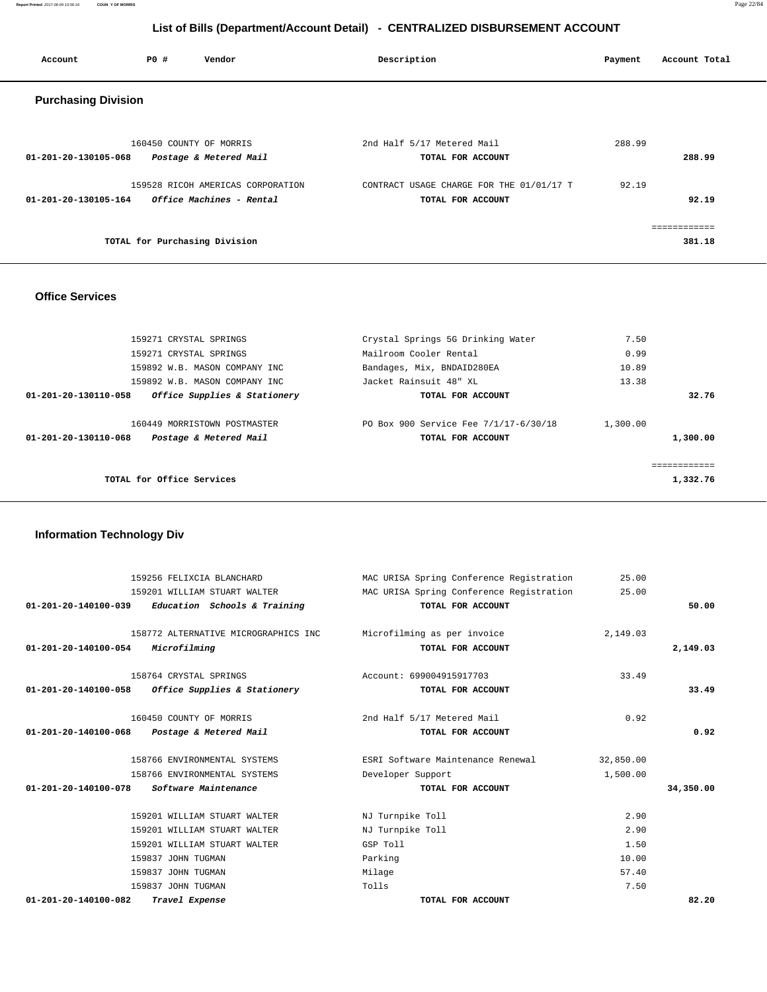**Report Printed** 2017-06-09 15:56:18 **COUN Y OF MORRIS** Page 22/84

## **List of Bills (Department/Account Detail) - CENTRALIZED DISBURSEMENT ACCOUNT**

| Account                    | PO# | Vendor                                                        | Description                                                   | Payment | Account Total          |
|----------------------------|-----|---------------------------------------------------------------|---------------------------------------------------------------|---------|------------------------|
| <b>Purchasing Division</b> |     |                                                               |                                                               |         |                        |
| 01-201-20-130105-068       |     | 160450 COUNTY OF MORRIS<br>Postage & Metered Mail             | 2nd Half 5/17 Metered Mail<br>TOTAL FOR ACCOUNT               | 288.99  | 288.99                 |
| 01-201-20-130105-164       |     | 159528 RICOH AMERICAS CORPORATION<br>Office Machines - Rental | CONTRACT USAGE CHARGE FOR THE 01/01/17 T<br>TOTAL FOR ACCOUNT | 92.19   | 92.19                  |
|                            |     | TOTAL for Purchasing Division                                 |                                                               |         | ============<br>381.18 |

## **Office Services**

| 159271 CRYSTAL SPRINGS                                                         | Crystal Springs 5G Drinking Water                          | 7.50                 |       |
|--------------------------------------------------------------------------------|------------------------------------------------------------|----------------------|-------|
| 159271 CRYSTAL SPRINGS                                                         | Mailroom Cooler Rental                                     | 0.99                 |       |
| 159892 W.B. MASON COMPANY INC                                                  | Bandages, Mix, BNDAID280EA                                 | 10.89                |       |
| 159892 W.B. MASON COMPANY INC                                                  | Jacket Rainsuit 48" XL                                     | 13.38                |       |
| Office Supplies & Stationery<br>01-201-20-130110-058                           | TOTAL FOR ACCOUNT                                          |                      | 32.76 |
| 160449 MORRISTOWN POSTMASTER<br>01-201-20-130110-068<br>Postage & Metered Mail | PO Box 900 Service Fee 7/1/17-6/30/18<br>TOTAL FOR ACCOUNT | 1,300.00<br>1,300.00 |       |
| TOTAL for Office Services                                                      |                                                            | 1,332.76             |       |

## **Information Technology Div**

|                                | 159256 FELIXCIA BLANCHARD                         | MAC URISA Spring Conference Registration | 25.00     |           |
|--------------------------------|---------------------------------------------------|------------------------------------------|-----------|-----------|
|                                | 159201 WILLIAM STUART WALTER                      | MAC URISA Spring Conference Registration | 25.00     |           |
| $01 - 201 - 20 - 140100 - 039$ | Education Schools & Training                      | TOTAL FOR ACCOUNT                        |           | 50.00     |
|                                | 158772 ALTERNATIVE MICROGRAPHICS INC              | Microfilming as per invoice              | 2,149.03  |           |
| 01-201-20-140100-054           | Microfilming                                      | TOTAL FOR ACCOUNT                        |           | 2,149.03  |
|                                | 158764 CRYSTAL SPRINGS                            | Account: 699004915917703                 | 33.49     |           |
|                                | 01-201-20-140100-058 Office Supplies & Stationery | TOTAL FOR ACCOUNT                        |           | 33.49     |
|                                | 160450 COUNTY OF MORRIS                           | 2nd Half 5/17 Metered Mail               | 0.92      |           |
| $01 - 201 - 20 - 140100 - 068$ | Postage & Metered Mail                            | TOTAL FOR ACCOUNT                        |           | 0.92      |
|                                | 158766 ENVIRONMENTAL SYSTEMS                      | ESRI Software Maintenance Renewal        | 32,850.00 |           |
|                                | 158766 ENVIRONMENTAL SYSTEMS                      | Developer Support                        | 1,500.00  |           |
| 01-201-20-140100-078           | Software Maintenance                              | TOTAL FOR ACCOUNT                        |           | 34,350.00 |
|                                | 159201 WILLIAM STUART WALTER                      | NJ Turnpike Toll                         | 2.90      |           |
|                                | 159201 WILLIAM STUART WALTER                      | NJ Turnpike Toll                         | 2.90      |           |
|                                | 159201 WILLIAM STUART WALTER                      | GSP Toll                                 | 1.50      |           |
|                                | 159837 JOHN TUGMAN                                | Parking                                  | 10.00     |           |
|                                | 159837 JOHN TUGMAN                                | Milage                                   | 57.40     |           |
|                                | 159837 JOHN TUGMAN                                | Tolls                                    | 7.50      |           |
| $01 - 201 - 20 - 140100 - 082$ | Travel Expense                                    | TOTAL FOR ACCOUNT                        |           | 82.20     |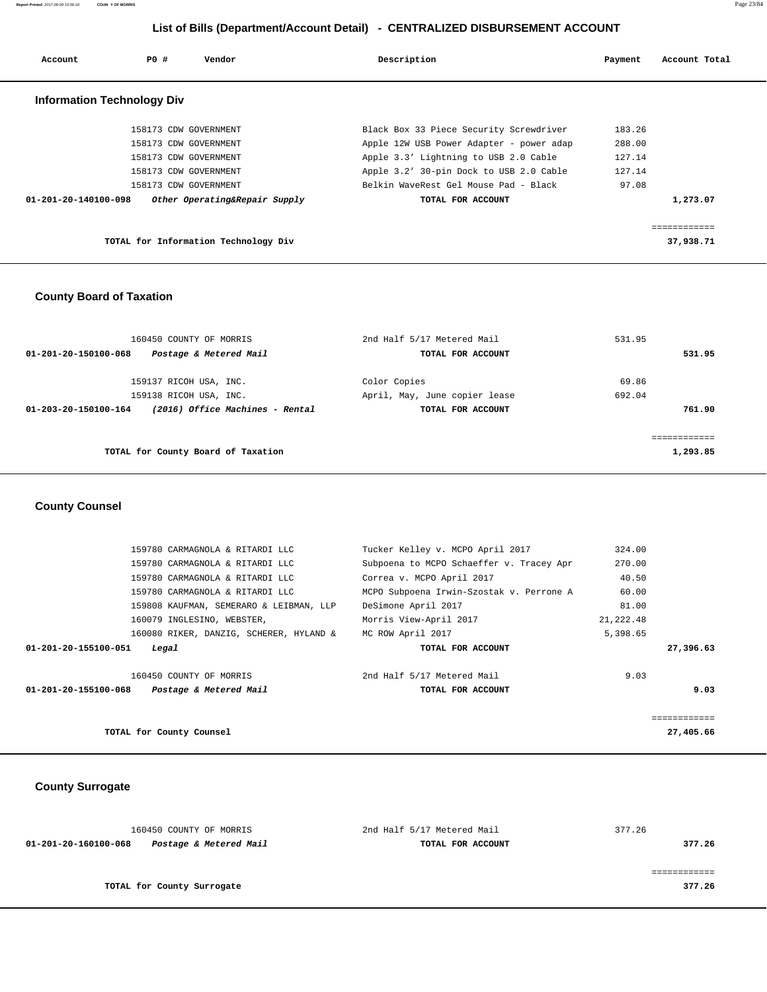**Report Printed** 2017-06-09 15:56:18 **COUN Y OF MORRIS** Page 23/84

## **List of Bills (Department/Account Detail) - CENTRALIZED DISBURSEMENT ACCOUNT**

| Account                           | PO#                   | Vendor                               | Description                              | Payment | Account Total |
|-----------------------------------|-----------------------|--------------------------------------|------------------------------------------|---------|---------------|
| <b>Information Technology Div</b> |                       |                                      |                                          |         |               |
|                                   | 158173 CDW GOVERNMENT |                                      | Black Box 33 Piece Security Screwdriver  | 183.26  |               |
|                                   | 158173 CDW GOVERNMENT |                                      | Apple 12W USB Power Adapter - power adap | 288.00  |               |
|                                   | 158173 CDW GOVERNMENT |                                      | Apple 3.3' Lightning to USB 2.0 Cable    | 127.14  |               |
|                                   | 158173 CDW GOVERNMENT |                                      | Apple 3.2' 30-pin Dock to USB 2.0 Cable  | 127.14  |               |
|                                   | 158173 CDW GOVERNMENT |                                      | Belkin WaveRest Gel Mouse Pad - Black    | 97.08   |               |
| 01-201-20-140100-098              |                       | Other Operating&Repair Supply        | TOTAL FOR ACCOUNT                        |         | 1,273.07      |
|                                   |                       |                                      |                                          |         | ============  |
|                                   |                       | TOTAL for Information Technology Div |                                          |         | 37,938.71     |

## **County Board of Taxation**

| 160450 COUNTY OF MORRIS<br>Postage & Metered Mail<br>01-201-20-150100-068 | 2nd Half 5/17 Metered Mail<br>TOTAL FOR ACCOUNT | 531.95<br>531.95 |
|---------------------------------------------------------------------------|-------------------------------------------------|------------------|
| 159137 RICOH USA, INC.<br>159138 RICOH USA, INC.                          | Color Copies<br>April, May, June copier lease   | 69.86<br>692.04  |
| (2016) Office Machines - Rental<br>01-203-20-150100-164                   | TOTAL FOR ACCOUNT                               | 761.90           |
| TOTAL for County Board of Taxation                                        |                                                 | 1,293.85         |

## **County Counsel**

|                      | 159780 CARMAGNOLA & RITARDI LLC         | Tucker Kelley v. MCPO April 2017         | 324.00    |           |
|----------------------|-----------------------------------------|------------------------------------------|-----------|-----------|
|                      | 159780 CARMAGNOLA & RITARDI LLC         | Subpoena to MCPO Schaeffer v. Tracey Apr | 270.00    |           |
|                      | 159780 CARMAGNOLA & RITARDI LLC         | Correa v. MCPO April 2017                | 40.50     |           |
|                      | 159780 CARMAGNOLA & RITARDI LLC         | MCPO Subpoena Irwin-Szostak v. Perrone A | 60.00     |           |
|                      | 159808 KAUFMAN, SEMERARO & LEIBMAN, LLP | DeSimone April 2017                      | 81.00     |           |
|                      | 160079 INGLESINO, WEBSTER,              | Morris View-April 2017                   | 21,222.48 |           |
|                      | 160080 RIKER, DANZIG, SCHERER, HYLAND & | MC ROW April 2017                        | 5,398.65  |           |
| 01-201-20-155100-051 | Legal                                   | TOTAL FOR ACCOUNT                        |           | 27,396.63 |
|                      | 160450 COUNTY OF MORRIS                 | 2nd Half 5/17 Metered Mail               | 9.03      |           |
| 01-201-20-155100-068 | Postage & Metered Mail                  | TOTAL FOR ACCOUNT                        |           | 9.03      |
|                      |                                         |                                          |           |           |
|                      | TOTAL for County Counsel                |                                          |           | 27,405.66 |

## **County Surrogate**

| 160450 COUNTY OF MORRIS                        | 2nd Half 5/17 Metered Mail | 377.26 |
|------------------------------------------------|----------------------------|--------|
| Postage & Metered Mail<br>01-201-20-160100-068 | TOTAL FOR ACCOUNT          | 377.26 |
|                                                |                            |        |
|                                                |                            |        |
| TOTAL for County Surrogate                     |                            | 377.26 |
|                                                |                            |        |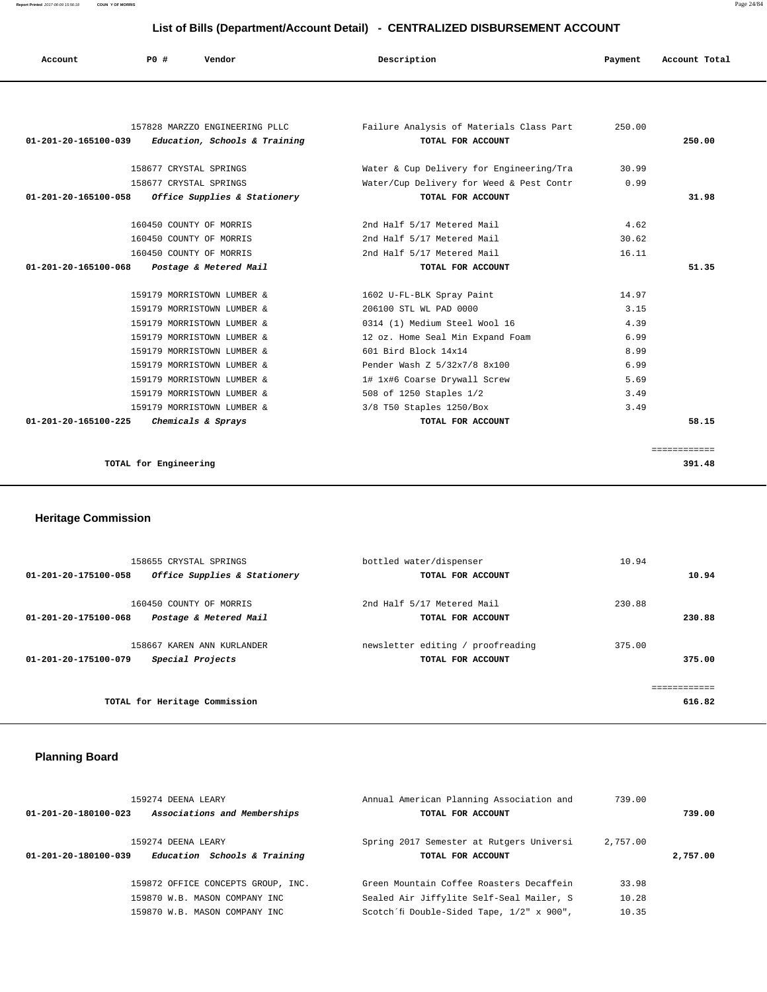## **List of Bills (Department/Account Detail) - CENTRALIZED DISBURSEMENT ACCOUNT**

| Account                        | <b>PO #</b>                | List of Bills (Bepartment/1999am Betail)<br>Vendor | Description                              | Payment | Account Total |
|--------------------------------|----------------------------|----------------------------------------------------|------------------------------------------|---------|---------------|
|                                |                            |                                                    |                                          |         |               |
|                                |                            |                                                    |                                          |         |               |
|                                |                            | 157828 MARZZO ENGINEERING PLLC                     | Failure Analysis of Materials Class Part | 250.00  |               |
| 01-201-20-165100-039           |                            | Education, Schools & Training                      | TOTAL FOR ACCOUNT                        |         | 250.00        |
|                                | 158677 CRYSTAL SPRINGS     |                                                    | Water & Cup Delivery for Engineering/Tra | 30.99   |               |
|                                | 158677 CRYSTAL SPRINGS     |                                                    | Water/Cup Delivery for Weed & Pest Contr | 0.99    |               |
| 01-201-20-165100-058           |                            | Office Supplies & Stationery                       | TOTAL FOR ACCOUNT                        |         | 31.98         |
|                                | 160450 COUNTY OF MORRIS    |                                                    | 2nd Half 5/17 Metered Mail               | 4.62    |               |
|                                | 160450 COUNTY OF MORRIS    |                                                    | 2nd Half 5/17 Metered Mail               | 30.62   |               |
|                                | 160450 COUNTY OF MORRIS    |                                                    | 2nd Half 5/17 Metered Mail               | 16.11   |               |
| $01 - 201 - 20 - 165100 - 068$ |                            | Postage & Metered Mail                             | TOTAL FOR ACCOUNT                        |         | 51.35         |
|                                | 159179 MORRISTOWN LUMBER & |                                                    | 1602 U-FL-BLK Spray Paint                | 14.97   |               |
|                                | 159179 MORRISTOWN LUMBER & |                                                    | 206100 STL WL PAD 0000                   | 3.15    |               |
|                                | 159179 MORRISTOWN LUMBER & |                                                    | 0314 (1) Medium Steel Wool 16            | 4.39    |               |
|                                | 159179 MORRISTOWN LUMBER & |                                                    | 12 oz. Home Seal Min Expand Foam         | 6.99    |               |
|                                | 159179 MORRISTOWN LUMBER & |                                                    | 601 Bird Block 14x14                     | 8.99    |               |
|                                | 159179 MORRISTOWN LUMBER & |                                                    | Pender Wash Z 5/32x7/8 8x100             | 6.99    |               |
|                                | 159179 MORRISTOWN LUMBER & |                                                    | 1# 1x#6 Coarse Drywall Screw             | 5.69    |               |
|                                | 159179 MORRISTOWN LUMBER & |                                                    | 508 of 1250 Staples 1/2                  | 3.49    |               |
|                                | 159179 MORRISTOWN LUMBER & |                                                    | 3/8 T50 Staples 1250/Box                 | 3.49    |               |
| 01-201-20-165100-225           | Chemicals & Sprays         |                                                    | TOTAL FOR ACCOUNT                        |         | 58.15         |
|                                |                            |                                                    |                                          |         | ============  |
|                                | TOTAL for Engineering      |                                                    |                                          |         | 391.48        |

 **Heritage Commission** 

|                      | 158655 CRYSTAL SPRINGS        | bottled water/dispenser           | 10.94  |
|----------------------|-------------------------------|-----------------------------------|--------|
| 01-201-20-175100-058 | Office Supplies & Stationery  | TOTAL FOR ACCOUNT                 | 10.94  |
|                      |                               |                                   |        |
|                      | 160450 COUNTY OF MORRIS       | 2nd Half 5/17 Metered Mail        | 230.88 |
| 01-201-20-175100-068 | Postage & Metered Mail        | TOTAL FOR ACCOUNT                 | 230.88 |
|                      | 158667 KAREN ANN KURLANDER    | newsletter editing / proofreading | 375.00 |
|                      |                               |                                   |        |
| 01-201-20-175100-079 | Special Projects              | TOTAL FOR ACCOUNT                 | 375.00 |
|                      |                               |                                   |        |
|                      |                               |                                   |        |
|                      | TOTAL for Heritage Commission |                                   | 616.82 |
|                      |                               |                                   |        |

## **Planning Board**

| 159274 DEENA LEARY<br>Associations and Memberships<br>01-201-20-180100-023 | Annual American Planning Association and<br>TOTAL FOR ACCOUNT                        | 739.00         | 739.00   |
|----------------------------------------------------------------------------|--------------------------------------------------------------------------------------|----------------|----------|
| 159274 DEENA LEARY<br>Education Schools & Training<br>01-201-20-180100-039 | Spring 2017 Semester at Rutgers Universi<br>TOTAL FOR ACCOUNT                        | 2,757.00       | 2,757.00 |
| 159872 OFFICE CONCEPTS GROUP, INC.<br>159870 W.B. MASON COMPANY INC.       | Green Mountain Coffee Roasters Decaffein<br>Sealed Air Jiffylite Self-Seal Mailer, S | 33.98<br>10.28 |          |
| 159870 W.B. MASON COMPANY INC.                                             | Scotch'fi Double-Sided Tape, 1/2" x 900",                                            | 10.35          |          |

**Report Printed** 2017-06-09 15:56:18 **COUN Y OF MORRIS** Page 24/84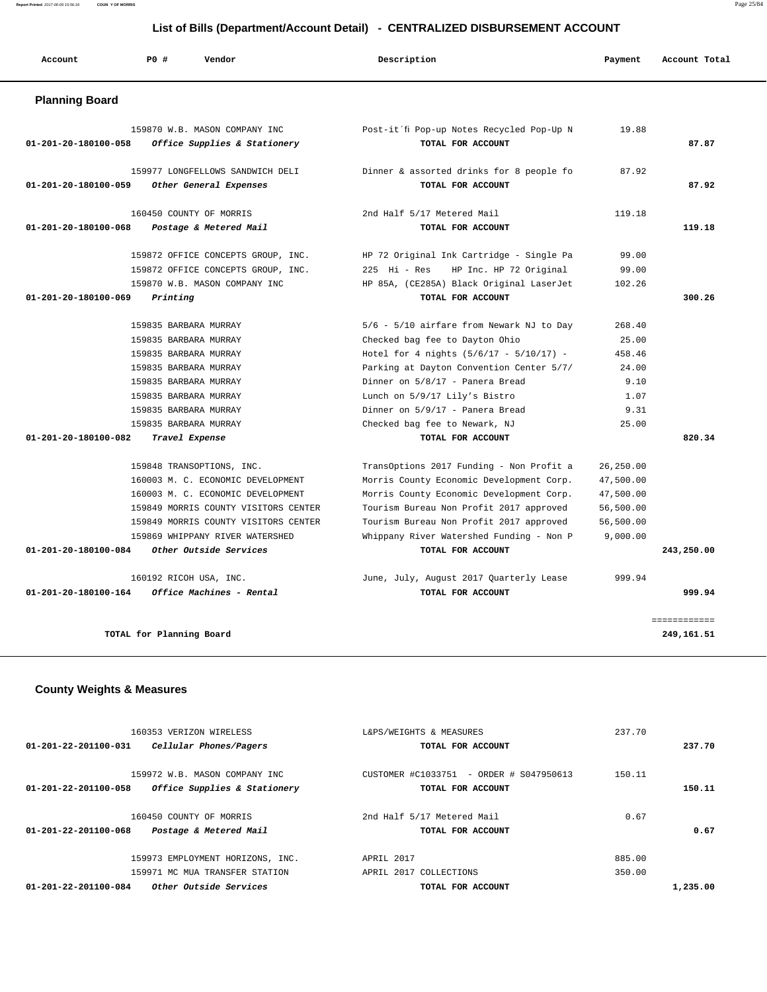**Report Printed** 2017-06-09 15:56:18 **COUN Y OF MORRIS** Page 25/84

## **List of Bills (Department/Account Detail) - CENTRALIZED DISBURSEMENT ACCOUNT**

| Account                              | PO#<br>Vendor                                                                                                                                                                                                                                    | Description                                                                                                                                                                                                                                                                                                 | Payment                                                                   | Account Total              |
|--------------------------------------|--------------------------------------------------------------------------------------------------------------------------------------------------------------------------------------------------------------------------------------------------|-------------------------------------------------------------------------------------------------------------------------------------------------------------------------------------------------------------------------------------------------------------------------------------------------------------|---------------------------------------------------------------------------|----------------------------|
| <b>Planning Board</b>                |                                                                                                                                                                                                                                                  |                                                                                                                                                                                                                                                                                                             |                                                                           |                            |
| 01-201-20-180100-058                 | 159870 W.B. MASON COMPANY INC<br>Office Supplies & Stationery                                                                                                                                                                                    | Post-it'fi Pop-up Notes Recycled Pop-Up N<br>TOTAL FOR ACCOUNT                                                                                                                                                                                                                                              | 19.88                                                                     | 87.87                      |
| 01-201-20-180100-059                 | 159977 LONGFELLOWS SANDWICH DELI<br>Other General Expenses                                                                                                                                                                                       | Dinner & assorted drinks for 8 people fo<br>TOTAL FOR ACCOUNT                                                                                                                                                                                                                                               | 87.92                                                                     | 87.92                      |
| 01-201-20-180100-068                 | 160450 COUNTY OF MORRIS<br>Postage & Metered Mail                                                                                                                                                                                                | 2nd Half 5/17 Metered Mail<br>TOTAL FOR ACCOUNT                                                                                                                                                                                                                                                             | 119.18                                                                    | 119.18                     |
| 01-201-20-180100-069                 | 159872 OFFICE CONCEPTS GROUP, INC.<br>159872 OFFICE CONCEPTS GROUP, INC.<br>159870 W.B. MASON COMPANY INC<br>Printing                                                                                                                            | HP 72 Original Ink Cartridge - Single Pa<br>$225$ Hi - Res<br>HP Inc. HP 72 Original<br>HP 85A, (CE285A) Black Original LaserJet<br>TOTAL FOR ACCOUNT                                                                                                                                                       | 99.00<br>99.00<br>102.26                                                  | 300.26                     |
|                                      | 159835 BARBARA MURRAY<br>159835 BARBARA MURRAY<br>159835 BARBARA MURRAY<br>159835 BARBARA MURRAY<br>159835 BARBARA MURRAY<br>159835 BARBARA MURRAY<br>159835 BARBARA MURRAY<br>159835 BARBARA MURRAY                                             | 5/6 - 5/10 airfare from Newark NJ to Day<br>Checked bag fee to Dayton Ohio<br>Hotel for 4 nights $(5/6/17 - 5/10/17)$ -<br>Parking at Dayton Convention Center 5/7/<br>Dinner on 5/8/17 - Panera Bread<br>Lunch on 5/9/17 Lily's Bistro<br>Dinner on 5/9/17 - Panera Bread<br>Checked bag fee to Newark, NJ | 268.40<br>25.00<br>458.46<br>24.00<br>9.10<br>1.07<br>9.31<br>25.00       |                            |
| 01-201-20-180100-082                 | Travel Expense                                                                                                                                                                                                                                   | TOTAL FOR ACCOUNT                                                                                                                                                                                                                                                                                           |                                                                           | 820.34                     |
| 01-201-20-180100-084                 | 159848 TRANSOPTIONS, INC.<br>160003 M. C. ECONOMIC DEVELOPMENT<br>160003 M. C. ECONOMIC DEVELOPMENT<br>159849 MORRIS COUNTY VISITORS CENTER<br>159849 MORRIS COUNTY VISITORS CENTER<br>159869 WHIPPANY RIVER WATERSHED<br>Other Outside Services | TransOptions 2017 Funding - Non Profit a<br>Morris County Economic Development Corp.<br>Morris County Economic Development Corp.<br>Tourism Bureau Non Profit 2017 approved<br>Tourism Bureau Non Profit 2017 approved<br>Whippany River Watershed Funding - Non P<br>TOTAL FOR ACCOUNT                     | 26,250.00<br>47,500.00<br>47,500.00<br>56,500.00<br>56,500.00<br>9,000.00 | 243,250.00                 |
| 01-201-20-180100-164                 | 160192 RICOH USA, INC.<br>Office Machines - Rental                                                                                                                                                                                               | June, July, August 2017 Quarterly Lease<br>TOTAL FOR ACCOUNT                                                                                                                                                                                                                                                | 999.94                                                                    | 999.94                     |
|                                      | TOTAL for Planning Board                                                                                                                                                                                                                         |                                                                                                                                                                                                                                                                                                             |                                                                           | ============<br>249,161.51 |
| <b>County Weights &amp; Measures</b> |                                                                                                                                                                                                                                                  |                                                                                                                                                                                                                                                                                                             |                                                                           |                            |

|                      | 160353 VERIZON WIRELESS          | L&PS/WEIGHTS & MEASURES                 | 237.70 |          |
|----------------------|----------------------------------|-----------------------------------------|--------|----------|
| 01-201-22-201100-031 | Cellular Phones/Pagers           | TOTAL FOR ACCOUNT                       |        | 237.70   |
|                      |                                  |                                         |        |          |
|                      | 159972 W.B. MASON COMPANY INC    | CUSTOMER #C1033751 - ORDER # S047950613 | 150.11 |          |
| 01-201-22-201100-058 | Office Supplies & Stationery     | TOTAL FOR ACCOUNT                       |        | 150.11   |
|                      |                                  |                                         |        |          |
|                      | 160450 COUNTY OF MORRIS          | 2nd Half 5/17 Metered Mail              | 0.67   |          |
| 01-201-22-201100-068 | Postage & Metered Mail           | TOTAL FOR ACCOUNT                       |        | 0.67     |
|                      |                                  |                                         |        |          |
|                      | 159973 EMPLOYMENT HORIZONS, INC. | APRIL 2017                              | 885.00 |          |
|                      | 159971 MC MUA TRANSFER STATION   | APRIL 2017 COLLECTIONS                  | 350.00 |          |
| 01-201-22-201100-084 | <i>Other Outside Services</i>    | TOTAL FOR ACCOUNT                       |        | 1,235.00 |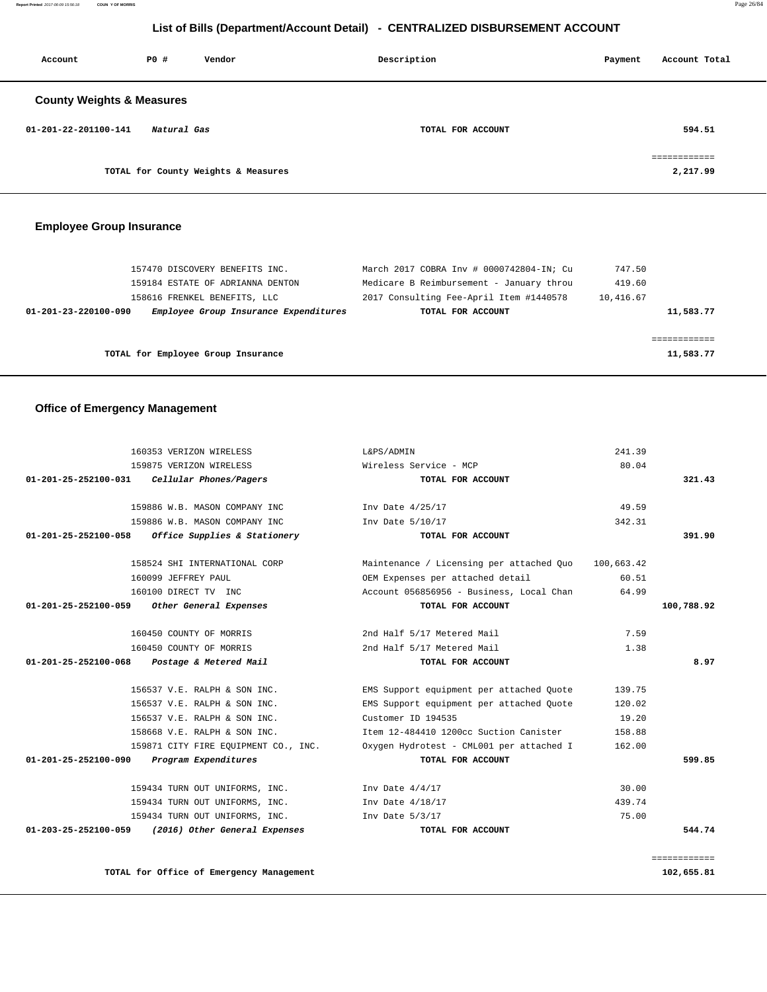**Report Printed** 2017-06-09 15:56:18 **COUN Y OF MORRIS** Page 26/84

## **List of Bills (Department/Account Detail) - CENTRALIZED DISBURSEMENT ACCOUNT**

| Account                              | PO#         | Vendor                              | Description       | Payment | Account Total                           |
|--------------------------------------|-------------|-------------------------------------|-------------------|---------|-----------------------------------------|
| <b>County Weights &amp; Measures</b> |             |                                     |                   |         |                                         |
| 01-201-22-201100-141                 | Natural Gas |                                     | TOTAL FOR ACCOUNT |         | 594.51                                  |
|                                      |             | TOTAL for County Weights & Measures |                   |         | ------------<br>___________<br>2,217.99 |

## **Employee Group Insurance**

| 157470 DISCOVERY BENEFITS INC.                                | March 2017 COBRA Inv # 0000742804-IN; Cu | 747.50    |           |
|---------------------------------------------------------------|------------------------------------------|-----------|-----------|
| 159184 ESTATE OF ADRIANNA DENTON                              | Medicare B Reimbursement - January throu | 419.60    |           |
| 158616 FRENKEL BENEFITS, LLC                                  | 2017 Consulting Fee-April Item #1440578  | 10,416.67 |           |
| Employee Group Insurance Expenditures<br>01-201-23-220100-090 | TOTAL FOR ACCOUNT                        |           | 11,583.77 |
|                                                               |                                          |           |           |
|                                                               |                                          |           |           |
| TOTAL for Employee Group Insurance                            |                                          |           | 11,583.77 |
|                                                               |                                          |           |           |

## **Office of Emergency Management**

| 160353 VERIZON WIRELESS                               | L&PS/ADMIN                               | 241.39     |                            |
|-------------------------------------------------------|------------------------------------------|------------|----------------------------|
| 159875 VERIZON WIRELESS                               | Wireless Service - MCP                   | 80.04      |                            |
| 01-201-25-252100-031<br>Cellular Phones/Pagers        | TOTAL FOR ACCOUNT                        |            | 321.43                     |
| 159886 W.B. MASON COMPANY INC.                        | Inv Date 4/25/17                         | 49.59      |                            |
| 159886 W.B. MASON COMPANY INC                         | Inv Date 5/10/17                         | 342.31     |                            |
| Office Supplies & Stationery<br>01-201-25-252100-058  | TOTAL FOR ACCOUNT                        |            | 391.90                     |
| 158524 SHI INTERNATIONAL CORP                         | Maintenance / Licensing per attached Ouo | 100,663.42 |                            |
| 160099 JEFFREY PAUL                                   | OEM Expenses per attached detail         | 60.51      |                            |
| 160100 DIRECT TV INC                                  | Account 056856956 - Business, Local Chan | 64.99      |                            |
| 01-201-25-252100-059 Other General Expenses           | TOTAL FOR ACCOUNT                        |            | 100,788.92                 |
| 160450 COUNTY OF MORRIS                               | 2nd Half 5/17 Metered Mail               | 7.59       |                            |
| 160450 COUNTY OF MORRIS                               | 2nd Half 5/17 Metered Mail               | 1.38       |                            |
| Postage & Metered Mail<br>01-201-25-252100-068        | TOTAL FOR ACCOUNT                        |            | 8.97                       |
| 156537 V.E. RALPH & SON INC.                          | EMS Support equipment per attached Quote | 139.75     |                            |
| 156537 V.E. RALPH & SON INC.                          | EMS Support equipment per attached Quote | 120.02     |                            |
| 156537 V.E. RALPH & SON INC.                          | Customer ID 194535                       | 19.20      |                            |
| 158668 V.E. RALPH & SON INC.                          | Item 12-484410 1200cc Suction Canister   | 158.88     |                            |
| 159871 CITY FIRE EQUIPMENT CO., INC.                  | Oxygen Hydrotest - CML001 per attached I | 162.00     |                            |
| Program Expenditures<br>01-201-25-252100-090          | TOTAL FOR ACCOUNT                        |            | 599.85                     |
| 159434 TURN OUT UNIFORMS, INC.                        | Inv Date $4/4/17$                        | 30.00      |                            |
| 159434 TURN OUT UNIFORMS, INC.                        | Inv Date $4/18/17$                       | 439.74     |                            |
| 159434 TURN OUT UNIFORMS, INC.                        | Inv Date $5/3/17$                        | 75.00      |                            |
| 01-203-25-252100-059<br>(2016) Other General Expenses | TOTAL FOR ACCOUNT                        |            | 544.74                     |
|                                                       |                                          |            |                            |
| TOTAL for Office of Emergency Management              |                                          |            | ============<br>102,655.81 |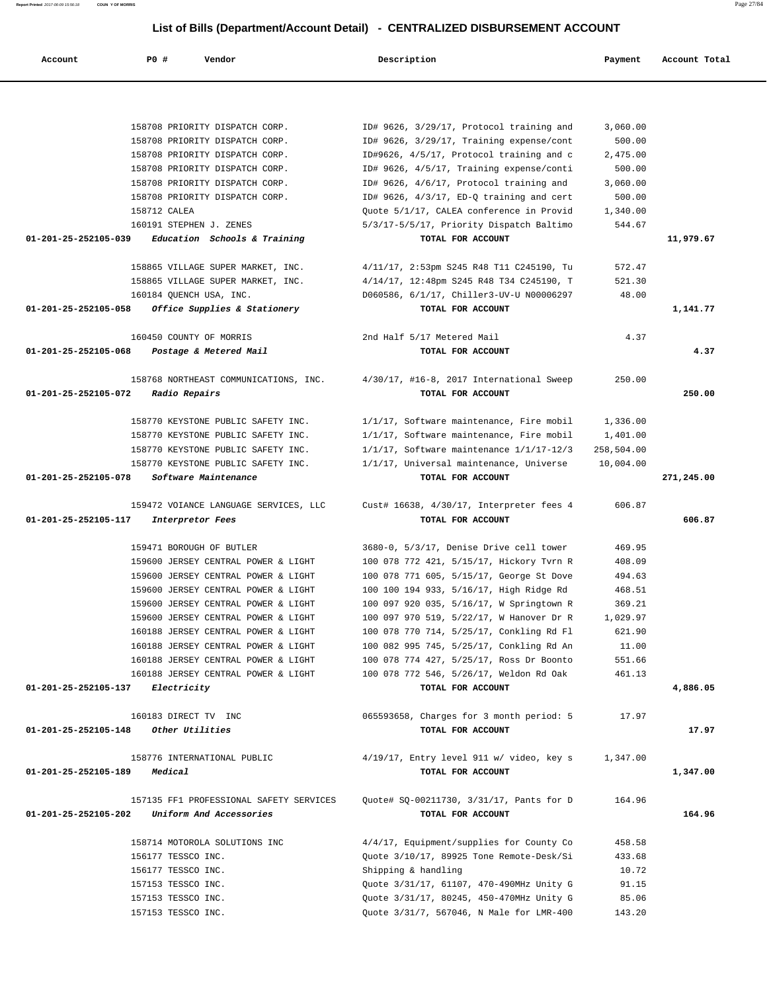| Report Printed 2017-06-09 15:56:18 | COUN Y OF MORRIS |                                |                                                                              |          | Page 27/84    |
|------------------------------------|------------------|--------------------------------|------------------------------------------------------------------------------|----------|---------------|
|                                    |                  |                                | List of Bills (Department/Account Detail) - CENTRALIZED DISBURSEMENT ACCOUNT |          |               |
| Account                            | PO#              | Vendor                         | Description                                                                  | Payment  | Account Total |
|                                    |                  |                                |                                                                              |          |               |
|                                    |                  | 158708 PRIORITY DISPATCH CORP. | ID# 9626, 3/29/17, Protocol training and                                     | 3,060.00 |               |
|                                    |                  | 158708 PRIORITY DISPATCH CORP. | ID# 9626, 3/29/17, Training expense/cont                                     | 500.00   |               |
|                                    |                  | 158708 PRIORITY DISPATCH CORP. | ID#9626, 4/5/17, Protocol training and c                                     | 2,475.00 |               |
|                                    |                  | 158708 PRIORITY DISPATCH CORP. | ID# 9626, 4/5/17, Training expense/conti                                     | 500.00   |               |
|                                    |                  | 158708 PRIORITY DISPATCH CORP. | ID# 9626, 4/6/17, Protocol training and                                      | 3,060.00 |               |
|                                    |                  | 158708 PRIORITY DISPATCH CORP. | ID# $9626$ , $4/3/17$ , ED-Q training and cert                               | 500.00   |               |
|                                    | 158712 CALEA     |                                | Quote 5/1/17, CALEA conference in Provid                                     | 1,340.00 |               |
|                                    |                  | 160191 STEPHEN J. ZENES        | 5/3/17-5/5/17, Priority Dispatch Baltimo                                     | 544.67   |               |
| 01-201-25-252105-039               |                  | Education Schools & Training   | TOTAL FOR ACCOUNT                                                            |          | 11,979.67     |

 158865 VILLAGE SUPER MARKET, INC. 4/11/17, 2:53pm S245 R48 T11 C245190, Tu 572.47 158865 VILLAGE SUPER MARKET, INC. 4/14/17, 12:48pm S245 R48 T34 C245190, T 521.30 160184 QUENCH USA, INC. D060586, 6/1/17, Chiller3-UV-U N00006297 48.00  **01-201-25-252105-058 Office Supplies & Stationery TOTAL FOR ACCOUNT 1,141.77**

 160450 COUNTY OF MORRIS 2nd Half 5/17 Metered Mail 4.37  **01-201-25-252105-068 Postage & Metered Mail TOTAL FOR ACCOUNT 4.37**

 158768 NORTHEAST COMMUNICATIONS, INC. 4/30/17, #16-8, 2017 International Sweep 250.00  **01-201-25-252105-072 Radio Repairs TOTAL FOR ACCOUNT 250.00**

 158770 KEYSTONE PUBLIC SAFETY INC. 1/1/17, Software maintenance, Fire mobil 1,336.00 158770 KEYSTONE PUBLIC SAFETY INC. 1/1/17, Software maintenance, Fire mobil 1,401.00 158770 KEYSTONE PUBLIC SAFETY INC. 1/1/17, Software maintenance 1/1/17-12/3 258,504.00 158770 KEYSTONE PUBLIC SAFETY INC. 1/1/17, Universal maintenance, Universe 10,004.00  **01-201-25-252105-078 Software Maintenance TOTAL FOR ACCOUNT 271,245.00**

 159472 VOIANCE LANGUAGE SERVICES, LLC Cust# 16638, 4/30/17, Interpreter fees 4 606.87  **01-201-25-252105-117 Interpretor Fees TOTAL FOR ACCOUNT 606.87**

 159471 BOROUGH OF BUTLER 3680-0, 5/3/17, Denise Drive cell tower 469.95 159600 JERSEY CENTRAL POWER & LIGHT 100 078 772 421, 5/15/17, Hickory Tvrn R 408.09 159600 JERSEY CENTRAL POWER & LIGHT 100 078 771 605, 5/15/17, George St Dove 494.63 159600 JERSEY CENTRAL POWER & LIGHT 100 100 194 933, 5/16/17, High Ridge Rd 468.51 159600 JERSEY CENTRAL POWER & LIGHT 100 097 920 035, 5/16/17, W Springtown R 369.21 159600 JERSEY CENTRAL POWER & LIGHT 100 097 970 519, 5/22/17, W Hanover Dr R 1,029.97 160188 JERSEY CENTRAL POWER & LIGHT 100 078 770 714, 5/25/17, Conkling Rd Fl 621.90 160188 JERSEY CENTRAL POWER & LIGHT 100 082 995 745, 5/25/17, Conkling Rd An 11.00 160188 JERSEY CENTRAL POWER & LIGHT 100 078 774 427, 5/25/17, Ross Dr Boonto 551.66 160188 JERSEY CENTRAL POWER & LIGHT 100 078 772 546, 5/26/17, Weldon Rd Oak 461.13  **01-201-25-252105-137 Electricity TOTAL FOR ACCOUNT 4,886.05**

 160183 DIRECT TV INC 065593658, Charges for 3 month period: 5 17.97  **01-201-25-252105-148 Other Utilities TOTAL FOR ACCOUNT 17.97**

 158776 INTERNATIONAL PUBLIC 4/19/17, Entry level 911 w/ video, key s 1,347.00  **01-201-25-252105-189 Medical TOTAL FOR ACCOUNT 1,347.00**

 157135 FF1 PROFESSIONAL SAFETY SERVICES Quote# SQ-00211730, 3/31/17, Pants for D 164.96  **01-201-25-252105-202 Uniform And Accessories TOTAL FOR ACCOUNT 164.96**

> 158714 MOTOROLA SOLUTIONS INC 4/4/17, Equipment/supplies for County Co 458.58 156177 TESSCO INC. Quote 3/10/17, 89925 Tone Remote-Desk/Si 433.68 156177 TESSCO INC. Shipping & handling 10.72 157153 TESSCO INC. Quote 3/31/17, 61107, 470-490MHz Unity G 91.15 157153 TESSCO INC. Quote 3/31/17, 80245, 450-470MHz Unity G 85.06 157153 TESSCO INC. Quote 3/31/7, 567046, N Male for LMR-400 143.20

|--|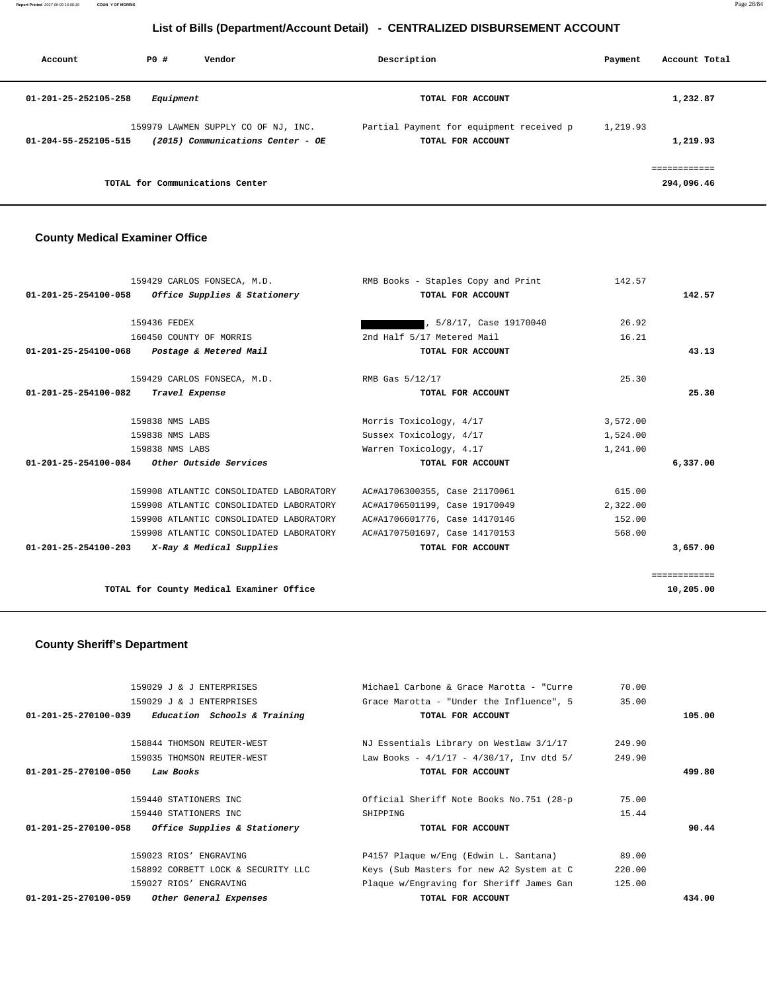**Report Printed** 2017-06-09 15:56:18 **COUN Y OF MORRIS** Page 28/84

## **List of Bills (Department/Account Detail) - CENTRALIZED DISBURSEMENT ACCOUNT**

| Account              | PO#<br>Vendor                                                            | Description                                                   | Account Total<br>Payment   |  |
|----------------------|--------------------------------------------------------------------------|---------------------------------------------------------------|----------------------------|--|
| 01-201-25-252105-258 | Equipment                                                                | TOTAL FOR ACCOUNT                                             | 1,232.87                   |  |
| 01-204-55-252105-515 | 159979 LAWMEN SUPPLY CO OF NJ, INC.<br>(2015) Communications Center - OE | Partial Payment for equipment received p<br>TOTAL FOR ACCOUNT | 1,219.93<br>1,219.93       |  |
|                      | TOTAL for Communications Center                                          |                                                               | ============<br>294,096.46 |  |

## **County Medical Examiner Office**

| 159429 CARLOS FONSECA, M.D.                                    | RMB Books - Staples Copy and Print | 142.57   |              |
|----------------------------------------------------------------|------------------------------------|----------|--------------|
| Office Supplies & Stationery<br>$01 - 201 - 25 - 254100 - 058$ | TOTAL FOR ACCOUNT                  |          | 142.57       |
| 159436 FEDEX                                                   | , 5/8/17, Case 19170040            | 26.92    |              |
| 160450 COUNTY OF MORRIS                                        | 2nd Half 5/17 Metered Mail         | 16.21    |              |
| Postage & Metered Mail<br>$01 - 201 - 25 - 254100 - 068$       | TOTAL FOR ACCOUNT                  |          | 43.13        |
|                                                                |                                    |          |              |
| 159429 CARLOS FONSECA, M.D.                                    | RMB Gas 5/12/17                    | 25.30    |              |
| Travel Expense<br>01-201-25-254100-082                         | TOTAL FOR ACCOUNT                  |          | 25.30        |
|                                                                |                                    |          |              |
| 159838 NMS LABS                                                | Morris Toxicology, 4/17            | 3,572.00 |              |
| 159838 NMS LABS                                                | Sussex Toxicology, 4/17            | 1,524.00 |              |
| 159838 NMS LABS                                                | Warren Toxicology, 4.17            | 1,241.00 |              |
| <i>Other Outside Services</i><br>01-201-25-254100-084          | TOTAL FOR ACCOUNT                  |          | 6,337.00     |
| 159908 ATLANTIC CONSOLIDATED LABORATORY                        | AC#A1706300355, Case 21170061      | 615.00   |              |
| 159908 ATLANTIC CONSOLIDATED LABORATORY                        | AC#A1706501199, Case 19170049      | 2,322.00 |              |
| 159908 ATLANTIC CONSOLIDATED LABORATORY                        | AC#A1706601776, Case 14170146      | 152.00   |              |
| 159908 ATLANTIC CONSOLIDATED LABORATORY                        | AC#A1707501697, Case 14170153      | 568.00   |              |
| 01-201-25-254100-203<br>X-Ray & Medical Supplies               | TOTAL FOR ACCOUNT                  |          | 3,657.00     |
|                                                                |                                    |          | ============ |
| TOTAL for County Medical Examiner Office                       |                                    |          | 10,205.00    |
|                                                                |                                    |          |              |

# **County Sheriff's Department**

| 159029 J & J ENTERPRISES                                       | Michael Carbone & Grace Marotta - "Curre"   | 70.00  |        |
|----------------------------------------------------------------|---------------------------------------------|--------|--------|
| 159029 J & J ENTERPRISES                                       | Grace Marotta - "Under the Influence", 5    | 35.00  |        |
| $01 - 201 - 25 - 270100 - 039$<br>Education Schools & Training | TOTAL FOR ACCOUNT                           |        | 105.00 |
|                                                                |                                             |        |        |
| 158844 THOMSON REUTER-WEST                                     | NJ Essentials Library on Westlaw 3/1/17     | 249.90 |        |
| 159035 THOMSON REUTER-WEST                                     | Law Books - $4/1/17 - 4/30/17$ , Inv dtd 5/ | 249.90 |        |
| $01 - 201 - 25 - 270100 - 050$<br>Law Books                    | TOTAL FOR ACCOUNT                           |        | 499.80 |
|                                                                |                                             |        |        |
| 159440 STATIONERS INC                                          | Official Sheriff Note Books No.751 (28-p)   | 75.00  |        |
| 159440 STATIONERS INC                                          | SHIPPING                                    | 15.44  |        |
| Office Supplies & Stationery<br>01-201-25-270100-058           | TOTAL FOR ACCOUNT                           |        | 90.44  |
| 159023 RIOS' ENGRAVING                                         | P4157 Plaque w/Eng (Edwin L. Santana)       | 89.00  |        |
| 158892 CORBETT LOCK & SECURITY LLC                             | Keys (Sub Masters for new A2 System at C    | 220.00 |        |
| 159027 RIOS' ENGRAVING                                         | Plaque w/Engraving for Sheriff James Gan    | 125.00 |        |
| 01-201-25-270100-059<br>Other General Expenses                 | TOTAL FOR ACCOUNT                           |        | 434.00 |
|                                                                |                                             |        |        |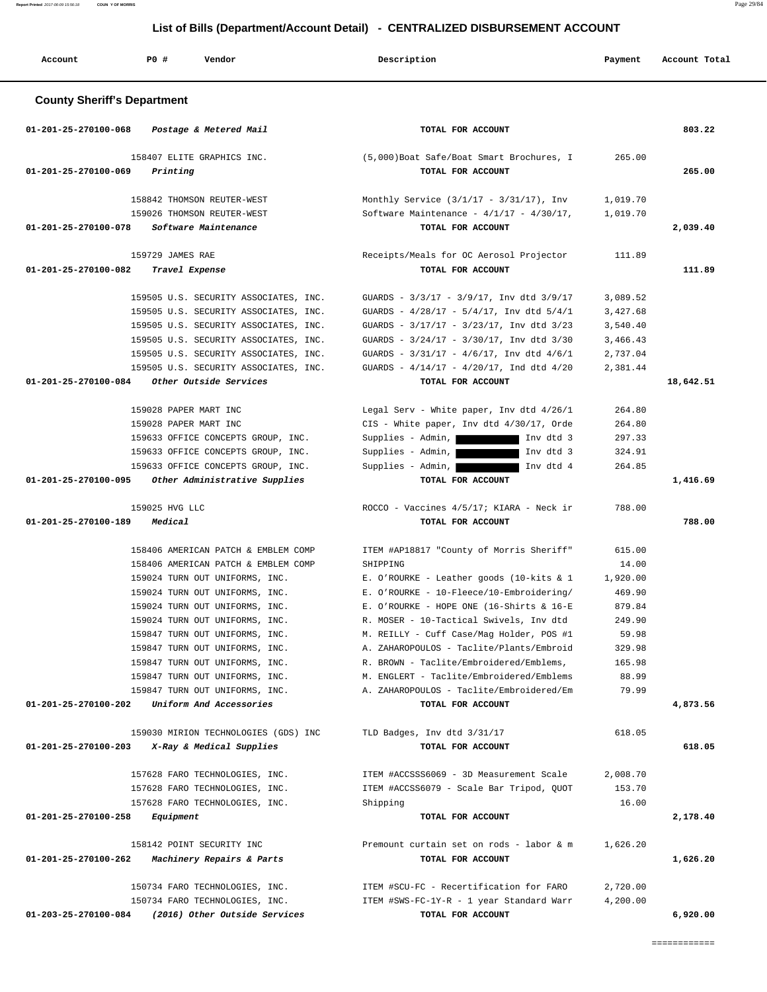**Report Printed** 2017-06-09 15:56:18 **COUN Y OF MORRIS** Page 29/84

## **List of Bills (Department/Account Detail) - CENTRALIZED DISBURSEMENT ACCOUNT**

| Account                            | PO#<br>Vendor                                             | Description                                                                               | Payment              | Account Total |
|------------------------------------|-----------------------------------------------------------|-------------------------------------------------------------------------------------------|----------------------|---------------|
| <b>County Sheriff's Department</b> |                                                           |                                                                                           |                      |               |
| 01-201-25-270100-068               | Postage & Metered Mail                                    | TOTAL FOR ACCOUNT                                                                         |                      | 803.22        |
| 01-201-25-270100-069               | 158407 ELITE GRAPHICS INC.<br>Printing                    | (5,000)Boat Safe/Boat Smart Brochures, I<br>TOTAL FOR ACCOUNT                             | 265.00               | 265.00        |
|                                    | 158842 THOMSON REUTER-WEST<br>159026 THOMSON REUTER-WEST  | Monthly Service $(3/1/17 - 3/31/17)$ , Inv<br>Software Maintenance - $4/1/17 - 4/30/17$ , | 1,019.70<br>1,019.70 |               |
| 01-201-25-270100-078               | Software Maintenance                                      | TOTAL FOR ACCOUNT                                                                         |                      | 2,039.40      |
| 01-201-25-270100-082               | 159729 JAMES RAE<br>Travel Expense                        | Receipts/Meals for OC Aerosol Projector<br>TOTAL FOR ACCOUNT                              | 111.89               | 111.89        |
|                                    | 159505 U.S. SECURITY ASSOCIATES, INC.                     | GUARDS - 3/3/17 - 3/9/17, Inv dtd 3/9/17                                                  | 3,089.52             |               |
|                                    | 159505 U.S. SECURITY ASSOCIATES, INC.                     | GUARDS - 4/28/17 - 5/4/17, Inv dtd 5/4/1                                                  | 3,427.68             |               |
|                                    | 159505 U.S. SECURITY ASSOCIATES, INC.                     | GUARDS - 3/17/17 - 3/23/17, Inv dtd 3/23                                                  | 3,540.40             |               |
|                                    | 159505 U.S. SECURITY ASSOCIATES, INC.                     | GUARDS - 3/24/17 - 3/30/17, Inv dtd 3/30                                                  | 3,466.43             |               |
|                                    | 159505 U.S. SECURITY ASSOCIATES, INC.                     | GUARDS - $3/31/17$ - $4/6/17$ , Inv dtd $4/6/1$                                           | 2,737.04             |               |
|                                    | 159505 U.S. SECURITY ASSOCIATES, INC.                     | GUARDS - 4/14/17 - 4/20/17, Ind dtd 4/20                                                  | 2,381.44             |               |
| 01-201-25-270100-084               | Other Outside Services                                    | TOTAL FOR ACCOUNT                                                                         |                      | 18,642.51     |
|                                    | 159028 PAPER MART INC                                     | Legal Serv - White paper, Inv dtd 4/26/1                                                  | 264.80               |               |
|                                    | 159028 PAPER MART INC                                     | CIS - White paper, Inv dtd 4/30/17, Orde                                                  | 264.80               |               |
|                                    | 159633 OFFICE CONCEPTS GROUP, INC.                        | Supplies - Admin,<br>Inv dtd 3                                                            | 297.33               |               |
|                                    | 159633 OFFICE CONCEPTS GROUP, INC.                        | Supplies - Admin,<br>Inv dtd 3                                                            | 324.91               |               |
|                                    | 159633 OFFICE CONCEPTS GROUP, INC.                        | Supplies - Admin,<br>Inv dtd 4                                                            | 264.85               |               |
| 01-201-25-270100-095               | Other Administrative Supplies                             | TOTAL FOR ACCOUNT                                                                         |                      | 1,416.69      |
|                                    | 159025 HVG LLC                                            | ROCCO - Vaccines 4/5/17; KIARA - Neck ir                                                  | 788.00               |               |
| 01-201-25-270100-189               | Medical                                                   | TOTAL FOR ACCOUNT                                                                         |                      | 788.00        |
|                                    | 158406 AMERICAN PATCH & EMBLEM COMP                       | ITEM #AP18817 "County of Morris Sheriff"                                                  | 615.00               |               |
|                                    | 158406 AMERICAN PATCH & EMBLEM COMP                       | SHIPPING                                                                                  | 14.00                |               |
|                                    | 159024 TURN OUT UNIFORMS, INC.                            | E. O'ROURKE - Leather goods (10-kits & 1                                                  | 1,920.00             |               |
|                                    | 159024 TURN OUT UNIFORMS, INC.                            | E. O'ROURKE - 10-Fleece/10-Embroidering/                                                  | 469.90               |               |
|                                    | 159024 TURN OUT UNIFORMS, INC.                            | E. O'ROURKE - HOPE ONE (16-Shirts & 16-E                                                  | 879.84               |               |
|                                    | 159024 TURN OUT UNIFORMS, INC.                            | R. MOSER - 10-Tactical Swivels, Inv dtd                                                   | 249.90               |               |
|                                    | 159847 TURN OUT UNIFORMS, INC.                            | M. REILLY - Cuff Case/Mag Holder, POS #1                                                  | 59.98                |               |
|                                    | 159847 TURN OUT UNIFORMS, INC.                            | A. ZAHAROPOULOS - Taclite/Plants/Embroid                                                  | 329.98               |               |
|                                    | 159847 TURN OUT UNIFORMS, INC.                            | R. BROWN - Taclite/Embroidered/Emblems,                                                   | 165.98               |               |
|                                    | 159847 TURN OUT UNIFORMS, INC.                            | M. ENGLERT - Taclite/Embroidered/Emblems                                                  | 88.99                |               |
| 01-201-25-270100-202               | 159847 TURN OUT UNIFORMS, INC.<br>Uniform And Accessories | A. ZAHAROPOULOS - Taclite/Embroidered/Em<br>TOTAL FOR ACCOUNT                             | 79.99                | 4,873.56      |
|                                    |                                                           |                                                                                           |                      |               |
|                                    | 159030 MIRION TECHNOLOGIES (GDS) INC                      | TLD Badges, Inv dtd 3/31/17                                                               | 618.05               |               |
| 01-201-25-270100-203               | X-Ray & Medical Supplies                                  | TOTAL FOR ACCOUNT                                                                         |                      | 618.05        |
|                                    | 157628 FARO TECHNOLOGIES, INC.                            | ITEM #ACCSSS6069 - 3D Measurement Scale                                                   | 2,008.70             |               |
|                                    | 157628 FARO TECHNOLOGIES, INC.                            | ITEM #ACCSS6079 - Scale Bar Tripod, QUOT                                                  | 153.70               |               |
|                                    | 157628 FARO TECHNOLOGIES, INC.                            | Shipping                                                                                  | 16.00                |               |
| 01-201-25-270100-258               | Equipment                                                 | TOTAL FOR ACCOUNT                                                                         |                      | 2,178.40      |
|                                    | 158142 POINT SECURITY INC                                 | Premount curtain set on rods - labor & m                                                  | 1,626.20             |               |
| 01-201-25-270100-262               | Machinery Repairs & Parts                                 | TOTAL FOR ACCOUNT                                                                         |                      | 1,626.20      |
|                                    | 150734 FARO TECHNOLOGIES, INC.                            | ITEM #SCU-FC - Recertification for FARO                                                   | 2,720.00             |               |
|                                    | 150734 FARO TECHNOLOGIES, INC.                            | ITEM #SWS-FC-1Y-R - 1 year Standard Warr                                                  | 4,200.00             |               |
| 01-203-25-270100-084               | (2016) Other Outside Services                             | TOTAL FOR ACCOUNT                                                                         |                      | 6,920.00      |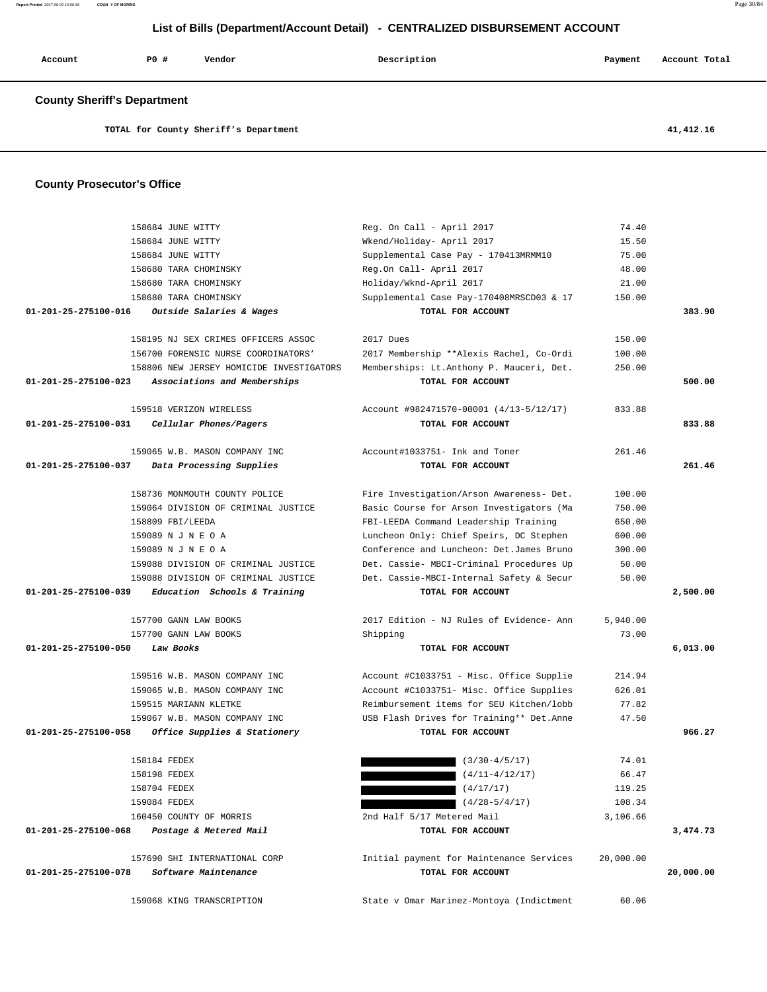| Account                            | PO#<br>Vendor                            | Description                                                   | Payment   | Account Total |
|------------------------------------|------------------------------------------|---------------------------------------------------------------|-----------|---------------|
| <b>County Sheriff's Department</b> |                                          |                                                               |           |               |
|                                    | TOTAL for County Sheriff's Department    |                                                               |           | 41,412.16     |
|                                    |                                          |                                                               |           |               |
| <b>County Prosecutor's Office</b>  |                                          |                                                               |           |               |
|                                    | 158684 JUNE WITTY                        | Reg. On Call - April 2017                                     | 74.40     |               |
|                                    | 158684 JUNE WITTY                        | Wkend/Holiday- April 2017                                     | 15.50     |               |
|                                    | 158684 JUNE WITTY                        | Supplemental Case Pay - 170413MRMM10                          | 75.00     |               |
|                                    | 158680 TARA CHOMINSKY                    | Reg.On Call- April 2017                                       | 48.00     |               |
|                                    | 158680 TARA CHOMINSKY                    | Holiday/Wknd-April 2017                                       | 21.00     |               |
|                                    | 158680 TARA CHOMINSKY                    | Supplemental Case Pay-170408MRSCD03 & 17                      | 150.00    |               |
| 01-201-25-275100-016               | Outside Salaries & Wages                 | TOTAL FOR ACCOUNT                                             |           | 383.90        |
|                                    | 158195 NJ SEX CRIMES OFFICERS ASSOC      | 2017 Dues                                                     | 150.00    |               |
|                                    | 156700 FORENSIC NURSE COORDINATORS'      | 2017 Membership **Alexis Rachel, Co-Ordi                      | 100.00    |               |
|                                    | 158806 NEW JERSEY HOMICIDE INVESTIGATORS | Memberships: Lt.Anthony P. Mauceri, Det.                      | 250.00    |               |
| 01-201-25-275100-023               | Associations and Memberships             | TOTAL FOR ACCOUNT                                             |           | 500.00        |
|                                    |                                          |                                                               |           |               |
|                                    | 159518 VERIZON WIRELESS                  | Account #982471570-00001 (4/13-5/12/17)                       | 833.88    |               |
| 01-201-25-275100-031               | Cellular Phones/Pagers                   | TOTAL FOR ACCOUNT                                             |           | 833.88        |
|                                    | 159065 W.B. MASON COMPANY INC            | Account#1033751- Ink and Toner                                | 261.46    |               |
| 01-201-25-275100-037               | Data Processing Supplies                 | TOTAL FOR ACCOUNT                                             |           | 261.46        |
|                                    |                                          |                                                               |           |               |
|                                    | 158736 MONMOUTH COUNTY POLICE            | Fire Investigation/Arson Awareness- Det.                      | 100.00    |               |
|                                    | 159064 DIVISION OF CRIMINAL JUSTICE      | Basic Course for Arson Investigators (Ma                      | 750.00    |               |
|                                    | 158809 FBI/LEEDA                         | FBI-LEEDA Command Leadership Training                         | 650.00    |               |
|                                    | 159089 N J N E O A                       | Luncheon Only: Chief Speirs, DC Stephen                       | 600.00    |               |
|                                    | 159089 N J N E O A                       | Conference and Luncheon: Det.James Bruno                      | 300.00    |               |
|                                    | 159088 DIVISION OF CRIMINAL JUSTICE      | Det. Cassie- MBCI-Criminal Procedures Up                      | 50.00     |               |
|                                    | 159088 DIVISION OF CRIMINAL JUSTICE      | Det. Cassie-MBCI-Internal Safety & Secur                      | 50.00     |               |
| 01-201-25-275100-039               | Education Schools & Training             | TOTAL FOR ACCOUNT                                             |           | 2,500.00      |
|                                    | 157700 GANN LAW BOOKS                    | 2017 Edition - NJ Rules of Evidence- Ann                      | 5,940.00  |               |
|                                    | 157700 GANN LAW BOOKS                    | Shipping                                                      | 73.00     |               |
| 01-201-25-275100-050               | Law Books                                | TOTAL FOR ACCOUNT                                             |           | 6,013.00      |
|                                    | 159516 W.B. MASON COMPANY INC            | Account #C1033751 - Misc. Office Supplie                      | 214.94    |               |
|                                    | 159065 W.B. MASON COMPANY INC            | Account #C1033751- Misc. Office Supplies                      | 626.01    |               |
|                                    | 159515 MARIANN KLETKE                    | Reimbursement items for SEU Kitchen/lobb                      | 77.82     |               |
|                                    | 159067 W.B. MASON COMPANY INC            | USB Flash Drives for Training** Det.Anne                      | 47.50     |               |
| 01-201-25-275100-058               | Office Supplies & Stationery             | TOTAL FOR ACCOUNT                                             |           | 966.27        |
|                                    |                                          |                                                               |           |               |
|                                    | 158184 FEDEX                             | $(3/30-4/5/17)$                                               | 74.01     |               |
|                                    | 158198 FEDEX                             | $(4/11-4/12/17)$                                              | 66.47     |               |
|                                    | 158704 FEDEX                             | (4/17/17)                                                     | 119.25    |               |
|                                    | 159084 FEDEX                             | $(4/28 - 5/4/17)$                                             | 108.34    |               |
|                                    | 160450 COUNTY OF MORRIS                  | 2nd Half 5/17 Metered Mail                                    | 3,106.66  |               |
| 01-201-25-275100-068               | Postage & Metered Mail                   | TOTAL FOR ACCOUNT                                             |           | 3,474.73      |
|                                    | 157690 SHI INTERNATIONAL CORP            |                                                               |           |               |
| 01-201-25-275100-078               | Software Maintenance                     | Initial payment for Maintenance Services<br>TOTAL FOR ACCOUNT | 20,000.00 |               |
|                                    |                                          |                                                               |           | 20,000.00     |
|                                    | 159068 KING TRANSCRIPTION                | State v Omar Marinez-Montoya (Indictment                      | 60.06     |               |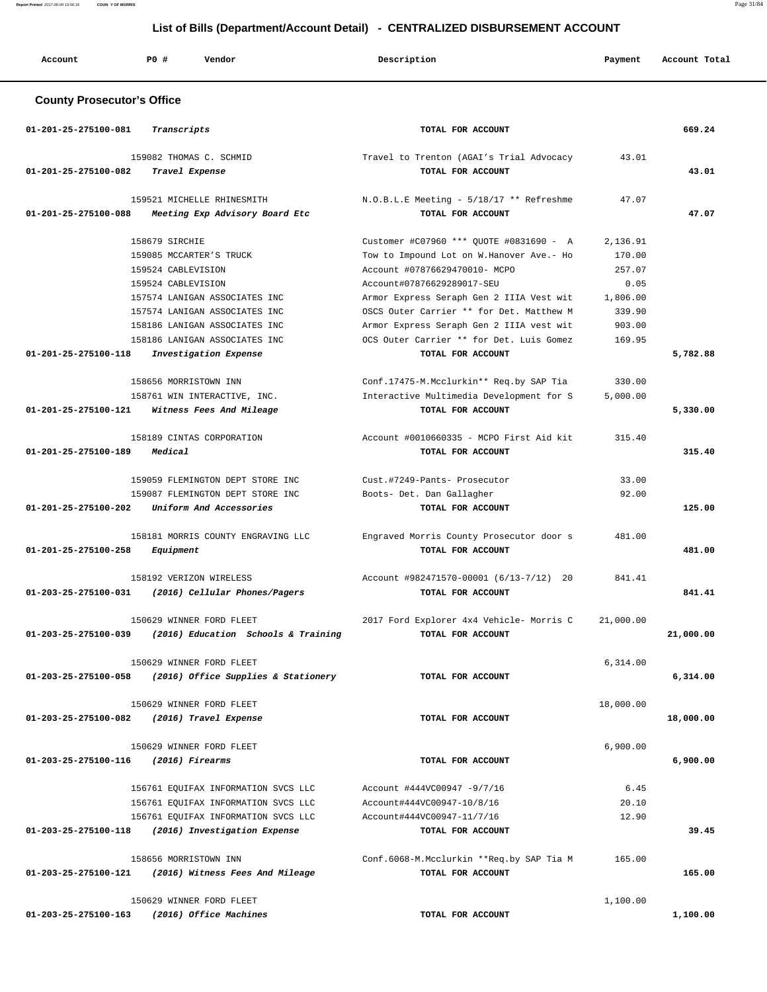**Report Printed** 2017-06-09 15:56:18 **COUN Y OF MORRIS** Page 31/84

## **List of Bills (Department/Account Detail) - CENTRALIZED DISBURSEMENT ACCOUNT**

| Account                           | <b>PO #</b><br>Vendor                                                                                                            | Description                                                                                                                                                                  | Payment                                | Account Total |
|-----------------------------------|----------------------------------------------------------------------------------------------------------------------------------|------------------------------------------------------------------------------------------------------------------------------------------------------------------------------|----------------------------------------|---------------|
| <b>County Prosecutor's Office</b> |                                                                                                                                  |                                                                                                                                                                              |                                        |               |
| 01-201-25-275100-081              | Transcripts                                                                                                                      | TOTAL FOR ACCOUNT                                                                                                                                                            |                                        | 669.24        |
| 01-201-25-275100-082              | 159082 THOMAS C. SCHMID<br>Travel Expense                                                                                        | Travel to Trenton (AGAI's Trial Advocacy<br>TOTAL FOR ACCOUNT                                                                                                                | 43.01                                  | 43.01         |
| 01-201-25-275100-088              | 159521 MICHELLE RHINESMITH<br>Meeting Exp Advisory Board Etc                                                                     | N.O.B.L.E Meeting - 5/18/17 ** Refreshme<br>TOTAL FOR ACCOUNT                                                                                                                | 47.07                                  | 47.07         |
|                                   | 158679 SIRCHIE<br>159085 MCCARTER'S TRUCK                                                                                        | Customer #C07960 *** QUOTE #0831690 - A<br>Tow to Impound Lot on W. Hanover Ave. - Ho                                                                                        | 2,136.91<br>170.00                     |               |
|                                   | 159524 CABLEVISION<br>159524 CABLEVISION                                                                                         | Account #07876629470010- MCPO<br>Account#07876629289017-SEU                                                                                                                  | 257.07<br>0.05                         |               |
|                                   | 157574 LANIGAN ASSOCIATES INC<br>157574 LANIGAN ASSOCIATES INC<br>158186 LANIGAN ASSOCIATES INC<br>158186 LANIGAN ASSOCIATES INC | Armor Express Seraph Gen 2 IIIA Vest wit<br>OSCS Outer Carrier ** for Det. Matthew M<br>Armor Express Seraph Gen 2 IIIA vest wit<br>OCS Outer Carrier ** for Det. Luis Gomez | 1,806.00<br>339.90<br>903.00<br>169.95 |               |
| 01-201-25-275100-118              | Investigation Expense                                                                                                            | TOTAL FOR ACCOUNT                                                                                                                                                            |                                        | 5,782.88      |
| 01-201-25-275100-121              | 158656 MORRISTOWN INN<br>158761 WIN INTERACTIVE, INC.<br>Witness Fees And Mileage                                                | Conf.17475-M.Mcclurkin** Req.by SAP Tia<br>Interactive Multimedia Development for S<br>TOTAL FOR ACCOUNT                                                                     | 330.00<br>5,000.00                     | 5,330.00      |
| 01-201-25-275100-189              | 158189 CINTAS CORPORATION<br>Medical                                                                                             | Account #0010660335 - MCPO First Aid kit<br>TOTAL FOR ACCOUNT                                                                                                                | 315.40                                 | 315.40        |
| 01-201-25-275100-202              | 159059 FLEMINGTON DEPT STORE INC<br>159087 FLEMINGTON DEPT STORE INC<br>Uniform And Accessories                                  | Cust.#7249-Pants- Prosecutor<br>Boots- Det. Dan Gallagher<br>TOTAL FOR ACCOUNT                                                                                               | 33.00<br>92.00                         | 125.00        |
| 01-201-25-275100-258              | 158181 MORRIS COUNTY ENGRAVING LLC<br>Equipment                                                                                  | Engraved Morris County Prosecutor door s<br>TOTAL FOR ACCOUNT                                                                                                                | 481.00                                 | 481.00        |
| $01 - 203 - 25 - 275100 - 031$    | 158192 VERIZON WIRELESS<br>(2016) Cellular Phones/Pagers                                                                         | Account #982471570-00001 (6/13-7/12) 20<br>TOTAL FOR ACCOUNT                                                                                                                 | 841.41                                 | 841.41        |
| 01-203-25-275100-039              | 150629 WINNER FORD FLEET<br>(2016) Education Schools & Training                                                                  | 2017 Ford Explorer 4x4 Vehicle- Morris C<br>TOTAL FOR ACCOUNT                                                                                                                | 21,000.00                              | 21,000.00     |
|                                   | 150629 WINNER FORD FLEET<br>01-203-25-275100-058 (2016) Office Supplies & Stationery                                             | TOTAL FOR ACCOUNT                                                                                                                                                            | 6,314.00                               | 6,314.00      |
| 01-203-25-275100-082              | 150629 WINNER FORD FLEET<br>(2016) Travel Expense                                                                                | TOTAL FOR ACCOUNT                                                                                                                                                            | 18,000.00                              | 18,000.00     |
| 01-203-25-275100-116              | 150629 WINNER FORD FLEET<br>(2016) Firearms                                                                                      | TOTAL FOR ACCOUNT                                                                                                                                                            | 6,900.00                               | 6,900.00      |
|                                   | 156761 EQUIFAX INFORMATION SVCS LLC<br>156761 EQUIFAX INFORMATION SVCS LLC<br>156761 EQUIFAX INFORMATION SVCS LLC                | Account #444VC00947 -9/7/16<br>Account#444VC00947-10/8/16<br>Account#444VC00947-11/7/16                                                                                      | 6.45<br>20.10<br>12.90                 |               |
| 01-203-25-275100-118              | (2016) Investigation Expense                                                                                                     | TOTAL FOR ACCOUNT                                                                                                                                                            |                                        | 39.45         |
| 01-203-25-275100-121              | 158656 MORRISTOWN INN<br>(2016) Witness Fees And Mileage                                                                         | Conf.6068-M.Mcclurkin **Req.by SAP Tia M<br>TOTAL FOR ACCOUNT                                                                                                                | 165.00                                 | 165.00        |
| 01-203-25-275100-163              | 150629 WINNER FORD FLEET<br>(2016) Office Machines                                                                               | TOTAL FOR ACCOUNT                                                                                                                                                            | 1,100.00                               | 1,100.00      |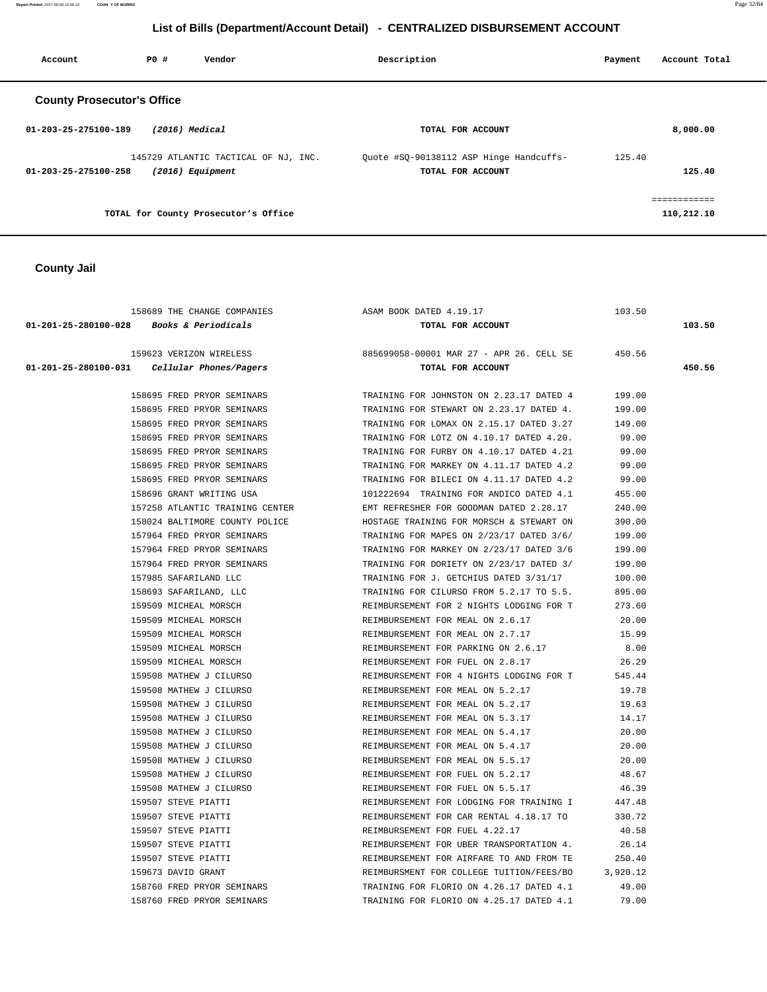**Report Printed** 2017-06-09 15:56:18 **COUN Y OF MORRIS** Page 32/84

## **List of Bills (Department/Account Detail) - CENTRALIZED DISBURSEMENT ACCOUNT**

| Account                           | PO# | Vendor                                                     | Description                                                  | Payment | Account Total              |
|-----------------------------------|-----|------------------------------------------------------------|--------------------------------------------------------------|---------|----------------------------|
| <b>County Prosecutor's Office</b> |     |                                                            |                                                              |         |                            |
| $01 - 203 - 25 - 275100 - 189$    |     | $(2016)$ Medical                                           | TOTAL FOR ACCOUNT                                            |         | 8,000.00                   |
| $01 - 203 - 25 - 275100 - 258$    |     | 145729 ATLANTIC TACTICAL OF NJ, INC.<br>$(2016)$ Equipment | Quote #SQ-90138112 ASP Hinge Handcuffs-<br>TOTAL FOR ACCOUNT | 125.40  | 125.40                     |
|                                   |     | TOTAL for County Prosecutor's Office                       |                                                              |         | ============<br>110,212.10 |

## **County Jail**

| 158689 THE CHANGE COMPANIES                   | ASAM BOOK DATED 4.19.17                         | 103.50   |        |
|-----------------------------------------------|-------------------------------------------------|----------|--------|
| $01-201-25-280100-028$ Books & Periodicals    | TOTAL FOR ACCOUNT                               |          | 103.50 |
| 159623 VERIZON WIRELESS                       | 885699058-00001 MAR 27 - APR 26. CELL SE 450.56 |          |        |
| $01-201-25-280100-031$ Cellular Phones/Pagers | TOTAL FOR ACCOUNT                               |          | 450.56 |
| 158695 FRED PRYOR SEMINARS                    | TRAINING FOR JOHNSTON ON 2.23.17 DATED 4        | 199.00   |        |
| 158695 FRED PRYOR SEMINARS                    | TRAINING FOR STEWART ON 2.23.17 DATED 4.        | 199.00   |        |
| 158695 FRED PRYOR SEMINARS                    | TRAINING FOR LOMAX ON 2.15.17 DATED 3.27        | 149.00   |        |
| 158695 FRED PRYOR SEMINARS                    | TRAINING FOR LOTZ ON 4.10.17 DATED 4.20.        | 99.00    |        |
| 158695 FRED PRYOR SEMINARS                    | TRAINING FOR FURBY ON 4.10.17 DATED 4.21        | 99.00    |        |
| 158695 FRED PRYOR SEMINARS                    | TRAINING FOR MARKEY ON 4.11.17 DATED 4.2        | 99.00    |        |
| 158695 FRED PRYOR SEMINARS                    | TRAINING FOR BILECI ON 4.11.17 DATED 4.2        | 99.00    |        |
| 158696 GRANT WRITING USA                      | 101222694 TRAINING FOR ANDICO DATED 4.1         | 455.00   |        |
| 157258 ATLANTIC TRAINING CENTER               | EMT REFRESHER FOR GOODMAN DATED 2.28.17         | 240.00   |        |
| 158024 BALTIMORE COUNTY POLICE                | HOSTAGE TRAINING FOR MORSCH & STEWART ON        | 390.00   |        |
| 157964 FRED PRYOR SEMINARS                    | TRAINING FOR MAPES ON 2/23/17 DATED 3/6/        | 199.00   |        |
| 157964 FRED PRYOR SEMINARS                    | TRAINING FOR MARKEY ON 2/23/17 DATED 3/6        | 199.00   |        |
| 157964 FRED PRYOR SEMINARS                    | TRAINING FOR DORIETY ON 2/23/17 DATED 3/        | 199.00   |        |
| 157985 SAFARILAND LLC                         | TRAINING FOR J. GETCHIUS DATED 3/31/17          | 100.00   |        |
| 158693 SAFARILAND, LLC                        | TRAINING FOR CILURSO FROM 5.2.17 TO 5.5.        | 895.00   |        |
| 159509 MICHEAL MORSCH                         | REIMBURSEMENT FOR 2 NIGHTS LODGING FOR T        | 273.60   |        |
| 159509 MICHEAL MORSCH                         | REIMBURSEMENT FOR MEAL ON 2.6.17                | 20.00    |        |
| 159509 MICHEAL MORSCH                         | REIMBURSEMENT FOR MEAL ON 2.7.17                | 15.99    |        |
| 159509 MICHEAL MORSCH                         | REIMBURSEMENT FOR PARKING ON 2.6.17             | 8.00     |        |
| 159509 MICHEAL MORSCH                         | REIMBURSEMENT FOR FUEL ON 2.8.17                | 26.29    |        |
| 159508 MATHEW J CILURSO                       | REIMBURSEMENT FOR 4 NIGHTS LODGING FOR T        | 545.44   |        |
| 159508 MATHEW J CILURSO                       | REIMBURSEMENT FOR MEAL ON 5.2.17                | 19.78    |        |
| 159508 MATHEW J CILURSO                       | REIMBURSEMENT FOR MEAL ON 5.2.17                | 19.63    |        |
| 159508 MATHEW J CILURSO                       | REIMBURSEMENT FOR MEAL ON 5.3.17                | 14.17    |        |
| 159508 MATHEW J CILURSO                       | REIMBURSEMENT FOR MEAL ON 5.4.17                | 20.00    |        |
| 159508 MATHEW J CILURSO                       | REIMBURSEMENT FOR MEAL ON 5.4.17                | 20.00    |        |
| 159508 MATHEW J CILURSO                       | REIMBURSEMENT FOR MEAL ON 5.5.17                | 20.00    |        |
| 159508 MATHEW J CILURSO                       | REIMBURSEMENT FOR FUEL ON 5.2.17                | 48.67    |        |
| 159508 MATHEW J CILURSO                       | REIMBURSEMENT FOR FUEL ON 5.5.17                | 46.39    |        |
| 159507 STEVE PIATTI                           | REIMBURSEMENT FOR LODGING FOR TRAINING I        | 447.48   |        |
| 159507 STEVE PIATTI                           | REIMBURSEMENT FOR CAR RENTAL 4.18.17 TO         | 330.72   |        |
| 159507 STEVE PIATTI                           | REIMBURSEMENT FOR FUEL 4.22.17                  | 40.58    |        |
| 159507 STEVE PIATTI                           | REIMBURSEMENT FOR UBER TRANSPORTATION 4.        | 26.14    |        |
| 159507 STEVE PIATTI                           | REIMBURSEMENT FOR AIRFARE TO AND FROM TE        | 250.40   |        |
| 159673 DAVID GRANT                            | REIMBURSMENT FOR COLLEGE TUITION/FEES/BO        | 3,920.12 |        |
| 158760 FRED PRYOR SEMINARS                    | TRAINING FOR FLORIO ON 4.26.17 DATED 4.1        | 49.00    |        |
| 158760 FRED PRYOR SEMINARS                    | TRAINING FOR FLORIO ON 4.25.17 DATED 4.1        | 79.00    |        |
|                                               |                                                 |          |        |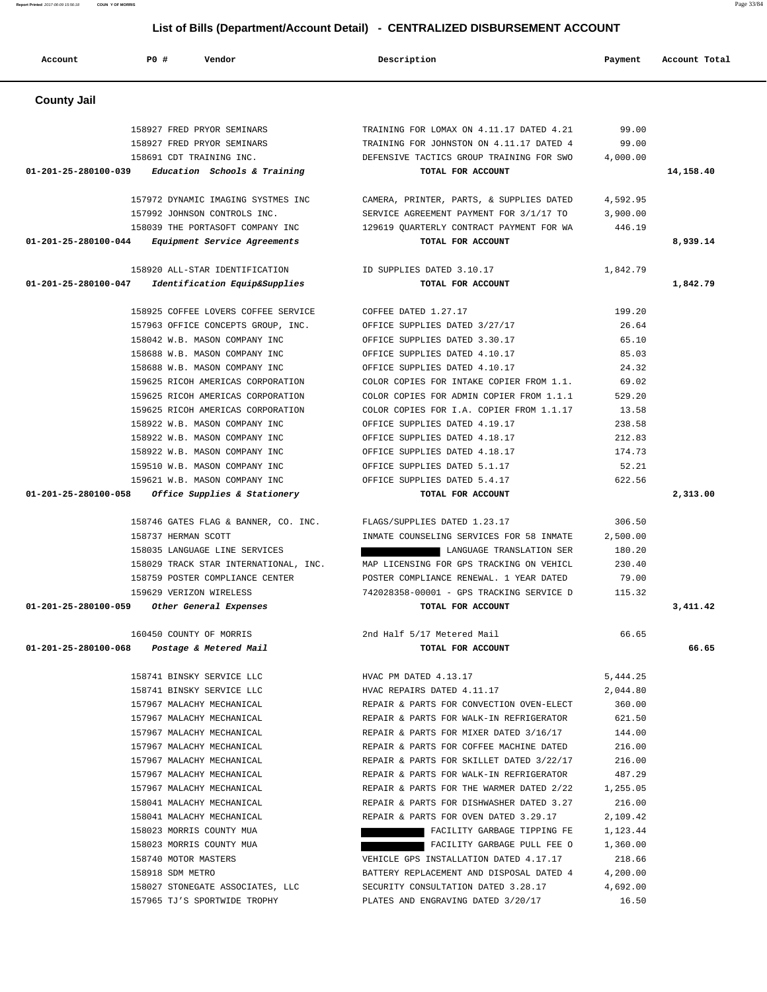**Report Printed** 2017-06-09 15:56:18 **COUN Y OF MORRIS** Page 33/84

## **List of Bills (Department/Account Detail) - CENTRALIZED DISBURSEMENT ACCOUNT**

| Account                                     | PO#              | Vendor                                | Description                                                                        | Payment            | Account Total |
|---------------------------------------------|------------------|---------------------------------------|------------------------------------------------------------------------------------|--------------------|---------------|
| <b>County Jail</b>                          |                  |                                       |                                                                                    |                    |               |
|                                             |                  | 158927 FRED PRYOR SEMINARS            | TRAINING FOR LOMAX ON 4.11.17 DATED 4.21                                           | 99.00              |               |
|                                             |                  | 158927 FRED PRYOR SEMINARS            | TRAINING FOR JOHNSTON ON 4.11.17 DATED 4                                           | 99.00              |               |
|                                             |                  | 158691 CDT TRAINING INC.              | DEFENSIVE TACTICS GROUP TRAINING FOR SWO                                           | 4,000.00           |               |
| 01-201-25-280100-039                        |                  | Education Schools & Training          | TOTAL FOR ACCOUNT                                                                  |                    | 14,158.40     |
|                                             |                  | 157972 DYNAMIC IMAGING SYSTMES INC    | CAMERA, PRINTER, PARTS, & SUPPLIES DATED                                           | 4,592.95           |               |
|                                             |                  | 157992 JOHNSON CONTROLS INC.          | SERVICE AGREEMENT PAYMENT FOR 3/1/17 TO                                            | 3,900.00           |               |
|                                             |                  | 158039 THE PORTASOFT COMPANY INC      | 129619 QUARTERLY CONTRACT PAYMENT FOR WA                                           | 446.19             |               |
| 01-201-25-280100-044                        |                  | Equipment Service Agreements          | TOTAL FOR ACCOUNT                                                                  |                    | 8,939.14      |
|                                             |                  | 158920 ALL-STAR IDENTIFICATION        | ID SUPPLIES DATED 3.10.17                                                          | 1,842.79           |               |
| 01-201-25-280100-047                        |                  | Identification Equip&Supplies         | TOTAL FOR ACCOUNT                                                                  |                    | 1,842.79      |
|                                             |                  | 158925 COFFEE LOVERS COFFEE SERVICE   | COFFEE DATED 1.27.17                                                               | 199.20             |               |
|                                             |                  | 157963 OFFICE CONCEPTS GROUP, INC.    | OFFICE SUPPLIES DATED 3/27/17                                                      | 26.64              |               |
|                                             |                  | 158042 W.B. MASON COMPANY INC         | OFFICE SUPPLIES DATED 3.30.17                                                      | 65.10              |               |
|                                             |                  | 158688 W.B. MASON COMPANY INC         | OFFICE SUPPLIES DATED 4.10.17                                                      | 85.03              |               |
|                                             |                  | 158688 W.B. MASON COMPANY INC         | OFFICE SUPPLIES DATED 4.10.17                                                      | 24.32              |               |
|                                             |                  | 159625 RICOH AMERICAS CORPORATION     | COLOR COPIES FOR INTAKE COPIER FROM 1.1.                                           | 69.02              |               |
|                                             |                  | 159625 RICOH AMERICAS CORPORATION     | COLOR COPIES FOR ADMIN COPIER FROM 1.1.1                                           | 529.20             |               |
|                                             |                  | 159625 RICOH AMERICAS CORPORATION     | COLOR COPIES FOR I.A. COPIER FROM 1.1.17                                           | 13.58              |               |
|                                             |                  | 158922 W.B. MASON COMPANY INC         | OFFICE SUPPLIES DATED 4.19.17                                                      | 238.58             |               |
|                                             |                  | 158922 W.B. MASON COMPANY INC         | OFFICE SUPPLIES DATED 4.18.17                                                      | 212.83             |               |
|                                             |                  | 158922 W.B. MASON COMPANY INC         | OFFICE SUPPLIES DATED 4.18.17                                                      | 174.73             |               |
|                                             |                  | 159510 W.B. MASON COMPANY INC         | OFFICE SUPPLIES DATED 5.1.17                                                       | 52.21              |               |
|                                             |                  | 159621 W.B. MASON COMPANY INC         | OFFICE SUPPLIES DATED 5.4.17                                                       | 622.56             |               |
| 01-201-25-280100-058                        |                  | Office Supplies & Stationery          | TOTAL FOR ACCOUNT                                                                  |                    | 2,313.00      |
|                                             |                  | 158746 GATES FLAG & BANNER, CO. INC.  | FLAGS/SUPPLIES DATED 1.23.17                                                       | 306.50             |               |
|                                             |                  | 158737 HERMAN SCOTT                   | INMATE COUNSELING SERVICES FOR 58 INMATE                                           | 2,500.00           |               |
|                                             |                  | 158035 LANGUAGE LINE SERVICES         | LANGUAGE TRANSLATION SER                                                           | 180.20             |               |
|                                             |                  | 158029 TRACK STAR INTERNATIONAL, INC. | MAP LICENSING FOR GPS TRACKING ON VEHICL                                           | 230.40             |               |
|                                             |                  | 158759 POSTER COMPLIANCE CENTER       | POSTER COMPLIANCE RENEWAL. 1 YEAR DATED                                            | 79.00              |               |
|                                             |                  | 159629 VERIZON WIRELESS               | 742028358-00001 - GPS TRACKING SERVICE D                                           | 115.32             |               |
| 01-201-25-280100-059                        |                  | Other General Expenses                | TOTAL FOR ACCOUNT                                                                  |                    | 3,411.42      |
|                                             |                  | 160450 COUNTY OF MORRIS               | 2nd Half 5/17 Metered Mail                                                         | 66.65              |               |
| 01-201-25-280100-068 Postage & Metered Mail |                  |                                       | TOTAL FOR ACCOUNT                                                                  |                    | 66.65         |
|                                             |                  | 158741 BINSKY SERVICE LLC             | HVAC PM DATED 4.13.17                                                              | 5,444.25           |               |
|                                             |                  | 158741 BINSKY SERVICE LLC             | HVAC REPAIRS DATED 4.11.17                                                         | 2,044.80           |               |
|                                             |                  | 157967 MALACHY MECHANICAL             | REPAIR & PARTS FOR CONVECTION OVEN-ELECT                                           | 360.00             |               |
|                                             |                  | 157967 MALACHY MECHANICAL             | REPAIR & PARTS FOR WALK-IN REFRIGERATOR                                            | 621.50             |               |
|                                             |                  | 157967 MALACHY MECHANICAL             | REPAIR & PARTS FOR MIXER DATED 3/16/17                                             | 144.00             |               |
|                                             |                  | 157967 MALACHY MECHANICAL             | REPAIR & PARTS FOR COFFEE MACHINE DATED                                            | 216.00             |               |
|                                             |                  | 157967 MALACHY MECHANICAL             | REPAIR & PARTS FOR SKILLET DATED 3/22/17                                           | 216.00             |               |
|                                             |                  | 157967 MALACHY MECHANICAL             | REPAIR & PARTS FOR WALK-IN REFRIGERATOR                                            | 487.29             |               |
|                                             |                  | 157967 MALACHY MECHANICAL             | REPAIR & PARTS FOR THE WARMER DATED 2/22                                           | 1,255.05           |               |
|                                             |                  | 158041 MALACHY MECHANICAL             | REPAIR & PARTS FOR DISHWASHER DATED 3.27                                           | 216.00             |               |
|                                             |                  | 158041 MALACHY MECHANICAL             | REPAIR & PARTS FOR OVEN DATED 3.29.17                                              | 2,109.42           |               |
|                                             |                  | 158023 MORRIS COUNTY MUA              | FACILITY GARBAGE TIPPING FE                                                        | 1,123.44           |               |
|                                             |                  | 158023 MORRIS COUNTY MUA              | FACILITY GARBAGE PULL FEE O                                                        | 1,360.00           |               |
|                                             | 158918 SDM METRO | 158740 MOTOR MASTERS                  | VEHICLE GPS INSTALLATION DATED 4.17.17<br>BATTERY REPLACEMENT AND DISPOSAL DATED 4 | 218.66<br>4,200.00 |               |
|                                             |                  | 158027 STONEGATE ASSOCIATES, LLC      | SECURITY CONSULTATION DATED 3.28.17                                                | 4,692.00           |               |
|                                             |                  | 157965 TJ'S SPORTWIDE TROPHY          | PLATES AND ENGRAVING DATED 3/20/17                                                 | 16.50              |               |
|                                             |                  |                                       |                                                                                    |                    |               |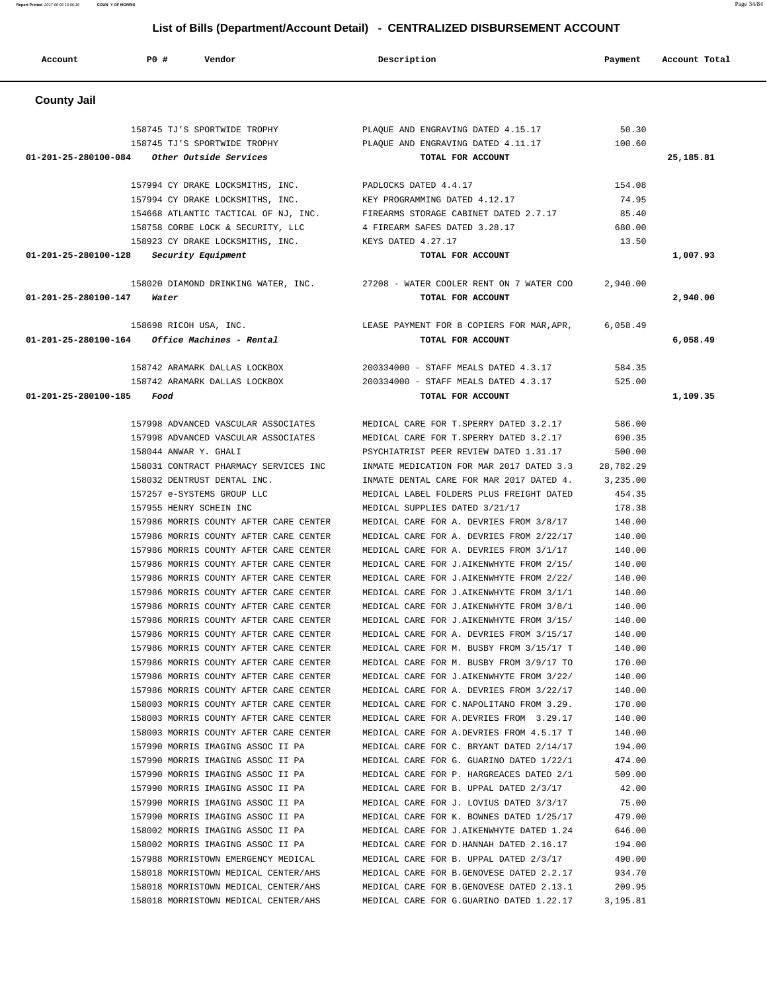**Report Printed** 2017-06-09 15:56:18 **COUN Y OF MORRIS** Page 34/84

## **List of Bills (Department/Account Detail) - CENTRALIZED DISBURSEMENT ACCOUNT**

| Account                        | <b>PO #</b><br>Vendor                                                                  | Description                                                                                   | Payment          | Account Total |
|--------------------------------|----------------------------------------------------------------------------------------|-----------------------------------------------------------------------------------------------|------------------|---------------|
| <b>County Jail</b>             |                                                                                        |                                                                                               |                  |               |
| 01-201-25-280100-084           | 158745 TJ'S SPORTWIDE TROPHY<br>158745 TJ'S SPORTWIDE TROPHY<br>Other Outside Services | PLAQUE AND ENGRAVING DATED 4.15.17<br>PLAQUE AND ENGRAVING DATED 4.11.17<br>TOTAL FOR ACCOUNT | 50.30<br>100.60  | 25,185.81     |
|                                |                                                                                        |                                                                                               |                  |               |
|                                | 157994 CY DRAKE LOCKSMITHS, INC.                                                       | PADLOCKS DATED 4.4.17                                                                         | 154.08           |               |
|                                | 157994 CY DRAKE LOCKSMITHS, INC.                                                       | KEY PROGRAMMING DATED 4.12.17                                                                 | 74.95            |               |
|                                | 154668 ATLANTIC TACTICAL OF NJ, INC.                                                   | FIREARMS STORAGE CABINET DATED 2.7.17                                                         | 85.40            |               |
|                                | 158758 CORBE LOCK & SECURITY, LLC                                                      | 4 FIREARM SAFES DATED 3.28.17                                                                 | 680.00           |               |
| 01-201-25-280100-128           | 158923 CY DRAKE LOCKSMITHS, INC.<br>Security Equipment                                 | KEYS DATED 4.27.17<br>TOTAL FOR ACCOUNT                                                       | 13.50            | 1,007.93      |
|                                |                                                                                        |                                                                                               |                  |               |
|                                | 158020 DIAMOND DRINKING WATER, INC.                                                    | 27208 - WATER COOLER RENT ON 7 WATER COO                                                      | 2,940.00         |               |
| 01-201-25-280100-147           | Water                                                                                  | TOTAL FOR ACCOUNT                                                                             |                  | 2,940.00      |
|                                |                                                                                        |                                                                                               | 6,058.49         |               |
| $01 - 201 - 25 - 280100 - 164$ | 158698 RICOH USA, INC.<br>Office Machines - Rental                                     | LEASE PAYMENT FOR 8 COPIERS FOR MAR, APR,<br>TOTAL FOR ACCOUNT                                |                  | 6,058.49      |
|                                |                                                                                        |                                                                                               |                  |               |
|                                | 158742 ARAMARK DALLAS LOCKBOX                                                          | 200334000 - STAFF MEALS DATED 4.3.17                                                          | 584.35           |               |
|                                | 158742 ARAMARK DALLAS LOCKBOX                                                          | 200334000 - STAFF MEALS DATED 4.3.17                                                          | 525.00           |               |
| 01-201-25-280100-185           | Food                                                                                   | TOTAL FOR ACCOUNT                                                                             |                  | 1,109.35      |
|                                | 157998 ADVANCED VASCULAR ASSOCIATES                                                    | MEDICAL CARE FOR T. SPERRY DATED 3.2.17                                                       | 586.00           |               |
|                                | 157998 ADVANCED VASCULAR ASSOCIATES                                                    | MEDICAL CARE FOR T. SPERRY DATED 3.2.17                                                       | 690.35           |               |
|                                | 158044 ANWAR Y. GHALI                                                                  | PSYCHIATRIST PEER REVIEW DATED 1.31.17                                                        | 500.00           |               |
|                                | 158031 CONTRACT PHARMACY SERVICES INC                                                  | INMATE MEDICATION FOR MAR 2017 DATED 3.3                                                      | 28,782.29        |               |
|                                | 158032 DENTRUST DENTAL INC.                                                            | INMATE DENTAL CARE FOR MAR 2017 DATED 4.                                                      | 3,235.00         |               |
|                                | 157257 e-SYSTEMS GROUP LLC                                                             | MEDICAL LABEL FOLDERS PLUS FREIGHT DATED                                                      | 454.35           |               |
|                                | 157955 HENRY SCHEIN INC                                                                | MEDICAL SUPPLIES DATED 3/21/17                                                                | 178.38           |               |
|                                | 157986 MORRIS COUNTY AFTER CARE CENTER                                                 | MEDICAL CARE FOR A. DEVRIES FROM 3/8/17                                                       | 140.00           |               |
|                                | 157986 MORRIS COUNTY AFTER CARE CENTER                                                 | MEDICAL CARE FOR A. DEVRIES FROM 2/22/17                                                      | 140.00           |               |
|                                | 157986 MORRIS COUNTY AFTER CARE CENTER<br>157986 MORRIS COUNTY AFTER CARE CENTER       | MEDICAL CARE FOR A. DEVRIES FROM 3/1/17<br>MEDICAL CARE FOR J.AIKENWHYTE FROM 2/15/           | 140.00<br>140.00 |               |
|                                | 157986 MORRIS COUNTY AFTER CARE CENTER                                                 | MEDICAL CARE FOR J.AIKENWHYTE FROM 2/22/                                                      | 140.00           |               |
|                                | 157986 MORRIS COUNTY AFTER CARE CENTER                                                 | MEDICAL CARE FOR J.AIKENWHYTE FROM 3/1/1                                                      | 140.00           |               |
|                                | 157986 MORRIS COUNTY AFTER CARE CENTER                                                 | MEDICAL CARE FOR J.AIKENWHYTE FROM 3/8/1                                                      | 140.00           |               |
|                                | 157986 MORRIS COUNTY AFTER CARE CENTER                                                 | MEDICAL CARE FOR J.AIKENWHYTE FROM 3/15/                                                      | 140.00           |               |
|                                | 157986 MORRIS COUNTY AFTER CARE CENTER                                                 | MEDICAL CARE FOR A. DEVRIES FROM 3/15/17                                                      | 140.00           |               |
|                                | 157986 MORRIS COUNTY AFTER CARE CENTER                                                 | MEDICAL CARE FOR M. BUSBY FROM 3/15/17 T                                                      | 140.00           |               |
|                                | 157986 MORRIS COUNTY AFTER CARE CENTER                                                 | MEDICAL CARE FOR M. BUSBY FROM 3/9/17 TO                                                      | 170.00           |               |
|                                | 157986 MORRIS COUNTY AFTER CARE CENTER                                                 | MEDICAL CARE FOR J.AIKENWHYTE FROM 3/22/                                                      | 140.00           |               |
|                                | 157986 MORRIS COUNTY AFTER CARE CENTER                                                 | MEDICAL CARE FOR A. DEVRIES FROM 3/22/17                                                      | 140.00           |               |
|                                | 158003 MORRIS COUNTY AFTER CARE CENTER<br>158003 MORRIS COUNTY AFTER CARE CENTER       | MEDICAL CARE FOR C.NAPOLITANO FROM 3.29.<br>MEDICAL CARE FOR A.DEVRIES FROM 3.29.17           | 170.00<br>140.00 |               |
|                                | 158003 MORRIS COUNTY AFTER CARE CENTER                                                 | MEDICAL CARE FOR A.DEVRIES FROM 4.5.17 T                                                      | 140.00           |               |
|                                | 157990 MORRIS IMAGING ASSOC II PA                                                      | MEDICAL CARE FOR C. BRYANT DATED 2/14/17                                                      | 194.00           |               |
|                                | 157990 MORRIS IMAGING ASSOC II PA                                                      | MEDICAL CARE FOR G. GUARINO DATED 1/22/1                                                      | 474.00           |               |
|                                | 157990 MORRIS IMAGING ASSOC II PA                                                      | MEDICAL CARE FOR P. HARGREACES DATED 2/1                                                      | 509.00           |               |
|                                | 157990 MORRIS IMAGING ASSOC II PA                                                      | MEDICAL CARE FOR B. UPPAL DATED 2/3/17                                                        | 42.00            |               |
|                                | 157990 MORRIS IMAGING ASSOC II PA                                                      | MEDICAL CARE FOR J. LOVIUS DATED 3/3/17                                                       | 75.00            |               |
|                                | 157990 MORRIS IMAGING ASSOC II PA                                                      | MEDICAL CARE FOR K. BOWNES DATED 1/25/17                                                      | 479.00           |               |
|                                | 158002 MORRIS IMAGING ASSOC II PA                                                      | MEDICAL CARE FOR J.AIKENWHYTE DATED 1.24                                                      | 646.00           |               |
|                                | 158002 MORRIS IMAGING ASSOC II PA                                                      | MEDICAL CARE FOR D.HANNAH DATED 2.16.17                                                       | 194.00           |               |
|                                | 157988 MORRISTOWN EMERGENCY MEDICAL<br>158018 MORRISTOWN MEDICAL CENTER/AHS            | MEDICAL CARE FOR B. UPPAL DATED 2/3/17<br>MEDICAL CARE FOR B.GENOVESE DATED 2.2.17            | 490.00           |               |
|                                | 158018 MORRISTOWN MEDICAL CENTER/AHS                                                   | MEDICAL CARE FOR B.GENOVESE DATED 2.13.1                                                      | 934.70<br>209.95 |               |
|                                | 158018 MORRISTOWN MEDICAL CENTER/AHS                                                   | MEDICAL CARE FOR G.GUARINO DATED 1.22.17                                                      | 3,195.81         |               |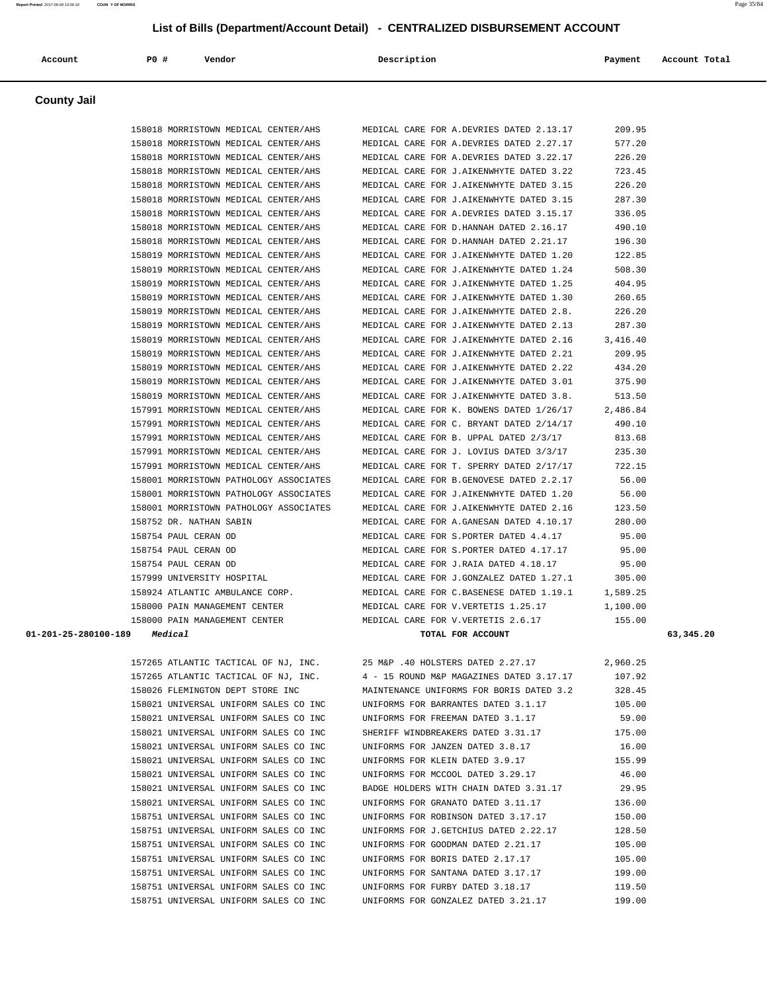| Account                                | <b>PO #</b><br>Vendor                  | Description                              | Payment  | Account Total |
|----------------------------------------|----------------------------------------|------------------------------------------|----------|---------------|
|                                        |                                        |                                          |          |               |
| <b>County Jail</b>                     |                                        |                                          |          |               |
|                                        | 158018 MORRISTOWN MEDICAL CENTER/AHS   | MEDICAL CARE FOR A.DEVRIES DATED 2.13.17 | 209.95   |               |
|                                        | 158018 MORRISTOWN MEDICAL CENTER/AHS   | MEDICAL CARE FOR A.DEVRIES DATED 2.27.17 | 577.20   |               |
|                                        | 158018 MORRISTOWN MEDICAL CENTER/AHS   | MEDICAL CARE FOR A.DEVRIES DATED 3.22.17 | 226.20   |               |
|                                        | 158018 MORRISTOWN MEDICAL CENTER/AHS   | MEDICAL CARE FOR J.AIKENWHYTE DATED 3.22 | 723.45   |               |
|                                        | 158018 MORRISTOWN MEDICAL CENTER/AHS   | MEDICAL CARE FOR J.AIKENWHYTE DATED 3.15 | 226.20   |               |
|                                        | 158018 MORRISTOWN MEDICAL CENTER/AHS   | MEDICAL CARE FOR J.AIKENWHYTE DATED 3.15 | 287.30   |               |
|                                        | 158018 MORRISTOWN MEDICAL CENTER/AHS   | MEDICAL CARE FOR A.DEVRIES DATED 3.15.17 | 336.05   |               |
|                                        | 158018 MORRISTOWN MEDICAL CENTER/AHS   | MEDICAL CARE FOR D.HANNAH DATED 2.16.17  | 490.10   |               |
|                                        | 158018 MORRISTOWN MEDICAL CENTER/AHS   | MEDICAL CARE FOR D.HANNAH DATED 2.21.17  | 196.30   |               |
|                                        | 158019 MORRISTOWN MEDICAL CENTER/AHS   | MEDICAL CARE FOR J.AIKENWHYTE DATED 1.20 | 122.85   |               |
|                                        | 158019 MORRISTOWN MEDICAL CENTER/AHS   | MEDICAL CARE FOR J.AIKENWHYTE DATED 1.24 | 508.30   |               |
|                                        | 158019 MORRISTOWN MEDICAL CENTER/AHS   | MEDICAL CARE FOR J.AIKENWHYTE DATED 1.25 | 404.95   |               |
|                                        | 158019 MORRISTOWN MEDICAL CENTER/AHS   | MEDICAL CARE FOR J.AIKENWHYTE DATED 1.30 | 260.65   |               |
|                                        | 158019 MORRISTOWN MEDICAL CENTER/AHS   | MEDICAL CARE FOR J.AIKENWHYTE DATED 2.8. | 226.20   |               |
|                                        | 158019 MORRISTOWN MEDICAL CENTER/AHS   | MEDICAL CARE FOR J.AIKENWHYTE DATED 2.13 | 287.30   |               |
|                                        | 158019 MORRISTOWN MEDICAL CENTER/AHS   | MEDICAL CARE FOR J.AIKENWHYTE DATED 2.16 | 3,416.40 |               |
|                                        | 158019 MORRISTOWN MEDICAL CENTER/AHS   | MEDICAL CARE FOR J.AIKENWHYTE DATED 2.21 | 209.95   |               |
|                                        | 158019 MORRISTOWN MEDICAL CENTER/AHS   | MEDICAL CARE FOR J.AIKENWHYTE DATED 2.22 | 434.20   |               |
|                                        | 158019 MORRISTOWN MEDICAL CENTER/AHS   | MEDICAL CARE FOR J.AIKENWHYTE DATED 3.01 | 375.90   |               |
|                                        | 158019 MORRISTOWN MEDICAL CENTER/AHS   | MEDICAL CARE FOR J.AIKENWHYTE DATED 3.8. | 513.50   |               |
|                                        | 157991 MORRISTOWN MEDICAL CENTER/AHS   | MEDICAL CARE FOR K. BOWENS DATED 1/26/17 | 2,486.84 |               |
|                                        | 157991 MORRISTOWN MEDICAL CENTER/AHS   | MEDICAL CARE FOR C. BRYANT DATED 2/14/17 | 490.10   |               |
|                                        | 157991 MORRISTOWN MEDICAL CENTER/AHS   | MEDICAL CARE FOR B. UPPAL DATED 2/3/17   | 813.68   |               |
|                                        | 157991 MORRISTOWN MEDICAL CENTER/AHS   | MEDICAL CARE FOR J. LOVIUS DATED 3/3/17  | 235.30   |               |
|                                        | 157991 MORRISTOWN MEDICAL CENTER/AHS   | MEDICAL CARE FOR T. SPERRY DATED 2/17/17 | 722.15   |               |
|                                        | 158001 MORRISTOWN PATHOLOGY ASSOCIATES | MEDICAL CARE FOR B.GENOVESE DATED 2.2.17 | 56.00    |               |
|                                        | 158001 MORRISTOWN PATHOLOGY ASSOCIATES | MEDICAL CARE FOR J.AIKENWHYTE DATED 1.20 | 56.00    |               |
|                                        | 158001 MORRISTOWN PATHOLOGY ASSOCIATES | MEDICAL CARE FOR J.AIKENWHYTE DATED 2.16 | 123.50   |               |
|                                        | 158752 DR. NATHAN SABIN                | MEDICAL CARE FOR A.GANESAN DATED 4.10.17 | 280.00   |               |
|                                        | 158754 PAUL CERAN OD                   | MEDICAL CARE FOR S.PORTER DATED 4.4.17   | 95.00    |               |
|                                        | 158754 PAUL CERAN OD                   | MEDICAL CARE FOR S. PORTER DATED 4.17.17 | 95.00    |               |
|                                        | 158754 PAUL CERAN OD                   | MEDICAL CARE FOR J.RAIA DATED 4.18.17    | 95.00    |               |
|                                        | 157999 UNIVERSITY HOSPITAL             | MEDICAL CARE FOR J.GONZALEZ DATED 1.27.1 | 305.00   |               |
|                                        | 158924 ATLANTIC AMBULANCE CORP.        | MEDICAL CARE FOR C.BASENESE DATED 1.19.1 | 1,589.25 |               |
|                                        | 158000 PAIN MANAGEMENT CENTER          | MEDICAL CARE FOR V.VERTETIS 1.25.17      | 1,100.00 |               |
|                                        | 158000 PAIN MANAGEMENT CENTER          | MEDICAL CARE FOR V.VERTETIS 2.6.17       | 155.00   |               |
| $01 - 201 - 25 - 280100 - 189$ Medical |                                        | TOTAL FOR ACCOUNT                        |          | 63,345.20     |
|                                        | 157265 ATLANTIC TACTICAL OF NJ, INC.   | 25 M&P .40 HOLSTERS DATED 2.27.17        | 2,960.25 |               |
|                                        | 157265 ATLANTIC TACTICAL OF NJ, INC.   | 4 - 15 ROUND M&P MAGAZINES DATED 3.17.17 | 107.92   |               |
|                                        | 158026 FLEMINGTON DEPT STORE INC       | MAINTENANCE UNIFORMS FOR BORIS DATED 3.2 | 328.45   |               |
|                                        | 158021 UNIVERSAL UNIFORM SALES CO INC  | UNIFORMS FOR BARRANTES DATED 3.1.17      | 105.00   |               |
|                                        | 158021 UNIVERSAL UNIFORM SALES CO INC  | UNIFORMS FOR FREEMAN DATED 3.1.17        | 59.00    |               |

 158021 UNIVERSAL UNIFORM SALES CO INC SHERIFF WINDBREAKERS DATED 3.31.17 175.00 158021 UNIVERSAL UNIFORM SALES CO INC UNIFORMS FOR JANZEN DATED 3.8.17 16.00 158021 UNIVERSAL UNIFORM SALES CO INC UNIFORMS FOR KLEIN DATED 3.9.17 155.99 158021 UNIVERSAL UNIFORM SALES CO INC UNIFORMS FOR MCCOOL DATED 3.29.17 46.00 158021 UNIVERSAL UNIFORM SALES CO INC BADGE HOLDERS WITH CHAIN DATED 3.31.17 29.95 158021 UNIVERSAL UNIFORM SALES CO INC UNIFORMS FOR GRANATO DATED 3.11.17 136.00 158751 UNIVERSAL UNIFORM SALES CO INC UNIFORMS FOR ROBINSON DATED 3.17.17 150.00 158751 UNIVERSAL UNIFORM SALES CO INC UNIFORMS FOR J.GETCHIUS DATED 2.22.17 128.50 158751 UNIVERSAL UNIFORM SALES CO INC UNIFORMS FOR GOODMAN DATED 2.21.17 105.00 158751 UNIVERSAL UNIFORM SALES CO INC UNIFORMS FOR BORIS DATED 2.17.17 105.00 158751 UNIVERSAL UNIFORM SALES CO INC UNIFORMS FOR SANTANA DATED 3.17.17 199.00 158751 UNIVERSAL UNIFORM SALES CO INC UNIFORMS FOR FURBY DATED 3.18.17 119.50 158751 UNIVERSAL UNIFORM SALES CO INC UNIFORMS FOR GONZALEZ DATED 3.21.17 199.00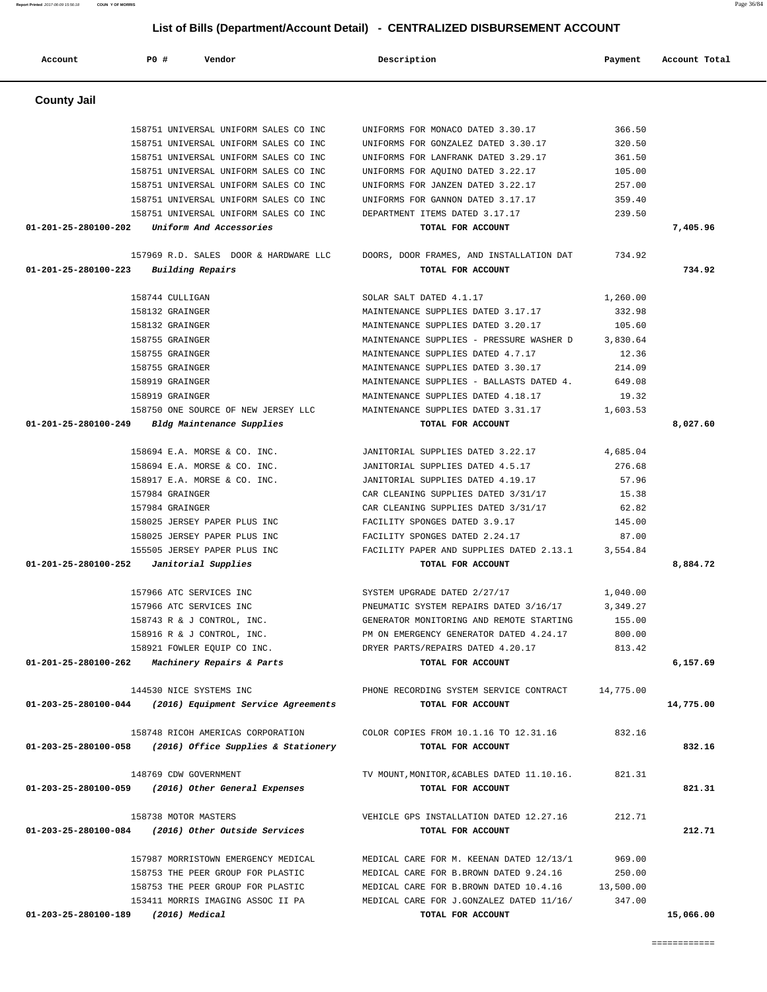| <b>County Jail</b>                    |                                                                                |                                                                            |                  |           |
|---------------------------------------|--------------------------------------------------------------------------------|----------------------------------------------------------------------------|------------------|-----------|
|                                       |                                                                                |                                                                            |                  |           |
|                                       | 158751 UNIVERSAL UNIFORM SALES CO INC                                          | UNIFORMS FOR MONACO DATED 3.30.17                                          | 366.50           |           |
|                                       | 158751 UNIVERSAL UNIFORM SALES CO INC                                          | UNIFORMS FOR GONZALEZ DATED 3.30.17<br>UNIFORMS FOR LANFRANK DATED 3.29.17 | 320.50<br>361.50 |           |
|                                       | 158751 UNIVERSAL UNIFORM SALES CO INC<br>158751 UNIVERSAL UNIFORM SALES CO INC | UNIFORMS FOR AQUINO DATED 3.22.17                                          | 105.00           |           |
|                                       | 158751 UNIVERSAL UNIFORM SALES CO INC                                          | UNIFORMS FOR JANZEN DATED 3.22.17                                          | 257.00           |           |
|                                       | 158751 UNIVERSAL UNIFORM SALES CO INC                                          | UNIFORMS FOR GANNON DATED 3.17.17                                          | 359.40           |           |
|                                       | 158751 UNIVERSAL UNIFORM SALES CO INC                                          | DEPARTMENT ITEMS DATED 3.17.17                                             | 239.50           |           |
| 01-201-25-280100-202                  | Uniform And Accessories                                                        | TOTAL FOR ACCOUNT                                                          |                  | 7,405.96  |
|                                       |                                                                                |                                                                            |                  |           |
|                                       | 157969 R.D. SALES DOOR & HARDWARE LLC                                          | DOORS, DOOR FRAMES, AND INSTALLATION DAT 734.92                            |                  |           |
| 01-201-25-280100-223                  | <b>Building Repairs</b>                                                        | TOTAL FOR ACCOUNT                                                          |                  | 734.92    |
|                                       | 158744 CULLIGAN                                                                | SOLAR SALT DATED 4.1.17                                                    | 1,260.00         |           |
|                                       | 158132 GRAINGER                                                                | MAINTENANCE SUPPLIES DATED 3.17.17                                         | 332.98           |           |
|                                       | 158132 GRAINGER                                                                | MAINTENANCE SUPPLIES DATED 3.20.17                                         | 105.60           |           |
|                                       | 158755 GRAINGER                                                                | MAINTENANCE SUPPLIES - PRESSURE WASHER D                                   | 3,830.64         |           |
|                                       | 158755 GRAINGER                                                                | MAINTENANCE SUPPLIES DATED 4.7.17                                          | 12.36            |           |
|                                       | 158755 GRAINGER                                                                | MAINTENANCE SUPPLIES DATED 3.30.17                                         | 214.09           |           |
|                                       | 158919 GRAINGER                                                                | MAINTENANCE SUPPLIES - BALLASTS DATED 4. 649.08                            |                  |           |
|                                       | 158919 GRAINGER                                                                | MAINTENANCE SUPPLIES DATED 4.18.17                                         | 19.32            |           |
|                                       | 158750 ONE SOURCE OF NEW JERSEY LLC                                            | MAINTENANCE SUPPLIES DATED 3.31.17 1,603.53                                |                  |           |
| 01-201-25-280100-249                  | Bldg Maintenance Supplies                                                      | TOTAL FOR ACCOUNT                                                          |                  | 8,027.60  |
|                                       |                                                                                |                                                                            |                  |           |
|                                       | 158694 E.A. MORSE & CO. INC.                                                   | JANITORIAL SUPPLIES DATED 3.22.17                                          | 4,685.04         |           |
|                                       | 158694 E.A. MORSE & CO. INC.                                                   | JANITORIAL SUPPLIES DATED 4.5.17                                           | 276.68           |           |
|                                       | 158917 E.A. MORSE & CO. INC.                                                   | JANITORIAL SUPPLIES DATED 4.19.17                                          | 57.96            |           |
|                                       | 157984 GRAINGER                                                                | CAR CLEANING SUPPLIES DATED 3/31/17                                        | 15.38            |           |
|                                       | 157984 GRAINGER                                                                | CAR CLEANING SUPPLIES DATED 3/31/17                                        | 62.82            |           |
|                                       | 158025 JERSEY PAPER PLUS INC                                                   | FACILITY SPONGES DATED 3.9.17                                              | 145.00           |           |
|                                       | 158025 JERSEY PAPER PLUS INC                                                   | FACILITY SPONGES DATED 2.24.17                                             | 87.00            |           |
|                                       | 155505 JERSEY PAPER PLUS INC                                                   | FACILITY PAPER AND SUPPLIES DATED 2.13.1                                   | 3,554.84         |           |
| 01-201-25-280100-252                  | Janitorial Supplies                                                            | TOTAL FOR ACCOUNT                                                          |                  | 8,884.72  |
|                                       |                                                                                |                                                                            |                  |           |
|                                       | 157966 ATC SERVICES INC                                                        | SYSTEM UPGRADE DATED 2/27/17                                               | 1,040.00         |           |
|                                       | 157966 ATC SERVICES INC                                                        | PNEUMATIC SYSTEM REPAIRS DATED 3/16/17                                     | 3,349.27         |           |
|                                       | 158743 R & J CONTROL, INC.                                                     | GENERATOR MONITORING AND REMOTE STARTING                                   | 155.00           |           |
|                                       | 158916 R & J CONTROL, INC.                                                     | PM ON EMERGENCY GENERATOR DATED 4.24.17                                    | 800.00           |           |
|                                       | 158921 FOWLER EQUIP CO INC.                                                    | DRYER PARTS/REPAIRS DATED 4.20.17                                          | 813.42           |           |
|                                       | $01-201-25-280100-262$ Machinery Repairs & Parts                               | TOTAL FOR ACCOUNT                                                          |                  | 6,157.69  |
|                                       | 144530 NICE SYSTEMS INC                                                        | PHONE RECORDING SYSTEM SERVICE CONTRACT                                    | 14,775.00        |           |
|                                       | $01-203-25-280100-044$ (2016) Equipment Service Agreements                     | TOTAL FOR ACCOUNT                                                          |                  | 14,775.00 |
|                                       |                                                                                |                                                                            |                  |           |
|                                       | 158748 RICOH AMERICAS CORPORATION                                              | COLOR COPIES FROM 10.1.16 TO 12.31.16                                      | 832.16           |           |
| 01-203-25-280100-058                  | (2016) Office Supplies & Stationery                                            | TOTAL FOR ACCOUNT                                                          |                  | 832.16    |
|                                       | 148769 CDW GOVERNMENT                                                          | TV MOUNT, MONITOR, & CABLES DATED 11.10.16.                                | 821.31           |           |
| 01-203-25-280100-059                  | (2016) Other General Expenses                                                  | TOTAL FOR ACCOUNT                                                          |                  | 821.31    |
|                                       | 158738 MOTOR MASTERS                                                           | VEHICLE GPS INSTALLATION DATED 12.27.16                                    | 212.71           |           |
|                                       | 01-203-25-280100-084 (2016) Other Outside Services                             | TOTAL FOR ACCOUNT                                                          |                  | 212.71    |
|                                       |                                                                                |                                                                            |                  |           |
|                                       | 157987 MORRISTOWN EMERGENCY MEDICAL                                            | MEDICAL CARE FOR M. KEENAN DATED 12/13/1                                   | 969.00           |           |
|                                       | 158753 THE PEER GROUP FOR PLASTIC                                              | MEDICAL CARE FOR B.BROWN DATED 9.24.16                                     | 250.00           |           |
|                                       | 158753 THE PEER GROUP FOR PLASTIC                                              | MEDICAL CARE FOR B.BROWN DATED 10.4.16                                     | 13,500.00        |           |
|                                       | 153411 MORRIS IMAGING ASSOC II PA                                              | MEDICAL CARE FOR J.GONZALEZ DATED 11/16/                                   | 347.00           |           |
| $01-203-25-280100-189$ (2016) Medical |                                                                                | TOTAL FOR ACCOUNT                                                          |                  | 15,066.00 |

 **Account P0 # Vendor Description Payment Account Total**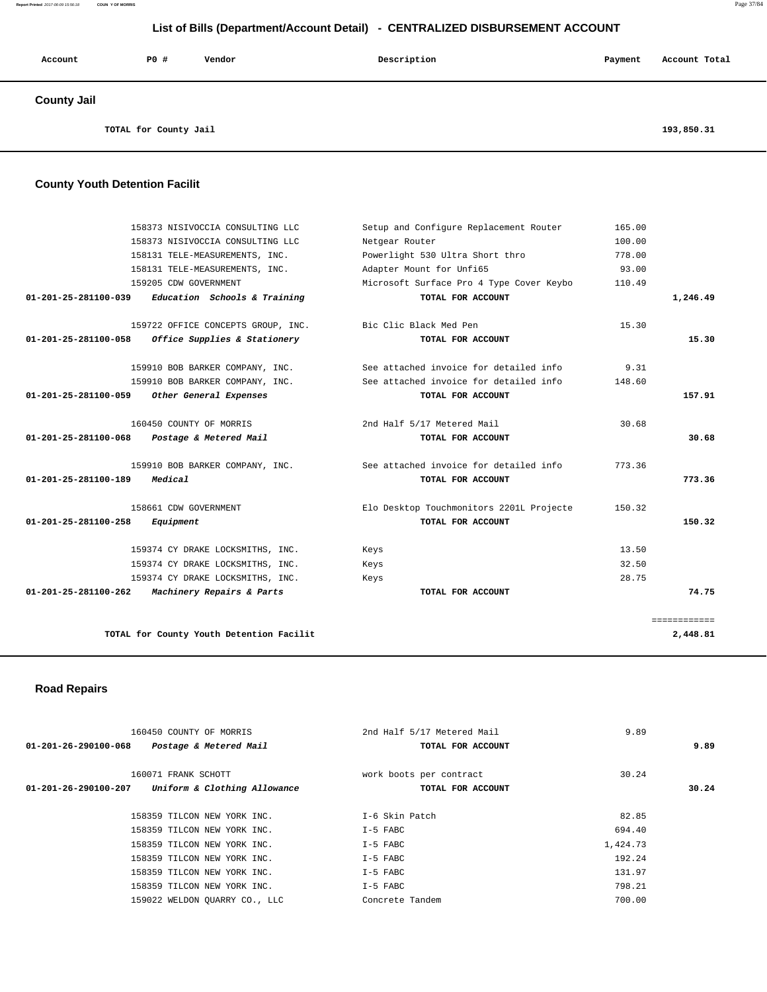#### **Report Printed** 2017-06-09 15:56:18 **COUN Y OF MORRIS** Page 37/84

 **List of Bills (Department/Account Detail) - CENTRALIZED DISBURSEMENT ACCOUNT**

| Account                               | P0 # | Vendor | Description | Payment    | Account Total |
|---------------------------------------|------|--------|-------------|------------|---------------|
| <b>County Jail</b>                    |      |        |             |            |               |
| TOTAL for County Jail                 |      |        |             | 193,850.31 |               |
| <b>County Youth Detention Facilit</b> |      |        |             |            |               |

| 158373 NISIVOCCIA CONSULTING LLC                     | Setup and Configure Replacement Router   | 165.00 |              |
|------------------------------------------------------|------------------------------------------|--------|--------------|
| 158373 NISIVOCCIA CONSULTING LLC                     | Netgear Router                           | 100.00 |              |
| 158131 TELE-MEASUREMENTS, INC.                       | Powerlight 530 Ultra Short thro          | 778.00 |              |
| 158131 TELE-MEASUREMENTS, INC.                       | Adapter Mount for Unfi65                 | 93.00  |              |
| 159205 CDW GOVERNMENT                                | Microsoft Surface Pro 4 Type Cover Keybo | 110.49 |              |
| 01-201-25-281100-039<br>Education Schools & Training | TOTAL FOR ACCOUNT                        |        | 1,246.49     |
| 159722 OFFICE CONCEPTS GROUP, INC.                   | Bic Clic Black Med Pen                   | 15.30  |              |
| 01-201-25-281100-058 Office Supplies & Stationery    | TOTAL FOR ACCOUNT                        |        | 15.30        |
| 159910 BOB BARKER COMPANY, INC.                      | See attached invoice for detailed info   | 9.31   |              |
| 159910 BOB BARKER COMPANY, INC.                      | See attached invoice for detailed info   | 148.60 |              |
| 01-201-25-281100-059 Other General Expenses          | TOTAL FOR ACCOUNT                        |        | 157.91       |
| 160450 COUNTY OF MORRIS                              | 2nd Half 5/17 Metered Mail               | 30.68  |              |
| 01-201-25-281100-068<br>Postage & Metered Mail       | TOTAL FOR ACCOUNT                        |        | 30.68        |
| 159910 BOB BARKER COMPANY, INC.                      | See attached invoice for detailed info   | 773.36 |              |
| Medical<br>01-201-25-281100-189                      | TOTAL FOR ACCOUNT                        |        | 773.36       |
| 158661 CDW GOVERNMENT                                | Elo Desktop Touchmonitors 2201L Projecte | 150.32 |              |
| 01-201-25-281100-258<br>Equipment                    | TOTAL FOR ACCOUNT                        |        | 150.32       |
| 159374 CY DRAKE LOCKSMITHS, INC.                     | Keys                                     | 13.50  |              |
| 159374 CY DRAKE LOCKSMITHS, INC.                     | Keys                                     | 32.50  |              |
| 159374 CY DRAKE LOCKSMITHS, INC.                     | Keys                                     | 28.75  |              |
| Machinery Repairs & Parts<br>01-201-25-281100-262    | TOTAL FOR ACCOUNT                        |        | 74.75        |
|                                                      |                                          |        | ============ |
| TOTAL for County Youth Detention Facilit             |                                          |        | 2,448.81     |

# **Road Repairs**

| 160450 COUNTY OF MORRIS<br>Postage & Metered Mail<br>01-201-26-290100-068   | 2nd Half 5/17 Metered Mail<br>TOTAL FOR ACCOUNT | 9.89<br>9.89   |  |
|-----------------------------------------------------------------------------|-------------------------------------------------|----------------|--|
| 160071 FRANK SCHOTT<br>Uniform & Clothing Allowance<br>01-201-26-290100-207 | work boots per contract<br>TOTAL FOR ACCOUNT    | 30.24<br>30.24 |  |
| 158359 TILCON NEW YORK INC.                                                 | T-6 Skin Patch                                  | 82.85          |  |
| 158359 TILCON NEW YORK INC.                                                 | I-5 FABC                                        | 694.40         |  |
| 158359 TILCON NEW YORK INC.                                                 | I-5 FABC                                        | 1,424.73       |  |
| 158359 TILCON NEW YORK INC.                                                 | $I-5$ FABC                                      | 192.24         |  |
| 158359 TILCON NEW YORK INC.                                                 | $I-5$ FABC                                      | 131.97         |  |
| 158359 TILCON NEW YORK INC.                                                 | I-5 FABC                                        | 798.21         |  |
| 159022 WELDON OUARRY CO., LLC                                               | Concrete Tandem                                 | 700.00         |  |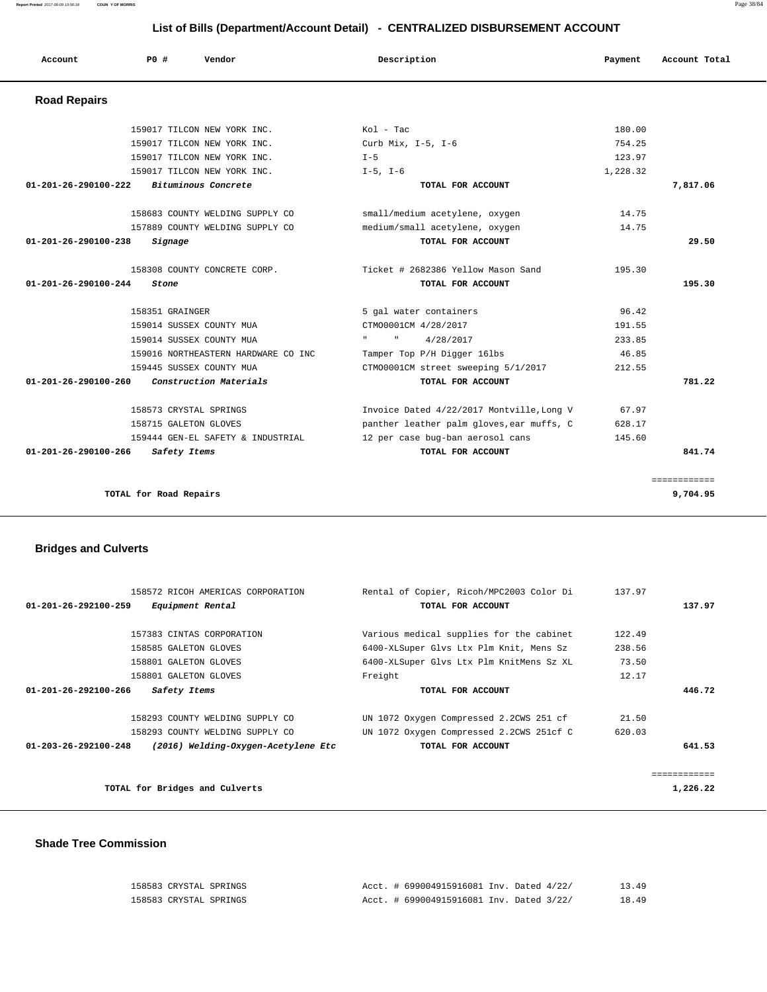**Report Printed** 2017-06-09 15:56:18 **COUN Y OF MORRIS** Page 38/84

# **List of Bills (Department/Account Detail) - CENTRALIZED DISBURSEMENT ACCOUNT**

| Account              | PO#                    | Vendor                              | Description                                         | Payment  | Account Total |
|----------------------|------------------------|-------------------------------------|-----------------------------------------------------|----------|---------------|
| <b>Road Repairs</b>  |                        |                                     |                                                     |          |               |
|                      |                        | 159017 TILCON NEW YORK INC.         | Kol - Tac                                           | 180.00   |               |
|                      |                        | 159017 TILCON NEW YORK INC.         | Curb Mix, I-5, I-6                                  | 754.25   |               |
|                      |                        | 159017 TILCON NEW YORK INC.         | $I - 5$                                             | 123.97   |               |
|                      |                        | 159017 TILCON NEW YORK INC.         | $I-5$ , $I-6$                                       | 1,228.32 |               |
| 01-201-26-290100-222 |                        | Bituminous Concrete                 | TOTAL FOR ACCOUNT                                   |          | 7,817.06      |
|                      |                        | 158683 COUNTY WELDING SUPPLY CO     | small/medium acetylene, oxygen                      | 14.75    |               |
|                      |                        | 157889 COUNTY WELDING SUPPLY CO     | medium/small acetylene, oxygen                      | 14.75    |               |
| 01-201-26-290100-238 | Signage                |                                     | TOTAL FOR ACCOUNT                                   |          | 29.50         |
|                      |                        | 158308 COUNTY CONCRETE CORP.        | Ticket # 2682386 Yellow Mason Sand                  | 195.30   |               |
| 01-201-26-290100-244 | Stone                  |                                     | TOTAL FOR ACCOUNT                                   |          | 195.30        |
|                      | 158351 GRAINGER        |                                     | 5 gal water containers                              | 96.42    |               |
|                      |                        | 159014 SUSSEX COUNTY MUA            | CTM00001CM 4/28/2017                                | 191.55   |               |
|                      |                        | 159014 SUSSEX COUNTY MUA            | <b>Harry Committee</b><br>$\mathbf{H}$<br>4/28/2017 | 233.85   |               |
|                      |                        | 159016 NORTHEASTERN HARDWARE CO INC | Tamper Top P/H Digger 16lbs                         | 46.85    |               |
|                      |                        | 159445 SUSSEX COUNTY MUA            | CTM00001CM street sweeping 5/1/2017                 | 212.55   |               |
| 01-201-26-290100-260 |                        | Construction Materials              | TOTAL FOR ACCOUNT                                   |          | 781.22        |
|                      | 158573 CRYSTAL SPRINGS |                                     | Invoice Dated 4/22/2017 Montville, Long V           | 67.97    |               |
|                      | 158715 GALETON GLOVES  |                                     | panther leather palm gloves, ear muffs, C           | 628.17   |               |
|                      |                        | 159444 GEN-EL SAFETY & INDUSTRIAL   | 12 per case bug-ban aerosol cans                    | 145.60   |               |
| 01-201-26-290100-266 | Safety Items           |                                     | TOTAL FOR ACCOUNT                                   |          | 841.74        |
|                      |                        |                                     |                                                     |          | ============  |
|                      | TOTAL for Road Repairs |                                     |                                                     |          | 9,704.95      |

# **Bridges and Culverts**

| 158572 RICOH AMERICAS CORPORATION                                     | Rental of Copier, Ricoh/MPC2003 Color Di | 137.97 |              |
|-----------------------------------------------------------------------|------------------------------------------|--------|--------------|
| 01-201-26-292100-259<br>Equipment Rental                              | TOTAL FOR ACCOUNT                        |        | 137.97       |
| 157383 CINTAS CORPORATION                                             | Various medical supplies for the cabinet | 122.49 |              |
| 158585 GALETON GLOVES                                                 | 6400-XLSuper Glvs Ltx Plm Knit, Mens Sz  | 238.56 |              |
| 158801 GALETON GLOVES                                                 | 6400-XLSuper Glvs Ltx Plm KnitMens Sz XL | 73.50  |              |
| 158801 GALETON GLOVES                                                 | Freight                                  | 12.17  |              |
| $01 - 201 - 26 - 292100 - 266$<br>Safety Items                        | TOTAL FOR ACCOUNT                        |        | 446.72       |
| 158293 COUNTY WELDING SUPPLY CO                                       | UN 1072 Oxygen Compressed 2.2CWS 251 cf  | 21.50  |              |
| 158293 COUNTY WELDING SUPPLY CO                                       | UN 1072 Oxygen Compressed 2.2CWS 251cf C | 620.03 |              |
| $01 - 203 - 26 - 292100 - 248$<br>(2016) Welding-Oxygen-Acetylene Etc | TOTAL FOR ACCOUNT                        |        | 641.53       |
|                                                                       |                                          |        | ------------ |
| TOTAL for Bridges and Culverts                                        |                                          |        | 1,226.22     |

### **Shade Tree Commission**

| 158583 CRYSTAL SPRINGS | Acct. # 699004915916081 Inv. Dated 4/22/ | 13.49 |
|------------------------|------------------------------------------|-------|
| 158583 CRYSTAL SPRINGS | Acct. # 699004915916081 Inv. Dated 3/22/ | 18.49 |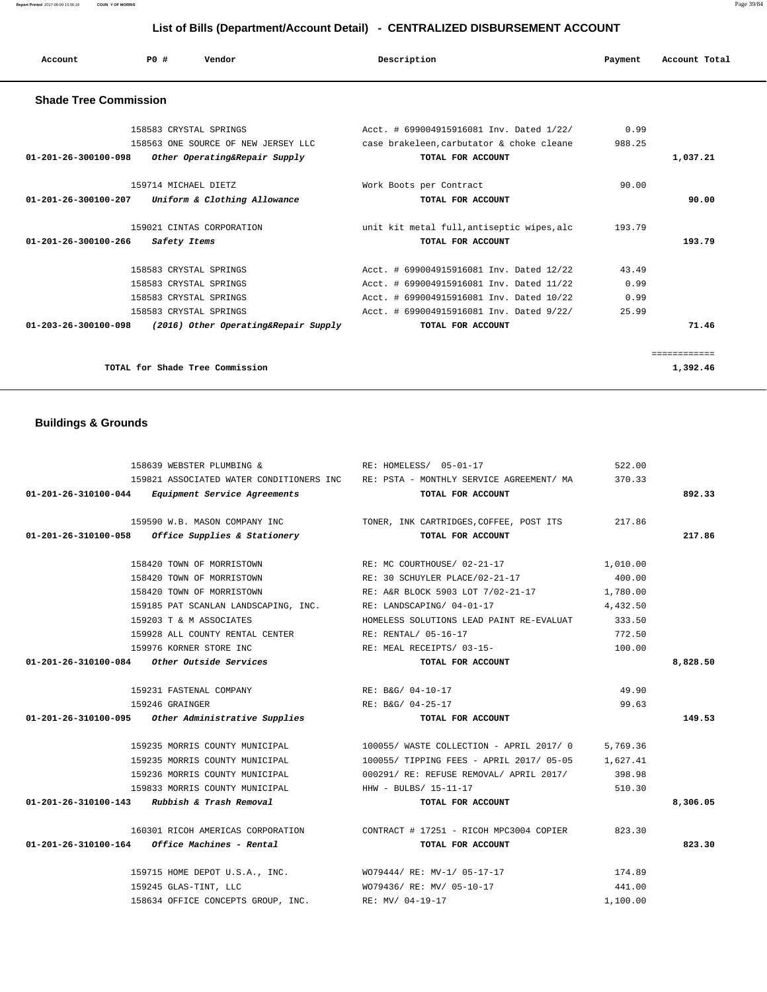**Report Printed** 2017-06-09 15:56:18 **COUN Y OF MORRIS** Page 39/84

# **List of Bills (Department/Account Detail) - CENTRALIZED DISBURSEMENT ACCOUNT**

| Account                        | PO#<br>Vendor                                                 | Description                                                                           | Payment        | Account Total |
|--------------------------------|---------------------------------------------------------------|---------------------------------------------------------------------------------------|----------------|---------------|
| <b>Shade Tree Commission</b>   |                                                               |                                                                                       |                |               |
|                                | 158583 CRYSTAL SPRINGS<br>158563 ONE SOURCE OF NEW JERSEY LLC | Acct. # 699004915916081 Inv. Dated 1/22/<br>case brakeleen, carbutator & choke cleane | 0.99<br>988.25 |               |
| 01-201-26-300100-098           | Other Operating&Repair Supply                                 | TOTAL FOR ACCOUNT                                                                     |                | 1,037.21      |
|                                | 159714 MICHAEL DIETZ                                          | Work Boots per Contract                                                               | 90.00          |               |
| 01-201-26-300100-207           | Uniform & Clothing Allowance                                  | TOTAL FOR ACCOUNT                                                                     |                | 90.00         |
|                                | 159021 CINTAS CORPORATION                                     | unit kit metal full, antiseptic wipes, alc                                            | 193.79         |               |
| $01 - 201 - 26 - 300100 - 266$ | Safety Items                                                  | TOTAL FOR ACCOUNT                                                                     |                | 193.79        |
|                                | 158583 CRYSTAL SPRINGS                                        | Acct. # 699004915916081 Inv. Dated 12/22                                              | 43.49          |               |
|                                | 158583 CRYSTAL SPRINGS                                        | Acct. # 699004915916081 Inv. Dated 11/22                                              | 0.99           |               |
|                                | 158583 CRYSTAL SPRINGS                                        | Acct. # 699004915916081 Inv. Dated 10/22                                              | 0.99           |               |
|                                | 158583 CRYSTAL SPRINGS                                        | Acct. # 699004915916081 Inv. Dated 9/22/                                              | 25.99          |               |
| $01 - 203 - 26 - 300100 - 098$ | (2016) Other Operating&Repair Supply                          | TOTAL FOR ACCOUNT                                                                     |                | 71.46         |
|                                |                                                               |                                                                                       |                | ============  |
|                                | TOTAL for Shade Tree Commission                               |                                                                                       |                | 1,392.46      |

# **Buildings & Grounds**

| 158639 WEBSTER PLUMBING &                                      | RE: HOMELESS/ 05-01-17                                                                   | 522.00   |          |
|----------------------------------------------------------------|------------------------------------------------------------------------------------------|----------|----------|
|                                                                | 159821 ASSOCIATED WATER CONDITIONERS INC RE: PSTA - MONTHLY SERVICE AGREEMENT/ MA 370.33 |          |          |
| 01-201-26-310100-044 Equipment Service Agreements              | TOTAL FOR ACCOUNT                                                                        |          | 892.33   |
|                                                                | 159590 W.B. MASON COMPANY INC TONER, INK CARTRIDGES, COFFEE, POST ITS 217.86             |          |          |
| $01-201-26-310100-058$ Office Supplies & Stationery            | TOTAL FOR ACCOUNT                                                                        |          | 217.86   |
|                                                                |                                                                                          |          |          |
| 158420 TOWN OF MORRISTOWN                                      | RE: 30 SCHUYLER PLACE/02-21-17                                                           | 400.00   |          |
| 158420 TOWN OF MORRISTOWN                                      | RE: A&R BLOCK 5903 LOT 7/02-21-17 1,780.00                                               |          |          |
| 159185 PAT SCANLAN LANDSCAPING, INC. RE: LANDSCAPING/ 04-01-17 |                                                                                          | 4,432.50 |          |
| 159203 T & M ASSOCIATES                                        | HOMELESS SOLUTIONS LEAD PAINT RE-EVALUAT                                                 | 333.50   |          |
| 159928 ALL COUNTY RENTAL CENTER RE: RENTAL/ 05-16-17           |                                                                                          | 772.50   |          |
| 159976 KORNER STORE INC                                        | RE: MEAL RECEIPTS/ 03-15-                                                                | 100.00   |          |
| $01-201-26-310100-084$ Other Outside Services                  | TOTAL FOR ACCOUNT                                                                        |          | 8,828.50 |
| 159231 FASTENAL COMPANY RE: B&G/ 04-10-17                      |                                                                                          | 49.90    |          |
| 159246 GRAINGER                                                | RE: B&G/ 04-25-17                                                                        | 99.63    |          |
| 01-201-26-310100-095 Other Administrative Supplies             | TOTAL FOR ACCOUNT                                                                        |          | 149.53   |
|                                                                | 159235 MORRIS COUNTY MUNICIPAL 100055/ WASTE COLLECTION - APRIL 2017/0                   | 5,769.36 |          |
|                                                                | 159235 MORRIS COUNTY MUNICIPAL 100055/ TIPPING FEES - APRIL 2017/05-05 1,627.41          |          |          |
|                                                                | 159236 MORRIS COUNTY MUNICIPAL 6000291/ RE: REFUSE REMOVAL/ APRIL 2017/ 398.98           |          |          |
| 159833 MORRIS COUNTY MUNICIPAL THE HHW - BULBS/ 15-11-17       |                                                                                          | 510.30   |          |
| $01-201-26-310100-143$ Rubbish & Trash Removal                 | TOTAL FOR ACCOUNT                                                                        |          | 8,306.05 |
|                                                                | 160301 RICOH AMERICAS CORPORATION CONTRACT # 17251 - RICOH MPC3004 COPIER                | 823.30   |          |
| $01 - 201 - 26 - 310100 - 164$ Office Machines - Rental        | TOTAL FOR ACCOUNT                                                                        |          | 823.30   |
|                                                                | 159715 HOME DEPOT U.S.A., INC. WO79444/ RE: MV-1/ 05-17-17                               | 174.89   |          |
| 159245 GLAS-TINT, LLC                                          | WO79436/RE: MV/05-10-17                                                                  | 441.00   |          |
| 158634 OFFICE CONCEPTS GROUP, INC. RE: MV/ 04-19-17            |                                                                                          | 1,100.00 |          |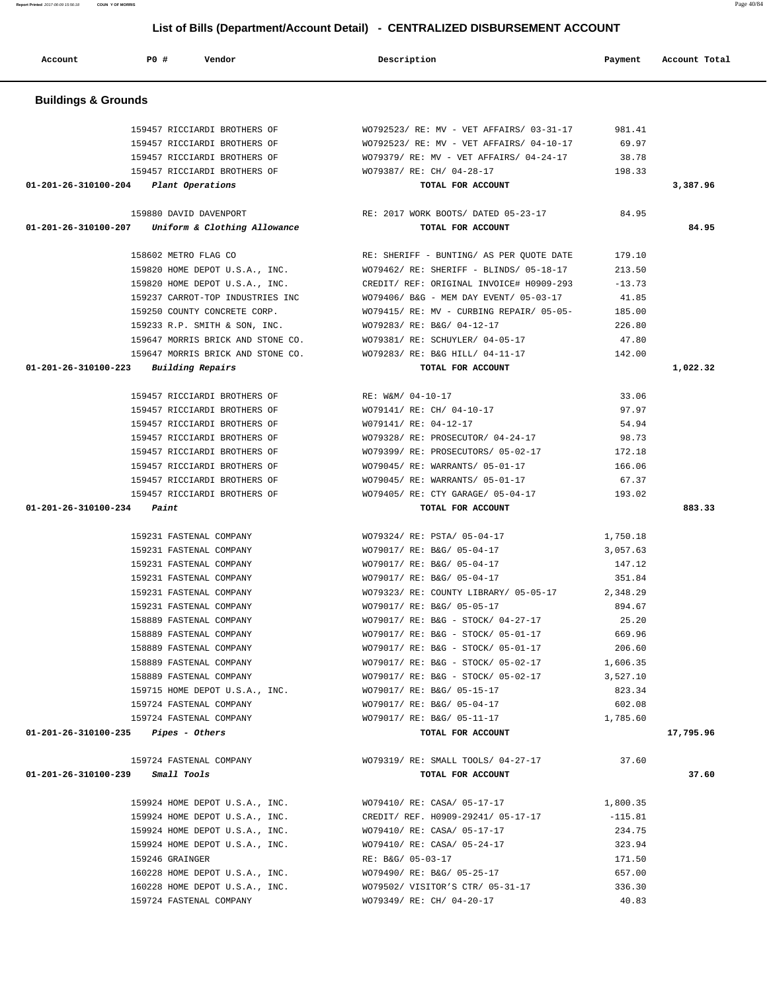159457 RICCIARDI BROTHERS OF WO792523/ RE: MV - VET AFFAIRS/ 03-31-17 981.41 159457 RICCIARDI BROTHERS OF WO792523/ RE: MV - VET AFFAIRS/ 04-10-17 69.97 159457 RICCIARDI BROTHERS OF WO79379/ RE: MV - VET AFFAIRS/ 04-24-17 38.78 159457 RICCIARDI BROTHERS OF WO79387/ RE: CH/ 04-28-17 198.33  **01-201-26-310100-204 Plant Operations TOTAL FOR ACCOUNT 3,387.96** 159880 DAVID DAVENPORT RE: 2017 WORK BOOTS/ DATED 05-23-17 84.95  **01-201-26-310100-207 Uniform & Clothing Allowance TOTAL FOR ACCOUNT 84.95** 158602 METRO FLAG CO RE: SHERIFF - BUNTING/ AS PER QUOTE DATE 179.10 159820 HOME DEPOT U.S.A., INC. WO79462/ RE: SHERIFF - BLINDS/ 05-18-17 213.50 159820 HOME DEPOT U.S.A., INC. CREDIT/ REF: ORIGINAL INVOICE# H0909-293 -13.73 159237 CARROT-TOP INDUSTRIES INC WO79406/ B&G - MEM DAY EVENT/ 05-03-17 41.85 159250 COUNTY CONCRETE CORP. WO79415/ RE: MV - CURBING REPAIR/ 05-05- 185.00 159233 R.P. SMITH & SON, INC. WO79283/ RE: B&G/ 04-12-17 226.80 159647 MORRIS BRICK AND STONE CO. WO79381/ RE: SCHUYLER/ 04-05-17 47.80 159647 MORRIS BRICK AND STONE CO. WO79283/ RE: B&G HILL/ 04-11-17 142.00  **01-201-26-310100-223 Building Repairs TOTAL FOR ACCOUNT 1,022.32** 159457 RICCIARDI BROTHERS OF RE: W&M/ 04-10-17 33.06 159457 RICCIARDI BROTHERS OF WO79141/ RE: CH/ 04-10-17 97.97 159457 RICCIARDI BROTHERS OF W079141/ RE: 04-12-17 54.94 159457 RICCIARDI BROTHERS OF WO79328/ RE: PROSECUTOR/ 04-24-17 98.73 159457 RICCIARDI BROTHERS OF WO79399/ RE: PROSECUTORS/ 05-02-17 172.18 159457 RICCIARDI BROTHERS OF WO79045/ RE: WARRANTS/ 05-01-17 166.06 159457 RICCIARDI BROTHERS OF WO79045/ RE: WARRANTS/ 05-01-17 67.37 159457 RICCIARDI BROTHERS OF WO79405/ RE: CTY GARAGE/ 05-04-17 193.02  **01-201-26-310100-234 Paint TOTAL FOR ACCOUNT 883.33** 159231 FASTENAL COMPANY WO79324/ RE: PSTA/ 05-04-17 1,750.18 159231 FASTENAL COMPANY WO79017/ RE: B&G/ 05-04-17 3,057.63 159231 FASTENAL COMPANY WO79017/ RE: B&G/ 05-04-17 147.12 159231 FASTENAL COMPANY WO79017/ RE: B&G/ 05-04-17 351.84 159231 FASTENAL COMPANY WO79323/ RE: COUNTY LIBRARY/ 05-05-17 2,348.29 159231 FASTENAL COMPANY WO79017/ RE: B&G/ 05-05-17 894.67 158889 FASTENAL COMPANY WO79017/ RE: B&G - STOCK/ 04-27-17 25.20 158889 FASTENAL COMPANY WO79017/ RE: B&G - STOCK/ 05-01-17 669.96 158889 FASTENAL COMPANY WO79017/ RE: B&G - STOCK/ 05-01-17 206.60 158889 FASTENAL COMPANY WO79017/ RE: B&G - STOCK/ 05-02-17 1,606.35 158889 FASTENAL COMPANY WO79017/ RE: B&G - STOCK/ 05-02-17 3,527.10 159715 HOME DEPOT U.S.A., INC. WO79017/ RE: B&G/ 05-15-17 823.34 159724 FASTENAL COMPANY WO79017/ RE: B&G/ 05-04-17 602.08 159724 FASTENAL COMPANY WO79017/ RE: B&G/ 05-11-17 1,785.60  **01-201-26-310100-235 Pipes - Others TOTAL FOR ACCOUNT 17,795.96** 159724 FASTENAL COMPANY WO79319/ RE: SMALL TOOLS/ 04-27-17 37.60  **01-201-26-310100-239 Small Tools TOTAL FOR ACCOUNT 37.60** 159924 HOME DEPOT U.S.A., INC. WO79410/ RE: CASA/ 05-17-17 1,800.35 159924 HOME DEPOT U.S.A., INC. CREDIT/ REF. H0909-29241/ 05-17-17 -115.81 159924 HOME DEPOT U.S.A., INC. WO79410/ RE: CASA/ 05-17-17 234.75 159924 HOME DEPOT U.S.A., INC. WO79410/ RE: CASA/ 05-24-17 323.94 159246 GRAINGER **RE: B&G/ 05-03-17** 171.50 160228 HOME DEPOT U.S.A., INC. WO79490/ RE: B&G/ 05-25-17 657.00 160228 HOME DEPOT U.S.A., INC. (1992) 2012 WO79502/ VISITOR'S CTR/ 05-31-17 336.30 159724 FASTENAL COMPANY WO79349/ RE: CH/ 04-20-17 40.83

#### **Buildings & Grounds**

 **List of Bills (Department/Account Detail) - CENTRALIZED DISBURSEMENT ACCOUNT**

 **Account P0 # Vendor Description Payment Account Total**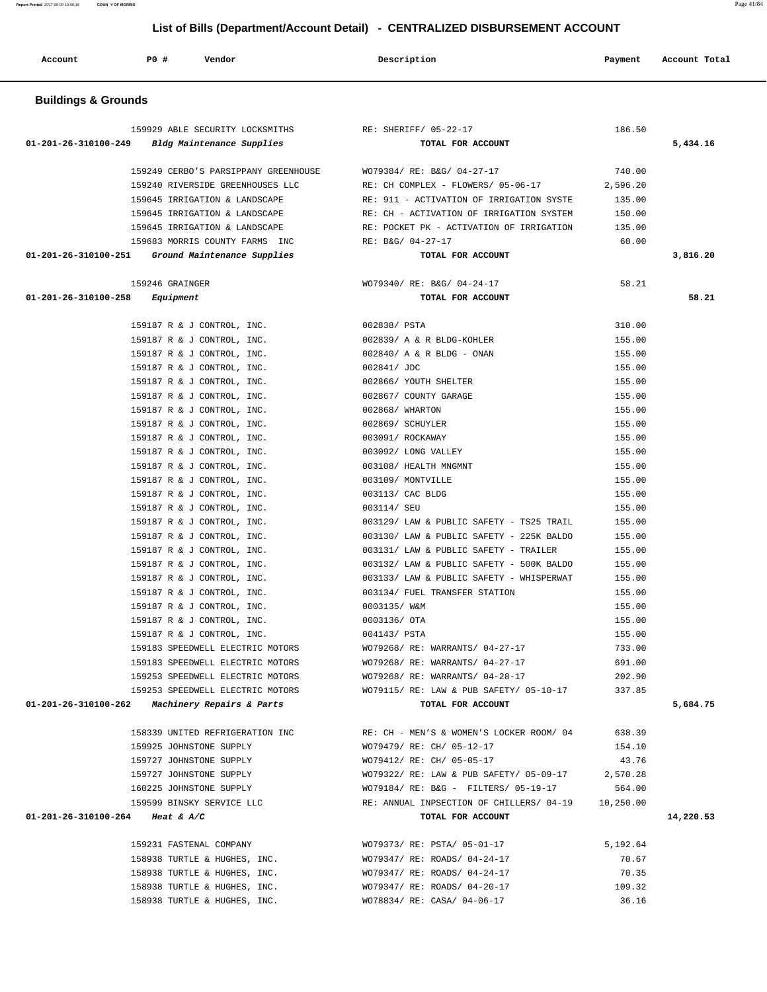**Report Printed** 2017-06-09 15:56:18 **COUN Y OF MORRIS** Page 41/84

# **List of Bills (Department/Account Detail) - CENTRALIZED DISBURSEMENT ACCOUNT**

| Account                        | P0#<br>Vendor                                            | Description                                            | Payment          | Account Total |
|--------------------------------|----------------------------------------------------------|--------------------------------------------------------|------------------|---------------|
| <b>Buildings &amp; Grounds</b> |                                                          |                                                        |                  |               |
|                                | 159929 ABLE SECURITY LOCKSMITHS                          | RE: SHERIFF/ 05-22-17                                  | 186.50           |               |
| 01-201-26-310100-249           | Bldg Maintenance Supplies                                | TOTAL FOR ACCOUNT                                      |                  | 5,434.16      |
|                                |                                                          |                                                        |                  |               |
|                                | 159249 CERBO'S PARSIPPANY GREENHOUSE                     | WO79384/ RE: B&G/ 04-27-17                             | 740.00           |               |
|                                | 159240 RIVERSIDE GREENHOUSES LLC                         | RE: CH COMPLEX - FLOWERS/ 05-06-17                     | 2,596.20         |               |
|                                | 159645 IRRIGATION & LANDSCAPE                            | RE: 911 - ACTIVATION OF IRRIGATION SYSTE               | 135.00           |               |
|                                | 159645 IRRIGATION & LANDSCAPE                            | RE: CH - ACTIVATION OF IRRIGATION SYSTEM               | 150.00           |               |
|                                | 159645 IRRIGATION & LANDSCAPE                            | RE: POCKET PK - ACTIVATION OF IRRIGATION               | 135.00           |               |
|                                | 159683 MORRIS COUNTY FARMS INC                           | RE: B&G/ 04-27-17                                      | 60.00            |               |
| 01-201-26-310100-251           | Ground Maintenance Supplies                              | TOTAL FOR ACCOUNT                                      |                  | 3,816.20      |
|                                | 159246 GRAINGER                                          | WO79340/ RE: B&G/ 04-24-17                             | 58.21            |               |
| 01-201-26-310100-258           | Equipment                                                | TOTAL FOR ACCOUNT                                      |                  | 58.21         |
|                                |                                                          |                                                        |                  |               |
|                                | 159187 R & J CONTROL, INC.                               | 002838/ PSTA                                           | 310.00           |               |
|                                | 159187 R & J CONTROL, INC.                               | 002839/ A & R BLDG-KOHLER<br>002840/ A & R BLDG - ONAN | 155.00<br>155.00 |               |
|                                | 159187 R & J CONTROL, INC.<br>159187 R & J CONTROL, INC. | 002841/ JDC                                            | 155.00           |               |
|                                | 159187 R & J CONTROL, INC.                               | 002866/ YOUTH SHELTER                                  | 155.00           |               |
|                                | 159187 R & J CONTROL, INC.                               | 002867/ COUNTY GARAGE                                  | 155.00           |               |
|                                | 159187 R & J CONTROL, INC.                               | 002868/ WHARTON                                        | 155.00           |               |
|                                | 159187 R & J CONTROL, INC.                               | 002869/ SCHUYLER                                       | 155.00           |               |
|                                | 159187 R & J CONTROL, INC.                               | 003091/ ROCKAWAY                                       | 155.00           |               |
|                                | 159187 R & J CONTROL, INC.                               | 003092/ LONG VALLEY                                    | 155.00           |               |
|                                | 159187 R & J CONTROL, INC.                               | 003108/ HEALTH MNGMNT                                  | 155.00           |               |
|                                | 159187 R & J CONTROL, INC.                               | 003109/ MONTVILLE                                      | 155.00           |               |
|                                | 159187 R & J CONTROL, INC.                               | 003113/ CAC BLDG                                       | 155.00           |               |
|                                | 159187 R & J CONTROL, INC.                               | 003114/ SEU                                            | 155.00           |               |
|                                | 159187 R & J CONTROL, INC.                               | 003129/ LAW & PUBLIC SAFETY - TS25 TRAIL               | 155.00           |               |
|                                | 159187 R & J CONTROL, INC.                               | 003130/ LAW & PUBLIC SAFETY - 225K BALDO               | 155.00           |               |
|                                | 159187 R & J CONTROL, INC.                               | 003131/ LAW & PUBLIC SAFETY - TRAILER                  | 155.00           |               |
|                                | 159187 R & J CONTROL, INC.                               | 003132/ LAW & PUBLIC SAFETY - 500K BALDO               | 155.00           |               |
|                                | 159187 R & J CONTROL, INC.                               | 003133/ LAW & PUBLIC SAFETY - WHISPERWAT               | 155.00           |               |
|                                | 159187 R & J CONTROL, INC.                               | 003134/ FUEL TRANSFER STATION<br>0003135/ W&M          | 155.00           |               |
|                                | 159187 R & J CONTROL, INC.<br>159187 R & J CONTROL, INC. | 0003136/ OTA                                           | 155.00<br>155.00 |               |
|                                | 159187 R & J CONTROL, INC.                               | 004143/ PSTA                                           | 155.00           |               |
|                                | 159183 SPEEDWELL ELECTRIC MOTORS                         | WO79268/ RE: WARRANTS/ 04-27-17                        | 733.00           |               |
|                                | 159183 SPEEDWELL ELECTRIC MOTORS                         | WO79268/ RE: WARRANTS/ 04-27-17                        | 691.00           |               |
|                                | 159253 SPEEDWELL ELECTRIC MOTORS                         | WO79268/ RE: WARRANTS/ 04-28-17                        | 202.90           |               |
|                                | 159253 SPEEDWELL ELECTRIC MOTORS                         | WO79115/ RE: LAW & PUB SAFETY/ 05-10-17                | 337.85           |               |
|                                | $01-201-26-310100-262$ Machinery Repairs & Parts         | TOTAL FOR ACCOUNT                                      |                  | 5,684.75      |
|                                | 158339 UNITED REFRIGERATION INC                          | RE: CH - MEN'S & WOMEN'S LOCKER ROOM/ 04               | 638.39           |               |
|                                | 159925 JOHNSTONE SUPPLY                                  | WO79479/ RE: CH/ 05-12-17                              | 154.10           |               |
|                                | 159727 JOHNSTONE SUPPLY                                  | WO79412/ RE: CH/ 05-05-17                              | 43.76            |               |
|                                | 159727 JOHNSTONE SUPPLY                                  | WO79322/ RE: LAW & PUB SAFETY/ 05-09-17                | 2,570.28         |               |
|                                | 160225 JOHNSTONE SUPPLY                                  | WO79184/ RE: B&G - FILTERS/ 05-19-17                   | 564.00           |               |
|                                | 159599 BINSKY SERVICE LLC                                | RE: ANNUAL INPSECTION OF CHILLERS/ 04-19               | 10,250.00        |               |
|                                | 01-201-26-310100-264 Heat & A/C                          | TOTAL FOR ACCOUNT                                      |                  | 14,220.53     |
|                                | 159231 FASTENAL COMPANY                                  | WO79373/ RE: PSTA/ 05-01-17                            | 5,192.64         |               |
|                                | 158938 TURTLE & HUGHES, INC.                             | WO79347/ RE: ROADS/ 04-24-17                           | 70.67            |               |
|                                | 158938 TURTLE & HUGHES, INC.                             | WO79347/ RE: ROADS/ 04-24-17                           | 70.35            |               |
|                                | 158938 TURTLE & HUGHES, INC.                             | WO79347/ RE: ROADS/ 04-20-17                           | 109.32           |               |
|                                | 158938 TURTLE & HUGHES, INC.                             | WO78834/ RE: CASA/ 04-06-17                            | 36.16            |               |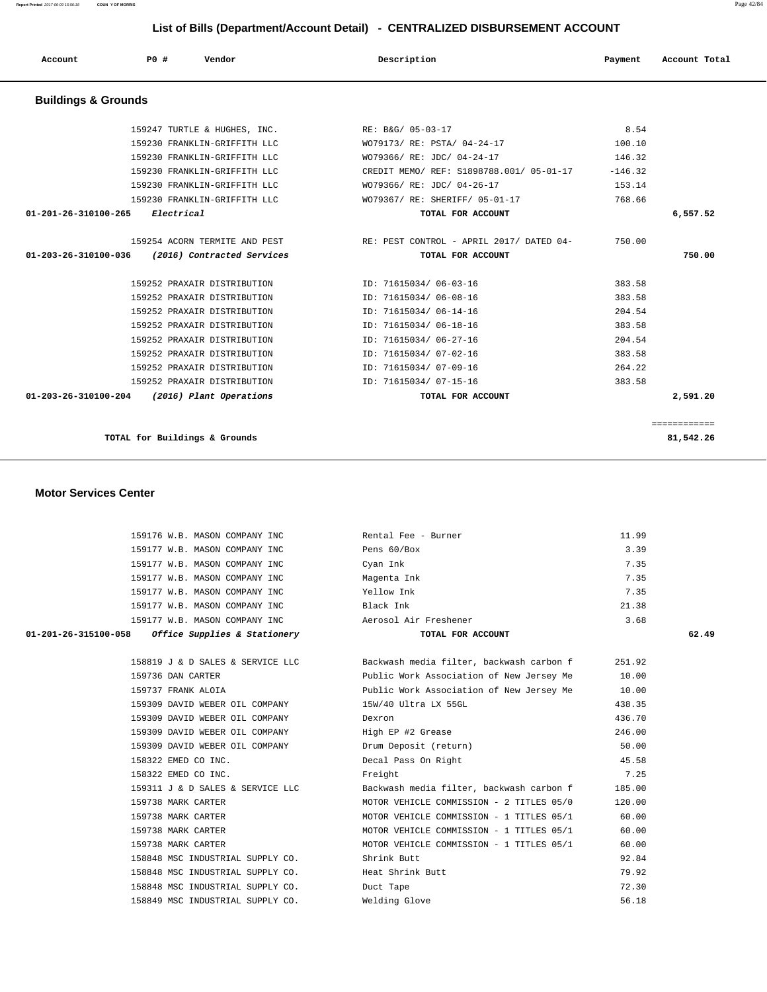**Report Printed** 2017-06-09 15:56:18 **COUN Y OF MORRIS** Page 42/84

# **List of Bills (Department/Account Detail) - CENTRALIZED DISBURSEMENT ACCOUNT**

| Account                        | PO#        | LIST OF BIIIS (Department/Account Detail) - CENTRALIZED DISBURSEMENT ACCOUNT<br>Vendor | Description                              | Payment   | Account Total |
|--------------------------------|------------|----------------------------------------------------------------------------------------|------------------------------------------|-----------|---------------|
| <b>Buildings &amp; Grounds</b> |            |                                                                                        |                                          |           |               |
|                                |            | 159247 TURTLE & HUGHES, INC.                                                           | RE: B&G/ 05-03-17                        | 8.54      |               |
|                                |            | 159230 FRANKLIN-GRIFFITH LLC                                                           | WO79173/ RE: PSTA/ 04-24-17              | 100.10    |               |
|                                |            | 159230 FRANKLIN-GRIFFITH LLC                                                           | WO79366/ RE: JDC/ 04-24-17               | 146.32    |               |
|                                |            | 159230 FRANKLIN-GRIFFITH LLC                                                           | CREDIT MEMO/ REF: S1898788.001/ 05-01-17 | $-146.32$ |               |
|                                |            | 159230 FRANKLIN-GRIFFITH LLC                                                           | WO79366/ RE: JDC/ 04-26-17               | 153.14    |               |
|                                |            | 159230 FRANKLIN-GRIFFITH LLC                                                           | WO79367/ RE: SHERIFF/ 05-01-17           | 768.66    |               |
| 01-201-26-310100-265           | Electrical |                                                                                        | TOTAL FOR ACCOUNT                        |           | 6,557.52      |
|                                |            | 159254 ACORN TERMITE AND PEST                                                          | RE: PEST CONTROL - APRIL 2017/ DATED 04- | 750.00    |               |
| 01-203-26-310100-036           |            | (2016) Contracted Services                                                             | TOTAL FOR ACCOUNT                        |           | 750.00        |
|                                |            | 159252 PRAXAIR DISTRIBUTION                                                            | ID: 71615034/ 06-03-16                   | 383.58    |               |
|                                |            | 159252 PRAXAIR DISTRIBUTION                                                            | ID: 71615034/ 06-08-16                   | 383.58    |               |
|                                |            | 159252 PRAXAIR DISTRIBUTION                                                            | ID: 71615034/ 06-14-16                   | 204.54    |               |
|                                |            | 159252 PRAXAIR DISTRIBUTION                                                            | ID: 71615034/ 06-18-16                   | 383.58    |               |
|                                |            | 159252 PRAXAIR DISTRIBUTION                                                            | ID: 71615034/ 06-27-16                   | 204.54    |               |
|                                |            | 159252 PRAXAIR DISTRIBUTION                                                            | ID: 71615034/ 07-02-16                   | 383.58    |               |
|                                |            | 159252 PRAXAIR DISTRIBUTION                                                            | ID: 71615034/ 07-09-16                   | 264.22    |               |
|                                |            | 159252 PRAXAIR DISTRIBUTION                                                            | ID: 71615034/ 07-15-16                   | 383.58    |               |
| 01-203-26-310100-204           |            | (2016) Plant Operations                                                                | TOTAL FOR ACCOUNT                        |           | 2,591.20      |

============

**TOTAL for Buildings & Grounds 81,542.26**

#### **Motor Services Center**

| 159176 W.B. MASON COMPANY INC                        | Rental Fee - Burner                      | 11.99  |       |
|------------------------------------------------------|------------------------------------------|--------|-------|
| 159177 W.B. MASON COMPANY INC                        | Pens 60/Box                              | 3.39   |       |
| 159177 W.B. MASON COMPANY INC                        | Cyan Ink                                 | 7.35   |       |
| 159177 W.B. MASON COMPANY INC                        | Magenta Ink                              | 7.35   |       |
| 159177 W.B. MASON COMPANY INC                        | Yellow Ink                               | 7.35   |       |
| 159177 W.B. MASON COMPANY INC                        | Black Ink                                | 21.38  |       |
|                                                      |                                          | 3.68   |       |
| Office Supplies & Stationery<br>01-201-26-315100-058 | TOTAL FOR ACCOUNT                        |        | 62.49 |
| 158819 J & D SALES & SERVICE LLC                     | Backwash media filter, backwash carbon f | 251.92 |       |
| 159736 DAN CARTER                                    | Public Work Association of New Jersey Me | 10.00  |       |
| 159737 FRANK ALOIA                                   | Public Work Association of New Jersey Me | 10.00  |       |
| 159309 DAVID WEBER OIL COMPANY                       | 15W/40 Ultra LX 55GL                     | 438.35 |       |
| 159309 DAVID WEBER OIL COMPANY                       | Dexron                                   | 436.70 |       |
| 159309 DAVID WEBER OIL COMPANY                       | High EP #2 Grease                        | 246.00 |       |
| 159309 DAVID WEBER OIL COMPANY                       | Drum Deposit (return)                    | 50.00  |       |
| 158322 EMED CO INC.                                  | Decal Pass On Right                      | 45.58  |       |
| 158322 EMED CO INC.                                  | Freight                                  | 7.25   |       |
| 159311 J & D SALES & SERVICE LLC                     | Backwash media filter, backwash carbon f | 185.00 |       |
| 159738 MARK CARTER                                   | MOTOR VEHICLE COMMISSION - 2 TITLES 05/0 | 120.00 |       |
| 159738 MARK CARTER                                   | MOTOR VEHICLE COMMISSION - 1 TITLES 05/1 | 60.00  |       |
| 159738 MARK CARTER                                   | MOTOR VEHICLE COMMISSION - 1 TITLES 05/1 | 60.00  |       |
| 159738 MARK CARTER                                   | MOTOR VEHICLE COMMISSION - 1 TITLES 05/1 | 60.00  |       |
| 158848 MSC INDUSTRIAL SUPPLY CO.                     | Shrink Butt                              | 92.84  |       |
| 158848 MSC INDUSTRIAL SUPPLY CO.                     | Heat Shrink Butt                         | 79.92  |       |
| 158848 MSC INDUSTRIAL SUPPLY CO.                     | Duct Tape                                | 72.30  |       |
| 158849 MSC INDUSTRIAL SUPPLY CO.                     | Welding Glove                            | 56.18  |       |
|                                                      |                                          |        |       |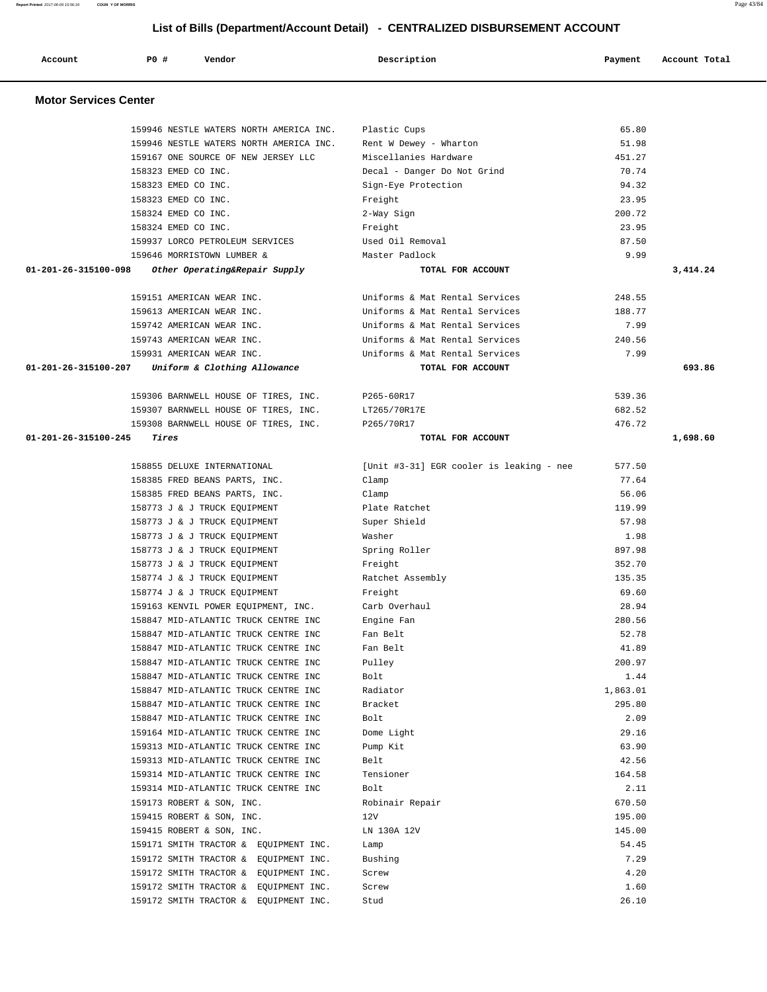**Motor Services Center**  159946 NESTLE WATERS NORTH AMERICA INC. Plastic Cups 65.80 159946 NESTLE WATERS NORTH AMERICA INC. Rent W Dewey - Wharton 51.98 159167 ONE SOURCE OF NEW JERSEY LLC Miscellanies Hardware 451.27 158323 EMED CO INC. Decal - Danger Do Not Grind 70.74 158323 EMED CO INC. Sign-Eye Protection 94.32 158323 EMED CO INC. Freight 23.95 158324 EMED CO INC. 2-Way Sign 200.72 158324 EMED CO INC. Freight 23.95 159937 LORCO PETROLEUM SERVICES Used Oil Removal 87.50 159646 MORRISTOWN LUMBER & Master Padlock 9.99  **01-201-26-315100-098 Other Operating&Repair Supply TOTAL FOR ACCOUNT 3,414.24** 159151 AMERICAN WEAR INC. Uniforms & Mat Rental Services 248.55 159613 AMERICAN WEAR INC. Uniforms & Mat Rental Services 188.77 159742 AMERICAN WEAR INC. Uniforms & Mat Rental Services 7.99 159743 AMERICAN WEAR INC. Uniforms & Mat Rental Services 240.56 159931 AMERICAN WEAR INC. Uniforms & Mat Rental Services 7.99  **01-201-26-315100-207 Uniform & Clothing Allowance TOTAL FOR ACCOUNT 693.86** 159306 BARNWELL HOUSE OF TIRES, INC. P265-60R17 539.36 159307 BARNWELL HOUSE OF TIRES, INC. LT265/70R17E 682.52 159308 BARNWELL HOUSE OF TIRES, INC. P265/70R17 476.72  **01-201-26-315100-245 Tires TOTAL FOR ACCOUNT 1,698.60** 158855 DELUXE INTERNATIONAL [Unit #3-31] EGR cooler is leaking - nee 577.50 158385 FRED BEANS PARTS, INC. Clamp Clamp Clamp Clamp 77.64 158385 FRED BEANS PARTS, INC. Clamp 56.06 158773 J & J TRUCK EQUIPMENT Plate Ratchet 119.99 158773 J & J TRUCK EQUIPMENT Super Shield 57.98 158773 J & J TRUCK EQUIPMENT Washer Washer 1.98 158773 J & J TRUCK EQUIPMENT Spring Roller 897.98 158773 J & J TRUCK EQUIPMENT **Freight** 352.70 158774 J & J TRUCK EQUIPMENT Ratchet Assembly 135.35 158774 J & J TRUCK EQUIPMENT Freight 69.60 159163 KENVIL POWER EQUIPMENT, INC. Carb Overhaul 28.94 158847 MID-ATLANTIC TRUCK CENTRE INC Engine Fan 280.56 158847 MID-ATLANTIC TRUCK CENTRE INC Fan Belt 52.78 158847 MID-ATLANTIC TRUCK CENTRE INC Fan Belt 41.89 158847 MID-ATLANTIC TRUCK CENTRE INC Pulley 200.97 158847 MID-ATLANTIC TRUCK CENTRE INC Bolt 5.44 158847 MID-ATLANTIC TRUCK CENTRE INC Radiator 1,863.01 158847 MID-ATLANTIC TRUCK CENTRE INC Bracket 295.80 158847 MID-ATLANTIC TRUCK CENTRE INC Bolt 2.09 159164 MID-ATLANTIC TRUCK CENTRE INC Dome Light 29.16 159313 MID-ATLANTIC TRUCK CENTRE INC Pump Kit 63.90 159313 MID-ATLANTIC TRUCK CENTRE INC Belt 42.56 159314 MID-ATLANTIC TRUCK CENTRE INC Tensioner 164.58 159314 MID-ATLANTIC TRUCK CENTRE INC Bolt 2.11 159173 ROBERT & SON, INC. Robinair Repair 670.50 159415 ROBERT & SON, INC. 12V 195.00 159415 ROBERT & SON, INC. LN 130A 12V 145.00 159171 SMITH TRACTOR & EQUIPMENT INC. Lamp 54.45 159172 SMITH TRACTOR & EQUIPMENT INC. Bushing 7.29 159172 SMITH TRACTOR & EQUIPMENT INC. Screw 4.20 159172 SMITH TRACTOR & EQUIPMENT INC. Screw Services and the services of the services of the services of the services of the services of the services of the services of the services of the services of the services of the s 159172 SMITH TRACTOR & EQUIPMENT INC. Stud 26.10

# **List of Bills (Department/Account Detail) - CENTRALIZED DISBURSEMENT ACCOUNT**

 **Account P0 # Vendor Description Payment Account Total**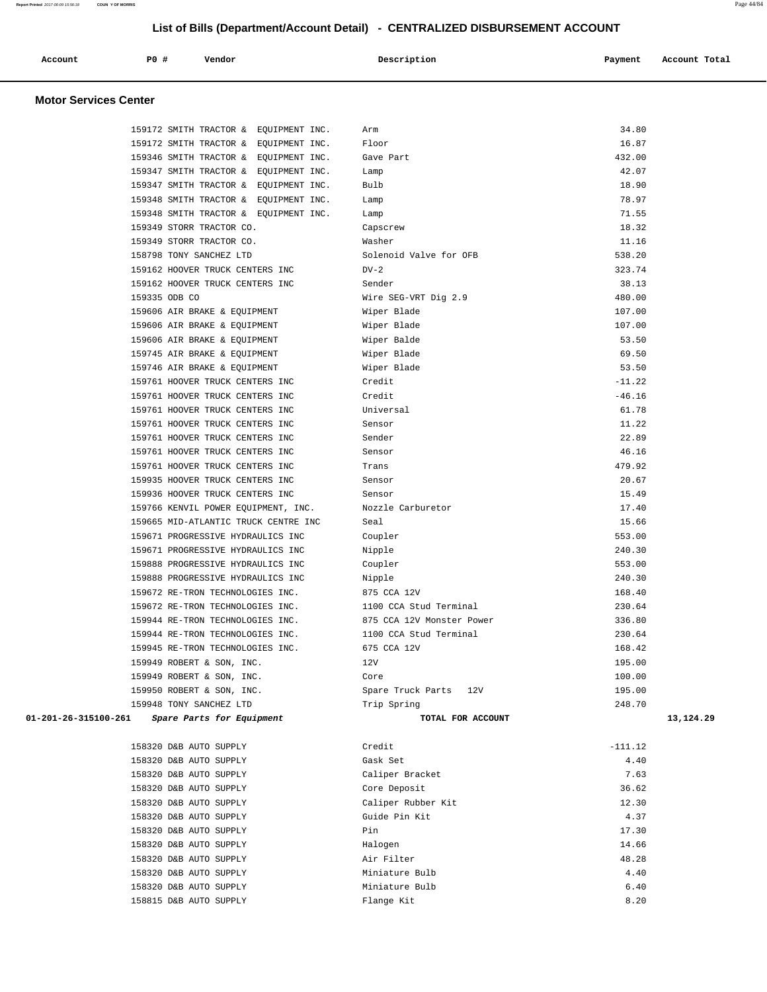| Account                      | PO# | Vendor | Description | Payment | Account Total |
|------------------------------|-----|--------|-------------|---------|---------------|
| <b>Motor Services Center</b> |     |        |             |         |               |

|                      | 159172 SMITH TRACTOR & EQUIPMENT INC. | Arm                       | 34.80     |
|----------------------|---------------------------------------|---------------------------|-----------|
|                      | 159172 SMITH TRACTOR & EQUIPMENT INC. | Floor                     | 16.87     |
|                      | 159346 SMITH TRACTOR & EQUIPMENT INC. | Gave Part                 | 432.00    |
|                      | 159347 SMITH TRACTOR & EQUIPMENT INC. | Lamp                      | 42.07     |
|                      | 159347 SMITH TRACTOR & EQUIPMENT INC. | Bulb                      | 18.90     |
|                      | 159348 SMITH TRACTOR & EQUIPMENT INC. | Lamp                      | 78.97     |
|                      | 159348 SMITH TRACTOR & EQUIPMENT INC. | Lamp                      | 71.55     |
|                      | 159349 STORR TRACTOR CO.              | Capscrew                  | 18.32     |
|                      | 159349 STORR TRACTOR CO.              | Washer                    | 11.16     |
|                      | 158798 TONY SANCHEZ LTD               | Solenoid Valve for OFB    | 538.20    |
|                      | 159162 HOOVER TRUCK CENTERS INC       | $DV-2$                    | 323.74    |
|                      | 159162 HOOVER TRUCK CENTERS INC       | Sender                    | 38.13     |
|                      | 159335 ODB CO                         | Wire SEG-VRT Dig 2.9      | 480.00    |
|                      | 159606 AIR BRAKE & EQUIPMENT          | Wiper Blade               | 107.00    |
|                      | 159606 AIR BRAKE & EQUIPMENT          | Wiper Blade               | 107.00    |
|                      | 159606 AIR BRAKE & EQUIPMENT          | Wiper Balde               | 53.50     |
|                      | 159745 AIR BRAKE & EQUIPMENT          | Wiper Blade               | 69.50     |
|                      | 159746 AIR BRAKE & EQUIPMENT          | Wiper Blade               | 53.50     |
|                      | 159761 HOOVER TRUCK CENTERS INC       | Credit                    | $-11.22$  |
|                      | 159761 HOOVER TRUCK CENTERS INC       | Credit                    | $-46.16$  |
|                      | 159761 HOOVER TRUCK CENTERS INC       | Universal                 | 61.78     |
|                      | 159761 HOOVER TRUCK CENTERS INC       | Sensor                    | 11.22     |
|                      | 159761 HOOVER TRUCK CENTERS INC       | Sender                    | 22.89     |
|                      | 159761 HOOVER TRUCK CENTERS INC       | Sensor                    | 46.16     |
|                      | 159761 HOOVER TRUCK CENTERS INC       | Trans                     | 479.92    |
|                      | 159935 HOOVER TRUCK CENTERS INC       | Sensor                    | 20.67     |
|                      | 159936 HOOVER TRUCK CENTERS INC       | Sensor                    | 15.49     |
|                      | 159766 KENVIL POWER EQUIPMENT, INC.   | Nozzle Carburetor         | 17.40     |
|                      | 159665 MID-ATLANTIC TRUCK CENTRE INC  | Seal                      | 15.66     |
|                      | 159671 PROGRESSIVE HYDRAULICS INC     | Coupler                   | 553.00    |
|                      | 159671 PROGRESSIVE HYDRAULICS INC     | Nipple                    | 240.30    |
|                      | 159888 PROGRESSIVE HYDRAULICS INC     | Coupler                   | 553.00    |
|                      | 159888 PROGRESSIVE HYDRAULICS INC     | Nipple                    | 240.30    |
|                      | 159672 RE-TRON TECHNOLOGIES INC.      | 875 CCA 12V               | 168.40    |
|                      | 159672 RE-TRON TECHNOLOGIES INC.      | 1100 CCA Stud Terminal    | 230.64    |
|                      | 159944 RE-TRON TECHNOLOGIES INC.      | 875 CCA 12V Monster Power | 336.80    |
|                      | 159944 RE-TRON TECHNOLOGIES INC.      | 1100 CCA Stud Terminal    | 230.64    |
|                      | 159945 RE-TRON TECHNOLOGIES INC.      | 675 CCA 12V               | 168.42    |
|                      | 159949 ROBERT & SON, INC.             | 12V                       | 195.00    |
|                      | 159949 ROBERT & SON, INC.             | Core                      | 100.00    |
|                      | 159950 ROBERT & SON, INC.             | Spare Truck Parts<br>12V  | 195.00    |
|                      | 159948 TONY SANCHEZ LTD               | Trip Spring               | 248.70    |
| 01-201-26-315100-261 | Spare Parts for Equipment             | TOTAL FOR ACCOUNT         | 13,124.29 |
|                      |                                       |                           |           |
|                      | 158320 D&B AUTO SUPPLY                | Credit                    | $-111.12$ |
|                      | 158320 D&B AUTO SUPPLY                | Gask Set                  | 4.40      |
|                      | 158320 D&B AUTO SUPPLY                | Caliper Bracket           | 7.63      |
|                      | 158320 D&B AUTO SUPPLY                | Core Deposit              | 36.62     |
|                      | 158320 D&B AUTO SUPPLY                | Caliper Rubber Kit        | 12.30     |
|                      | 158320 D&B AUTO SUPPLY                | Guide Pin Kit             | 4.37      |
|                      | 158320 D&B AUTO SUPPLY                | Pin                       | 17.30     |
|                      | 158320 D&B AUTO SUPPLY                | Halogen                   | 14.66     |
|                      | 158320 D&B AUTO SUPPLY                | Air Filter                | 48.28     |
|                      | 158320 D&B AUTO SUPPLY                | Miniature Bulb            | 4.40      |
|                      | 158320 D&B AUTO SUPPLY                | Miniature Bulb            | 6.40      |
|                      | 158815 D&B AUTO SUPPLY                | Flange Kit                | 8.20      |
|                      |                                       |                           |           |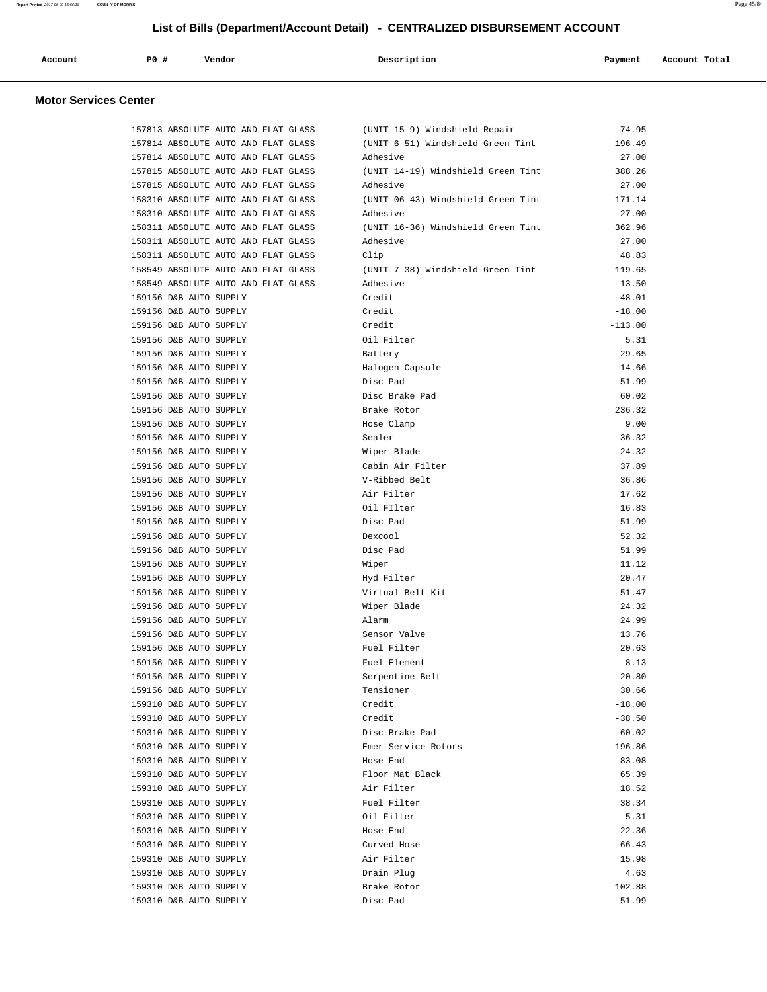| Account                      | PO# | Vendor | Description | Payment | Account Total |
|------------------------------|-----|--------|-------------|---------|---------------|
| <b>Motor Services Center</b> |     |        |             |         |               |

 157813 ABSOLUTE AUTO AND FLAT GLASS (UNIT 15-9) Windshield Repair 74.95 157814 ABSOLUTE AUTO AND FLAT GLASS (UNIT 6-51) Windshield Green Tint 196.49

#### 157814 ABSOLUTE AUTO AND FLAT GLASS Adhesive 27.00 157815 ABSOLUTE AUTO AND FLAT GLASS (UNIT 14-19) Windshield Green Tint 388.26 157815 ABSOLUTE AUTO AND FLAT GLASS Adhesive 27.00 158310 ABSOLUTE AUTO AND FLAT GLASS (UNIT 06-43) Windshield Green Tint 171.14 158310 ABSOLUTE AUTO AND FLAT GLASS Adhesive 27.00 158311 ABSOLUTE AUTO AND FLAT GLASS (UNIT 16-36) Windshield Green Tint 362.96 158311 ABSOLUTE AUTO AND FLAT GLASS Adhesive 27.00 158311 ABSOLUTE AUTO AND FLAT GLASS Clip 48.83 158549 ABSOLUTE AUTO AND FLAT GLASS (UNIT 7-38) Windshield Green Tint 119.65 158549 ABSOLUTE AUTO AND FLAT GLASS Adhesive 13.50 159156 D&B AUTO SUPPLY **Credit** Credit -48.01 159156 D&B AUTO SUPPLY Credit -18.00 159156 D&B AUTO SUPPLY Credit Credit Credit -113.00 159156 D&B AUTO SUPPLY Oil Filter 5.31 159156 D&B AUTO SUPPLY Battery 29.65 159156 D&B AUTO SUPPLY Halogen Capsule 14.66 159156 D&B AUTO SUPPLY **Disc Pad** 51.99 159156 D&B AUTO SUPPLY Disc Brake Pad 60.02 159156 D&B AUTO SUPPLY Brake Rotor 236.32 159156 D&B AUTO SUPPLY Hose Clamp 9.00 159156 D&B AUTO SUPPLY Sealer 36.32 159156 D&B AUTO SUPPLY Wiper Blade 24.32 159156 D&B AUTO SUPPLY Cabin Air Filter 37.89 159156 D&B AUTO SUPPLY V-Ribbed Belt 36.86 159156 D&B AUTO SUPPLY Air Filter 17.62 159156 D&B AUTO SUPPLY Oil FIlter 16.83 159156 D&B AUTO SUPPLY Disc Pad 51.99 159156 D&B AUTO SUPPLY Dexcool 52.32 159156 D&B AUTO SUPPLY Disc Pad 51.99 159156 D&B AUTO SUPPLY Wiper 11.12 159156 D&B AUTO SUPPLY Hyd Filter 20.47 159156 D&B AUTO SUPPLY Virtual Belt Kit 51.47 159156 D&B AUTO SUPPLY Wiper Blade 24.32 159156 D&B AUTO SUPPLY Alarm 24.99 159156 D&B AUTO SUPPLY Sensor Valve 13.76 159156 D&B AUTO SUPPLY Fuel Filter 20.63 159156 D&B AUTO SUPPLY Fuel Element 8.13 159156 D&B AUTO SUPPLY Serpentine Belt 20.80 159156 D&B AUTO SUPPLY Tensioner 30.66 159310 D&B AUTO SUPPLY Credit -18.00 159310 D&B AUTO SUPPLY Credit -38.50 159310 D&B AUTO SUPPLY Disc Brake Pad 60.02 159310 D&B AUTO SUPPLY Emer Service Rotors 196.86 159310 D&B AUTO SUPPLY Hose End 83.08 159310 D&B AUTO SUPPLY Floor Mat Black 65.39 159310 D&B AUTO SUPPLY Air Filter 18.52 159310 D&B AUTO SUPPLY Fuel Filter 38.34 159310 D&B AUTO SUPPLY Oil Filter 5.31 159310 D&B AUTO SUPPLY Hose End 22.36

 159310 D&B AUTO SUPPLY Curved Hose 66.43 159310 D&B AUTO SUPPLY Air Filter 15.98 159310 D&B AUTO SUPPLY Drain Plug 4.63 159310 D&B AUTO SUPPLY Brake Rotor 102.88 159310 D&B AUTO SUPPLY Disc Pad 51.99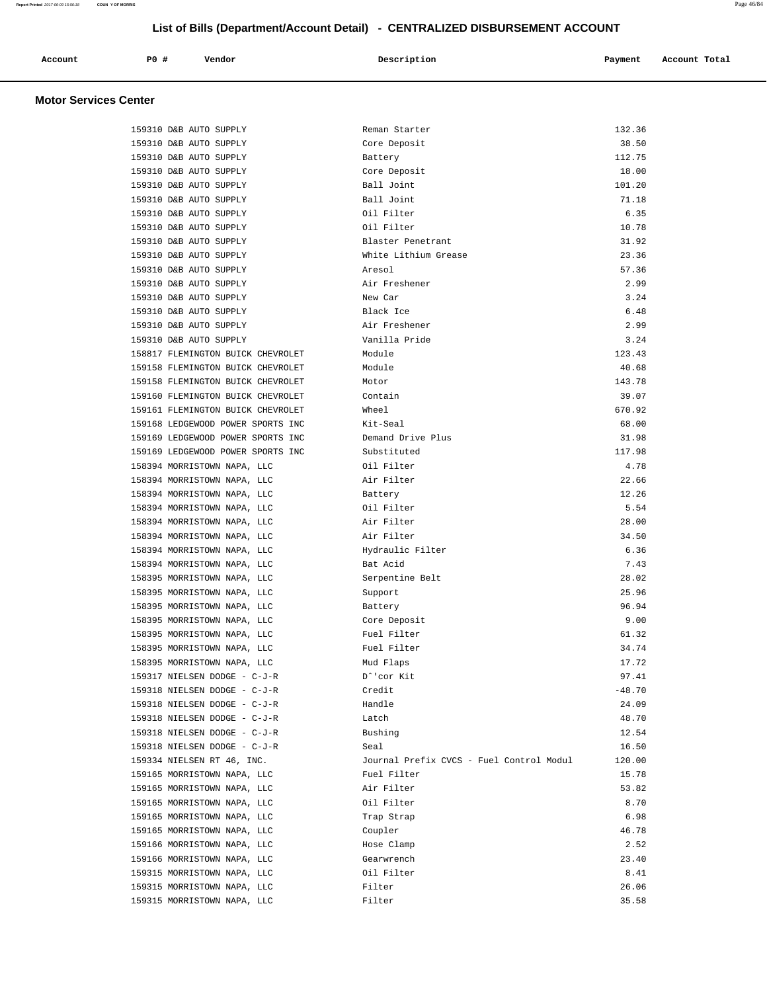| Account | <b>PO #</b> | Vendor | Description | Payment | Account Total |
|---------|-------------|--------|-------------|---------|---------------|
|         |             |        |             |         |               |

## **Motor Services Center**

| 159310 D&B AUTO SUPPLY            | Reman Starter                            | 132.36   |
|-----------------------------------|------------------------------------------|----------|
| 159310 D&B AUTO SUPPLY            | Core Deposit                             | 38.50    |
| 159310 D&B AUTO SUPPLY            | Battery                                  | 112.75   |
| 159310 D&B AUTO SUPPLY            | Core Deposit                             | 18.00    |
| 159310 D&B AUTO SUPPLY            | Ball Joint                               | 101.20   |
| 159310 D&B AUTO SUPPLY            | Ball Joint                               | 71.18    |
| 159310 D&B AUTO SUPPLY            | Oil Filter                               | 6.35     |
| 159310 D&B AUTO SUPPLY            | Oil Filter                               | 10.78    |
| 159310 D&B AUTO SUPPLY            | Blaster Penetrant                        | 31.92    |
| 159310 D&B AUTO SUPPLY            | White Lithium Grease                     | 23.36    |
| 159310 D&B AUTO SUPPLY            | Aresol                                   | 57.36    |
| 159310 D&B AUTO SUPPLY            | Air Freshener                            | 2.99     |
| 159310 D&B AUTO SUPPLY            | New Car                                  | 3.24     |
| 159310 D&B AUTO SUPPLY            | Black Ice                                | 6.48     |
| 159310 D&B AUTO SUPPLY            | Air Freshener                            | 2.99     |
| 159310 D&B AUTO SUPPLY            | Vanilla Pride                            | 3.24     |
| 158817 FLEMINGTON BUICK CHEVROLET | Module                                   | 123.43   |
| 159158 FLEMINGTON BUICK CHEVROLET | Module                                   | 40.68    |
| 159158 FLEMINGTON BUICK CHEVROLET | Motor                                    | 143.78   |
| 159160 FLEMINGTON BUICK CHEVROLET | Contain                                  | 39.07    |
| 159161 FLEMINGTON BUICK CHEVROLET | Wheel                                    | 670.92   |
| 159168 LEDGEWOOD POWER SPORTS INC | Kit-Seal                                 | 68.00    |
| 159169 LEDGEWOOD POWER SPORTS INC | Demand Drive Plus                        | 31.98    |
| 159169 LEDGEWOOD POWER SPORTS INC | Substituted                              | 117.98   |
| 158394 MORRISTOWN NAPA, LLC       | Oil Filter                               | 4.78     |
| 158394 MORRISTOWN NAPA, LLC       | Air Filter                               | 22.66    |
| 158394 MORRISTOWN NAPA, LLC       | Battery                                  | 12.26    |
| 158394 MORRISTOWN NAPA, LLC       | Oil Filter                               | 5.54     |
| 158394 MORRISTOWN NAPA, LLC       | Air Filter                               | 28.00    |
| 158394 MORRISTOWN NAPA, LLC       | Air Filter                               | 34.50    |
| 158394 MORRISTOWN NAPA, LLC       | Hydraulic Filter                         | 6.36     |
| 158394 MORRISTOWN NAPA, LLC       | Bat Acid                                 | 7.43     |
| 158395 MORRISTOWN NAPA, LLC       | Serpentine Belt                          | 28.02    |
| 158395 MORRISTOWN NAPA, LLC       | Support                                  | 25.96    |
| 158395 MORRISTOWN NAPA, LLC       | Battery                                  | 96.94    |
| 158395 MORRISTOWN NAPA, LLC       | Core Deposit                             | 9.00     |
| 158395 MORRISTOWN NAPA, LLC       | Fuel Filter                              | 61.32    |
| 158395 MORRISTOWN NAPA, LLC       | Fuel Filter                              | 34.74    |
| 158395 MORRISTOWN NAPA, LLC       | Mud Flaps                                | 17.72    |
| 159317 NIELSEN DODGE - C-J-R      | D^'cor Kit                               | 97.41    |
| 159318 NIELSEN DODGE - C-J-R      | Credit                                   | $-48.70$ |
| 159318 NIELSEN DODGE - C-J-R      | Handle                                   | 24.09    |
| 159318 NIELSEN DODGE - C-J-R      | Latch                                    | 48.70    |
| 159318 NIELSEN DODGE - C-J-R      | Bushing                                  | 12.54    |
| 159318 NIELSEN DODGE - C-J-R      | Seal                                     | 16.50    |
| 159334 NIELSEN RT 46, INC.        | Journal Prefix CVCS - Fuel Control Modul | 120.00   |
| 159165 MORRISTOWN NAPA, LLC       | Fuel Filter                              | 15.78    |
| 159165 MORRISTOWN NAPA, LLC       | Air Filter                               | 53.82    |
| 159165 MORRISTOWN NAPA, LLC       | Oil Filter                               | 8.70     |
| 159165 MORRISTOWN NAPA, LLC       | Trap Strap                               | 6.98     |
| 159165 MORRISTOWN NAPA, LLC       | Coupler                                  | 46.78    |
| 159166 MORRISTOWN NAPA, LLC       | Hose Clamp                               | 2.52     |
| 159166 MORRISTOWN NAPA, LLC       | Gearwrench                               | 23.40    |
| 159315 MORRISTOWN NAPA, LLC       | Oil Filter                               | 8.41     |
| 159315 MORRISTOWN NAPA, LLC       | Filter                                   | 26.06    |
| 159315 MORRISTOWN NAPA, LLC       | Filter                                   | 35.58    |
|                                   |                                          |          |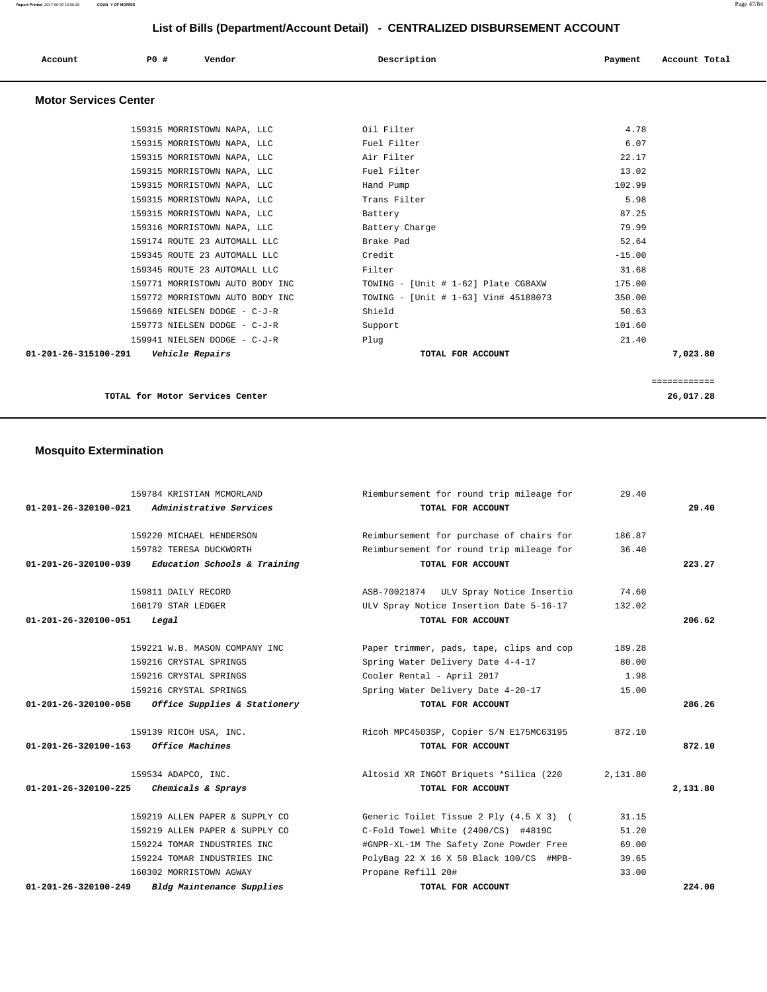| Account                      | PO#<br>Vendor               | Description  | Account Total<br>Payment |
|------------------------------|-----------------------------|--------------|--------------------------|
| <b>Motor Services Center</b> |                             |              |                          |
|                              | 159315 MORRISTOWN NAPA, LLC | Oil Filter   | 4.78                     |
|                              | 159315 MORRISTOWN NAPA, LLC | Fuel Filter  | 6.07                     |
|                              | 159315 MORRISTOWN NAPA, LLC | Air Filter   | 22.17                    |
|                              | 159315 MORRISTOWN NAPA, LLC | Fuel Filter  | 13.02                    |
|                              | 159315 MORRISTOWN NAPA, LLC | Hand Pump    | 102.99                   |
|                              | 159315 MORRISTOWN NAPA, LLC | Trans Filter | 5.98                     |

 159174 ROUTE 23 AUTOMALL LLC Brake Pad 52.64 159345 ROUTE 23 AUTOMALL LLC Credit -15.00 159345 ROUTE 23 AUTOMALL LLC Filter 31.68

159669 NIELSEN DODGE - C-J-R Shield Shield 50.63 159773 NIELSEN DODGE - C-J-R Support 101.60 159941 NIELSEN DODGE - C-J-R Plug 21.40  **01-201-26-315100-291 Vehicle Repairs TOTAL FOR ACCOUNT 7,023.80**

============

 159315 MORRISTOWN NAPA, LLC Battery 87.25 159316 MORRISTOWN NAPA, LLC Battery Charge 79.99

 159771 MORRISTOWN AUTO BODY INC TOWING - [Unit # 1-62] Plate CG8AXW 175.00 159772 MORRISTOWN AUTO BODY INC TOWING - [Unit # 1-63] Vin# 45188073 350.00

**TOTAL for Motor Services Center 26,017.28**

#### **Mosquito Extermination**

|                                | 159784 KRISTIAN MCMORLAND                         | Riembursement for round trip mileage for | 29.40    |          |
|--------------------------------|---------------------------------------------------|------------------------------------------|----------|----------|
| 01-201-26-320100-021           | Administrative Services                           | TOTAL FOR ACCOUNT                        |          | 29.40    |
|                                | 159220 MICHAEL HENDERSON                          | Reimbursement for purchase of chairs for | 186.87   |          |
|                                | 159782 TERESA DUCKWORTH                           | Reimbursement for round trip mileage for | 36.40    |          |
| $01 - 201 - 26 - 320100 - 039$ | Education Schools & Training                      | TOTAL FOR ACCOUNT                        |          | 223.27   |
|                                | 159811 DAILY RECORD                               | ASB-70021874 ULV Spray Notice Insertio   | 74.60    |          |
|                                | 160179 STAR LEDGER                                | ULV Spray Notice Insertion Date 5-16-17  | 132.02   |          |
| 01-201-26-320100-051           | Legal                                             | TOTAL FOR ACCOUNT                        |          | 206.62   |
|                                | 159221 W.B. MASON COMPANY INC                     | Paper trimmer, pads, tape, clips and cop | 189.28   |          |
|                                | 159216 CRYSTAL SPRINGS                            | Spring Water Delivery Date 4-4-17        | 80.00    |          |
|                                | 159216 CRYSTAL SPRINGS                            | Cooler Rental - April 2017               | 1.98     |          |
|                                | 159216 CRYSTAL SPRINGS                            | Spring Water Delivery Date 4-20-17       | 15.00    |          |
|                                | 01-201-26-320100-058 Office Supplies & Stationery | TOTAL FOR ACCOUNT                        |          | 286.26   |
|                                | 159139 RICOH USA, INC.                            | Ricoh MPC4503SP, Copier S/N E175MC63195  | 872.10   |          |
| 01-201-26-320100-163           | Office Machines                                   | TOTAL FOR ACCOUNT                        |          | 872.10   |
|                                | 159534 ADAPCO, INC.                               | Altosid XR INGOT Briquets *Silica (220   | 2,131.80 |          |
| 01-201-26-320100-225           | Chemicals & Sprays                                | TOTAL FOR ACCOUNT                        |          | 2,131.80 |
|                                | 159219 ALLEN PAPER & SUPPLY CO                    | Generic Toilet Tissue 2 Ply (4.5 X 3) (  | 31.15    |          |
|                                | 159219 ALLEN PAPER & SUPPLY CO                    | C-Fold Towel White (2400/CS) #4819C      | 51.20    |          |
|                                | 159224 TOMAR INDUSTRIES INC                       | #GNPR-XL-1M The Safety Zone Powder Free  | 69.00    |          |
|                                | 159224 TOMAR INDUSTRIES INC                       | PolyBag 22 X 16 X 58 Black 100/CS #MPB-  | 39.65    |          |
|                                | 160302 MORRISTOWN AGWAY                           | Propane Refill 20#                       | 33.00    |          |
| 01-201-26-320100-249           | Bldg Maintenance Supplies                         | TOTAL FOR ACCOUNT                        |          | 224.00   |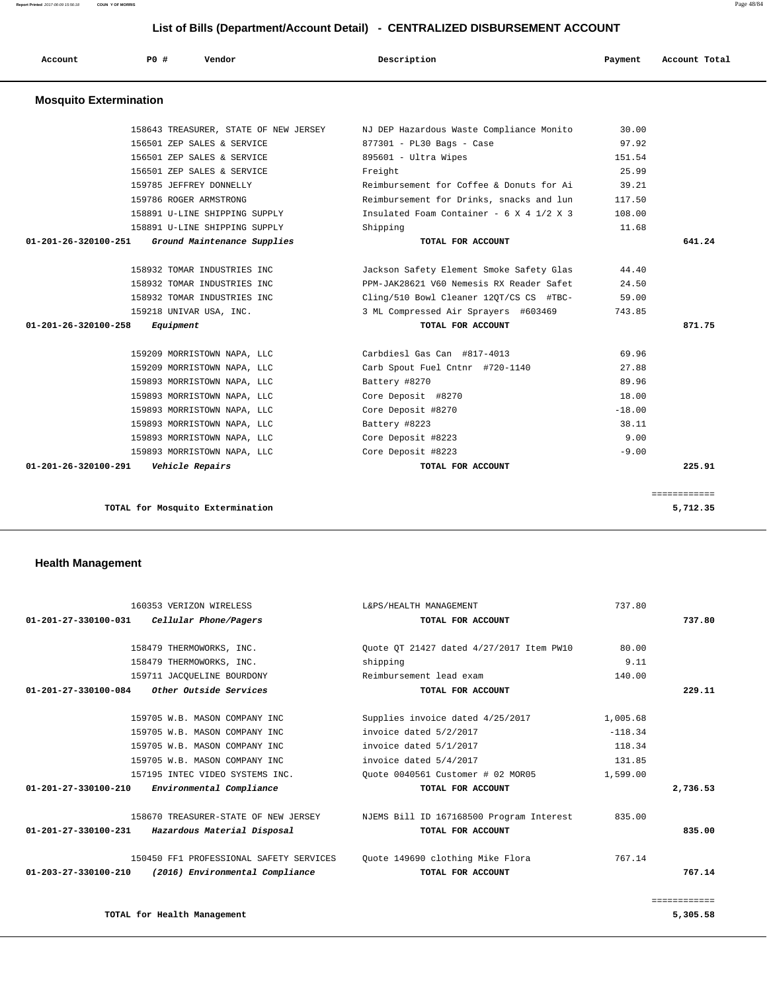**Report Printed** 2017-06-09 15:56:18 **COUN Y OF MORRIS** Page 48/84

# **List of Bills (Department/Account Detail) - CENTRALIZED DISBURSEMENT ACCOUNT**

| Account                        | PO# | Vendor                                | Description                                     | Payment  | Account Total |
|--------------------------------|-----|---------------------------------------|-------------------------------------------------|----------|---------------|
| <b>Mosquito Extermination</b>  |     |                                       |                                                 |          |               |
|                                |     | 158643 TREASURER, STATE OF NEW JERSEY | NJ DEP Hazardous Waste Compliance Monito        | 30.00    |               |
|                                |     | 156501 ZEP SALES & SERVICE            | 877301 - PL30 Bags - Case                       | 97.92    |               |
|                                |     | 156501 ZEP SALES & SERVICE            | 895601 - Ultra Wipes                            | 151.54   |               |
|                                |     | 156501 ZEP SALES & SERVICE            | Freight                                         | 25.99    |               |
|                                |     | 159785 JEFFREY DONNELLY               | Reimbursement for Coffee & Donuts for Ai        | 39.21    |               |
|                                |     | 159786 ROGER ARMSTRONG                | Reimbursement for Drinks, snacks and lun        | 117.50   |               |
|                                |     | 158891 U-LINE SHIPPING SUPPLY         | Insulated Foam Container - $6 \times 4$ 1/2 X 3 | 108.00   |               |
|                                |     | 158891 U-LINE SHIPPING SUPPLY         | Shipping                                        | 11.68    |               |
| $01 - 201 - 26 - 320100 - 251$ |     | Ground Maintenance Supplies           | TOTAL FOR ACCOUNT                               |          | 641.24        |
|                                |     | 158932 TOMAR INDUSTRIES INC           | Jackson Safety Element Smoke Safety Glas        | 44.40    |               |
|                                |     | 158932 TOMAR INDUSTRIES INC           | PPM-JAK28621 V60 Nemesis RX Reader Safet        | 24.50    |               |
|                                |     | 158932 TOMAR INDUSTRIES INC           | Cling/510 Bowl Cleaner 120T/CS CS #TBC-         | 59.00    |               |
|                                |     | 159218 UNIVAR USA, INC.               | 3 ML Compressed Air Sprayers #603469            | 743.85   |               |
| $01 - 201 - 26 - 320100 - 258$ |     | Equipment                             | TOTAL FOR ACCOUNT                               |          | 871.75        |
|                                |     | 159209 MORRISTOWN NAPA, LLC           | Carbdiesl Gas Can #817-4013                     | 69.96    |               |
|                                |     | 159209 MORRISTOWN NAPA, LLC           | Carb Spout Fuel Cntnr #720-1140                 | 27.88    |               |
|                                |     | 159893 MORRISTOWN NAPA, LLC           | Battery #8270                                   | 89.96    |               |
|                                |     | 159893 MORRISTOWN NAPA, LLC           | Core Deposit #8270                              | 18.00    |               |
|                                |     | 159893 MORRISTOWN NAPA, LLC           | Core Deposit #8270                              | $-18.00$ |               |
|                                |     | 159893 MORRISTOWN NAPA, LLC           | Battery #8223                                   | 38.11    |               |
|                                |     | 159893 MORRISTOWN NAPA, LLC           | Core Deposit #8223                              | 9.00     |               |
|                                |     | 159893 MORRISTOWN NAPA, LLC           | Core Deposit #8223                              | $-9.00$  |               |
| 01-201-26-320100-291           |     | Vehicle Repairs                       | TOTAL FOR ACCOUNT                               |          | 225.91        |
|                                |     |                                       |                                                 |          | ============  |
|                                |     | TOTAL for Mosquito Extermination      |                                                 |          | 5,712.35      |

## **Health Management**

| 160353 VERIZON WIRELESS                                           | L&PS/HEALTH MANAGEMENT                   | 737.80    |              |
|-------------------------------------------------------------------|------------------------------------------|-----------|--------------|
| Cellular Phone/Pagers<br>$01 - 201 - 27 - 330100 - 031$           | TOTAL FOR ACCOUNT                        |           | 737.80       |
| 158479 THERMOWORKS, INC.                                          | Ouote OT 21427 dated 4/27/2017 Item PW10 | 80.00     |              |
| 158479 THERMOWORKS, INC.                                          | shipping                                 | 9.11      |              |
| 159711 JACOUELINE BOURDONY                                        | Reimbursement lead exam                  | 140.00    |              |
| Other Outside Services<br>01-201-27-330100-084                    | TOTAL FOR ACCOUNT                        |           | 229.11       |
| 159705 W.B. MASON COMPANY INC                                     | Supplies invoice dated 4/25/2017         | 1,005.68  |              |
| 159705 W.B. MASON COMPANY INC                                     | invoice dated 5/2/2017                   | $-118.34$ |              |
| 159705 W.B. MASON COMPANY INC                                     | invoice dated 5/1/2017                   | 118.34    |              |
| 159705 W.B. MASON COMPANY INC                                     | invoice dated 5/4/2017                   | 131.85    |              |
| 157195 INTEC VIDEO SYSTEMS INC.                                   | Ouote 0040561 Customer # 02 MOR05        | 1,599.00  |              |
| $01 - 201 - 27 - 330100 - 210$<br>Environmental Compliance        | TOTAL FOR ACCOUNT                        |           | 2,736.53     |
| 158670 TREASURER-STATE OF NEW JERSEY                              | NJEMS Bill ID 167168500 Program Interest | 835.00    |              |
| 01-201-27-330100-231<br>Hazardous Material Disposal               | TOTAL FOR ACCOUNT                        |           | 835.00       |
| 150450 FF1 PROFESSIONAL SAFETY SERVICES                           | Quote 149690 clothing Mike Flora         | 767.14    |              |
| (2016) Environmental Compliance<br>$01 - 203 - 27 - 330100 - 210$ | TOTAL FOR ACCOUNT                        |           | 767.14       |
|                                                                   |                                          |           | ============ |
| TOTAL for Health Management                                       |                                          |           | 5,305.58     |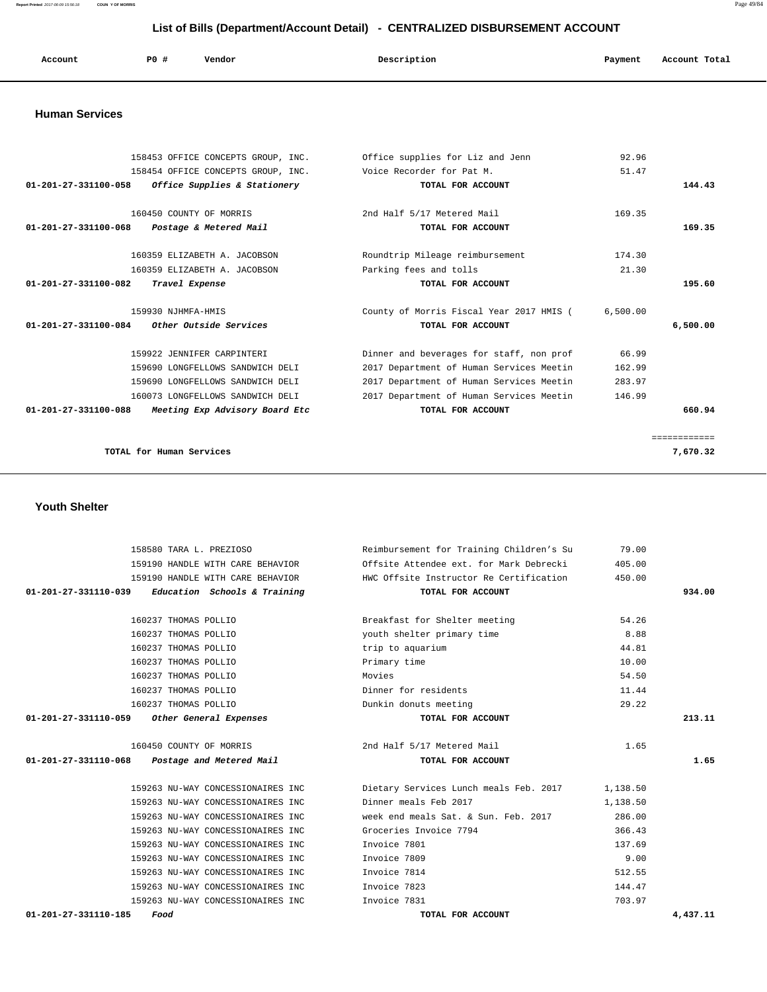**Report Printed** 2017-06-09 15:56:18 **COUN Y OF MORRIS** Page 49/84

| List of Bills (Department/Account Detail) - CENTRALIZED DISBURSEMENT ACCOUNT |                    |                                                                          |                                                               |                |               |  |
|------------------------------------------------------------------------------|--------------------|--------------------------------------------------------------------------|---------------------------------------------------------------|----------------|---------------|--|
| Account                                                                      | PO#                | Vendor                                                                   | Description                                                   | Payment        | Account Total |  |
| <b>Human Services</b>                                                        |                    |                                                                          |                                                               |                |               |  |
|                                                                              |                    | 158453 OFFICE CONCEPTS GROUP, INC.<br>158454 OFFICE CONCEPTS GROUP, INC. | Office supplies for Liz and Jenn<br>Voice Recorder for Pat M. | 92.96<br>51.47 |               |  |
| 01-201-27-331100-058                                                         |                    | Office Supplies & Stationery                                             | TOTAL FOR ACCOUNT                                             |                | 144.43        |  |
|                                                                              |                    | 160450 COUNTY OF MORRIS                                                  | 2nd Half 5/17 Metered Mail                                    | 169.35         |               |  |
| 01-201-27-331100-068                                                         |                    | Postage & Metered Mail                                                   | TOTAL FOR ACCOUNT                                             |                | 169.35        |  |
|                                                                              |                    | 160359 ELIZABETH A. JACOBSON                                             | Roundtrip Mileage reimbursement                               | 174.30         |               |  |
|                                                                              |                    | 160359 ELIZABETH A. JACOBSON                                             | Parking fees and tolls                                        | 21.30          |               |  |
| 01-201-27-331100-082                                                         | Travel Expense     |                                                                          | TOTAL FOR ACCOUNT                                             |                | 195.60        |  |
|                                                                              | 159930 NJHMFA-HMIS |                                                                          | County of Morris Fiscal Year 2017 HMIS (                      | 6,500.00       |               |  |
| $01 - 201 - 27 - 331100 - 084$                                               |                    | Other Outside Services                                                   | TOTAL FOR ACCOUNT                                             |                | 6,500.00      |  |
|                                                                              |                    | 159922 JENNIFER CARPINTERI                                               | Dinner and beverages for staff, non prof                      | 66.99          |               |  |

 159690 LONGFELLOWS SANDWICH DELI 2017 Department of Human Services Meetin 162.99 159690 LONGFELLOWS SANDWICH DELI 2017 Department of Human Services Meetin 283.97 160073 LONGFELLOWS SANDWICH DELI 2017 Department of Human Services Meetin 146.99  **01-201-27-331100-088 Meeting Exp Advisory Board Etc TOTAL FOR ACCOUNT 660.94**

============

**TOTAL for Human Services 7,670.32**

 **Youth Shelter** 

 158580 TARA L. PREZIOSO Reimbursement for Training Children's Su 79.00 159190 HANDLE WITH CARE BEHAVIOR Offsite Attendee ext. for Mark Debrecki 405.00 159190 HANDLE WITH CARE BEHAVIOR HWC Offsite Instructor Re Certification 450.00  **01-201-27-331110-039 Education Schools & Training TOTAL FOR ACCOUNT 934.00** 160237 THOMAS POLLIO Breakfast for Shelter meeting 54.26 160237 THOMAS POLLIO youth shelter primary time 8.88 160237 THOMAS POLLIO trip to aquarium 44.81 160237 THOMAS POLLIO Primary time 10.00 160237 THOMAS POLLIO Movies 54.50 160237 THOMAS POLLIO Dinner for residents 11.44 160237 THOMAS POLLIO Dunkin donuts meeting 29.22  **01-201-27-331110-059 Other General Expenses TOTAL FOR ACCOUNT 213.11** 160450 COUNTY OF MORRIS 2nd Half 5/17 Metered Mail 1.65  **01-201-27-331110-068 Postage and Metered Mail TOTAL FOR ACCOUNT 1.65** 159263 NU-WAY CONCESSIONAIRES INC Dietary Services Lunch meals Feb. 2017 1,138.50 159263 NU-WAY CONCESSIONAIRES INC Dinner meals Feb 2017 1,138.50 159263 NU-WAY CONCESSIONAIRES INC week end meals Sat. & Sun. Feb. 2017 286.00 159263 NU-WAY CONCESSIONAIRES INC Groceries Invoice 7794 366.43 159263 NU-WAY CONCESSIONAIRES INC Invoice 7801 137.69 159263 NU-WAY CONCESSIONAIRES INC Invoice 7809 9.00 159263 NU-WAY CONCESSIONAIRES INC Invoice 7814 512.55 159263 NU-WAY CONCESSIONAIRES INC Invoice 7823 144.47 159263 NU-WAY CONCESSIONAIRES INC Invoice 7831 703.97  **01-201-27-331110-185 Food TOTAL FOR ACCOUNT 4,437.11**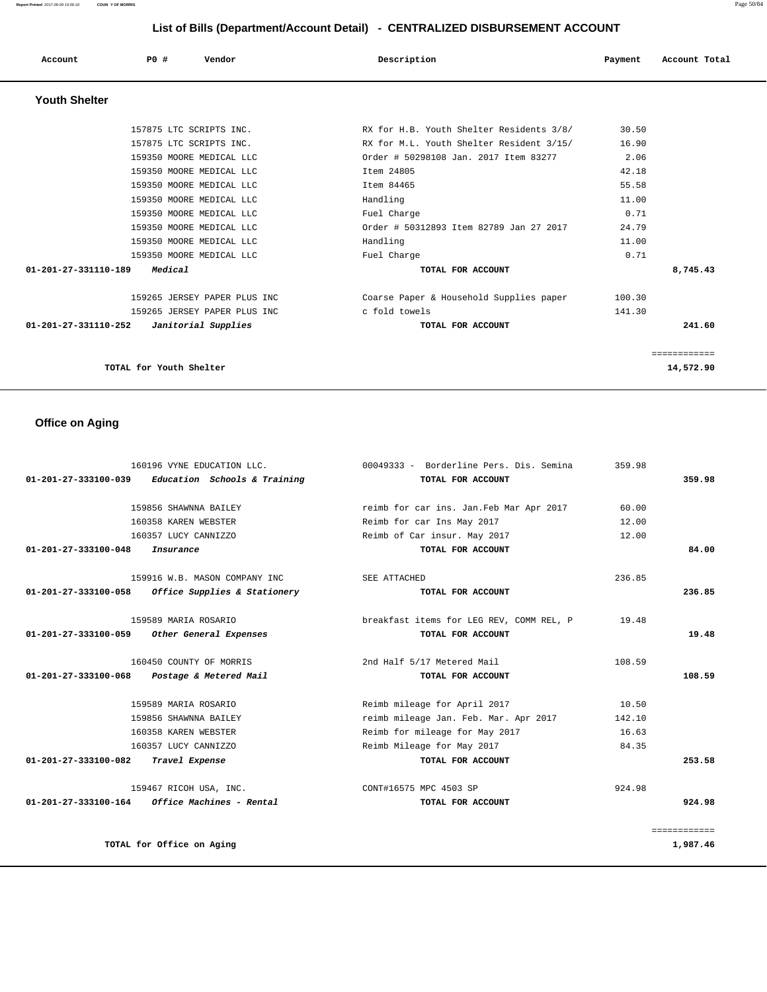**Report Printed** 2017-06-09 15:56:18 **COUN Y OF MORRIS** Page 50/84

# **List of Bills (Department/Account Detail) - CENTRALIZED DISBURSEMENT ACCOUNT**

| Account              | P0#                     | Vendor                       | Description                              | Payment | Account Total |
|----------------------|-------------------------|------------------------------|------------------------------------------|---------|---------------|
| <b>Youth Shelter</b> |                         |                              |                                          |         |               |
|                      |                         | 157875 LTC SCRIPTS INC.      | RX for H.B. Youth Shelter Residents 3/8/ | 30.50   |               |
|                      |                         | 157875 LTC SCRIPTS INC.      | RX for M.L. Youth Shelter Resident 3/15/ | 16.90   |               |
|                      |                         | 159350 MOORE MEDICAL LLC     | Order # 50298108 Jan. 2017 Item 83277    | 2.06    |               |
|                      |                         | 159350 MOORE MEDICAL LLC     | Item 24805                               | 42.18   |               |
|                      |                         | 159350 MOORE MEDICAL LLC     | Item 84465                               | 55.58   |               |
|                      |                         | 159350 MOORE MEDICAL LLC     | Handling                                 | 11.00   |               |
|                      |                         | 159350 MOORE MEDICAL LLC     | Fuel Charge                              | 0.71    |               |
|                      |                         | 159350 MOORE MEDICAL LLC     | Order # 50312893 Item 82789 Jan 27 2017  | 24.79   |               |
|                      |                         | 159350 MOORE MEDICAL LLC     | Handling                                 | 11.00   |               |
|                      |                         | 159350 MOORE MEDICAL LLC     | Fuel Charge                              | 0.71    |               |
| 01-201-27-331110-189 | Medical                 |                              | TOTAL FOR ACCOUNT                        |         | 8,745.43      |
|                      |                         | 159265 JERSEY PAPER PLUS INC | Coarse Paper & Household Supplies paper  | 100.30  |               |
|                      |                         | 159265 JERSEY PAPER PLUS INC | c fold towels                            | 141.30  |               |
| 01-201-27-331110-252 |                         | Janitorial Supplies          | TOTAL FOR ACCOUNT                        |         | 241.60        |
|                      |                         |                              |                                          |         | ============  |
|                      | TOTAL for Youth Shelter |                              |                                          |         | 14,572.90     |

# **Office on Aging**

|                                | 160196 VYNE EDUCATION LLC.    | 00049333 - Borderline Pers. Dis. Semina  | 359.98 |              |
|--------------------------------|-------------------------------|------------------------------------------|--------|--------------|
| 01-201-27-333100-039           | Education Schools & Training  | TOTAL FOR ACCOUNT                        |        | 359.98       |
|                                |                               |                                          |        |              |
|                                | 159856 SHAWNNA BAILEY         | reimb for car ins. Jan. Feb Mar Apr 2017 | 60.00  |              |
|                                | 160358 KAREN WEBSTER          | Reimb for car Ins May 2017               | 12.00  |              |
|                                | 160357 LUCY CANNIZZO          | Reimb of Car insur. May 2017             | 12.00  |              |
| $01 - 201 - 27 - 333100 - 048$ | Insurance                     | TOTAL FOR ACCOUNT                        |        | 84.00        |
|                                | 159916 W.B. MASON COMPANY INC | SEE ATTACHED                             | 236.85 |              |
| 01-201-27-333100-058           | Office Supplies & Stationery  | TOTAL FOR ACCOUNT                        |        | 236.85       |
|                                | 159589 MARIA ROSARIO          | breakfast items for LEG REV, COMM REL, P | 19.48  |              |
| 01-201-27-333100-059           | Other General Expenses        | TOTAL FOR ACCOUNT                        |        | 19.48        |
|                                | 160450 COUNTY OF MORRIS       | 2nd Half 5/17 Metered Mail               | 108.59 |              |
| 01-201-27-333100-068           | Postage & Metered Mail        | TOTAL FOR ACCOUNT                        |        | 108.59       |
|                                |                               |                                          |        |              |
|                                | 159589 MARIA ROSARIO          | Reimb mileage for April 2017             | 10.50  |              |
|                                | 159856 SHAWNNA BAILEY         | reimb mileage Jan. Feb. Mar. Apr 2017    | 142.10 |              |
|                                | 160358 KAREN WEBSTER          | Reimb for mileage for May 2017           | 16.63  |              |
|                                | 160357 LUCY CANNIZZO          | Reimb Mileage for May 2017               | 84.35  |              |
| 01-201-27-333100-082           | Travel Expense                | TOTAL FOR ACCOUNT                        |        | 253.58       |
|                                | 159467 RICOH USA, INC.        | CONT#16575 MPC 4503 SP                   | 924.98 |              |
| 01-201-27-333100-164           | Office Machines - Rental      | TOTAL FOR ACCOUNT                        |        | 924.98       |
|                                |                               |                                          |        | ============ |
|                                | TOTAL for Office on Aging     |                                          |        | 1,987.46     |
|                                |                               |                                          |        |              |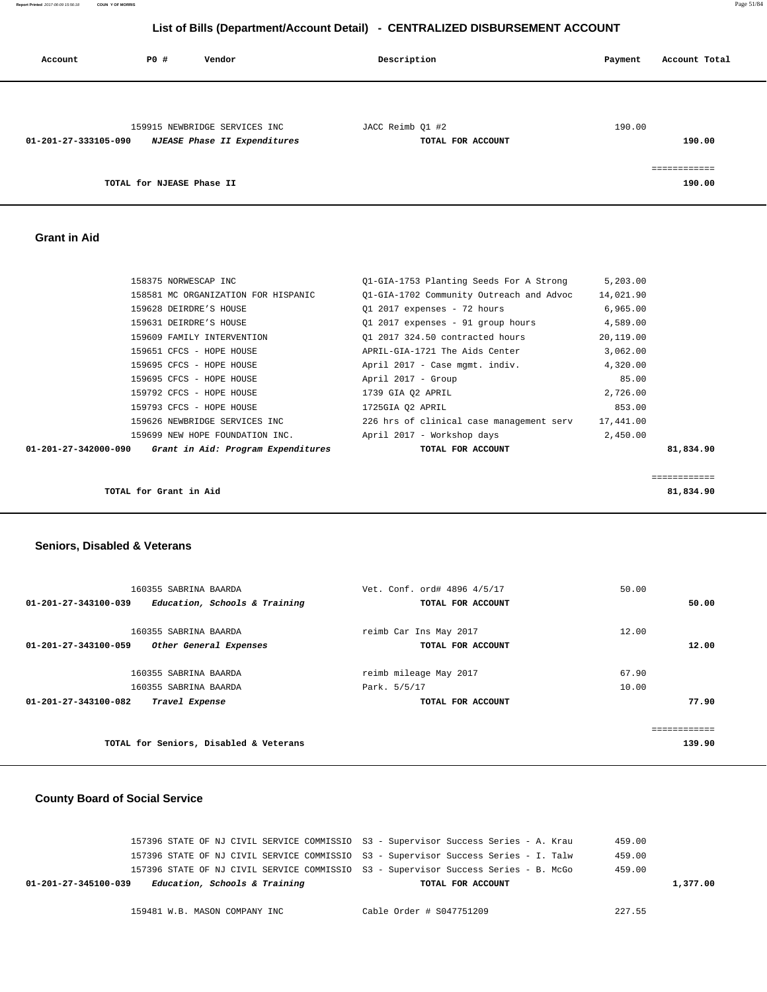**Report Printed** 2017-06-09 15:56:18 **COUN Y OF MORRIS** Page 51/84

# **List of Bills (Department/Account Detail) - CENTRALIZED DISBURSEMENT ACCOUNT**

| Account              | P0 #                      | Vendor                        | Description       | Account Total<br>Payment |
|----------------------|---------------------------|-------------------------------|-------------------|--------------------------|
|                      |                           |                               |                   |                          |
|                      |                           | 159915 NEWBRIDGE SERVICES INC | JACC Reimb Q1 #2  | 190.00                   |
| 01-201-27-333105-090 |                           | NJEASE Phase II Expenditures  | TOTAL FOR ACCOUNT | 190.00                   |
|                      |                           |                               |                   | ============             |
|                      | TOTAL for NJEASE Phase II |                               |                   | 190.00                   |
|                      |                           |                               |                   |                          |

 **Grant in Aid** 

|                      | TOTAL for Grant in Aid              |                                          |           | ============<br>81,834.90 |
|----------------------|-------------------------------------|------------------------------------------|-----------|---------------------------|
|                      |                                     |                                          |           |                           |
| 01-201-27-342000-090 | Grant in Aid: Program Expenditures  | TOTAL FOR ACCOUNT                        |           | 81,834.90                 |
|                      | 159699 NEW HOPE FOUNDATION INC.     | April 2017 - Workshop days               | 2,450.00  |                           |
|                      | 159626 NEWBRIDGE SERVICES INC       | 226 hrs of clinical case management serv | 17,441.00 |                           |
|                      | 159793 CFCS - HOPE HOUSE            | 1725GIA 02 APRIL                         | 853.00    |                           |
|                      | 159792 CFCS - HOPE HOUSE            | 1739 GIA O2 APRIL                        | 2,726.00  |                           |
|                      | 159695 CFCS - HOPE HOUSE            | April 2017 - Group                       | 85.00     |                           |
|                      | 159695 CFCS - HOPE HOUSE            | April 2017 - Case mgmt, indiv.           | 4,320.00  |                           |
|                      | 159651 CFCS - HOPE HOUSE            | APRIL-GIA-1721 The Aids Center           | 3,062.00  |                           |
|                      | 159609 FAMILY INTERVENTION          | 01 2017 324.50 contracted hours          | 20,119.00 |                           |
|                      | 159631 DEIRDRE'S HOUSE              | Q1 2017 expenses - 91 group hours        | 4,589.00  |                           |
|                      | 159628 DEIRDRE'S HOUSE              | 01 2017 expenses - 72 hours              | 6,965.00  |                           |
|                      | 158581 MC ORGANIZATION FOR HISPANIC | 01-GIA-1702 Community Outreach and Advoc | 14,021.90 |                           |
|                      | 158375 NORWESCAP INC                | 01-GIA-1753 Planting Seeds For A Strong  | 5,203.00  |                           |

### **Seniors, Disabled & Veterans**

| 160355 SABRINA BAARDA                                 | Vet. Conf. ord# 4896 4/5/17 | 50.00  |
|-------------------------------------------------------|-----------------------------|--------|
| Education, Schools & Training<br>01-201-27-343100-039 | TOTAL FOR ACCOUNT           | 50.00  |
|                                                       |                             |        |
| 160355 SABRINA BAARDA                                 | reimb Car Ins May 2017      | 12.00  |
| 01-201-27-343100-059<br>Other General Expenses        | TOTAL FOR ACCOUNT           | 12.00  |
|                                                       |                             |        |
| 160355 SABRINA BAARDA                                 | reimb mileage May 2017      | 67.90  |
| 160355 SABRINA BAARDA                                 | Park. 5/5/17                | 10.00  |
| 01-201-27-343100-082<br>Travel Expense                | TOTAL FOR ACCOUNT           | 77.90  |
|                                                       |                             |        |
|                                                       |                             |        |
| TOTAL for Seniors, Disabled & Veterans                |                             | 139.90 |
|                                                       |                             |        |

## **County Board of Social Service**

| 157396 STATE OF NJ CIVIL SERVICE COMMISSIO S3 - Supervisor Success Series - A. Krau  |                          | 459.00   |
|--------------------------------------------------------------------------------------|--------------------------|----------|
| 157396 STATE OF NJ CIVIL SERVICE COMMISSIO  S3 - Supervisor Success Series - I. Talw |                          | 459.00   |
| 157396 STATE OF NJ CIVIL SERVICE COMMISSIO  S3 - Supervisor Success Series - B. McGo |                          | 459.00   |
| Education, Schools & Training<br>01-201-27-345100-039                                | TOTAL FOR ACCOUNT        | 1,377.00 |
|                                                                                      |                          |          |
| 159481 W.B. MASON COMPANY INC                                                        | Cable Order # S047751209 | 227.55   |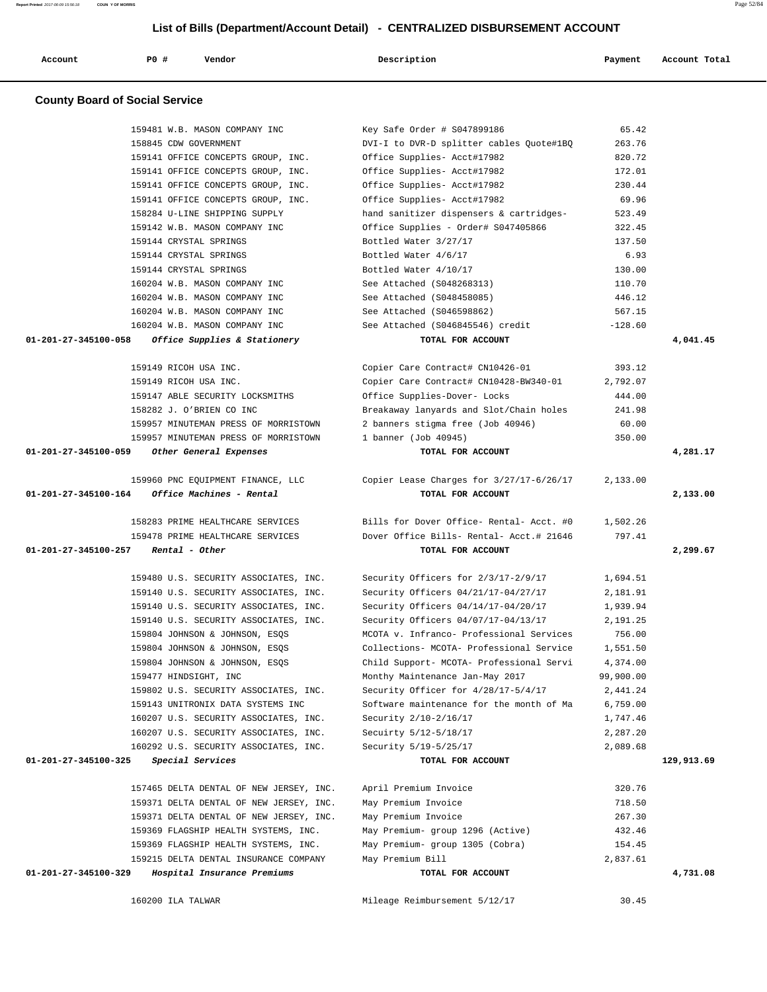|                      | 159141 OFFICE CONCEPTS GROUP, INC.                                            | Office Supplies- Acct#17982              | 230.44    |            |
|----------------------|-------------------------------------------------------------------------------|------------------------------------------|-----------|------------|
|                      | 159141 OFFICE CONCEPTS GROUP, INC.                                            | Office Supplies- Acct#17982              | 69.96     |            |
|                      | 158284 U-LINE SHIPPING SUPPLY                                                 | hand sanitizer dispensers & cartridges-  | 523.49    |            |
|                      | 159142 W.B. MASON COMPANY INC                                                 | Office Supplies - Order# S047405866      | 322.45    |            |
|                      | 159144 CRYSTAL SPRINGS                                                        | Bottled Water 3/27/17                    | 137.50    |            |
|                      | 159144 CRYSTAL SPRINGS                                                        | Bottled Water 4/6/17                     | 6.93      |            |
|                      | 159144 CRYSTAL SPRINGS                                                        | Bottled Water 4/10/17                    | 130.00    |            |
|                      | 160204 W.B. MASON COMPANY INC                                                 | See Attached (S048268313)                | 110.70    |            |
|                      | 160204 W.B. MASON COMPANY INC                                                 | See Attached (S048458085)                | 446.12    |            |
|                      | 160204 W.B. MASON COMPANY INC                                                 | See Attached (S046598862)                | 567.15    |            |
|                      | 160204 W.B. MASON COMPANY INC                                                 | See Attached (S046845546) credit         | $-128.60$ |            |
| 01-201-27-345100-058 | Office Supplies & Stationery                                                  | TOTAL FOR ACCOUNT                        |           | 4,041.45   |
|                      | 159149 RICOH USA INC.                                                         | Copier Care Contract# CN10426-01         | 393.12    |            |
|                      | 159149 RICOH USA INC.                                                         | Copier Care Contract# CN10428-BW340-01   | 2,792.07  |            |
|                      | 159147 ABLE SECURITY LOCKSMITHS                                               | Office Supplies-Dover- Locks             | 444.00    |            |
|                      | 158282 J. O'BRIEN CO INC                                                      | Breakaway lanyards and Slot/Chain holes  | 241.98    |            |
|                      | 159957 MINUTEMAN PRESS OF MORRISTOWN                                          | 2 banners stigma free (Job 40946)        | 60.00     |            |
|                      | 159957 MINUTEMAN PRESS OF MORRISTOWN                                          | 1 banner (Job 40945)                     | 350.00    |            |
| 01-201-27-345100-059 | Other General Expenses                                                        | TOTAL FOR ACCOUNT                        |           | 4,281.17   |
|                      |                                                                               |                                          |           |            |
|                      | 159960 PNC EOUIPMENT FINANCE, LLC                                             | Copier Lease Charges for 3/27/17-6/26/17 | 2,133.00  |            |
| 01-201-27-345100-164 | Office Machines - Rental                                                      | TOTAL FOR ACCOUNT                        |           | 2,133.00   |
|                      |                                                                               |                                          |           |            |
|                      | 158283 PRIME HEALTHCARE SERVICES                                              | Bills for Dover Office- Rental- Acct. #0 | 1,502.26  |            |
|                      | 159478 PRIME HEALTHCARE SERVICES                                              | Dover Office Bills- Rental- Acct.# 21646 | 797.41    |            |
|                      |                                                                               |                                          |           |            |
| 01-201-27-345100-257 | Rental - Other                                                                | TOTAL FOR ACCOUNT                        |           | 2,299.67   |
|                      | 159480 U.S. SECURITY ASSOCIATES, INC.                                         | Security Officers for 2/3/17-2/9/17      | 1,694.51  |            |
|                      | 159140 U.S. SECURITY ASSOCIATES, INC.                                         | Security Officers 04/21/17-04/27/17      | 2,181.91  |            |
|                      | 159140 U.S. SECURITY ASSOCIATES, INC.                                         | Security Officers 04/14/17-04/20/17      | 1,939.94  |            |
|                      | 159140 U.S. SECURITY ASSOCIATES, INC.                                         | Security Officers 04/07/17-04/13/17      | 2,191.25  |            |
|                      | 159804 JOHNSON & JOHNSON, ESQS                                                | MCOTA v. Infranco- Professional Services | 756.00    |            |
|                      | 159804 JOHNSON & JOHNSON, ESQS                                                | Collections- MCOTA- Professional Service | 1,551.50  |            |
|                      | 159804 JOHNSON & JOHNSON, ESQS                                                | Child Support- MCOTA- Professional Servi | 4,374.00  |            |
|                      | 159477 HINDSIGHT, INC                                                         | Monthy Maintenance Jan-May 2017          | 99,900.00 |            |
|                      | 159802 U.S. SECURITY ASSOCIATES, INC.                                         | Security Officer for 4/28/17-5/4/17      | 2,441.24  |            |
|                      | 159143 UNITRONIX DATA SYSTEMS INC                                             | Software maintenance for the month of Ma | 6,759.00  |            |
|                      | 160207 U.S. SECURITY ASSOCIATES, INC.                                         | Security 2/10-2/16/17                    | 1,747.46  |            |
|                      | 160207 U.S. SECURITY ASSOCIATES, INC.                                         | Secuirty 5/12-5/18/17                    | 2,287.20  |            |
|                      | 160292 U.S. SECURITY ASSOCIATES, INC.                                         | Security 5/19-5/25/17                    | 2,089.68  |            |
| 01-201-27-345100-325 | Special Services                                                              | TOTAL FOR ACCOUNT                        |           | 129,913.69 |
|                      |                                                                               |                                          |           |            |
|                      | 157465 DELTA DENTAL OF NEW JERSEY, INC.                                       | April Premium Invoice                    | 320.76    |            |
|                      | 159371 DELTA DENTAL OF NEW JERSEY, INC.                                       | May Premium Invoice                      | 718.50    |            |
|                      | 159371 DELTA DENTAL OF NEW JERSEY, INC.                                       | May Premium Invoice                      | 267.30    |            |
|                      | 159369 FLAGSHIP HEALTH SYSTEMS, INC.                                          | May Premium- group 1296 (Active)         | 432.46    |            |
|                      | 159369 FLAGSHIP HEALTH SYSTEMS, INC.<br>159215 DELTA DENTAL INSURANCE COMPANY | May Premium- group 1305 (Cobra)          | 154.45    |            |
| 01-201-27-345100-329 | Hospital Insurance Premiums                                                   | May Premium Bill<br>TOTAL FOR ACCOUNT    | 2,837.61  | 4,731.08   |
|                      |                                                                               |                                          |           |            |

### **County Board of Social Service**

|         |     |        | List of Bills (Department/Account Detail) - CENTRALIZED DISBURSEMENT ACCOUNT |         |               |  |
|---------|-----|--------|------------------------------------------------------------------------------|---------|---------------|--|
| Account | P0# | Vendor | Description                                                                  | Payment | Account Total |  |

159481 W.B. MASON COMPANY INC Key Safe Order # S047899186 65.42

 158845 CDW GOVERNMENT DVI-I to DVR-D splitter cables Quote#1BQ 263.76 159141 OFFICE CONCEPTS GROUP, INC. Office Supplies- Acct#17982 820.72 159141 OFFICE CONCEPTS GROUP, INC. Office Supplies- Acct#17982 172.01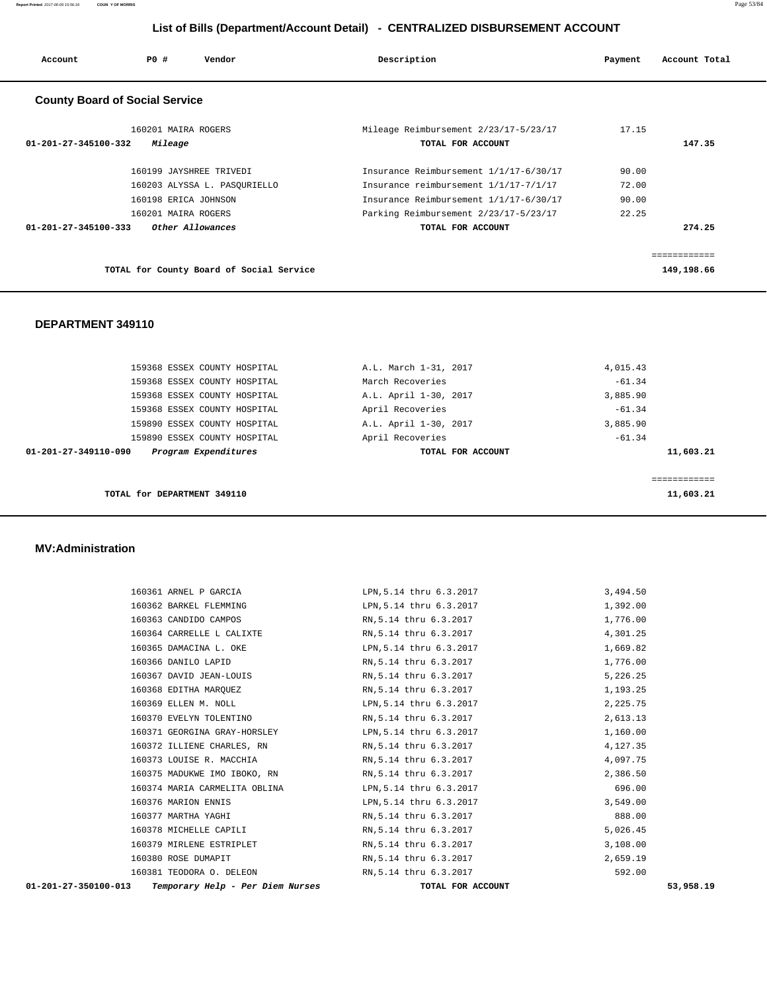**Report Printed** 2017-06-09 15:56:18 **COUN Y OF MORRIS** Page 53/84

# **List of Bills (Department/Account Detail) - CENTRALIZED DISBURSEMENT ACCOUNT**

| Account                        | PO#<br>Vendor                            | Description                                                | Payment | Account Total |
|--------------------------------|------------------------------------------|------------------------------------------------------------|---------|---------------|
|                                | <b>County Board of Social Service</b>    |                                                            |         |               |
| $01 - 201 - 27 - 345100 - 332$ | 160201 MAIRA ROGERS<br>Mileage           | Mileage Reimbursement 2/23/17-5/23/17<br>TOTAL FOR ACCOUNT | 17.15   | 147.35        |
|                                |                                          |                                                            |         |               |
|                                | 160199 JAYSHREE TRIVEDI                  | Insurance Reimbursement 1/1/17-6/30/17                     | 90.00   |               |
|                                | 160203 ALYSSA L. PASOURIELLO             | Insurance reimbursement 1/1/17-7/1/17                      | 72.00   |               |
|                                | 160198 ERICA JOHNSON                     | Insurance Reimbursement 1/1/17-6/30/17                     | 90.00   |               |
|                                | 160201 MAIRA ROGERS                      | Parking Reimbursement 2/23/17-5/23/17                      | 22.25   |               |
| $01 - 201 - 27 - 345100 - 333$ | Other Allowances                         | TOTAL FOR ACCOUNT                                          |         | 274.25        |
|                                |                                          |                                                            |         |               |
|                                |                                          |                                                            |         | ============  |
|                                | TOTAL for County Board of Social Service |                                                            |         | 149,198.66    |

## **DEPARTMENT 349110**

|                      | TOTAL for DEPARTMENT 349110  |                       |          | 11,603.21 |
|----------------------|------------------------------|-----------------------|----------|-----------|
|                      |                              |                       |          |           |
| 01-201-27-349110-090 | Program Expenditures         | TOTAL FOR ACCOUNT     |          | 11,603.21 |
|                      | 159890 ESSEX COUNTY HOSPITAL | April Recoveries      | $-61.34$ |           |
|                      | 159890 ESSEX COUNTY HOSPITAL | A.L. April 1-30, 2017 | 3,885.90 |           |
|                      | 159368 ESSEX COUNTY HOSPITAL | April Recoveries      | $-61.34$ |           |
|                      | 159368 ESSEX COUNTY HOSPITAL | A.L. April 1-30, 2017 | 3,885.90 |           |
|                      | 159368 ESSEX COUNTY HOSPITAL | March Recoveries      | $-61.34$ |           |
|                      | 159368 ESSEX COUNTY HOSPITAL | A.L. March 1-31, 2017 | 4,015.43 |           |
|                      |                              |                       |          |           |

### **MV:Administration**

| Temporary Help - Per Diem Nurses<br>01-201-27-350100-013                 | TOTAL FOR ACCOUNT       | 53,958.19 |
|--------------------------------------------------------------------------|-------------------------|-----------|
| 160381 TEODORA O. DELEON RN, 5.14 thru 6.3.2017                          |                         | 592.00    |
| 160380 ROSE DUMAPIT                                                      | RN,5.14 thru 6.3.2017   | 2,659.19  |
| 160379 MIRLENE ESTRIPLET                                                 | RN,5.14 thru 6.3.2017   | 3,108.00  |
| 160378 MICHELLE CAPILI                                                   | RN, 5.14 thru 6.3.2017  | 5,026.45  |
| 160377 MARTHA YAGHI                                                      | RN,5.14 thru 6.3.2017   | 888.00    |
| 160376 MARION ENNIS                                                      | LPN,5.14 thru 6.3.2017  | 3,549.00  |
| 160374 MARIA CARMELITA OBLINA                                            | LPN,5.14 thru 6.3.2017  | 696.00    |
| 160375 MADUKWE IMO IBOKO, RN                       RN,5.14 thru 6.3.2017 |                         | 2,386.50  |
| 160373 LOUISE R. MACCHIA                                                 | RN, 5.14 thru 6.3.2017  | 4,097.75  |
| 160372 ILLIENE CHARLES, RN                        RN, 5.14 thru 6.3.2017 |                         | 4,127.35  |
| 160371 GEORGINA GRAY-HORSLEY                                             | LPN,5.14 thru 6.3.2017  | 1,160.00  |
| 160370 EVELYN TOLENTINO                                                  | RN,5.14 thru 6.3.2017   | 2,613.13  |
| 160369 ELLEN M. NOLL                                                     | LPN,5.14 thru 6.3.2017  | 2,225.75  |
| 160368 EDITHA MAROUEZ                                                    | RN,5.14 thru 6.3.2017   | 1,193.25  |
| 160367 DAVID JEAN-LOUIS                                                  | RN, 5.14 thru 6.3.2017  | 5,226.25  |
| 160366 DANILO LAPID                                                      | RN,5.14 thru 6.3.2017   | 1,776.00  |
| 160365 DAMACINA L. OKE                                                   | LPN,5.14 thru 6.3.2017  | 1,669.82  |
| 160364 CARRELLE L CALIXTE                                                | RN,5.14 thru 6.3.2017   | 4,301.25  |
| 160363 CANDIDO CAMPOS                                                    | RN,5.14 thru 6.3.2017   | 1,776.00  |
| 160362 BARKEL FLEMMING                                                   | LPN,5.14 thru 6.3.2017  | 1,392.00  |
| 160361 ARNEL P GARCIA                                                    | LPN, 5.14 thru 6.3.2017 | 3,494.50  |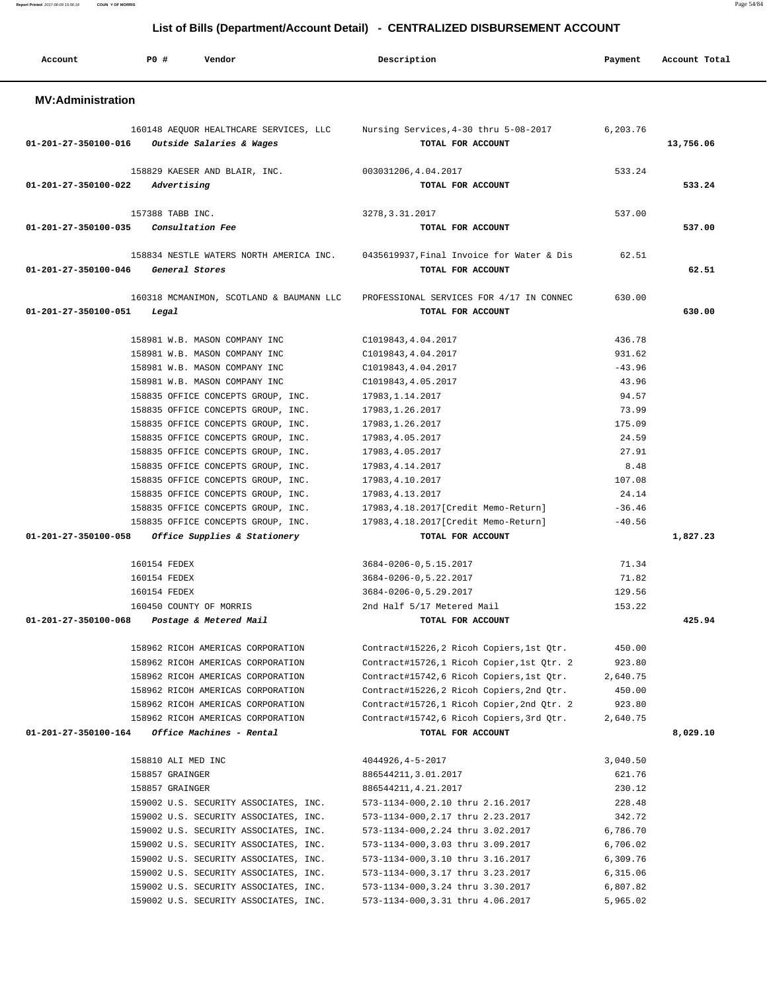**Report Printed** 2017-06-09 15:56:18 **COUN Y OF MORRIS** Page 54/84

# **List of Bills (Department/Account Detail) - CENTRALIZED DISBURSEMENT ACCOUNT**

| Account                  | PO#<br>Vendor                                                                  | Description                                                                                       | Payment            | Account Total |
|--------------------------|--------------------------------------------------------------------------------|---------------------------------------------------------------------------------------------------|--------------------|---------------|
| <b>MV:Administration</b> |                                                                                |                                                                                                   |                    |               |
| 01-201-27-350100-016     | Outside Salaries & Wages                                                       | 160148 AEQUOR HEALTHCARE SERVICES, LLC Mursing Services, 4-30 thru 5-08-2017<br>TOTAL FOR ACCOUNT | 6,203.76           | 13,756.06     |
| 01-201-27-350100-022     | 158829 KAESER AND BLAIR, INC.<br>Advertising                                   | 003031206,4.04.2017<br>TOTAL FOR ACCOUNT                                                          | 533.24             | 533.24        |
|                          | 157388 TABB INC.                                                               | 3278, 3.31.2017                                                                                   | 537.00             |               |
| 01-201-27-350100-035     | Consultation Fee                                                               | TOTAL FOR ACCOUNT                                                                                 |                    | 537.00        |
| 01-201-27-350100-046     | 158834 NESTLE WATERS NORTH AMERICA INC.<br>General Stores                      | 0435619937, Final Invoice for Water & Dis<br>TOTAL FOR ACCOUNT                                    | 62.51              | 62.51         |
| 01-201-27-350100-051     | 160318 MCMANIMON, SCOTLAND & BAUMANN LLC<br>Legal                              | PROFESSIONAL SERVICES FOR 4/17 IN CONNEC<br>TOTAL FOR ACCOUNT                                     | 630.00             | 630.00        |
|                          | 158981 W.B. MASON COMPANY INC                                                  | C1019843, 4.04.2017                                                                               | 436.78             |               |
|                          | 158981 W.B. MASON COMPANY INC                                                  | C1019843, 4.04.2017                                                                               | 931.62             |               |
|                          | 158981 W.B. MASON COMPANY INC                                                  | C1019843, 4.04.2017                                                                               | $-43.96$           |               |
|                          | 158981 W.B. MASON COMPANY INC                                                  | C1019843, 4.05.2017                                                                               | 43.96<br>94.57     |               |
|                          | 158835 OFFICE CONCEPTS GROUP, INC.<br>158835 OFFICE CONCEPTS GROUP, INC.       | 17983, 1.14.2017<br>17983, 1.26.2017                                                              | 73.99              |               |
|                          | 158835 OFFICE CONCEPTS GROUP, INC.                                             | 17983, 1.26.2017                                                                                  | 175.09             |               |
|                          | 158835 OFFICE CONCEPTS GROUP, INC.                                             | 17983, 4.05.2017                                                                                  | 24.59              |               |
|                          | 158835 OFFICE CONCEPTS GROUP, INC.                                             | 17983, 4.05.2017                                                                                  | 27.91              |               |
|                          | 158835 OFFICE CONCEPTS GROUP, INC.                                             | 17983, 4.14.2017                                                                                  | 8.48               |               |
|                          | 158835 OFFICE CONCEPTS GROUP, INC.                                             | 17983,4.10.2017                                                                                   | 107.08             |               |
|                          | 158835 OFFICE CONCEPTS GROUP, INC.                                             | 17983, 4.13.2017                                                                                  | 24.14              |               |
|                          | 158835 OFFICE CONCEPTS GROUP, INC.                                             | 17983, 4.18.2017[Credit Memo-Return]                                                              | $-36.46$           |               |
|                          | 158835 OFFICE CONCEPTS GROUP, INC.                                             | 17983, 4.18.2017[Credit Memo-Return]                                                              | $-40.56$           |               |
| 01-201-27-350100-058     | Office Supplies & Stationery                                                   | TOTAL FOR ACCOUNT                                                                                 |                    | 1,827.23      |
|                          | 160154 FEDEX                                                                   | 3684-0206-0, 5.15.2017                                                                            | 71.34              |               |
|                          | 160154 FEDEX                                                                   | 3684-0206-0,5.22.2017                                                                             | 71.82              |               |
|                          | 160154 FEDEX                                                                   | 3684-0206-0, 5.29.2017                                                                            | 129.56             |               |
|                          | 160450 COUNTY OF MORRIS                                                        | 2nd Half 5/17 Metered Mail                                                                        | 153.22             |               |
| 01-201-27-350100-068     | Postage & Metered Mail                                                         | TOTAL FOR ACCOUNT                                                                                 |                    | 425.94        |
|                          | 158962 RICOH AMERICAS CORPORATION                                              | Contract#15226,2 Ricoh Copiers, 1st Qtr.                                                          | 450.00             |               |
|                          | 158962 RICOH AMERICAS CORPORATION                                              | Contract#15726,1 Ricoh Copier, 1st Qtr. 2                                                         | 923.80             |               |
|                          | 158962 RICOH AMERICAS CORPORATION                                              | Contract#15742,6 Ricoh Copiers, 1st Qtr.                                                          | 2,640.75           |               |
|                          | 158962 RICOH AMERICAS CORPORATION                                              | Contract#15226,2 Ricoh Copiers, 2nd Qtr.                                                          | 450.00             |               |
|                          | 158962 RICOH AMERICAS CORPORATION                                              | Contract#15726,1 Ricoh Copier, 2nd Qtr. 2                                                         | 923.80             |               |
|                          | 158962 RICOH AMERICAS CORPORATION                                              | Contract#15742,6 Ricoh Copiers, 3rd Otr.                                                          | 2,640.75           |               |
| 01-201-27-350100-164     | Office Machines - Rental                                                       | TOTAL FOR ACCOUNT                                                                                 |                    | 8,029.10      |
|                          | 158810 ALI MED INC                                                             | 4044926, 4-5-2017                                                                                 | 3,040.50           |               |
|                          | 158857 GRAINGER                                                                | 886544211, 3.01.2017                                                                              | 621.76             |               |
|                          | 158857 GRAINGER                                                                | 886544211, 4.21.2017                                                                              | 230.12             |               |
|                          | 159002 U.S. SECURITY ASSOCIATES, INC.                                          | 573-1134-000, 2.10 thru 2.16.2017                                                                 | 228.48             |               |
|                          | 159002 U.S. SECURITY ASSOCIATES, INC.                                          | 573-1134-000, 2.17 thru 2.23.2017                                                                 | 342.72<br>6,786.70 |               |
|                          | 159002 U.S. SECURITY ASSOCIATES, INC.<br>159002 U.S. SECURITY ASSOCIATES, INC. | 573-1134-000, 2.24 thru 3.02.2017<br>573-1134-000,3.03 thru 3.09.2017                             | 6,706.02           |               |
|                          | 159002 U.S. SECURITY ASSOCIATES, INC.                                          | 573-1134-000, 3.10 thru 3.16.2017                                                                 | 6,309.76           |               |
|                          | 159002 U.S. SECURITY ASSOCIATES, INC.                                          | 573-1134-000, 3.17 thru 3.23.2017                                                                 | 6,315.06           |               |
|                          | 159002 U.S. SECURITY ASSOCIATES, INC.                                          | 573-1134-000, 3.24 thru 3.30.2017                                                                 | 6,807.82           |               |
|                          | 159002 U.S. SECURITY ASSOCIATES, INC.                                          | 573-1134-000, 3.31 thru 4.06.2017                                                                 | 5,965.02           |               |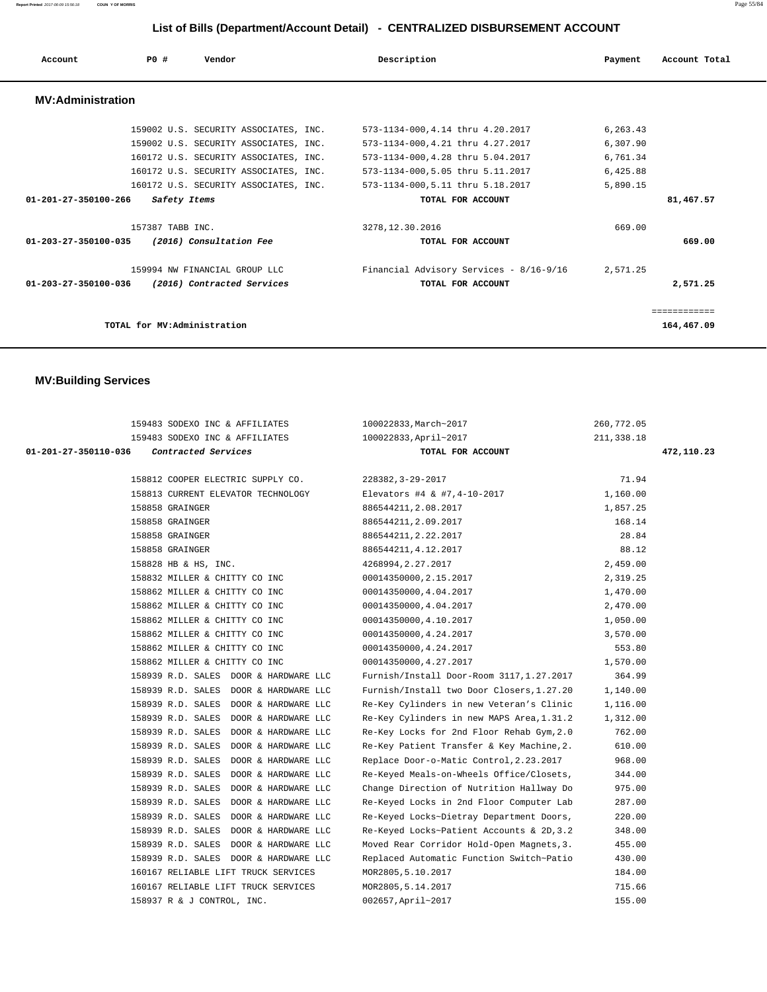**Report Printed** 2017-06-09 15:56:18 **COUN Y OF MORRIS** Page 55/84

# **List of Bills (Department/Account Detail) - CENTRALIZED DISBURSEMENT ACCOUNT**

| Account                  | P0#                         | Vendor                                | Description                             | Payment  | Account Total |
|--------------------------|-----------------------------|---------------------------------------|-----------------------------------------|----------|---------------|
| <b>MV:Administration</b> |                             |                                       |                                         |          |               |
|                          |                             | 159002 U.S. SECURITY ASSOCIATES, INC. | 573-1134-000, 4.14 thru 4.20.2017       | 6,263.43 |               |
|                          |                             | 159002 U.S. SECURITY ASSOCIATES, INC. | 573-1134-000, 4.21 thru 4.27.2017       | 6,307.90 |               |
|                          |                             | 160172 U.S. SECURITY ASSOCIATES, INC. | 573-1134-000, 4.28 thru 5.04.2017       | 6,761.34 |               |
|                          |                             | 160172 U.S. SECURITY ASSOCIATES, INC. | 573-1134-000, 5.05 thru 5.11.2017       | 6,425.88 |               |
|                          |                             | 160172 U.S. SECURITY ASSOCIATES, INC. | 573-1134-000, 5.11 thru 5.18.2017       | 5,890.15 |               |
| 01-201-27-350100-266     | Safety Items                |                                       | TOTAL FOR ACCOUNT                       |          | 81,467.57     |
|                          | 157387 TABB INC.            |                                       | 3278, 12.30.2016                        | 669.00   |               |
| 01-203-27-350100-035     |                             | (2016) Consultation Fee               | TOTAL FOR ACCOUNT                       |          | 669.00        |
|                          |                             | 159994 NW FINANCIAL GROUP LLC         | Financial Advisory Services - 8/16-9/16 | 2,571.25 |               |
| 01-203-27-350100-036     |                             | (2016) Contracted Services            | TOTAL FOR ACCOUNT                       |          | 2,571.25      |
|                          |                             |                                       |                                         |          | ============  |
|                          | TOTAL for MV:Administration |                                       |                                         |          | 164,467.09    |

# **MV:Building Services**

| 159483 SODEXO INC & AFFILIATES              | 100022833, March~2017                     | 260,772.05 |            |
|---------------------------------------------|-------------------------------------------|------------|------------|
| 159483 SODEXO INC & AFFILIATES              | 100022833, April~2017                     | 211,338.18 |            |
| 01-201-27-350110-036<br>Contracted Services | TOTAL FOR ACCOUNT                         |            | 472,110.23 |
|                                             |                                           |            |            |
| 158812 COOPER ELECTRIC SUPPLY CO.           | 228382, 3-29-2017                         | 71.94      |            |
| 158813 CURRENT ELEVATOR TECHNOLOGY          | Elevators #4 & #7,4-10-2017               | 1,160.00   |            |
| 158858 GRAINGER                             | 886544211, 2.08.2017                      | 1,857.25   |            |
| 158858 GRAINGER                             | 886544211, 2.09.2017                      | 168.14     |            |
| 158858 GRAINGER                             | 886544211, 2.22.2017                      | 28.84      |            |
| 158858 GRAINGER                             | 886544211, 4.12.2017                      | 88.12      |            |
| 158828 HB & HS, INC.                        | 4268994, 2.27.2017                        | 2,459.00   |            |
| 158832 MILLER & CHITTY CO INC               | 00014350000, 2.15.2017                    | 2,319.25   |            |
| 158862 MILLER & CHITTY CO INC               | 00014350000,4.04.2017                     | 1,470.00   |            |
| 158862 MILLER & CHITTY CO INC               | 00014350000,4.04.2017                     | 2,470.00   |            |
| 158862 MILLER & CHITTY CO INC               | 00014350000, 4.10.2017                    | 1,050.00   |            |
| 158862 MILLER & CHITTY CO INC               | 00014350000, 4.24.2017                    | 3,570.00   |            |
| 158862 MILLER & CHITTY CO INC               | 00014350000,4.24.2017                     | 553.80     |            |
| 158862 MILLER & CHITTY CO INC               | 00014350000,4.27.2017                     | 1,570.00   |            |
| 158939 R.D. SALES DOOR & HARDWARE LLC       | Furnish/Install Door-Room 3117,1.27.2017  | 364.99     |            |
| 158939 R.D. SALES DOOR & HARDWARE LLC       | Furnish/Install two Door Closers, 1.27.20 | 1,140.00   |            |
| 158939 R.D. SALES DOOR & HARDWARE LLC       | Re-Key Cylinders in new Veteran's Clinic  | 1,116.00   |            |
| 158939 R.D. SALES DOOR & HARDWARE LLC       | Re-Key Cylinders in new MAPS Area, 1.31.2 | 1,312.00   |            |
| 158939 R.D. SALES DOOR & HARDWARE LLC       | Re-Key Locks for 2nd Floor Rehab Gym, 2.0 | 762.00     |            |
| 158939 R.D. SALES DOOR & HARDWARE LLC       | Re-Key Patient Transfer & Key Machine, 2. | 610.00     |            |
| 158939 R.D. SALES DOOR & HARDWARE LLC       | Replace Door-o-Matic Control, 2.23.2017   | 968.00     |            |
| 158939 R.D. SALES DOOR & HARDWARE LLC       | Re-Keyed Meals-on-Wheels Office/Closets,  | 344.00     |            |
| 158939 R.D. SALES DOOR & HARDWARE LLC       | Change Direction of Nutrition Hallway Do  | 975.00     |            |
| 158939 R.D. SALES DOOR & HARDWARE LLC       | Re-Keyed Locks in 2nd Floor Computer Lab  | 287.00     |            |
| 158939 R.D. SALES DOOR & HARDWARE LLC       | Re-Keyed Locks~Dietray Department Doors,  | 220.00     |            |
| 158939 R.D. SALES DOOR & HARDWARE LLC       | Re-Keyed Locks~Patient Accounts & 2D, 3.2 | 348.00     |            |
| 158939 R.D. SALES DOOR & HARDWARE LLC       | Moved Rear Corridor Hold-Open Magnets, 3. | 455.00     |            |
| 158939 R.D. SALES DOOR & HARDWARE LLC       | Replaced Automatic Function Switch~Patio  | 430.00     |            |
| 160167 RELIABLE LIFT TRUCK SERVICES         | MOR2805, 5.10.2017                        | 184.00     |            |
| 160167 RELIABLE LIFT TRUCK SERVICES         | MOR2805, 5.14.2017                        | 715.66     |            |
| 158937 R & J CONTROL, INC.                  | 002657, April~2017                        | 155.00     |            |
|                                             |                                           |            |            |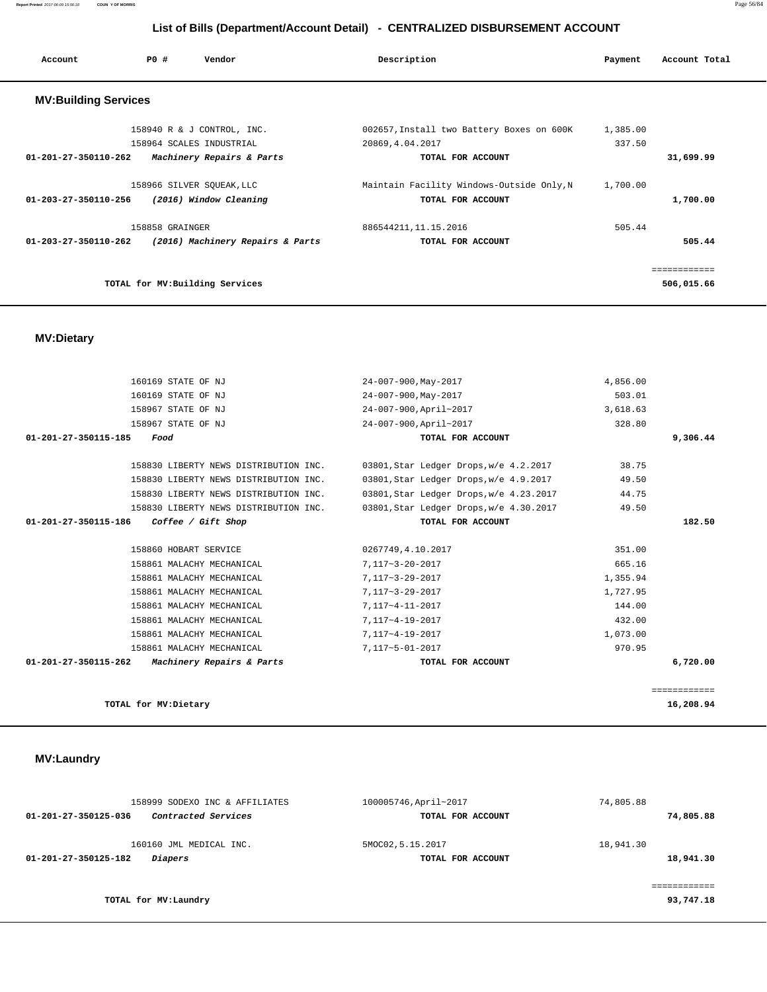# 158999 SODEXO INC & AFFILIATES 100005746,April~2017 74,805.88  **01-201-27-350125-036 Contracted Services TOTAL FOR ACCOUNT 74,805.88** 160160 JML MEDICAL INC. 6MOC02,5.15.2017 18,941.30  **01-201-27-350125-182 Diapers TOTAL FOR ACCOUNT 18,941.30** ============ **TOTAL for MV:Laundry 93,747.18**

# **MV:Laundry**

|                                | 160169 STATE OF NJ                    | 24-007-900, May-2017                    | 4,856.00 |              |
|--------------------------------|---------------------------------------|-----------------------------------------|----------|--------------|
|                                | 160169 STATE OF NJ                    | 24-007-900, May-2017                    | 503.01   |              |
|                                | 158967 STATE OF NJ                    | 24-007-900, April~2017                  | 3,618.63 |              |
|                                | 158967 STATE OF NJ                    | 24-007-900, April~2017                  | 328.80   |              |
| 01-201-27-350115-185           | Food                                  | TOTAL FOR ACCOUNT                       |          | 9,306.44     |
|                                | 158830 LIBERTY NEWS DISTRIBUTION INC. | 03801, Star Ledger Drops, w/e 4.2.2017  | 38.75    |              |
|                                | 158830 LIBERTY NEWS DISTRIBUTION INC. | 03801, Star Ledger Drops, w/e 4.9.2017  | 49.50    |              |
|                                | 158830 LIBERTY NEWS DISTRIBUTION INC. | 03801, Star Ledger Drops, w/e 4.23.2017 | 44.75    |              |
|                                | 158830 LIBERTY NEWS DISTRIBUTION INC. | 03801, Star Ledger Drops, w/e 4.30.2017 | 49.50    |              |
| 01-201-27-350115-186           | Coffee / Gift Shop                    | TOTAL FOR ACCOUNT                       |          | 182.50       |
|                                |                                       |                                         |          |              |
|                                | 158860 HOBART SERVICE                 | 0267749,4.10.2017                       | 351.00   |              |
|                                | 158861 MALACHY MECHANICAL             | 7,117~3-20-2017                         | 665.16   |              |
|                                | 158861 MALACHY MECHANICAL             | 7,117~3-29-2017                         | 1,355.94 |              |
|                                | 158861 MALACHY MECHANICAL             | 7,117~3-29-2017                         | 1,727.95 |              |
|                                | 158861 MALACHY MECHANICAL             | 7,117~4-11-2017                         | 144.00   |              |
|                                | 158861 MALACHY MECHANICAL             | 7,117~4-19-2017                         | 432.00   |              |
|                                | 158861 MALACHY MECHANICAL             | 7,117~4-19-2017                         | 1,073.00 |              |
|                                | 158861 MALACHY MECHANICAL             | 7,117~5-01-2017                         | 970.95   |              |
| $01 - 201 - 27 - 350115 - 262$ | Machinery Repairs & Parts             | TOTAL FOR ACCOUNT                       |          | 6,720.00     |
|                                |                                       |                                         |          |              |
|                                |                                       |                                         |          | ============ |
|                                | TOTAL for MV: Dietary                 |                                         |          | 16,208.94    |

### **MV:Dietary**

| <b>MV:Building Services</b>                              |                                           |              |
|----------------------------------------------------------|-------------------------------------------|--------------|
| 158940 R & J CONTROL, INC.                               | 002657, Install two Battery Boxes on 600K | 1,385.00     |
| 158964 SCALES INDUSTRIAL                                 | 20869, 4.04.2017                          | 337.50       |
| 01-201-27-350110-262<br>Machinery Repairs & Parts        | TOTAL FOR ACCOUNT                         | 31,699.99    |
| 158966 SILVER SOUEAK, LLC                                | Maintain Facility Windows-Outside Only, N | 1,700.00     |
| (2016) Window Cleaning<br>01-203-27-350110-256           | TOTAL FOR ACCOUNT                         | 1,700.00     |
| 158858 GRAINGER                                          | 886544211, 11, 15, 2016                   | 505.44       |
| (2016) Machinery Repairs & Parts<br>01-203-27-350110-262 | TOTAL FOR ACCOUNT                         | 505.44       |
|                                                          |                                           | ============ |
| TOTAL for MV: Building Services                          |                                           | 506,015.66   |

**Report Printed** 2017-06-09 15:56:18 **COUN Y OF MORRIS** Page 56/84

# **List of Bills (Department/Account Detail) - CENTRALIZED DISBURSEMENT ACCOUNT**

 **Account P0 # Vendor Description Payment Account Total**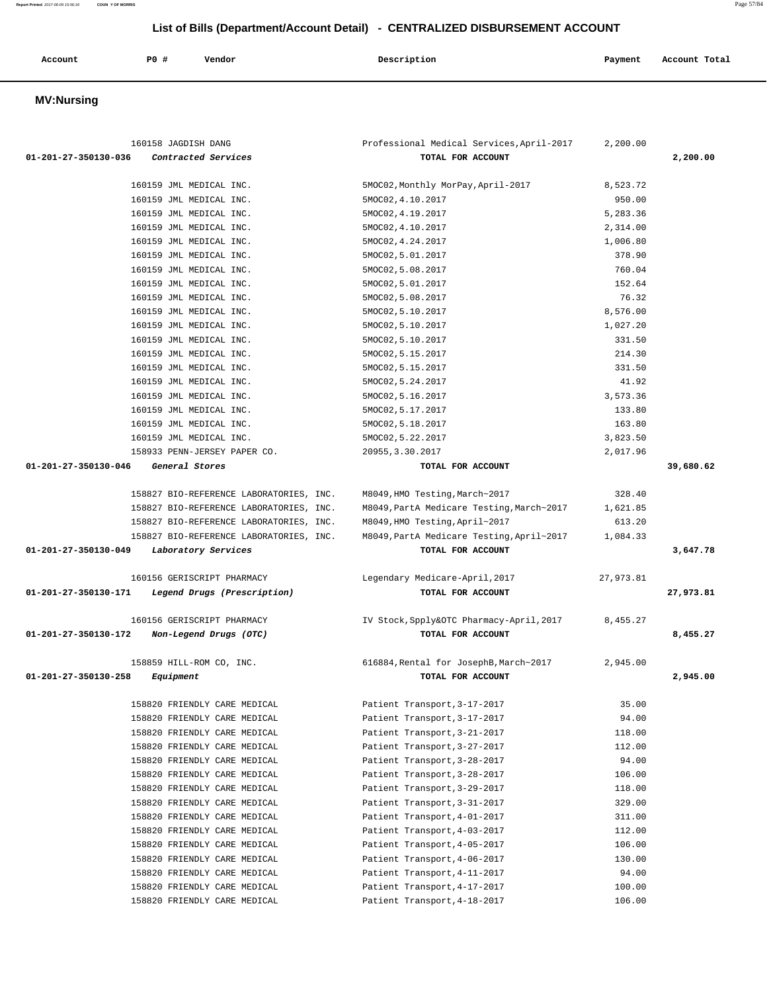| Account | PO# | Vendor | Description | Payment | Account Total |
|---------|-----|--------|-------------|---------|---------------|
|         |     |        |             |         |               |

# **MV:Nursing**

| 160158 JAGDISH DANG                                 | Professional Medical Services, April-2017 | 2,200.00  |           |
|-----------------------------------------------------|-------------------------------------------|-----------|-----------|
| 01-201-27-350130-036<br>Contracted Services         | TOTAL FOR ACCOUNT                         |           | 2,200.00  |
|                                                     |                                           |           |           |
| 160159 JML MEDICAL INC.                             | 5MOC02, Monthly MorPay, April-2017        | 8,523.72  |           |
| 160159 JML MEDICAL INC.                             | 5MOC02, 4.10.2017                         | 950.00    |           |
| 160159 JML MEDICAL INC.                             | 5MOC02, 4.19.2017                         | 5,283.36  |           |
| 160159 JML MEDICAL INC.                             | 5MOC02, 4.10.2017                         | 2,314.00  |           |
| 160159 JML MEDICAL INC.                             | 5MOC02, 4.24.2017                         | 1,006.80  |           |
| 160159 JML MEDICAL INC.                             | 5MOC02, 5.01.2017                         | 378.90    |           |
| 160159 JML MEDICAL INC.                             | 5MOC02, 5.08.2017                         | 760.04    |           |
| 160159 JML MEDICAL INC.                             | 5MOC02, 5.01.2017                         | 152.64    |           |
| 160159 JML MEDICAL INC.                             | 5MOC02, 5.08.2017                         | 76.32     |           |
| 160159 JML MEDICAL INC.                             | 5MOC02, 5.10.2017                         | 8,576.00  |           |
| 160159 JML MEDICAL INC.                             | 5MOC02, 5.10.2017                         | 1,027.20  |           |
| 160159 JML MEDICAL INC.                             | 5MOC02, 5.10.2017                         | 331.50    |           |
| 160159 JML MEDICAL INC.                             | 5MOC02, 5.15.2017                         | 214.30    |           |
| 160159 JML MEDICAL INC.                             | 5MOC02, 5.15.2017                         | 331.50    |           |
| 160159 JML MEDICAL INC.                             | 5MOC02, 5.24.2017                         | 41.92     |           |
| 160159 JML MEDICAL INC.                             | 5MOC02, 5.16.2017                         | 3,573.36  |           |
| 160159 JML MEDICAL INC.                             | 5MOC02, 5.17.2017                         | 133.80    |           |
| 160159 JML MEDICAL INC.                             | 5MOC02, 5.18.2017                         | 163.80    |           |
| 160159 JML MEDICAL INC.                             | 5MOC02, 5.22.2017                         | 3,823.50  |           |
| 158933 PENN-JERSEY PAPER CO.                        | 20955, 3.30.2017                          | 2,017.96  |           |
| 01-201-27-350130-046<br>General Stores              | TOTAL FOR ACCOUNT                         |           | 39,680.62 |
|                                                     |                                           |           |           |
| 158827 BIO-REFERENCE LABORATORIES, INC.             | M8049, HMO Testing, March~2017            | 328.40    |           |
| 158827 BIO-REFERENCE LABORATORIES, INC.             | M8049, PartA Medicare Testing, March~2017 | 1,621.85  |           |
| 158827 BIO-REFERENCE LABORATORIES, INC.             | M8049, HMO Testing, April~2017            | 613.20    |           |
| 158827 BIO-REFERENCE LABORATORIES, INC.             | M8049, PartA Medicare Testing, April~2017 | 1,084.33  |           |
| 01-201-27-350130-049<br>Laboratory Services         | TOTAL FOR ACCOUNT                         |           | 3,647.78  |
|                                                     |                                           |           |           |
| 160156 GERISCRIPT PHARMACY                          | Legendary Medicare-April, 2017            | 27,973.81 |           |
| 01-201-27-350130-171<br>Legend Drugs (Prescription) | TOTAL FOR ACCOUNT                         |           | 27,973.81 |
| 160156 GERISCRIPT PHARMACY                          | IV Stock, Spply&OTC Pharmacy-April, 2017  | 8,455.27  |           |
| 01-201-27-350130-172<br>Non-Legend Drugs (OTC)      | TOTAL FOR ACCOUNT                         |           | 8,455.27  |
|                                                     |                                           |           |           |
| 158859 HILL-ROM CO, INC.                            | 616884, Rental for JosephB, March~2017    | 2,945.00  |           |
| 01-201-27-350130-258<br>Equipment                   | TOTAL FOR ACCOUNT                         |           | 2,945.00  |
|                                                     |                                           |           |           |
| 158820 FRIENDLY CARE MEDICAL                        | Patient Transport, 3-17-2017              | 35.00     |           |
| 158820 FRIENDLY CARE MEDICAL                        | Patient Transport, 3-17-2017              | 94.00     |           |
| 158820 FRIENDLY CARE MEDICAL                        | Patient Transport, 3-21-2017              | 118.00    |           |
| 158820 FRIENDLY CARE MEDICAL                        | Patient Transport, 3-27-2017              | 112.00    |           |
| 158820 FRIENDLY CARE MEDICAL                        | Patient Transport, 3-28-2017              | 94.00     |           |
| 158820 FRIENDLY CARE MEDICAL                        | Patient Transport, 3-28-2017              | 106.00    |           |
| 158820 FRIENDLY CARE MEDICAL                        | Patient Transport, 3-29-2017              | 118.00    |           |
| 158820 FRIENDLY CARE MEDICAL                        | Patient Transport, 3-31-2017              | 329.00    |           |
| 158820 FRIENDLY CARE MEDICAL                        | Patient Transport, 4-01-2017              | 311.00    |           |
| 158820 FRIENDLY CARE MEDICAL                        | Patient Transport, 4-03-2017              | 112.00    |           |
| 158820 FRIENDLY CARE MEDICAL                        | Patient Transport, 4-05-2017              | 106.00    |           |
| 158820 FRIENDLY CARE MEDICAL                        | Patient Transport, 4-06-2017              | 130.00    |           |
| 158820 FRIENDLY CARE MEDICAL                        | Patient Transport, 4-11-2017              | 94.00     |           |
| 158820 FRIENDLY CARE MEDICAL                        | Patient Transport, 4-17-2017              | 100.00    |           |
| 158820 FRIENDLY CARE MEDICAL                        | Patient Transport, 4-18-2017              | 106.00    |           |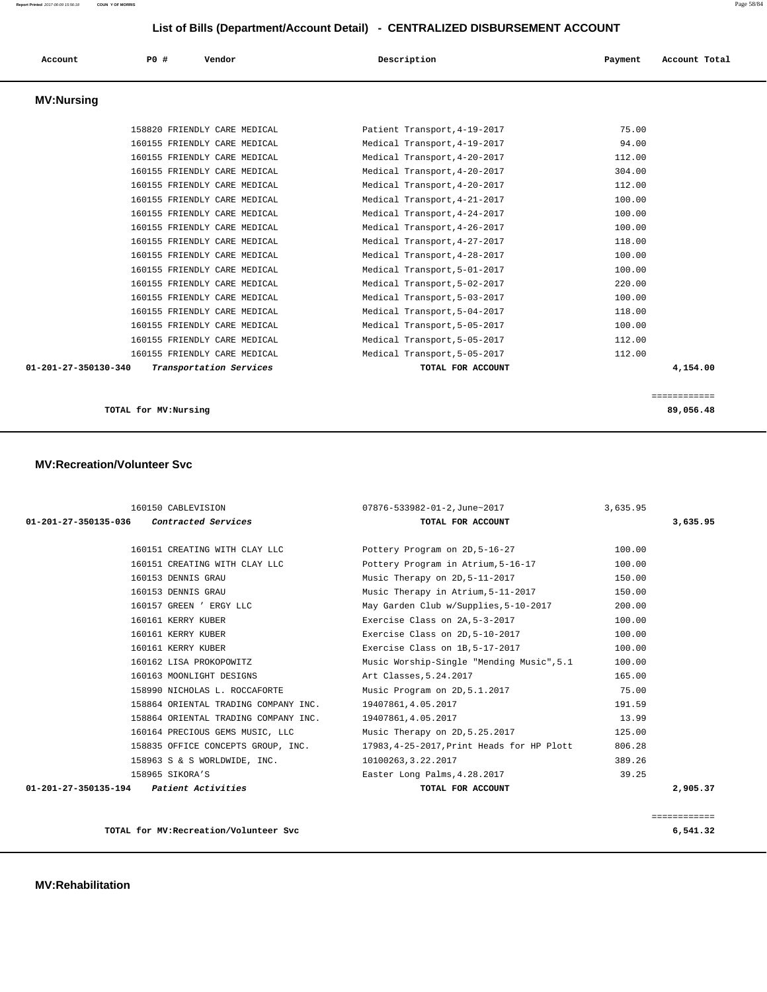| Account                        | PO#<br>Vendor                | Description                  | Account Total<br>Payment |
|--------------------------------|------------------------------|------------------------------|--------------------------|
| <b>MV:Nursing</b>              |                              |                              |                          |
|                                | 158820 FRIENDLY CARE MEDICAL | Patient Transport, 4-19-2017 | 75.00                    |
|                                | 160155 FRIENDLY CARE MEDICAL | Medical Transport, 4-19-2017 | 94.00                    |
|                                | 160155 FRIENDLY CARE MEDICAL | Medical Transport, 4-20-2017 | 112.00                   |
|                                | 160155 FRIENDLY CARE MEDICAL | Medical Transport, 4-20-2017 | 304.00                   |
|                                | 160155 FRIENDLY CARE MEDICAL | Medical Transport, 4-20-2017 | 112.00                   |
|                                | 160155 FRIENDLY CARE MEDICAL | Medical Transport, 4-21-2017 | 100.00                   |
|                                | 160155 FRIENDLY CARE MEDICAL | Medical Transport, 4-24-2017 | 100.00                   |
|                                | 160155 FRIENDLY CARE MEDICAL | Medical Transport, 4-26-2017 | 100.00                   |
|                                | 160155 FRIENDLY CARE MEDICAL | Medical Transport, 4-27-2017 | 118.00                   |
|                                | 160155 FRIENDLY CARE MEDICAL | Medical Transport, 4-28-2017 | 100.00                   |
|                                | 160155 FRIENDLY CARE MEDICAL | Medical Transport, 5-01-2017 | 100.00                   |
|                                | 160155 FRIENDLY CARE MEDICAL | Medical Transport, 5-02-2017 | 220.00                   |
|                                | 160155 FRIENDLY CARE MEDICAL | Medical Transport, 5-03-2017 | 100.00                   |
|                                | 160155 FRIENDLY CARE MEDICAL | Medical Transport, 5-04-2017 | 118.00                   |
|                                | 160155 FRIENDLY CARE MEDICAL | Medical Transport, 5-05-2017 | 100.00                   |
|                                | 160155 FRIENDLY CARE MEDICAL | Medical Transport, 5-05-2017 | 112.00                   |
|                                | 160155 FRIENDLY CARE MEDICAL | Medical Transport, 5-05-2017 | 112.00                   |
| $01 - 201 - 27 - 350130 - 340$ | Transportation Services      | TOTAL FOR ACCOUNT            | 4,154.00                 |

**TOTAL for MV:Nursing 89,056.48**

## **MV:Recreation/Volunteer Svc**

|                                           | 160150 CABLEVISION                   | 07876-533982-01-2, June~2017              | 3,635.95 |          |
|-------------------------------------------|--------------------------------------|-------------------------------------------|----------|----------|
| 01-201-27-350135-036 Contracted Services  |                                      | TOTAL FOR ACCOUNT                         |          | 3,635.95 |
|                                           | 160151 CREATING WITH CLAY LLC        | Pottery Program on 2D, 5-16-27            | 100.00   |          |
|                                           | 160151 CREATING WITH CLAY LLC        | Pottery Program in Atrium, 5-16-17        | 100.00   |          |
|                                           | 160153 DENNIS GRAU                   | Music Therapy on 2D, 5-11-2017            | 150.00   |          |
|                                           | 160153 DENNIS GRAU                   | Music Therapy in Atrium, 5-11-2017        | 150.00   |          |
|                                           | 160157 GREEN ' ERGY LLC              | May Garden Club w/Supplies, 5-10-2017     | 200.00   |          |
|                                           | 160161 KERRY KUBER                   | Exercise Class on 2A, 5-3-2017            | 100.00   |          |
|                                           | 160161 KERRY KUBER                   | Exercise Class on 2D, 5-10-2017           | 100.00   |          |
|                                           | 160161 KERRY KUBER                   | Exercise Class on 1B, 5-17-2017           | 100.00   |          |
|                                           | 160162 LISA PROKOPOWITZ              | Music Worship-Single "Mending Music", 5.1 | 100.00   |          |
|                                           | 160163 MOONLIGHT DESIGNS             | Art Classes, 5.24.2017                    | 165.00   |          |
|                                           | 158990 NICHOLAS L. ROCCAFORTE        | Music Program on 2D, 5.1.2017             | 75.00    |          |
|                                           | 158864 ORIENTAL TRADING COMPANY INC. | 19407861,4.05.2017                        | 191.59   |          |
|                                           | 158864 ORIENTAL TRADING COMPANY INC. | 19407861,4.05.2017                        | 13.99    |          |
|                                           | 160164 PRECIOUS GEMS MUSIC, LLC      | Music Therapy on 2D, 5.25.2017            | 125.00   |          |
|                                           | 158835 OFFICE CONCEPTS GROUP, INC.   | 17983,4-25-2017, Print Heads for HP Plott | 806.28   |          |
|                                           | 158963 S & S WORLDWIDE, INC.         | 10100263, 3.22.2017                       | 389.26   |          |
|                                           | 158965 SIKORA'S                      | Easter Long Palms, 4.28.2017              | 39.25    |          |
| $01-201-27-350135-194$ Patient Activities |                                      | TOTAL FOR ACCOUNT                         |          | 2,905.37 |

============

**TOTAL for MV:Recreation/Volunteer Svc 6,541.32**

 **MV:Rehabilitation**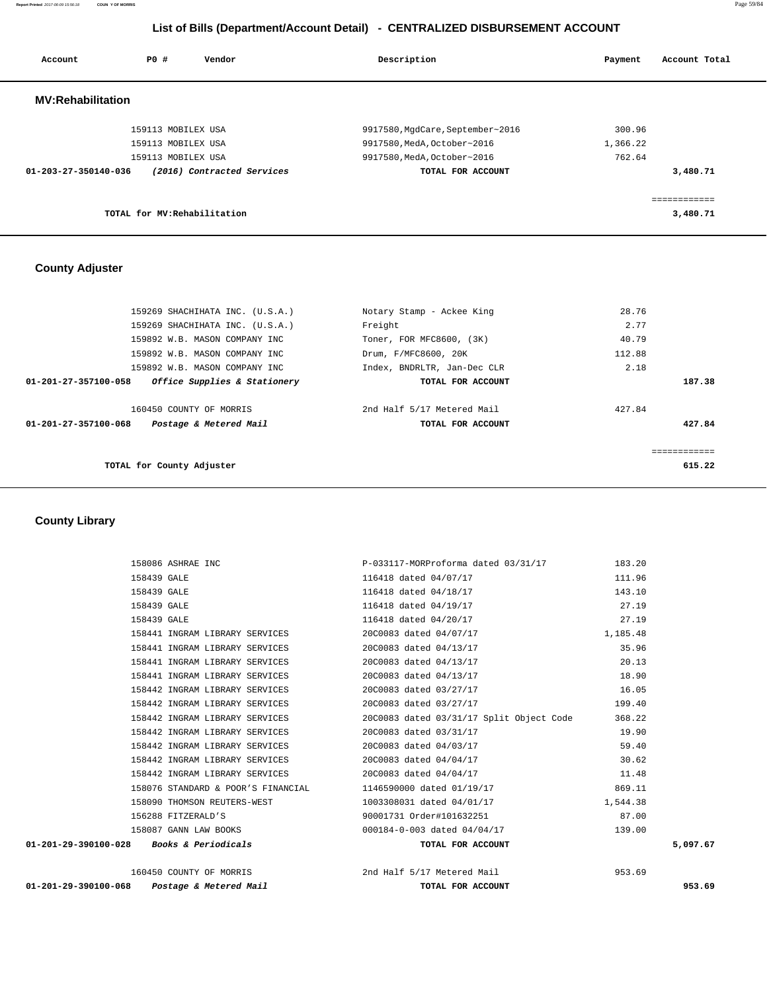**Report Printed** 2017-06-09 15:56:18 **COUN Y OF MORRIS** Page 59/84

# **List of Bills (Department/Account Detail) - CENTRALIZED DISBURSEMENT ACCOUNT**

| Account                  | <b>PO #</b>                  | Vendor                     | Description                      | Payment  | Account Total         |
|--------------------------|------------------------------|----------------------------|----------------------------------|----------|-----------------------|
| <b>MV:Rehabilitation</b> |                              |                            |                                  |          |                       |
|                          | 159113 MOBILEX USA           |                            | 9917580, MgdCare, September~2016 | 300.96   |                       |
|                          | 159113 MOBILEX USA           |                            | 9917580, MedA, October~2016      | 1,366.22 |                       |
|                          | 159113 MOBILEX USA           |                            | 9917580, MedA, October~2016      | 762.64   |                       |
| 01-203-27-350140-036     |                              | (2016) Contracted Services | TOTAL FOR ACCOUNT                |          | 3,480.71              |
|                          |                              |                            |                                  |          | . _ _ _ _ _ _ _ _ _ _ |
|                          | TOTAL for MV: Rehabilitation |                            |                                  |          | 3,480.71              |

## **County Adjuster**

| 159269 SHACHIHATA INC. (U.S.A.)                      | Notary Stamp - Ackee King   | 28.76        |
|------------------------------------------------------|-----------------------------|--------------|
| 159269 SHACHIHATA INC. (U.S.A.)                      | Freight                     | 2.77         |
| 159892 W.B. MASON COMPANY INC                        | Toner, FOR MFC8600, (3K)    | 40.79        |
| 159892 W.B. MASON COMPANY INC                        | Drum, F/MFC8600, 20K        | 112.88       |
| 159892 W.B. MASON COMPANY INC                        | Index, BNDRLTR, Jan-Dec CLR | 2.18         |
| Office Supplies & Stationery<br>01-201-27-357100-058 | TOTAL FOR ACCOUNT           | 187.38       |
| 160450 COUNTY OF MORRIS                              | 2nd Half 5/17 Metered Mail  | 427.84       |
| Postage & Metered Mail<br>01-201-27-357100-068       | TOTAL FOR ACCOUNT           | 427.84       |
|                                                      |                             |              |
|                                                      |                             | ============ |
| TOTAL for County Adjuster                            |                             | 615.22       |
|                                                      |                             |              |

 **County Library** 

| $01 - 201 - 29 - 390100 - 068$ | Postage & Metered Mail             | TOTAL FOR ACCOUNT                        |          | 953.69   |
|--------------------------------|------------------------------------|------------------------------------------|----------|----------|
|                                | 160450 COUNTY OF MORRIS            | 2nd Half 5/17 Metered Mail               | 953.69   |          |
| $01 - 201 - 29 - 390100 - 028$ | <i>Books &amp; Periodicals</i>     | TOTAL FOR ACCOUNT                        |          | 5,097.67 |
|                                | 158087 GANN LAW BOOKS              | 000184-0-003 dated 04/04/17              | 139.00   |          |
|                                | 156288 FITZERALD'S                 | 90001731 Order#101632251                 | 87.00    |          |
|                                | 158090 THOMSON REUTERS-WEST        | 1003308031 dated 04/01/17                | 1,544.38 |          |
|                                | 158076 STANDARD & POOR'S FINANCIAL | 1146590000 dated 01/19/17                | 869.11   |          |
|                                | 158442 INGRAM LIBRARY SERVICES     | 20C0083 dated 04/04/17                   | 11.48    |          |
|                                | 158442 INGRAM LIBRARY SERVICES     | 20C0083 dated 04/04/17                   | 30.62    |          |
|                                | 158442 INGRAM LIBRARY SERVICES     | 20C0083 dated 04/03/17                   | 59.40    |          |
|                                | 158442 INGRAM LIBRARY SERVICES     | 20C0083 dated 03/31/17                   | 19.90    |          |
|                                | 158442 INGRAM LIBRARY SERVICES     | 20C0083 dated 03/31/17 Split Object Code | 368.22   |          |
|                                | 158442 INGRAM LIBRARY SERVICES     | 20C0083 dated 03/27/17                   | 199.40   |          |
|                                | 158442 INGRAM LIBRARY SERVICES     | 20C0083 dated 03/27/17                   | 16.05    |          |
|                                | 158441 INGRAM LIBRARY SERVICES     | 20C0083 dated 04/13/17                   | 18.90    |          |
|                                | 158441 INGRAM LIBRARY SERVICES     | 20C0083 dated 04/13/17                   | 20.13    |          |
|                                | 158441 INGRAM LIBRARY SERVICES     | 20C0083 dated 04/13/17                   | 35.96    |          |
|                                | 158441 INGRAM LIBRARY SERVICES     | 20C0083 dated 04/07/17                   | 1,185.48 |          |
|                                | 158439 GALE                        | 116418 dated 04/20/17                    | 27.19    |          |
|                                | 158439 GALE                        | 116418 dated 04/19/17                    | 27.19    |          |
|                                | 158439 GALE                        | 116418 dated 04/18/17                    | 143.10   |          |
|                                | 158439 GALE                        | 116418 dated 04/07/17                    | 111.96   |          |
|                                | 158086 ASHRAE INC                  | P-033117-MORProforma dated 03/31/17      | 183.20   |          |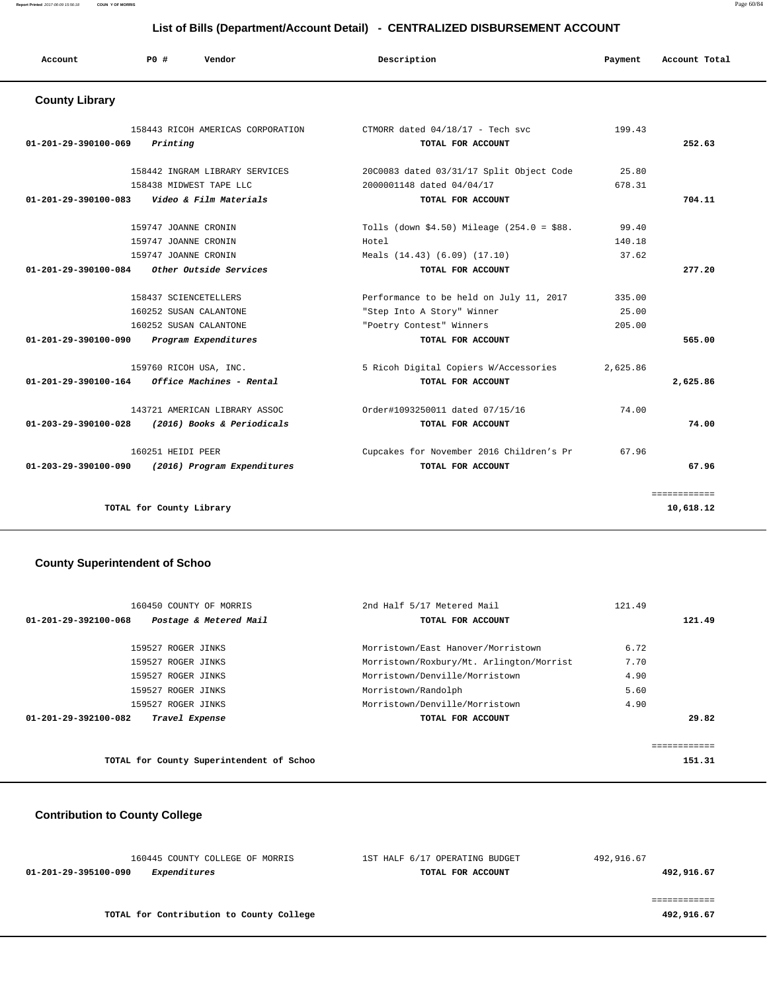#### **Report Printed** 2017-06-09 15:56:18 **COUN Y OF MORRIS** Page 60/84

## **List of Bills (Department/Account Detail) - CENTRALIZED DISBURSEMENT ACCOUNT**

| Account                        | PO#<br>Vendor                     | Description                                | Payment  | Account Total |
|--------------------------------|-----------------------------------|--------------------------------------------|----------|---------------|
| <b>County Library</b>          |                                   |                                            |          |               |
|                                | 158443 RICOH AMERICAS CORPORATION | CTMORR dated $04/18/17$ - Tech svc         | 199.43   |               |
| $01 - 201 - 29 - 390100 - 069$ | Printing                          | TOTAL FOR ACCOUNT                          |          | 252.63        |
|                                | 158442 INGRAM LIBRARY SERVICES    | 20C0083 dated 03/31/17 Split Object Code   | 25.80    |               |
|                                | 158438 MIDWEST TAPE LLC           | 2000001148 dated 04/04/17                  | 678.31   |               |
| 01-201-29-390100-083           | Video & Film Materials            | TOTAL FOR ACCOUNT                          |          | 704.11        |
|                                | 159747 JOANNE CRONIN              | Tolls (down \$4.50) Mileage (254.0 = \$88. | 99.40    |               |
|                                | 159747 JOANNE CRONIN              | Hotel                                      | 140.18   |               |
|                                | 159747 JOANNE CRONIN              | Meals (14.43) (6.09) (17.10)               | 37.62    |               |
| 01-201-29-390100-084           | Other Outside Services            | TOTAL FOR ACCOUNT                          |          | 277.20        |
|                                | 158437 SCIENCETELLERS             | Performance to be held on July 11, 2017    | 335.00   |               |
|                                | 160252 SUSAN CALANTONE            | "Step Into A Story" Winner                 | 25.00    |               |
|                                | 160252 SUSAN CALANTONE            | "Poetry Contest" Winners                   | 205.00   |               |
| 01-201-29-390100-090           | Program Expenditures              | TOTAL FOR ACCOUNT                          |          | 565.00        |
|                                | 159760 RICOH USA, INC.            | 5 Ricoh Digital Copiers W/Accessories      | 2,625.86 |               |
| 01-201-29-390100-164           | Office Machines - Rental          | TOTAL FOR ACCOUNT                          |          | 2,625.86      |
|                                | 143721 AMERICAN LIBRARY ASSOC     | Order#1093250011 dated 07/15/16            | 74.00    |               |
| 01-203-29-390100-028           | (2016) Books & Periodicals        | TOTAL FOR ACCOUNT                          |          | 74.00         |
|                                | 160251 HEIDI PEER                 | Cupcakes for November 2016 Children's Pr   | 67.96    |               |
| 01-203-29-390100-090           | (2016) Program Expenditures       | TOTAL FOR ACCOUNT                          |          | 67.96         |
|                                |                                   |                                            |          | ============  |
|                                | TOTAL for County Library          |                                            |          | 10,618.12     |

## **County Superintendent of Schoo**

| 160450 COUNTY OF MORRIS                        | 2nd Half 5/17 Metered Mail               | 121.49 |        |
|------------------------------------------------|------------------------------------------|--------|--------|
| Postage & Metered Mail<br>01-201-29-392100-068 | TOTAL FOR ACCOUNT                        |        | 121.49 |
|                                                |                                          |        |        |
| 159527 ROGER JINKS                             | Morristown/East Hanover/Morristown       | 6.72   |        |
| 159527 ROGER JINKS                             | Morristown/Roxbury/Mt. Arlington/Morrist | 7.70   |        |
| 159527 ROGER JINKS                             | Morristown/Denville/Morristown           | 4.90   |        |
| 159527 ROGER JINKS                             | Morristown/Randolph                      | 5.60   |        |
| 159527 ROGER JINKS                             | Morristown/Denville/Morristown           | 4.90   |        |
| 01-201-29-392100-082<br>Travel Expense         | TOTAL FOR ACCOUNT                        |        | 29.82  |
|                                                |                                          |        |        |
|                                                |                                          |        |        |
| TOTAL for County Superintendent of Schoo       |                                          |        | 151.31 |

# **Contribution to County College**

| 160445 COUNTY COLLEGE OF MORRIS          | 1ST HALF 6/17 OPERATING BUDGET | 492,916.67 |
|------------------------------------------|--------------------------------|------------|
| Expenditures<br>01-201-29-395100-090     | TOTAL FOR ACCOUNT              | 492,916.67 |
|                                          |                                |            |
|                                          |                                |            |
| TOTAL for Contribution to County College |                                | 492,916.67 |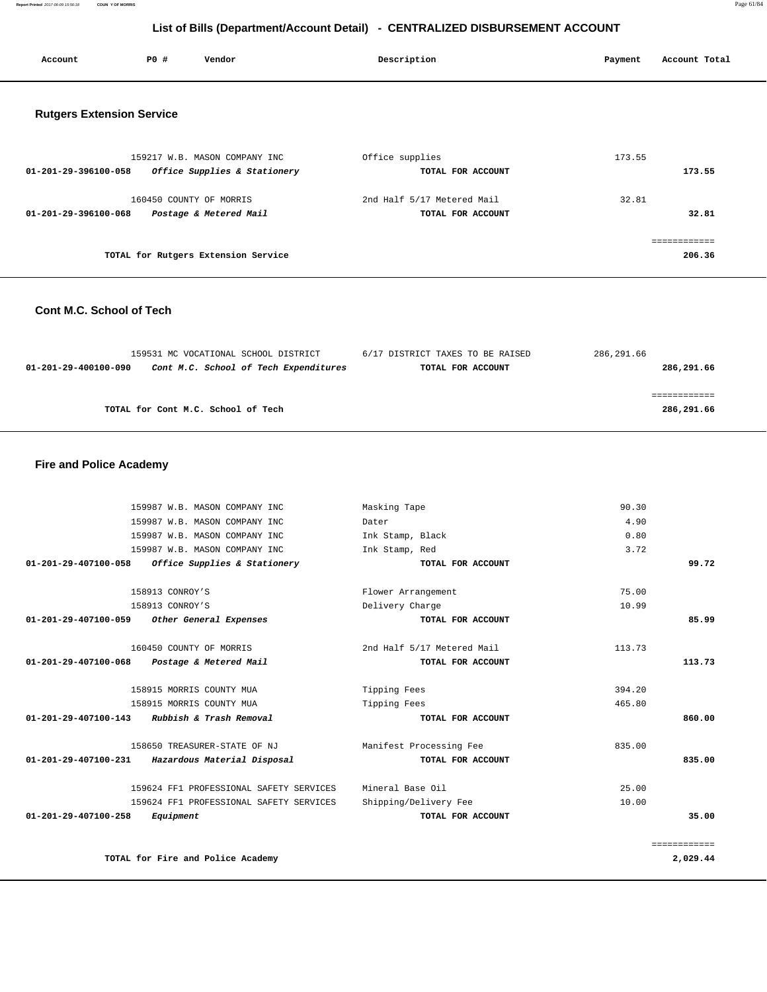**Report Printed** 2017-06-09 15:56:18 **COUN Y OF MORRIS** Page 61/84

# **List of Bills (Department/Account Detail) - CENTRALIZED DISBURSEMENT ACCOUNT**

| <b>PO #</b><br>Vendor<br>Description<br>Account Total<br>Account<br>Payment |  |  |  |  |  |  |  |
|-----------------------------------------------------------------------------|--|--|--|--|--|--|--|
|-----------------------------------------------------------------------------|--|--|--|--|--|--|--|

## **Rutgers Extension Service**

| 159217 W.B. MASON COMPANY INC<br>Office Supplies & Stationery<br>01-201-29-396100-058 | Office supplies<br>TOTAL FOR ACCOUNT            | 173.55<br>173.55 |
|---------------------------------------------------------------------------------------|-------------------------------------------------|------------------|
| 160450 COUNTY OF MORRIS<br>Postage & Metered Mail<br>01-201-29-396100-068             | 2nd Half 5/17 Metered Mail<br>TOTAL FOR ACCOUNT | 32.81<br>32.81   |
| TOTAL for Rutgers Extension Service                                                   |                                                 | 206.36           |

## **Cont M.C. School of Tech**

|                      | 159531 MC VOCATIONAL SCHOOL DISTRICT  | 6/17 DISTRICT TAXES TO BE RAISED | 286,291.66 |
|----------------------|---------------------------------------|----------------------------------|------------|
| 01-201-29-400100-090 | Cont M.C. School of Tech Expenditures | TOTAL FOR ACCOUNT                | 286,291.66 |
|                      |                                       |                                  |            |
|                      |                                       |                                  |            |
|                      | TOTAL for Cont M.C. School of Tech    |                                  | 286,291.66 |
|                      |                                       |                                  |            |

## **Fire and Police Academy**

|                                | 159987 W.B. MASON COMPANY INC                | Masking Tape               | 90.30        |
|--------------------------------|----------------------------------------------|----------------------------|--------------|
|                                | 159987 W.B. MASON COMPANY INC                | Dater                      | 4.90         |
|                                | 159987 W.B. MASON COMPANY INC                | Ink Stamp, Black           | 0.80         |
|                                | 159987 W.B. MASON COMPANY INC                | Ink Stamp, Red             | 3.72         |
| 01-201-29-407100-058           | Office Supplies & Stationery                 | TOTAL FOR ACCOUNT          | 99.72        |
|                                |                                              |                            |              |
|                                | 158913 CONROY'S                              | Flower Arrangement         | 75.00        |
|                                | 158913 CONROY'S                              | Delivery Charge            | 10.99        |
| 01-201-29-407100-059           | Other General Expenses                       | TOTAL FOR ACCOUNT          | 85.99        |
|                                |                                              |                            |              |
|                                | 160450 COUNTY OF MORRIS                      | 2nd Half 5/17 Metered Mail | 113.73       |
| 01-201-29-407100-068           | Postage & Metered Mail                       | TOTAL FOR ACCOUNT          | 113.73       |
|                                |                                              |                            |              |
|                                | 158915 MORRIS COUNTY MUA                     | Tipping Fees               | 394.20       |
|                                | 158915 MORRIS COUNTY MUA                     | Tipping Fees               | 465.80       |
|                                | 01-201-29-407100-143 Rubbish & Trash Removal | TOTAL FOR ACCOUNT          | 860.00       |
|                                | 158650 TREASURER-STATE OF NJ                 | Manifest Processing Fee    | 835.00       |
| 01-201-29-407100-231           | Hazardous Material Disposal                  | TOTAL FOR ACCOUNT          | 835.00       |
|                                | 159624 FF1 PROFESSIONAL SAFETY SERVICES      | Mineral Base Oil           | 25.00        |
|                                | 159624 FF1 PROFESSIONAL SAFETY SERVICES      | Shipping/Delivery Fee      | 10.00        |
| $01 - 201 - 29 - 407100 - 258$ | Equipment                                    | TOTAL FOR ACCOUNT          | 35.00        |
|                                |                                              |                            |              |
|                                |                                              |                            | ============ |
|                                | TOTAL for Fire and Police Academy            |                            | 2,029.44     |
|                                |                                              |                            |              |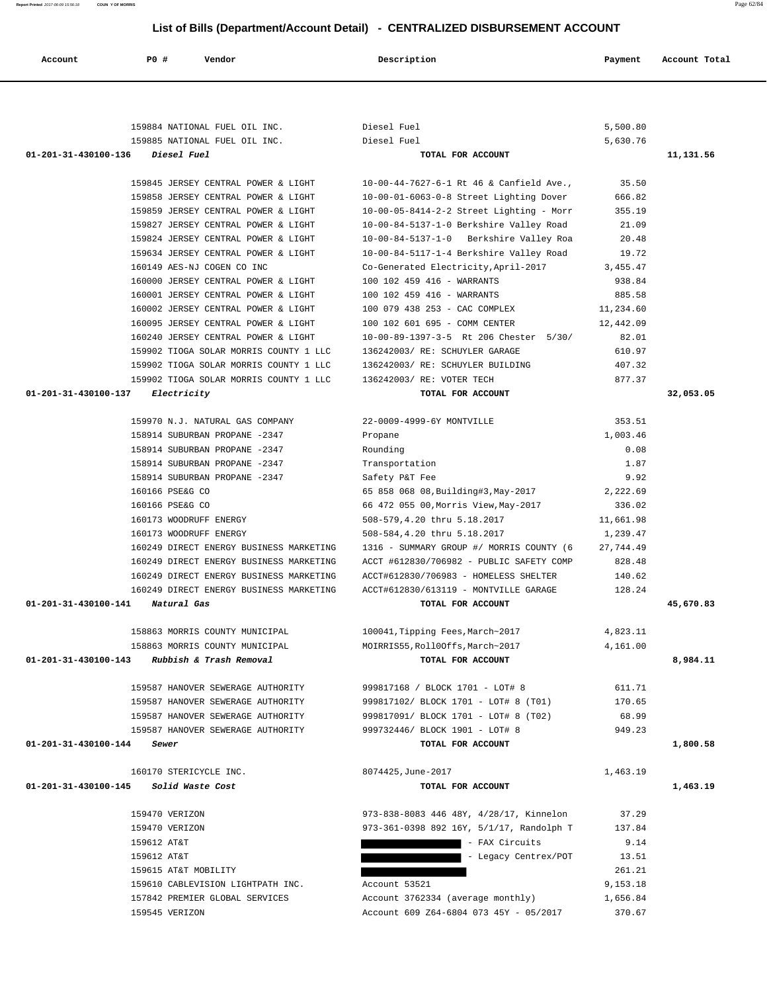| 159884 NATIONAL FUEL OIL INC.                                          | Diesel Fuel                                                                  | 5,500.80        |           |
|------------------------------------------------------------------------|------------------------------------------------------------------------------|-----------------|-----------|
| 159885 NATIONAL FUEL OIL INC.                                          | Diesel Fuel                                                                  | 5,630.76        |           |
| 01-201-31-430100-136<br><i>Diesel Fuel</i>                             | TOTAL FOR ACCOUNT                                                            |                 | 11,131.56 |
|                                                                        |                                                                              |                 |           |
| 159845 JERSEY CENTRAL POWER & LIGHT                                    | 10-00-44-7627-6-1 Rt 46 & Canfield Ave.,                                     | 35.50           |           |
| 159858 JERSEY CENTRAL POWER & LIGHT                                    | 10-00-01-6063-0-8 Street Lighting Dover                                      | 666.82          |           |
| 159859 JERSEY CENTRAL POWER & LIGHT                                    | $10-00-05-8414-2-2$ Street Lighting - Morr                                   | 355.19          |           |
| 159827 JERSEY CENTRAL POWER & LIGHT                                    | 10-00-84-5137-1-0 Berkshire Valley Road                                      | 21.09           |           |
| 159824 JERSEY CENTRAL POWER & LIGHT                                    | 10-00-84-5137-1-0 Berkshire Valley Roa                                       | 20.48           |           |
| 159634 JERSEY CENTRAL POWER & LIGHT                                    | 10-00-84-5117-1-4 Berkshire Valley Road                                      | 19.72           |           |
| 160149 AES-NJ COGEN CO INC                                             | Co-Generated Electricity, April-2017                                         | 3, 455.47       |           |
| 160000 JERSEY CENTRAL POWER & LIGHT                                    | 100 102 459 416 - WARRANTS                                                   | 938.84          |           |
| 160001 JERSEY CENTRAL POWER & LIGHT                                    | 100 102 459 416 - WARRANTS                                                   | 885.58          |           |
| 160002 JERSEY CENTRAL POWER & LIGHT                                    | 100 079 438 253 - CAC COMPLEX                                                | 11,234.60       |           |
| 160095 JERSEY CENTRAL POWER & LIGHT                                    | 100 102 601 695 - COMM CENTER                                                | 12,442.09       |           |
| 160240 JERSEY CENTRAL POWER & LIGHT                                    | 10-00-89-1397-3-5 Rt 206 Chester 5/30/                                       | 82.01           |           |
| 159902 TIOGA SOLAR MORRIS COUNTY 1 LLC                                 | 136242003/ RE: SCHUYLER GARAGE                                               | 610.97          |           |
| 159902 TIOGA SOLAR MORRIS COUNTY 1 LLC                                 | 136242003/ RE: SCHUYLER BUILDING                                             | 407.32          |           |
| 159902 TIOGA SOLAR MORRIS COUNTY 1 LLC                                 | 136242003/ RE: VOTER TECH                                                    | 877.37          |           |
| 01-201-31-430100-137<br>Electricity                                    | TOTAL FOR ACCOUNT                                                            |                 | 32,053.05 |
| 159970 N.J. NATURAL GAS COMPANY                                        | 22-0009-4999-6Y MONTVILLE                                                    | 353.51          |           |
| 158914 SUBURBAN PROPANE -2347                                          | Propane                                                                      | 1,003.46        |           |
| 158914 SUBURBAN PROPANE -2347                                          | Rounding                                                                     | 0.08            |           |
| 158914 SUBURBAN PROPANE -2347                                          | Transportation                                                               | 1.87            |           |
| 158914 SUBURBAN PROPANE -2347                                          | Safety P&T Fee                                                               | 9.92            |           |
| 160166 PSE&G CO                                                        | 65 858 068 08, Building#3, May-2017                                          | 2,222.69        |           |
| 160166 PSE&G CO                                                        | 66 472 055 00, Morris View, May-2017                                         | 336.02          |           |
| 160173 WOODRUFF ENERGY                                                 | 508-579,4.20 thru 5.18.2017                                                  | 11,661.98       |           |
| 160173 WOODRUFF ENERGY                                                 | 508-584, 4.20 thru 5.18.2017                                                 | 1,239.47        |           |
| 160249 DIRECT ENERGY BUSINESS MARKETING                                | 1316 - SUMMARY GROUP #/ MORRIS COUNTY (6                                     | 27,744.49       |           |
| 160249 DIRECT ENERGY BUSINESS MARKETING                                | ACCT #612830/706982 - PUBLIC SAFETY COMP                                     | 828.48          |           |
| 160249 DIRECT ENERGY BUSINESS MARKETING                                | ACCT#612830/706983 - HOMELESS SHELTER                                        | 140.62          |           |
| 160249 DIRECT ENERGY BUSINESS MARKETING                                | ACCT#612830/613119 - MONTVILLE GARAGE                                        | 128.24          |           |
| 01-201-31-430100-141<br>Natural Gas                                    | TOTAL FOR ACCOUNT                                                            |                 | 45,670.83 |
|                                                                        |                                                                              |                 |           |
| 158863 MORRIS COUNTY MUNICIPAL                                         | 100041, Tipping Fees, March~2017                                             | 4,823.11        |           |
| 158863 MORRIS COUNTY MUNICIPAL                                         | MOIRRIS55, Roll0Offs, March~2017                                             | 4,161.00        |           |
| 01-201-31-430100-143 Rubbish & Trash Removal                           | TOTAL FOR ACCOUNT                                                            |                 | 8,984.11  |
|                                                                        |                                                                              |                 |           |
| 159587 HANOVER SEWERAGE AUTHORITY<br>159587 HANOVER SEWERAGE AUTHORITY | 999817168 / BLOCK 1701 - LOT# 8                                              | 611.71          |           |
| 159587 HANOVER SEWERAGE AUTHORITY                                      | 999817102/ BLOCK 1701 - LOT# 8 (T01)<br>999817091/ BLOCK 1701 - LOT# 8 (T02) | 170.65<br>68.99 |           |
| 159587 HANOVER SEWERAGE AUTHORITY                                      | 999732446/ BLOCK 1901 - LOT# 8                                               | 949.23          |           |
| 01-201-31-430100-144<br>Sewer                                          | TOTAL FOR ACCOUNT                                                            |                 | 1,800.58  |
|                                                                        |                                                                              |                 |           |
| 160170 STERICYCLE INC.                                                 | 8074425, June-2017                                                           | 1,463.19        |           |
| 01-201-31-430100-145<br>Solid Waste Cost                               | TOTAL FOR ACCOUNT                                                            |                 | 1,463.19  |
|                                                                        |                                                                              |                 |           |
| 159470 VERIZON                                                         | 973-838-8083 446 48Y, 4/28/17, Kinnelon                                      | 37.29           |           |
| 159470 VERIZON                                                         | 973-361-0398 892 16Y, 5/1/17, Randolph T                                     | 137.84          |           |
| 159612 AT&T                                                            | - FAX Circuits                                                               | 9.14            |           |
| 159612 AT&T                                                            | - Legacy Centrex/POT                                                         | 13.51           |           |
| 159615 AT&T MOBILITY                                                   |                                                                              | 261.21          |           |
| 159610 CABLEVISION LIGHTPATH INC.                                      | Account 53521                                                                | 9,153.18        |           |
| 157842 PREMIER GLOBAL SERVICES                                         | Account 3762334 (average monthly)                                            | 1,656.84        |           |
| 159545 VERIZON                                                         | Account 609 Z64-6804 073 45Y - 05/2017                                       | 370.67          |           |

Account 1990 **PO** # **Vendor 20 20 2012 <b>Description** Payment Account Total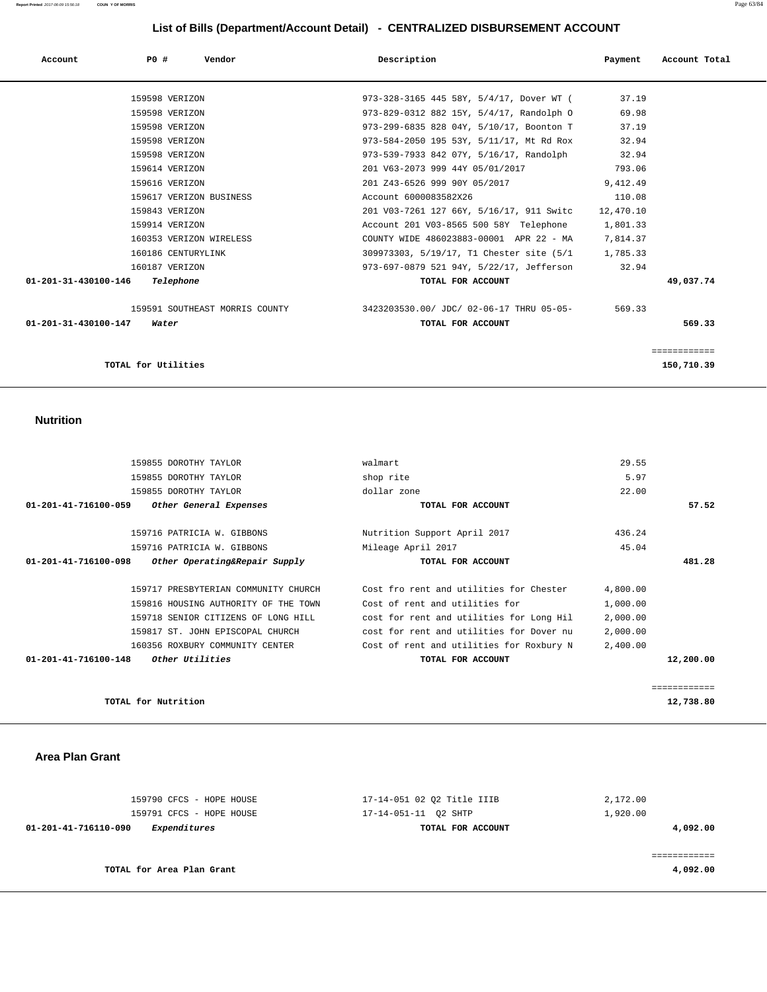| Account                        | P0#                 | Vendor                  | Description                                                             | Payment   | Account Total |
|--------------------------------|---------------------|-------------------------|-------------------------------------------------------------------------|-----------|---------------|
|                                |                     | 159598 VERIZON          | 973-328-3165 445 58Y, 5/4/17, Dover WT (                                | 37.19     |               |
|                                |                     | 159598 VERIZON          | 973-829-0312 882 15Y, 5/4/17, Randolph O                                | 69.98     |               |
|                                |                     | 159598 VERIZON          | 973-299-6835 828 04Y, 5/10/17, Boonton T                                | 37.19     |               |
|                                |                     | 159598 VERIZON          | 973-584-2050 195 53Y, 5/11/17, Mt Rd Rox                                | 32.94     |               |
|                                |                     | 159598 VERIZON          | 973-539-7933 842 07Y, 5/16/17, Randolph                                 | 32.94     |               |
|                                |                     | 159614 VERIZON          | 201 V63-2073 999 44Y 05/01/2017                                         | 793.06    |               |
|                                |                     | 159616 VERIZON          | 201 Z43-6526 999 90Y 05/2017                                            | 9,412.49  |               |
|                                |                     | 159617 VERIZON BUSINESS | Account 6000083582X26                                                   | 110.08    |               |
|                                |                     | 159843 VERIZON          | 201 V03-7261 127 66Y, 5/16/17, 911 Switc                                | 12,470.10 |               |
|                                |                     | 159914 VERIZON          | Account 201 V03-8565 500 58Y Telephone                                  | 1,801.33  |               |
|                                |                     | 160353 VERIZON WIRELESS | COUNTY WIDE 486023883-00001 APR 22 - MA 7,814.37                        |           |               |
|                                |                     | 160186 CENTURYLINK      | 309973303, 5/19/17, T1 Chester site (5/1 1,785.33)                      |           |               |
|                                |                     | 160187 VERIZON          | 973-697-0879 521 94Y, 5/22/17, Jefferson                                | 32.94     |               |
| 01-201-31-430100-146 Telephone |                     |                         | TOTAL FOR ACCOUNT                                                       |           | 49,037.74     |
|                                |                     |                         | 159591 SOUTHEAST MORRIS COUNTY 3423203530.00/ JDC/ 02-06-17 THRU 05-05- | 569.33    |               |
| 01-201-31-430100-147           |                     | Water                   | TOTAL FOR ACCOUNT                                                       |           | 569.33        |
|                                |                     |                         |                                                                         |           | ============  |
|                                | TOTAL for Utilities |                         |                                                                         |           | 150,710.39    |

## **Nutrition**

|                                | 159855 DOROTHY TAYLOR                | walmart                                  | 29.55    |           |
|--------------------------------|--------------------------------------|------------------------------------------|----------|-----------|
|                                | 159855 DOROTHY TAYLOR                | shop rite                                | 5.97     |           |
|                                | 159855 DOROTHY TAYLOR                | dollar zone                              | 22.00    |           |
| $01 - 201 - 41 - 716100 - 059$ | Other General Expenses               | TOTAL FOR ACCOUNT                        |          | 57.52     |
|                                | 159716 PATRICIA W. GIBBONS           | Nutrition Support April 2017             | 436.24   |           |
|                                | 159716 PATRICIA W. GIBBONS           | Mileage April 2017                       | 45.04    |           |
| 01-201-41-716100-098           | Other Operating&Repair Supply        | TOTAL FOR ACCOUNT                        |          | 481.28    |
|                                | 159717 PRESBYTERIAN COMMUNITY CHURCH | Cost fro rent and utilities for Chester  | 4,800.00 |           |
|                                | 159816 HOUSING AUTHORITY OF THE TOWN | Cost of rent and utilities for           | 1,000.00 |           |
|                                |                                      |                                          |          |           |
|                                | 159718 SENIOR CITIZENS OF LONG HILL  | cost for rent and utilities for Long Hil | 2,000.00 |           |
|                                | 159817 ST. JOHN EPISCOPAL CHURCH     | cost for rent and utilities for Dover nu | 2,000.00 |           |
|                                | 160356 ROXBURY COMMUNITY CENTER      | Cost of rent and utilities for Roxbury N | 2,400.00 |           |
| $01 - 201 - 41 - 716100 - 148$ | Other Utilities                      | TOTAL FOR ACCOUNT                        |          | 12,200.00 |

**TOTAL for Nutrition 12,738.80**

#### **Area Plan Grant**

| 01-201-41-716110-090<br>Expenditures | TOTAL FOR ACCOUNT          | 4,092.00 |
|--------------------------------------|----------------------------|----------|
| 159791 CFCS - HOPE HOUSE             | 17-14-051-11 O2 SHTP       | 1,920.00 |
| 159790 CFCS - HOPE HOUSE             | 17-14-051 02 02 Title IIIB | 2,172.00 |
|                                      |                            |          |

============

**TOTAL for Area Plan Grant 4,092.00**

============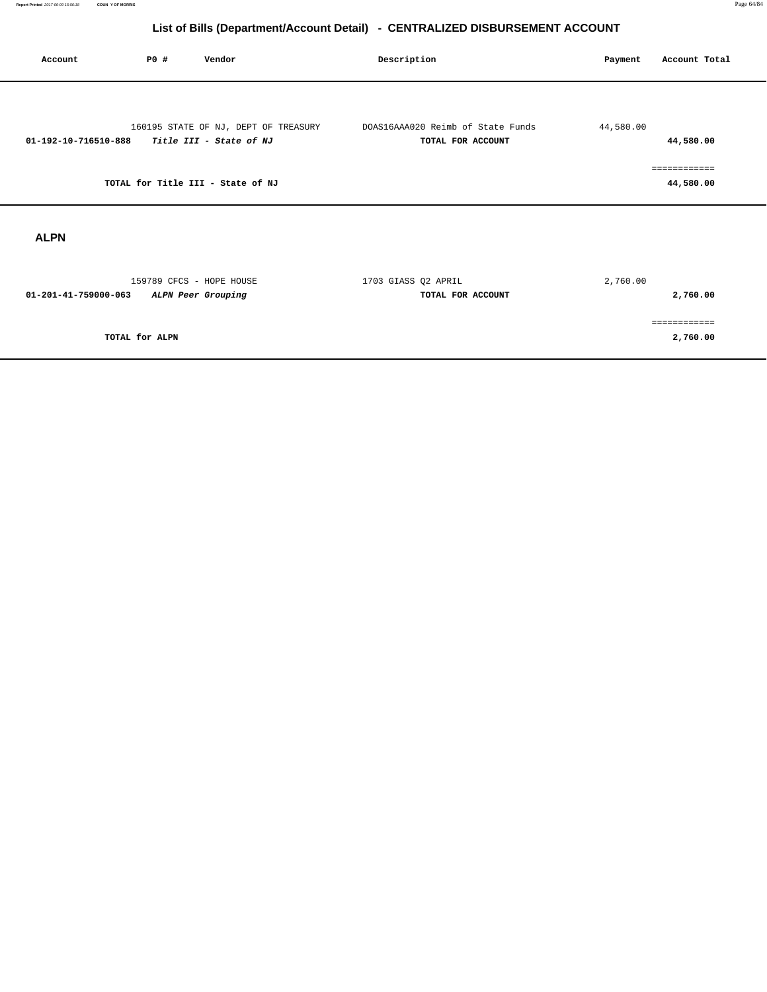| Account              | P0 #           | Vendor                                                          | Description                                            | Payment   | Account Total             |
|----------------------|----------------|-----------------------------------------------------------------|--------------------------------------------------------|-----------|---------------------------|
| 01-192-10-716510-888 |                | 160195 STATE OF NJ, DEPT OF TREASURY<br>Title III - State of NJ | DOAS16AAA020 Reimb of State Funds<br>TOTAL FOR ACCOUNT | 44,580.00 | 44,580.00                 |
|                      |                | TOTAL for Title III - State of NJ                               |                                                        |           | ------------<br>44,580.00 |
| <b>ALPN</b>          |                |                                                                 |                                                        |           |                           |
| 01-201-41-759000-063 |                | 159789 CFCS - HOPE HOUSE<br>ALPN Peer Grouping                  | 1703 GIASS Q2 APRIL<br>TOTAL FOR ACCOUNT               | 2,760.00  | 2,760.00                  |
|                      | TOTAL for ALPN |                                                                 |                                                        |           | ============<br>2,760.00  |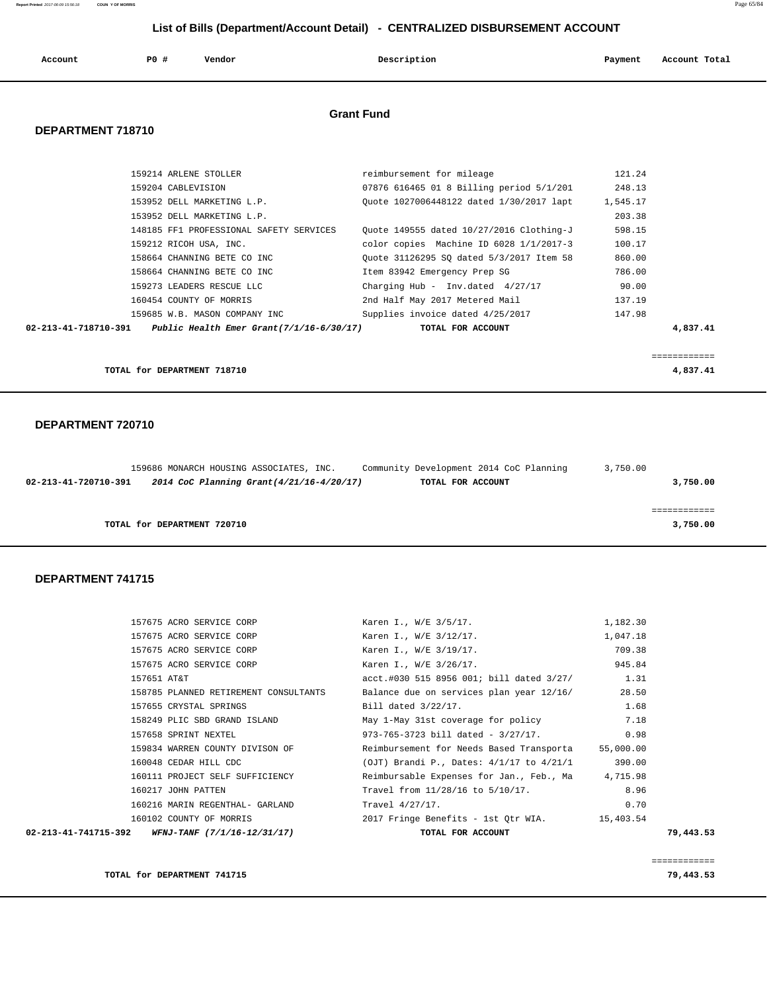**Report Printed** 2017-06-09 15:56:18 **COUN Y OF MORRIS** Page 65/84  **List of Bills (Department/Account Detail) - CENTRALIZED DISBURSEMENT ACCOUNT Account P0 # Vendor Description Payment Account Total Grant Fund** 

## **DEPARTMENT 718710**

| 159214 ARLENE STOLLER                                                   | reimbursement for mileage                       | 121.24   |             |
|-------------------------------------------------------------------------|-------------------------------------------------|----------|-------------|
| 159204 CABLEVISION                                                      | 07876 616465 01 8 Billing period 5/1/201 248.13 |          |             |
| 153952 DELL MARKETING L.P.                                              | Ouote 1027006448122 dated 1/30/2017 lapt        | 1,545.17 |             |
| 153952 DELL MARKETING L.P.                                              |                                                 | 203.38   |             |
| 148185 FF1 PROFESSIONAL SAFETY SERVICES                                 | Ouote 149555 dated 10/27/2016 Clothing-J        | 598.15   |             |
| 159212 RICOH USA, INC.                                                  | color copies  Machine ID 6028 1/1/2017-3        | 100.17   |             |
| 158664 CHANNING BETE CO INC                                             | Ouote 31126295 SO dated 5/3/2017 Item 58        | 860.00   |             |
| 158664 CHANNING BETE CO INC                                             | Item 83942 Emergency Prep SG                    | 786.00   |             |
| 159273 LEADERS RESCUE LLC                                               | Charging Hub - Inv.dated $4/27/17$              | 90.00    |             |
| 160454 COUNTY OF MORRIS                                                 | 2nd Half May 2017 Metered Mail                  | 137.19   |             |
| 159685 W.B. MASON COMPANY INC                                           | Supplies invoice dated 4/25/2017                | 147.98   |             |
| $02 - 213 - 41 - 718710 - 391$ Public Health Emer Grant(7/1/16-6/30/17) | TOTAL FOR ACCOUNT                               |          | 4,837.41    |
|                                                                         |                                                 |          |             |
|                                                                         |                                                 |          | .========== |
| TOTAL for DEPARTMENT 718710                                             |                                                 |          | 4,837.41    |

### **DEPARTMENT 720710**

|                      | 159686 MONARCH HOUSING ASSOCIATES, INC. |                                           | Community Development 2014 CoC Planning | 3,750.00 |
|----------------------|-----------------------------------------|-------------------------------------------|-----------------------------------------|----------|
| 02-213-41-720710-391 |                                         | 2014 CoC Planning Grant (4/21/16-4/20/17) | TOTAL FOR ACCOUNT                       | 3,750.00 |
|                      |                                         |                                           |                                         |          |
|                      |                                         |                                           |                                         |          |
|                      | TOTAL for DEPARTMENT 720710             |                                           |                                         | 3,750.00 |

## **DEPARTMENT 741715**

| 159834 WARREN COUNTY DIVISON OF<br>160048 CEDAR HILL CDC<br>160111 PROJECT SELF SUFFICIENCY<br>160217 JOHN PATTEN<br>160216 MARIN REGENTHAL- GARLAND<br>160102 COUNTY OF MORRIS | Reimbursement for Needs Based Transporta<br>(OJT) Brandi P., Dates: $4/1/17$ to $4/21/1$<br>Reimbursable Expenses for Jan., Feb., Ma 4,715.98<br>Travel from 11/28/16 to 5/10/17.<br>Travel 4/27/17.<br>2017 Fringe Benefits - 1st Qtr WIA. | 55,000.00<br>390.00<br>8.96<br>0.70<br>15,403.54 |                                                                                                                                            |
|---------------------------------------------------------------------------------------------------------------------------------------------------------------------------------|---------------------------------------------------------------------------------------------------------------------------------------------------------------------------------------------------------------------------------------------|--------------------------------------------------|--------------------------------------------------------------------------------------------------------------------------------------------|
|                                                                                                                                                                                 |                                                                                                                                                                                                                                             |                                                  |                                                                                                                                            |
|                                                                                                                                                                                 |                                                                                                                                                                                                                                             |                                                  |                                                                                                                                            |
|                                                                                                                                                                                 |                                                                                                                                                                                                                                             |                                                  |                                                                                                                                            |
|                                                                                                                                                                                 |                                                                                                                                                                                                                                             |                                                  |                                                                                                                                            |
|                                                                                                                                                                                 |                                                                                                                                                                                                                                             |                                                  |                                                                                                                                            |
|                                                                                                                                                                                 |                                                                                                                                                                                                                                             |                                                  |                                                                                                                                            |
| 157658 SPRINT NEXTEL                                                                                                                                                            | $973 - 765 - 3723$ bill dated - $3/27/17$ .                                                                                                                                                                                                 | 0.98                                             |                                                                                                                                            |
| 158249 PLIC SBD GRAND ISLAND                                                                                                                                                    |                                                                                                                                                                                                                                             |                                                  |                                                                                                                                            |
| 157655 CRYSTAL SPRINGS                                                                                                                                                          | Bill dated 3/22/17.                                                                                                                                                                                                                         | 1.68                                             |                                                                                                                                            |
| 158785 PLANNED RETIREMENT CONSULTANTS                                                                                                                                           |                                                                                                                                                                                                                                             |                                                  |                                                                                                                                            |
| 157651 AT&T                                                                                                                                                                     |                                                                                                                                                                                                                                             |                                                  |                                                                                                                                            |
| 157675 ACRO SERVICE CORP                                                                                                                                                        | Karen I., W/E 3/26/17.                                                                                                                                                                                                                      | 945.84                                           |                                                                                                                                            |
| 157675 ACRO SERVICE CORP                                                                                                                                                        | Karen I., W/E 3/19/17.                                                                                                                                                                                                                      | 709.38                                           |                                                                                                                                            |
| 157675 ACRO SERVICE CORP                                                                                                                                                        | Karen I., W/E 3/12/17.                                                                                                                                                                                                                      | 1,047.18                                         |                                                                                                                                            |
| 157675 ACRO SERVICE CORP                                                                                                                                                        | Karen I., W/E 3/5/17.                                                                                                                                                                                                                       | 1,182.30                                         |                                                                                                                                            |
|                                                                                                                                                                                 |                                                                                                                                                                                                                                             |                                                  | acct.#030 515 8956 001; bill dated 3/27/ 1.31<br>Balance due on services plan year 12/16/ 28.50<br>May 1-May 31st coverage for policy 7.18 |

**TOTAL for DEPARTMENT 741715 79,443.53**

============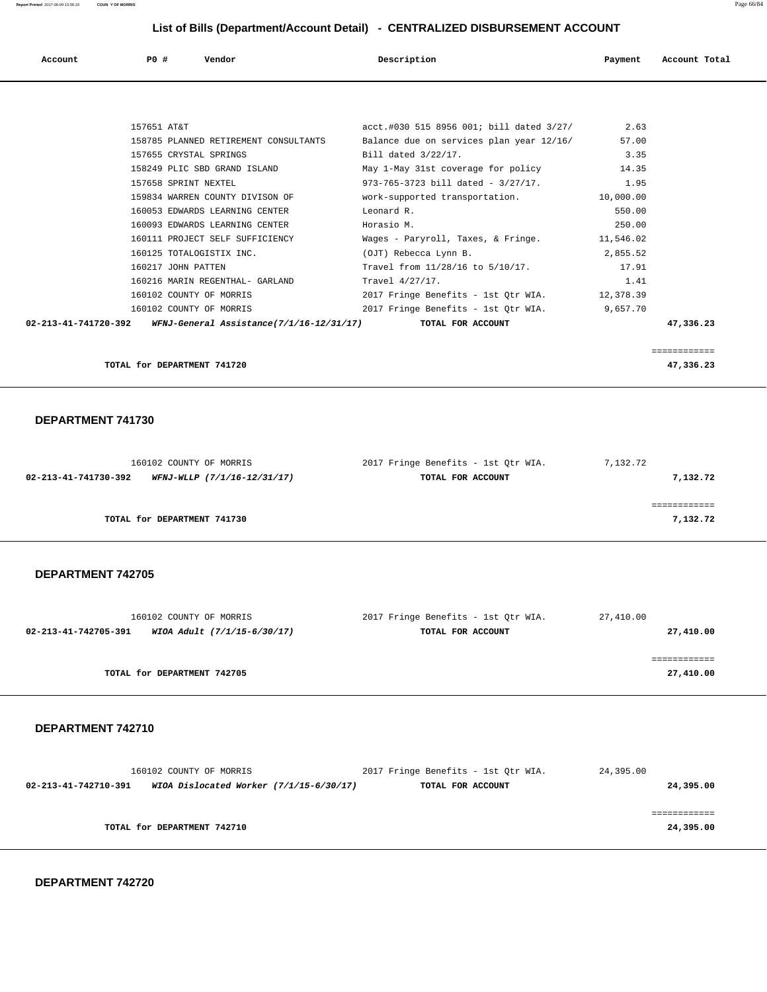**Report Printed** 2017-06-09 15:56:18 **COUN Y OF MORRIS** Page 66/84

# **List of Bills (Department/Account Detail) - CENTRALIZED DISBURSEMENT ACCOUNT**

| List of Bills (Department/Account Detail) - CENTRALIZED DISBURSEMENT ACCOUNT |                      |                                          |                                                           |           |               |
|------------------------------------------------------------------------------|----------------------|------------------------------------------|-----------------------------------------------------------|-----------|---------------|
| Account                                                                      | PO#                  | Vendor                                   | Description                                               | Payment   | Account Total |
|                                                                              |                      |                                          |                                                           |           |               |
|                                                                              |                      |                                          |                                                           |           |               |
|                                                                              | 157651 AT&T          |                                          | $\texttt{acct.#030 515 8956 001}$ bill dated $3/27/$ 2.63 |           |               |
|                                                                              |                      | 158785 PLANNED RETIREMENT CONSULTANTS    | Balance due on services plan year 12/16/                  | 57.00     |               |
|                                                                              |                      | 157655 CRYSTAL SPRINGS                   | Bill dated $3/22/17$ .                                    | 3.35      |               |
|                                                                              |                      | 158249 PLIC SBD GRAND ISLAND             | May 1-May 31st coverage for policy 14.35                  |           |               |
|                                                                              | 157658 SPRINT NEXTEL |                                          | 973-765-3723 bill dated - 3/27/17.                        | 1.95      |               |
|                                                                              |                      | 159834 WARREN COUNTY DIVISON OF          | work-supported transportation. 10,000.00                  |           |               |
|                                                                              |                      | 160053 EDWARDS LEARNING CENTER           | Leonard R.                                                | 550.00    |               |
|                                                                              |                      | 160093 EDWARDS LEARNING CENTER           | Horasio M.                                                | 250.00    |               |
|                                                                              |                      | 160111 PROJECT SELF SUFFICIENCY          | Wages - Paryroll, Taxes, & Fringe.                        | 11,546.02 |               |
|                                                                              |                      | 160125 TOTALOGISTIX INC.                 | (OJT) Rebecca Lynn B.                                     | 2,855.52  |               |
|                                                                              | 160217 JOHN PATTEN   |                                          | Travel from 11/28/16 to 5/10/17.                          | 17.91     |               |
|                                                                              |                      | 160216 MARIN REGENTHAL- GARLAND          | Travel 4/27/17.                                           | 1.41      |               |
|                                                                              |                      | 160102 COUNTY OF MORRIS                  | 2017 Fringe Benefits - 1st Otr WIA. 12,378.39             |           |               |
|                                                                              |                      | 160102 COUNTY OF MORRIS                  | 2017 Fringe Benefits - 1st Otr WIA.                       | 9,657.70  |               |
| 02-213-41-741720-392                                                         |                      | WFNJ-General Assistance(7/1/16-12/31/17) | TOTAL FOR ACCOUNT                                         |           | 47,336.23     |

|                                | ------------<br>____________ |
|--------------------------------|------------------------------|
| TOTAL for DEPARTMENT<br>741720 | 47.336.27<br>.               |

### **DEPARTMENT 741730**

| 160102 COUNTY OF MORRIS                             | 2017 Fringe Benefits - 1st Qtr WIA. | 7,132.72 |
|-----------------------------------------------------|-------------------------------------|----------|
| 02-213-41-741730-392<br>WFNJ-WLLP (7/1/16-12/31/17) | TOTAL FOR ACCOUNT                   | 7,132.72 |
|                                                     |                                     |          |
|                                                     |                                     |          |
| TOTAL for DEPARTMENT 741730                         |                                     | 7,132.72 |
|                                                     |                                     |          |

## **DEPARTMENT 742705**

| 160102 COUNTY OF MORRIS                             | 2017 Fringe Benefits - 1st Otr WIA. | 27,410.00 |
|-----------------------------------------------------|-------------------------------------|-----------|
| WIOA Adult (7/1/15-6/30/17)<br>02-213-41-742705-391 | TOTAL FOR ACCOUNT                   | 27,410.00 |
|                                                     |                                     |           |
|                                                     |                                     |           |
| TOTAL for DEPARTMENT 742705                         |                                     | 27,410.00 |
|                                                     |                                     |           |

#### **DEPARTMENT 742710**

| 160102 COUNTY OF MORRIS                                         | 2017 Fringe Benefits - 1st Otr WIA. | 24,395.00 |
|-----------------------------------------------------------------|-------------------------------------|-----------|
| WIOA Dislocated Worker (7/1/15-6/30/17)<br>02-213-41-742710-391 | TOTAL FOR ACCOUNT                   | 24,395.00 |
|                                                                 |                                     |           |
|                                                                 |                                     |           |
| TOTAL for DEPARTMENT 742710                                     |                                     | 24,395.00 |
|                                                                 |                                     |           |

 **DEPARTMENT 742720**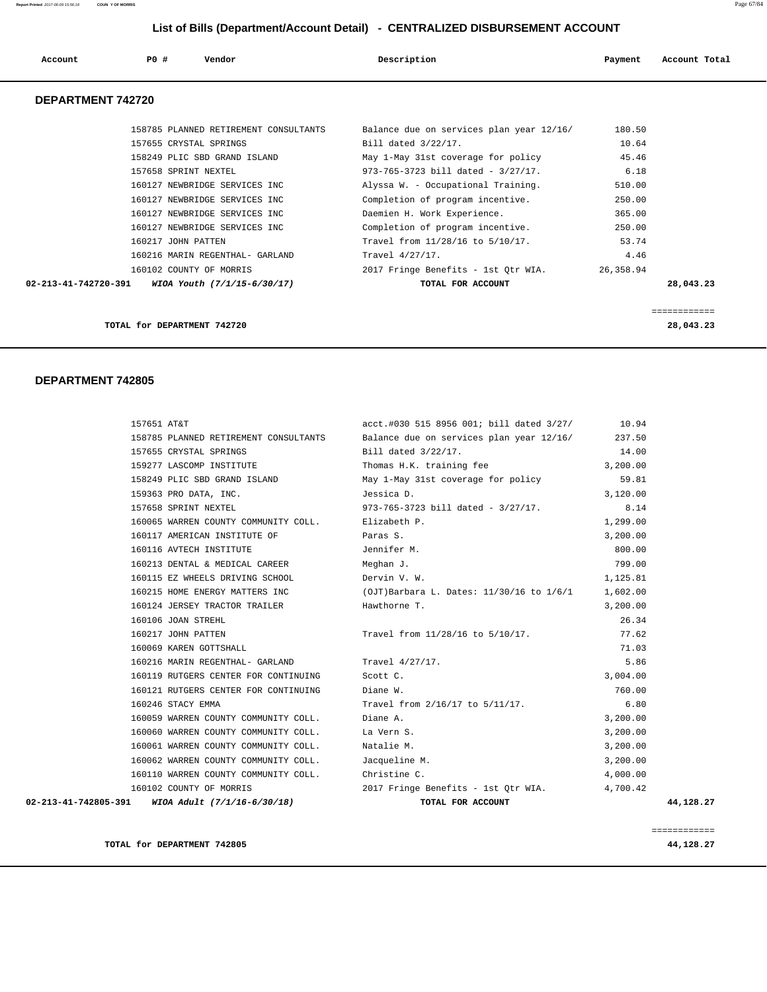**Report Printed** 2017-06-09 15:56:18 **COUN Y OF MORRIS** Page 67/84

# **List of Bills (Department/Account Detail) - CENTRALIZED DISBURSEMENT ACCOUNT**

| Account<br>. | P0 # | Vendor | Description | Payment | Account Total |
|--------------|------|--------|-------------|---------|---------------|
|              |      |        |             |         |               |

## **DEPARTMENT 742720**

|                                | TOTAL for DEPARTMENT 742720           |                                             |           | ============<br>28,043.23 |
|--------------------------------|---------------------------------------|---------------------------------------------|-----------|---------------------------|
| $02 - 213 - 41 - 742720 - 391$ | WIOA Youth (7/1/15-6/30/17)           | TOTAL FOR ACCOUNT                           |           | 28,043.23                 |
|                                | 160102 COUNTY OF MORRIS               | 2017 Fringe Benefits - 1st Otr WIA.         | 26,358.94 |                           |
|                                | 160216 MARIN REGENTHAL- GARLAND       | Travel 4/27/17.                             | 4.46      |                           |
|                                | 160217 JOHN PATTEN                    | Travel from 11/28/16 to 5/10/17.            | 53.74     |                           |
|                                | 160127 NEWBRIDGE SERVICES INC         | Completion of program incentive.            | 250.00    |                           |
|                                | 160127 NEWBRIDGE SERVICES INC         | Daemien H. Work Experience.                 | 365.00    |                           |
|                                | 160127 NEWBRIDGE SERVICES INC         | Completion of program incentive.            | 250.00    |                           |
|                                | 160127 NEWBRIDGE SERVICES INC         | Alyssa W. - Occupational Training.          | 510.00    |                           |
|                                | 157658 SPRINT NEXTEL                  | $973 - 765 - 3723$ bill dated - $3/27/17$ . | 6.18      |                           |
|                                | 158249 PLIC SBD GRAND ISLAND          | May 1-May 31st coverage for policy          | 45.46     |                           |
|                                | 157655 CRYSTAL SPRINGS                | Bill dated $3/22/17$ .                      | 10.64     |                           |
|                                | 158785 PLANNED RETIREMENT CONSULTANTS | Balance due on services plan year 12/16/    | 180.50    |                           |

#### **DEPARTMENT 742805**

| 02-213-41-742805-391 | WIOA Adult (7/1/16-6/30/18)                       | TOTAL FOR ACCOUNT                                                                     | 44,128.27 |
|----------------------|---------------------------------------------------|---------------------------------------------------------------------------------------|-----------|
|                      | 160102 COUNTY OF MORRIS                           | 2017 Fringe Benefits - 1st Qtr WIA. 4,700.42                                          |           |
|                      | 160110 WARREN COUNTY COMMUNITY COLL.              | Christine C.                                                                          | 4,000.00  |
|                      | 160062 WARREN COUNTY COMMUNITY COLL.              | Jacqueline M.                                                                         | 3,200.00  |
|                      | 160061 WARREN COUNTY COMMUNITY COLL.              | Natalie M.                                                                            | 3,200.00  |
|                      | 160060 WARREN COUNTY COMMUNITY COLL.              | La Vern S.                                                                            | 3,200.00  |
|                      | 160059 WARREN COUNTY COMMUNITY COLL.              | Diane A.                                                                              | 3,200.00  |
|                      | 160246 STACY EMMA                                 | Travel from 2/16/17 to 5/11/17.                                                       | 6.80      |
|                      | 160121 RUTGERS CENTER FOR CONTINUING              | Diane W.                                                                              | 760.00    |
|                      | 160119 RUTGERS CENTER FOR CONTINUING              | Scott C.                                                                              | 3,004.00  |
|                      | 160216 MARIN REGENTHAL- GARLAND                   | Travel 4/27/17.                                                                       | 5.86      |
|                      | 160069 KAREN GOTTSHALL                            |                                                                                       | 71.03     |
|                      | 160217 JOHN PATTEN                                | Travel from 11/28/16 to 5/10/17.                                                      | 77.62     |
|                      | 160106 JOAN STREHL                                |                                                                                       | 26.34     |
|                      | 160124 JERSEY TRACTOR TRAILER                     | Hawthorne T.                                                                          | 3,200.00  |
|                      |                                                   | 160215 HOME ENERGY MATTERS INC (OJT)Barbara L. Dates: 11/30/16 to 1/6/1 1,602.00      |           |
|                      | 160115 EZ WHEELS DRIVING SCHOOL                   | Dervin V. W.                                                                          | 1,125.81  |
|                      | 160213 DENTAL & MEDICAL CAREER Meghan J.          |                                                                                       | 799.00    |
|                      | 160116 AVTECH INSTITUTE                           | Jennifer M.                                                                           | 800.00    |
|                      | 160117 AMERICAN INSTITUTE OF THE Paras S.         |                                                                                       | 3,200.00  |
|                      | 160065 WARREN COUNTY COMMUNITY COLL. Elizabeth P. |                                                                                       | 1,299.00  |
|                      | 157658 SPRINT NEXTEL                              | 973-765-3723 bill dated - $3/27/17$ .                                                 | 8.14      |
|                      | 159363 PRO DATA, INC.                             | Jessica D.                                                                            | 3,120.00  |
|                      | 158249 PLIC SBD GRAND ISLAND                      | May 1-May 31st coverage for policy                                                    | 59.81     |
|                      | 159277 LASCOMP INSTITUTE                          | Thomas H.K. training fee                                                              | 3,200.00  |
|                      | 157655 CRYSTAL SPRINGS                            | Bill dated $3/22/17$ .                                                                | 14.00     |
|                      |                                                   | 158785 PLANNED RETIREMENT CONSULTANTS Balance due on services plan year 12/16/ 237.50 |           |
| 157651 AT&T          |                                                   | acct.#030 515 8956 001; bill dated 3/27/ 10.94                                        |           |

**TOTAL for DEPARTMENT 742805 44,128.27**

============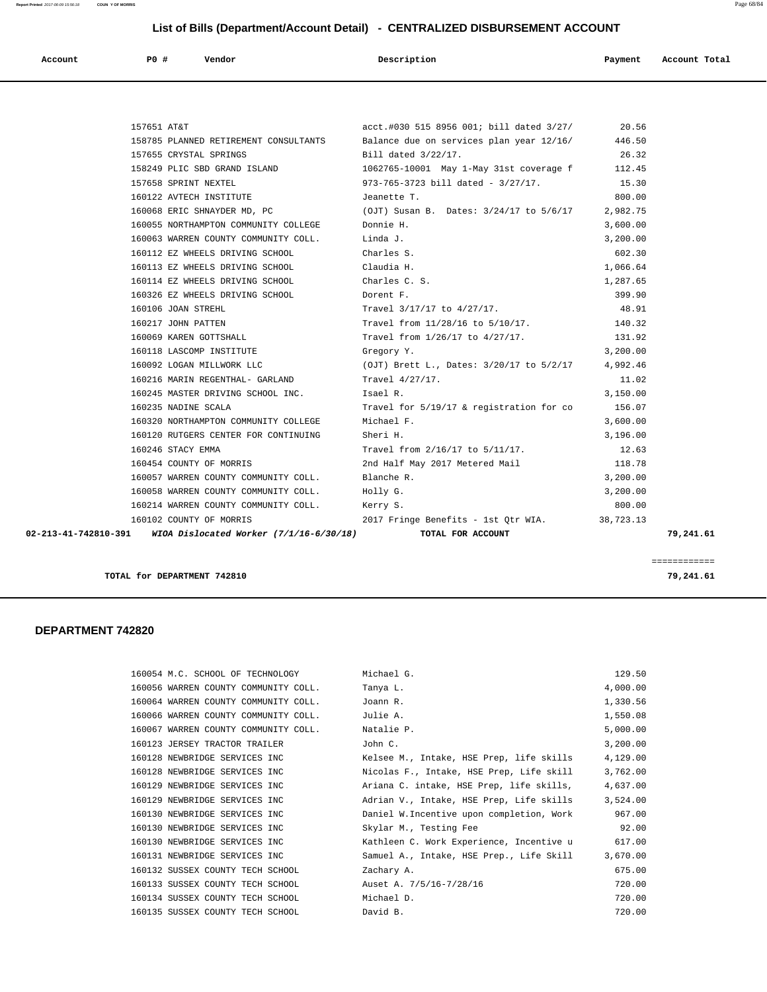**Report Printed** 2017-06-09 15:56:18 **COUN Y OF MORRIS** Page 68/84

# **List of Bills (Department/Account Detail) - CENTRALIZED DISBURSEMENT ACCOUNT**

| Account<br>. | P0 # | Vendor | Description | Payment | Account Total |
|--------------|------|--------|-------------|---------|---------------|
|              |      |        |             |         |               |

| 157651 AT&T |                                                              | acct.#030 515 8956 001; bill dated 3/27/ 20.56                                        |          |           |
|-------------|--------------------------------------------------------------|---------------------------------------------------------------------------------------|----------|-----------|
|             |                                                              | 158785 PLANNED RETIREMENT CONSULTANTS Balance due on services plan year 12/16/ 446.50 |          |           |
|             | 157655 CRYSTAL SPRINGS                                       | Bill dated 3/22/17.                                                                   | 26.32    |           |
|             | 158249 PLIC SBD GRAND ISLAND                                 | 1062765-10001 May 1-May 31st coverage f                                               | 112.45   |           |
|             |                                                              | 15.30 157658 SPRINT NEXTEL 30 973-765-3723 bill dated - 3/27/17.                      |          |           |
|             | 160122 AVTECH INSTITUTE                                      | Jeanette T.                                                                           | 800.00   |           |
|             | 160068 ERIC SHNAYDER MD, PC                                  | (OJT) Susan B. Dates: 3/24/17 to 5/6/17 2,982.75                                      |          |           |
|             | 160055 NORTHAMPTON COMMUNITY COLLEGE Donnie H.               |                                                                                       | 3,600.00 |           |
|             | 160063 WARREN COUNTY COMMUNITY COLL. Linda J.                |                                                                                       | 3,200.00 |           |
|             | 160112 EZ WHEELS DRIVING SCHOOL Charles S.                   |                                                                                       | 602.30   |           |
|             | 160113 EZ WHEELS DRIVING SCHOOL Claudia H.                   |                                                                                       | 1,066.64 |           |
|             | 160114 EZ WHEELS DRIVING SCHOOL                              | Charles C. S.                                                                         | 1,287.65 |           |
|             | 160326 EZ WHEELS DRIVING SCHOOL 50 Dorent F.                 |                                                                                       | 399.90   |           |
|             | 160106 JOAN STREHL                                           | Travel 3/17/17 to 4/27/17.                                                            | 48.91    |           |
|             | 160217 JOHN PATTEN                                           | Travel from 11/28/16 to 5/10/17.                                                      | 140.32   |           |
|             |                                                              | 160069 KAREN GOTTSHALL 131.92 Travel from 1/26/17 to 4/27/17.                         |          |           |
|             | 160118 LASCOMP INSTITUTE                                     | Gregory Y.                                                                            | 3,200.00 |           |
|             | 160092 LOGAN MILLWORK LLC                                    | (OJT) Brett L., Dates: $3/20/17$ to $5/2/17$ 4,992.46                                 |          |           |
|             | 160216 MARIN REGENTHAL- GARLAND Travel 4/27/17.              |                                                                                       | 11.02    |           |
|             | 160245 MASTER DRIVING SCHOOL INC. Isael R.                   |                                                                                       | 3,150.00 |           |
|             | 160235 NADINE SCALA                                          | Travel for 5/19/17 & registration for co 156.07                                       |          |           |
|             | 160320 NORTHAMPTON COMMUNITY COLLEGE                         | Michael F.                                                                            | 3,600.00 |           |
|             | 160120 RUTGERS CENTER FOR CONTINUING                         | Sheri H.                                                                              | 3,196.00 |           |
|             | 160246 STACY EMMA                                            | Travel from 2/16/17 to 5/11/17.                                                       | 12.63    |           |
|             | 160454 COUNTY OF MORRIS                                      | 2nd Half May 2017 Metered Mail                                                        | 118.78   |           |
|             | 160057 WARREN COUNTY COMMUNITY COLL. Blanche R.              |                                                                                       | 3,200.00 |           |
|             | 160058 WARREN COUNTY COMMUNITY COLL. Holly G.                |                                                                                       | 3,200.00 |           |
|             | 160214 WARREN COUNTY COMMUNITY COLL. Kerry S.                |                                                                                       | 800.00   |           |
|             | 160102 COUNTY OF MORRIS                                      | 2017 Fringe Benefits - 1st Qtr WIA. 38,723.13                                         |          |           |
|             | 02-213-41-742810-391 WIOA Dislocated Worker (7/1/16-6/30/18) | TOTAL FOR ACCOUNT                                                                     |          | 79,241.61 |
|             |                                                              |                                                                                       |          |           |

**TOTAL for DEPARTMENT 742810 79,241.61**

### **DEPARTMENT 742820**

| 160054 M.C. SCHOOL OF TECHNOLOGY     | Michael G.                               | 129.50   |
|--------------------------------------|------------------------------------------|----------|
| 160056 WARREN COUNTY COMMUNITY COLL. | Tanya L.                                 | 4,000.00 |
| 160064 WARREN COUNTY COMMUNITY COLL. | Joann R.                                 | 1,330.56 |
| 160066 WARREN COUNTY COMMUNITY COLL. | Julie A.                                 | 1,550.08 |
| 160067 WARREN COUNTY COMMUNITY COLL. | Natalie P.                               | 5,000.00 |
| 160123 JERSEY TRACTOR TRAILER        | John C.                                  | 3,200.00 |
| 160128 NEWBRIDGE SERVICES INC        | Kelsee M., Intake, HSE Prep, life skills | 4,129.00 |
| 160128 NEWBRIDGE SERVICES INC        | Nicolas F., Intake, HSE Prep, Life skill | 3,762.00 |
| 160129 NEWBRIDGE SERVICES INC        | Ariana C. intake, HSE Prep, life skills, | 4,637.00 |
| 160129 NEWBRIDGE SERVICES INC        | Adrian V., Intake, HSE Prep, Life skills | 3,524.00 |
| 160130 NEWBRIDGE SERVICES INC        | Daniel W.Incentive upon completion, Work | 967.00   |
| 160130 NEWBRIDGE SERVICES INC        | Skylar M., Testing Fee                   | 92.00    |
| 160130 NEWBRIDGE SERVICES INC        | Kathleen C. Work Experience, Incentive u | 617.00   |
| 160131 NEWBRIDGE SERVICES INC        | Samuel A., Intake, HSE Prep., Life Skill | 3,670.00 |
| 160132 SUSSEX COUNTY TECH SCHOOL     | Zachary A.                               | 675.00   |
| 160133 SUSSEX COUNTY TECH SCHOOL     | Auset A. 7/5/16-7/28/16                  | 720.00   |
| 160134 SUSSEX COUNTY TECH SCHOOL     | Michael D.                               | 720.00   |
| 160135 SUSSEX COUNTY TECH SCHOOL     | David B.                                 | 720.00   |
|                                      |                                          |          |

============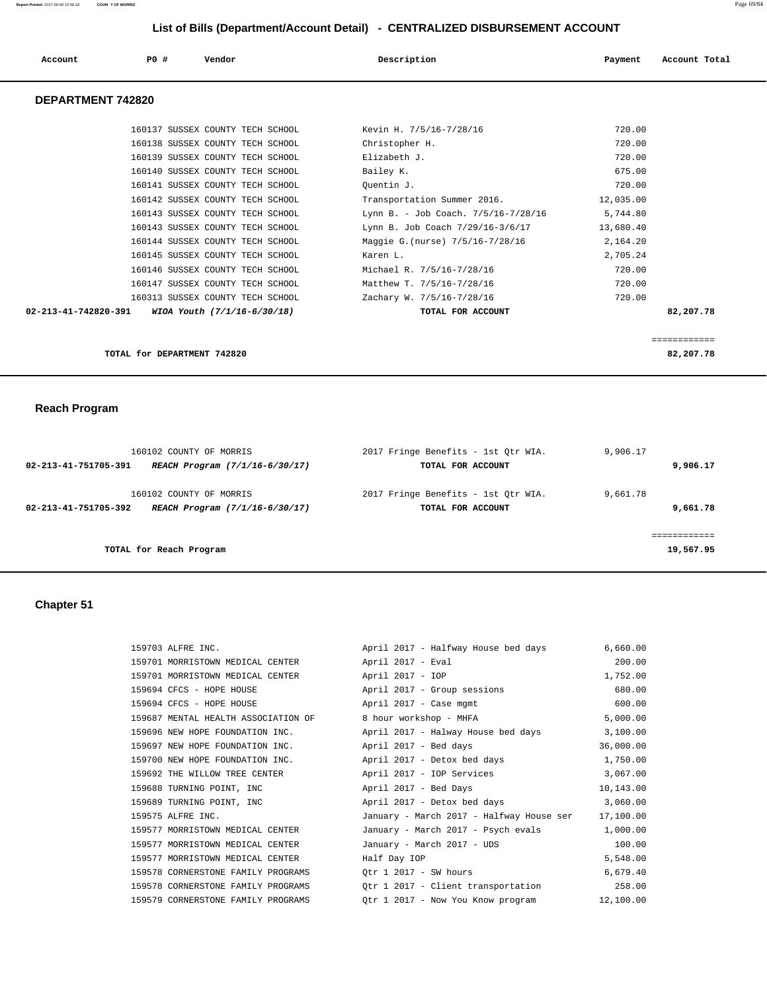| Account | PO# | Vendor | Description | Payment | Account Total |
|---------|-----|--------|-------------|---------|---------------|
|         |     |        |             |         |               |

## **DEPARTMENT 742820**

| 82,207.78                                       | TOTAL for DEPARTMENT 742820                                   |
|-------------------------------------------------|---------------------------------------------------------------|
|                                                 |                                                               |
| 82,207.78<br>TOTAL FOR ACCOUNT                  | $02 - 213 - 41 - 742820 - 391$<br>WIOA Youth (7/1/16-6/30/18) |
| 720.00<br>Zachary W. 7/5/16-7/28/16             | 160313 SUSSEX COUNTY TECH SCHOOL                              |
| 720.00<br>Matthew T. 7/5/16-7/28/16             | 160147 SUSSEX COUNTY TECH SCHOOL                              |
| 720.00<br>Michael R. 7/5/16-7/28/16             | 160146 SUSSEX COUNTY TECH SCHOOL                              |
| 2,705.24<br>Karen L.                            | 160145 SUSSEX COUNTY TECH SCHOOL                              |
| Maggie G. (nurse) 7/5/16-7/28/16<br>2,164.20    | 160144 SUSSEX COUNTY TECH SCHOOL                              |
| 13,680.40<br>Lynn B. Job Coach 7/29/16-3/6/17   | 160143 SUSSEX COUNTY TECH SCHOOL                              |
| 5,744.80<br>Lynn B. - Job Coach. 7/5/16-7/28/16 | 160143 SUSSEX COUNTY TECH SCHOOL                              |
| Transportation Summer 2016.<br>12,035.00        | 160142 SUSSEX COUNTY TECH SCHOOL                              |
| 720.00<br>Quentin J.                            | 160141 SUSSEX COUNTY TECH SCHOOL                              |
| 675.00<br>Bailey K.                             | 160140 SUSSEX COUNTY TECH SCHOOL                              |
| Elizabeth J.<br>720.00                          | 160139 SUSSEX COUNTY TECH SCHOOL                              |
| 720.00<br>Christopher H.                        | 160138 SUSSEX COUNTY TECH SCHOOL                              |
| 720.00<br>Kevin H. 7/5/16-7/28/16               | 160137 SUSSEX COUNTY TECH SCHOOL                              |
|                                                 |                                                               |

# **Reach Program**

| 160102 COUNTY OF MORRIS                                | 2017 Fringe Benefits - 1st Qtr WIA. | 9,906.17  |
|--------------------------------------------------------|-------------------------------------|-----------|
| 02-213-41-751705-391<br>REACH Program (7/1/16-6/30/17) | TOTAL FOR ACCOUNT                   | 9,906.17  |
| 160102 COUNTY OF MORRIS                                | 2017 Fringe Benefits - 1st Otr WIA. | 9,661.78  |
| 02-213-41-751705-392<br>REACH Program (7/1/16-6/30/17) | TOTAL FOR ACCOUNT                   | 9,661.78  |
|                                                        |                                     |           |
| TOTAL for Reach Program                                |                                     | 19,567.95 |

# **Chapter 51**

| 159703 ALFRE INC.                   | April 2017 - Halfway House bed days         | 6,660.00  |
|-------------------------------------|---------------------------------------------|-----------|
| 159701 MORRISTOWN MEDICAL CENTER    | April 2017 - Eval                           | 200.00    |
| 159701 MORRISTOWN MEDICAL CENTER    | April 2017 - IOP                            | 1,752.00  |
| 159694 CFCS - HOPE HOUSE            | April 2017 - Group sessions                 | 680.00    |
| 159694 CFCS - HOPE HOUSE            | April 2017 - Case mgmt                      | 600.00    |
| 159687 MENTAL HEALTH ASSOCIATION OF | 8 hour workshop - MHFA                      | 5,000.00  |
| 159696 NEW HOPE FOUNDATION INC.     | April 2017 - Halway House bed days          | 3,100.00  |
| 159697 NEW HOPE FOUNDATION INC.     | April 2017 - Bed days                       | 36,000.00 |
| 159700 NEW HOPE FOUNDATION INC.     | April 2017 - Detox bed days                 | 1,750.00  |
| 159692 THE WILLOW TREE CENTER       | April 2017 - IOP Services                   | 3,067.00  |
| 159688 TURNING POINT, INC           | April 2017 - Bed Days                       | 10,143.00 |
| 159689 TURNING POINT, INC           | April 2017 - Detox bed days                 | 3,060.00  |
| 159575 ALFRE INC.                   | January - March 2017 - Halfway House ser    | 17,100.00 |
| 159577 MORRISTOWN MEDICAL CENTER    | January - March 2017 - Psych evals          | 1,000.00  |
| 159577 MORRISTOWN MEDICAL CENTER    | January - March 2017 - UDS                  | 100.00    |
| 159577 MORRISTOWN MEDICAL CENTER    | Half Day IOP                                | 5,548.00  |
| 159578 CORNERSTONE FAMILY PROGRAMS  | Otr 1 2017 - SW hours                       | 6,679.40  |
| 159578 CORNERSTONE FAMILY PROGRAMS  | Qtr 1 2017 - Client transportation 258.00   |           |
| 159579 CORNERSTONE FAMILY PROGRAMS  | Otr 1 2017 - Now You Know program 12,100.00 |           |
|                                     |                                             |           |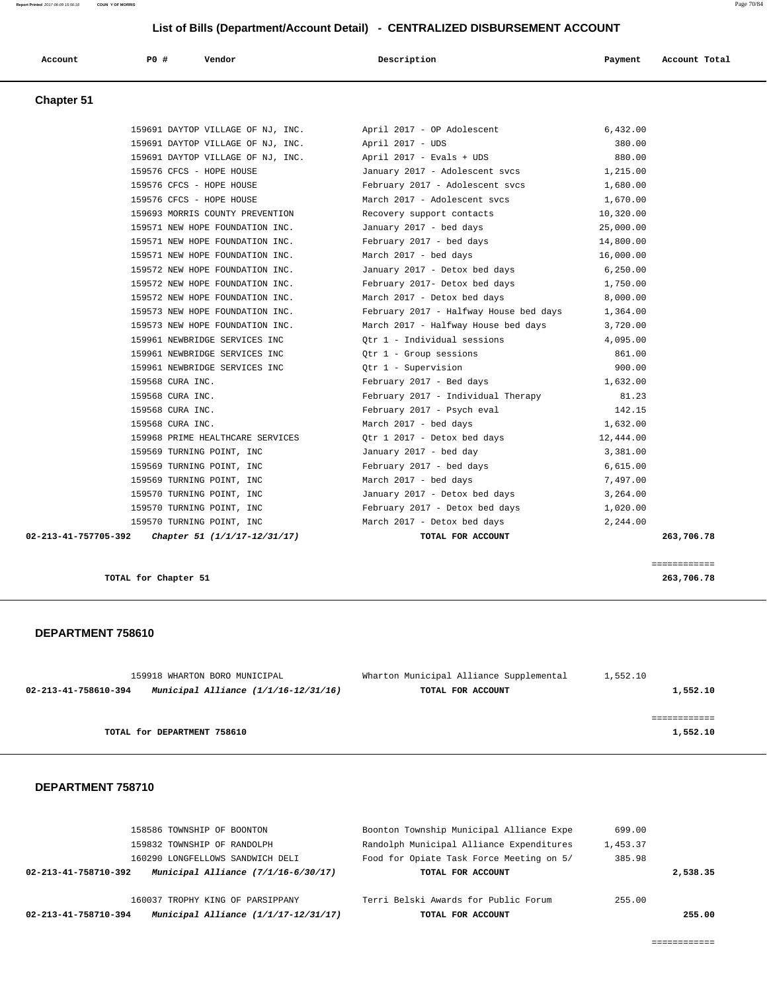| List of Bills (Department/Account Detail) - CENTRALIZED DISBURSEMENT ACCOUNT |                                   |                                        |           |               |  |
|------------------------------------------------------------------------------|-----------------------------------|----------------------------------------|-----------|---------------|--|
| Account                                                                      | <b>PO #</b><br>Vendor             | Description                            | Payment   | Account Total |  |
| <b>Chapter 51</b>                                                            |                                   |                                        |           |               |  |
|                                                                              | 159691 DAYTOP VILLAGE OF NJ, INC. | April 2017 - OP Adolescent             | 6,432.00  |               |  |
|                                                                              | 159691 DAYTOP VILLAGE OF NJ, INC. | April 2017 - UDS                       | 380.00    |               |  |
|                                                                              | 159691 DAYTOP VILLAGE OF NJ, INC. | April 2017 - Evals + UDS               | 880.00    |               |  |
|                                                                              | 159576 CFCS - HOPE HOUSE          | January 2017 - Adolescent svcs         | 1,215.00  |               |  |
|                                                                              | 159576 CFCS - HOPE HOUSE          | February 2017 - Adolescent svcs        | 1,680.00  |               |  |
|                                                                              | 159576 CFCS - HOPE HOUSE          | March 2017 - Adolescent svcs           | 1,670.00  |               |  |
|                                                                              | 159693 MORRIS COUNTY PREVENTION   | Recovery support contacts              | 10,320.00 |               |  |
|                                                                              | 159571 NEW HOPE FOUNDATION INC.   | January 2017 - bed days                | 25,000.00 |               |  |
|                                                                              | 159571 NEW HOPE FOUNDATION INC.   | February 2017 - bed days               | 14,800.00 |               |  |
|                                                                              | 159571 NEW HOPE FOUNDATION INC.   | March 2017 - bed days                  | 16,000.00 |               |  |
|                                                                              | 159572 NEW HOPE FOUNDATION INC.   | January 2017 - Detox bed days          | 6, 250.00 |               |  |
|                                                                              | 159572 NEW HOPE FOUNDATION INC.   | February 2017- Detox bed days          | 1,750.00  |               |  |
|                                                                              | 159572 NEW HOPE FOUNDATION INC.   | March 2017 - Detox bed days            | 8,000.00  |               |  |
|                                                                              | 159573 NEW HOPE FOUNDATION INC.   | February 2017 - Halfway House bed days | 1,364.00  |               |  |
|                                                                              | 159573 NEW HOPE FOUNDATION INC.   | March 2017 - Halfway House bed days    | 3,720.00  |               |  |
|                                                                              | 159961 NEWBRIDGE SERVICES INC     | Otr 1 - Individual sessions            | 4,095.00  |               |  |
|                                                                              | 159961 NEWBRIDGE SERVICES INC     | Qtr 1 - Group sessions                 | 861.00    |               |  |
|                                                                              | 159961 NEWBRIDGE SERVICES INC     | Qtr 1 - Supervision                    | 900.00    |               |  |
|                                                                              | 159568 CURA INC.                  | February 2017 - Bed days               | 1,632.00  |               |  |
|                                                                              | 159568 CURA INC.                  | February 2017 - Individual Therapy     | 81.23     |               |  |
|                                                                              | 159568 CURA INC.                  | February 2017 - Psych eval             | 142.15    |               |  |
|                                                                              | 159568 CURA INC.                  | March 2017 - bed days                  | 1,632.00  |               |  |
|                                                                              | 159968 PRIME HEALTHCARE SERVICES  | Qtr 1 2017 - Detox bed days            | 12,444.00 |               |  |
|                                                                              | 159569 TURNING POINT, INC         | January 2017 - bed day                 | 3,381.00  |               |  |
|                                                                              | 159569 TURNING POINT, INC         | February 2017 - bed days               | 6.615.00  |               |  |

 159569 TURNING POINT, INC March 2017 - bed days 7,497.00 159570 TURNING POINT, INC January 2017 - Detox bed days 3,264.00

 **02-213-41-757705-392 Chapter 51 (1/1/17-12/31/17) TOTAL FOR ACCOUNT 263,706.78**

| 159570 TURNING POINT, INC                            | February 2017 - Detox bed days | 1,020.00 |
|------------------------------------------------------|--------------------------------|----------|
| 159570 TURNING POINT, INC                            | March 2017 - Detox bed days    | 2,244.00 |
| 02-213-41-757705-392<br>Chapter 51 (1/1/17-12/31/17) | TOTAL FOR ACCOUNT              |          |

============

**TOTAL for Chapter 51 263,706.78**

#### **DEPARTMENT 758610**

| 159918 WHARTON BORO MUNICIPAL                                    | Wharton Municipal Alliance Supplemental | 1,552.10 |
|------------------------------------------------------------------|-----------------------------------------|----------|
| Municipal Alliance $(1/1/16 - 12/31/16)$<br>02-213-41-758610-394 | TOTAL FOR ACCOUNT                       | 1,552.10 |
|                                                                  |                                         |          |
|                                                                  |                                         |          |
| TOTAL for DEPARTMENT 758610                                      |                                         | 1,552.10 |

#### **DEPARTMENT 758710**

|                      | 158586 TOWNSHIP OF BOONTON             | Boonton Township Municipal Alliance Expe | 699.00   |          |
|----------------------|----------------------------------------|------------------------------------------|----------|----------|
|                      | 159832 TOWNSHIP OF RANDOLPH            | Randolph Municipal Alliance Expenditures | 1,453.37 |          |
|                      | 160290 LONGFELLOWS SANDWICH DELI       | Food for Opiate Task Force Meeting on 5/ | 385.98   |          |
| 02-213-41-758710-392 | Municipal Alliance $(7/1/16-6/30/17)$  | TOTAL FOR ACCOUNT                        |          | 2,538.35 |
|                      |                                        |                                          |          |          |
|                      | 160037 TROPHY KING OF PARSIPPANY       | Terri Belski Awards for Public Forum     | 255.00   |          |
| 02-213-41-758710-394 | Municipal Alliance $(1/1/17-12/31/17)$ | TOTAL FOR ACCOUNT                        |          | 255.00   |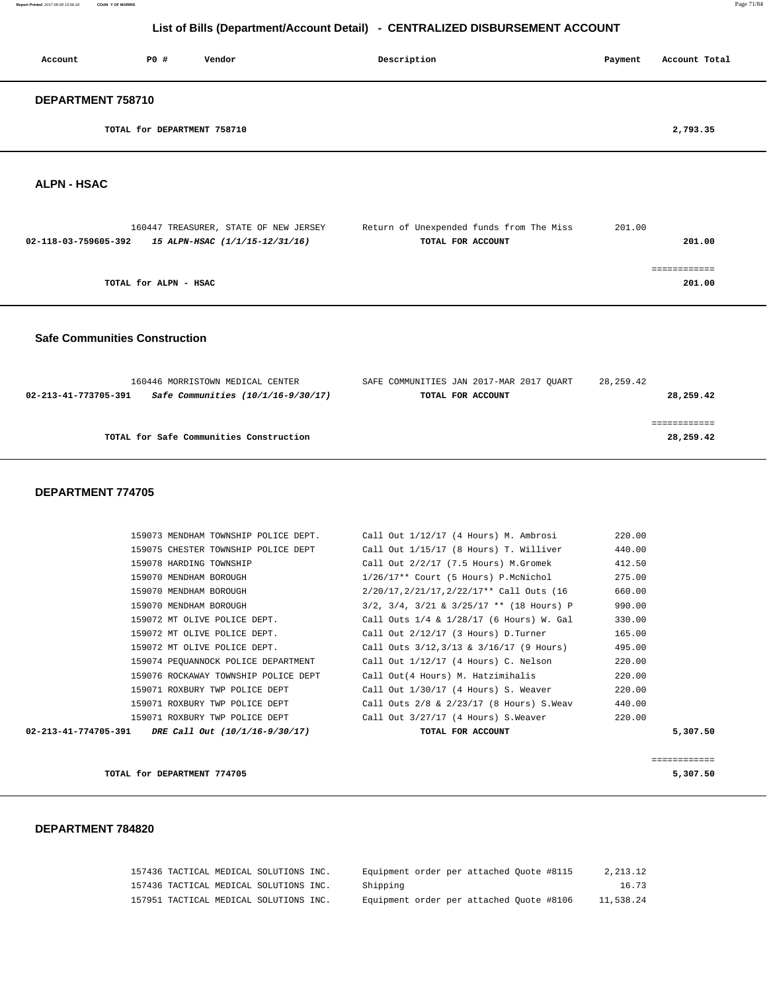**Report Printed** 2017-06-09 15:56:18 **COUN Y OF MORRIS** Page 71/84

# **List of Bills (Department/Account Detail) - CENTRALIZED DISBURSEMENT ACCOUNT**

| Account           | P0 #                        | Vendor | Description | Payment | Account Total |
|-------------------|-----------------------------|--------|-------------|---------|---------------|
| DEPARTMENT 758710 |                             |        |             |         |               |
|                   | TOTAL for DEPARTMENT 758710 |        |             |         | 2,793.35      |

 **ALPN - HSAC** 

| 160447 TREASURER, STATE OF NEW JERSEY                  | Return of Unexpended funds from The Miss | 201.00 |
|--------------------------------------------------------|------------------------------------------|--------|
| 15 ALPN-HSAC (1/1/15-12/31/16)<br>02-118-03-759605-392 | TOTAL FOR ACCOUNT                        | 201.00 |
|                                                        |                                          |        |
|                                                        |                                          |        |
| TOTAL for ALPN - HSAC                                  |                                          | 201.00 |
|                                                        |                                          |        |

 **Safe Communities Construction**

| 160446 MORRISTOWN MEDICAL CENTER                             | SAFE COMMUNITIES JAN 2017-MAR 2017 OUART | 28,259.42 |
|--------------------------------------------------------------|------------------------------------------|-----------|
| Safe Communities $(10/1/16-9/30/17)$<br>02-213-41-773705-391 | TOTAL FOR ACCOUNT                        | 28,259.42 |
|                                                              |                                          |           |
|                                                              |                                          |           |
| TOTAL for Safe Communities Construction                      |                                          | 28,259.42 |
|                                                              |                                          |           |

## **DEPARTMENT 774705**

| 159073 MENDHAM TOWNSHIP POLICE DEPT.                   | Call Out 1/12/17 (4 Hours) M. Ambrosi              | 220.00   |
|--------------------------------------------------------|----------------------------------------------------|----------|
| 159075 CHESTER TOWNSHIP POLICE DEPT                    | Call Out 1/15/17 (8 Hours) T. Williver             | 440.00   |
| 159078 HARDING TOWNSHIP                                | Call Out $2/2/17$ (7.5 Hours) M.Gromek             | 412.50   |
| 159070 MENDHAM BOROUGH                                 | $1/26/17**$ Court (5 Hours) P.McNichol             | 275.00   |
| 159070 MENDHAM BOROUGH                                 | 2/20/17, 2/21/17, 2/22/17** Call Outs (16          | 660.00   |
| 159070 MENDHAM BOROUGH                                 | $3/2$ , $3/4$ , $3/21$ & $3/25/17$ ** (18 Hours) P | 990.00   |
| 159072 MT OLIVE POLICE DEPT.                           | Call Outs 1/4 & 1/28/17 (6 Hours) W. Gal           | 330.00   |
| 159072 MT OLIVE POLICE DEPT.                           | Call Out 2/12/17 (3 Hours) D.Turner                | 165.00   |
| 159072 MT OLIVE POLICE DEPT.                           | Call Outs 3/12,3/13 & 3/16/17 (9 Hours)            | 495.00   |
| 159074 PEQUANNOCK POLICE DEPARTMENT                    | Call Out 1/12/17 (4 Hours) C. Nelson               | 220.00   |
| 159076 ROCKAWAY TOWNSHIP POLICE DEPT                   | Call Out(4 Hours) M. Hatzimihalis                  | 220.00   |
| 159071 ROXBURY TWP POLICE DEPT                         | Call Out 1/30/17 (4 Hours) S. Weaver               | 220.00   |
| 159071 ROXBURY TWP POLICE DEPT                         | Call Outs 2/8 & 2/23/17 (8 Hours) S.Weav           | 440.00   |
| 159071 ROXBURY TWP POLICE DEPT                         | Call Out 3/27/17 (4 Hours) S.Weaver                | 220.00   |
| 02-213-41-774705-391<br>DRE Call Out (10/1/16-9/30/17) | TOTAL FOR ACCOUNT                                  | 5,307.50 |
|                                                        |                                                    |          |

============

**TOTAL for DEPARTMENT 774705** 5,307.50

### **DEPARTMENT 784820**

| 157436 TACTICAL MEDICAL SOLUTIONS INC. |  | Equipment order per attached Ouote #8115 | 2,213.12  |
|----------------------------------------|--|------------------------------------------|-----------|
| 157436 TACTICAL MEDICAL SOLUTIONS INC. |  | Shipping                                 | 16.73     |
| 157951 TACTICAL MEDICAL SOLUTIONS INC. |  | Equipment order per attached Quote #8106 | 11,538.24 |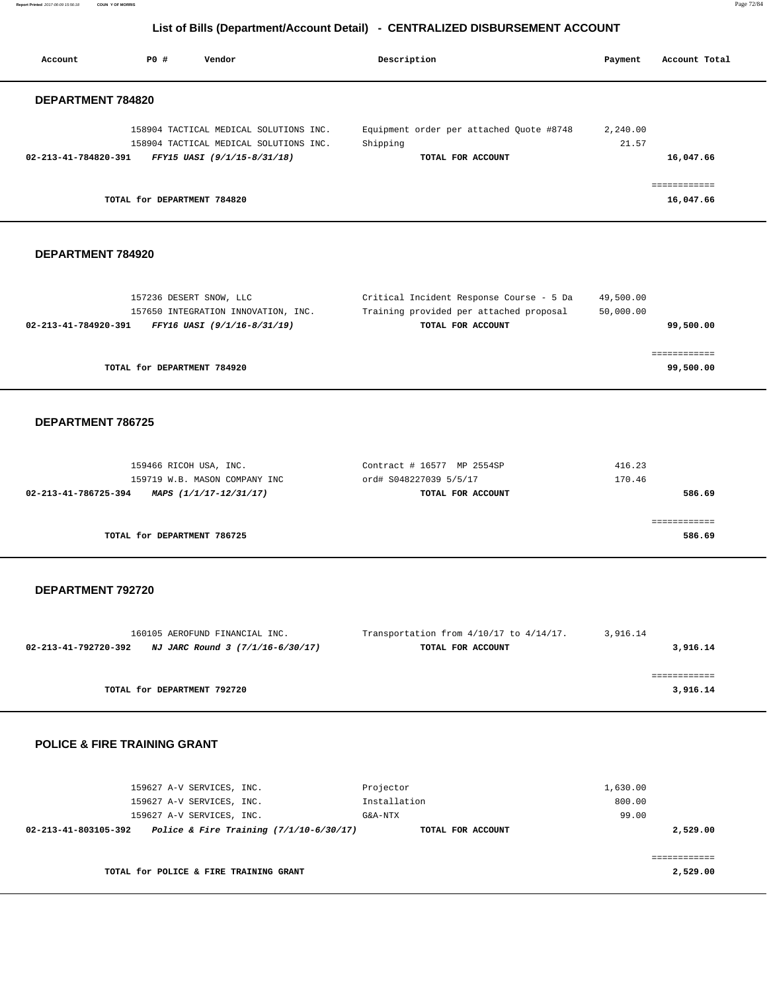**Report Printed** 2017-06-09 15:56:18 **COUN Y OF MORRIS** Page 72/84

# **List of Bills (Department/Account Detail) - CENTRALIZED DISBURSEMENT ACCOUNT**

| Account              | PO#                         | Vendor                                                                           | Description                                          | Payment           | Account Total             |
|----------------------|-----------------------------|----------------------------------------------------------------------------------|------------------------------------------------------|-------------------|---------------------------|
| DEPARTMENT 784820    |                             |                                                                                  |                                                      |                   |                           |
|                      |                             | 158904 TACTICAL MEDICAL SOLUTIONS INC.<br>158904 TACTICAL MEDICAL SOLUTIONS INC. | Equipment order per attached Quote #8748<br>Shipping | 2,240.00<br>21.57 |                           |
| 02-213-41-784820-391 |                             | FFY15 UASI (9/1/15-8/31/18)                                                      | TOTAL FOR ACCOUNT                                    |                   | 16,047.66                 |
|                      | TOTAL for DEPARTMENT 784820 |                                                                                  |                                                      |                   | ------------<br>16,047.66 |

#### **DEPARTMENT 784920**

| 157236 DESERT SNOW, LLC                             | Critical Incident Response Course - 5 Da | 49,500.00 |
|-----------------------------------------------------|------------------------------------------|-----------|
| 157650 INTEGRATION INNOVATION, INC.                 | Training provided per attached proposal  | 50,000.00 |
| FFY16 UASI (9/1/16-8/31/19)<br>02-213-41-784920-391 | TOTAL FOR ACCOUNT                        | 99,500.00 |
|                                                     |                                          |           |
|                                                     |                                          |           |
| TOTAL for DEPARTMENT 784920                         |                                          | 99,500.00 |
|                                                     |                                          |           |

## **DEPARTMENT 786725**

| 159466 RICOH USA, INC.                         | Contract # 16577 MP 2554SP | 416.23 |
|------------------------------------------------|----------------------------|--------|
| 159719 W.B. MASON COMPANY INC                  | ord# S048227039 5/5/17     | 170.46 |
| 02-213-41-786725-394<br>MAPS (1/1/17-12/31/17) | TOTAL FOR ACCOUNT          | 586.69 |
|                                                |                            |        |
|                                                |                            |        |
| TOTAL for DEPARTMENT 786725                    |                            | 586.69 |
|                                                |                            |        |

#### **DEPARTMENT 792720**

| 160105 AEROFUND FINANCIAL INC.                           | Transportation from $4/10/17$ to $4/14/17$ . | 3,916.14 |
|----------------------------------------------------------|----------------------------------------------|----------|
| NJ JARC Round 3 (7/1/16-6/30/17)<br>02-213-41-792720-392 | TOTAL FOR ACCOUNT                            | 3,916.14 |
|                                                          |                                              |          |
|                                                          |                                              |          |
| TOTAL for DEPARTMENT 792720                              |                                              | 3,916.14 |

## **POLICE & FIRE TRAINING GRANT**

|                   | 1,630.00                             |
|-------------------|--------------------------------------|
|                   | 800.00                               |
|                   | 99.00                                |
| TOTAL FOR ACCOUNT | 2,529.00                             |
|                   |                                      |
|                   |                                      |
|                   | 2,529.00                             |
|                   | Projector<br>Installation<br>G&A-NTX |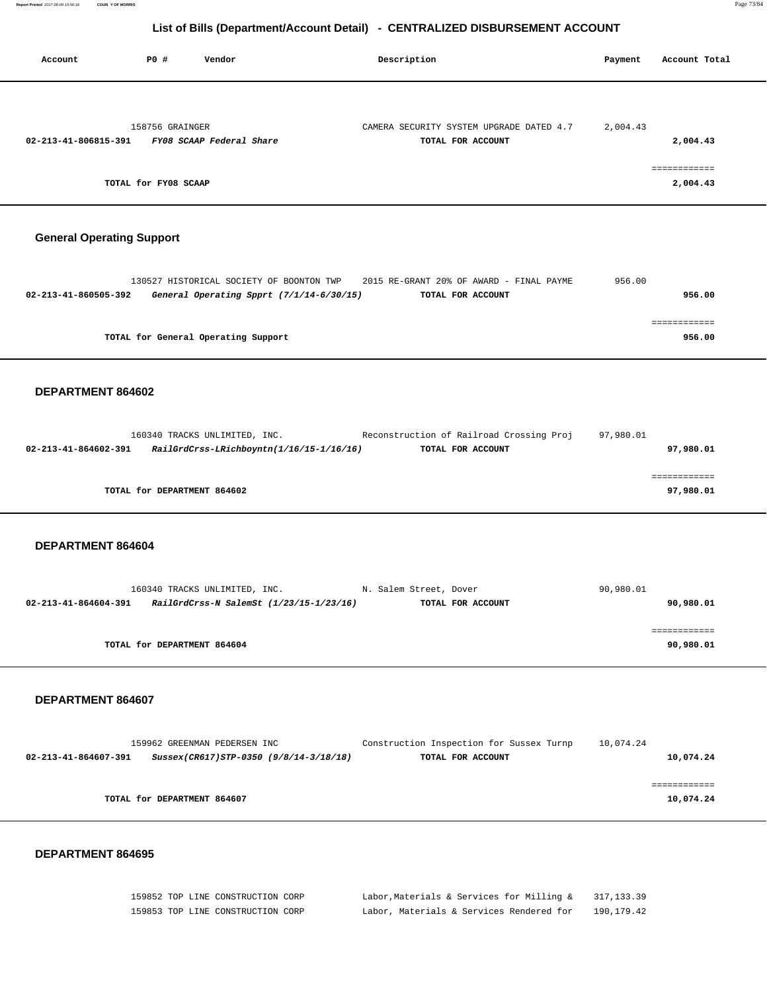| Account              | P0 #                 | Vendor                   | Description                                                   | Payment  | Account Total            |
|----------------------|----------------------|--------------------------|---------------------------------------------------------------|----------|--------------------------|
|                      |                      |                          |                                                               |          |                          |
| 02-213-41-806815-391 | 158756 GRAINGER      | FY08 SCAAP Federal Share | CAMERA SECURITY SYSTEM UPGRADE DATED 4.7<br>TOTAL FOR ACCOUNT | 2,004.43 | 2,004.43                 |
|                      | TOTAL for FY08 SCAAP |                          |                                                               |          | ------------<br>2,004.43 |

# **General Operating Support**

|                      |                                     | 130527 HISTORICAL SOCIETY OF BOONTON TWP |  | 2015 RE-GRANT 20% OF AWARD - FINAL PAYME | 956.00 |        |
|----------------------|-------------------------------------|------------------------------------------|--|------------------------------------------|--------|--------|
| 02-213-41-860505-392 |                                     | General Operating Spprt (7/1/14-6/30/15) |  | TOTAL FOR ACCOUNT                        |        | 956.00 |
|                      |                                     |                                          |  |                                          |        |        |
|                      |                                     |                                          |  |                                          |        |        |
|                      | TOTAL for General Operating Support |                                          |  |                                          |        | 956.00 |
|                      |                                     |                                          |  |                                          |        |        |

#### **DEPARTMENT 864602**

|                      | 160340 TRACKS UNLIMITED, INC. |                                          | Reconstruction of Railroad Crossing Proj | 97,980.01 |           |
|----------------------|-------------------------------|------------------------------------------|------------------------------------------|-----------|-----------|
| 02-213-41-864602-391 |                               | RailGrdCrss-LRichboyntn(1/16/15-1/16/16) | TOTAL FOR ACCOUNT                        |           | 97,980.01 |
|                      |                               |                                          |                                          |           |           |
|                      |                               |                                          |                                          |           |           |
|                      | TOTAL for DEPARTMENT 864602   |                                          |                                          |           | 97,980.01 |
|                      |                               |                                          |                                          |           |           |

#### **DEPARTMENT 864604**

|                      | 160340 TRACKS UNLIMITED, INC.           | N. Salem Street, Dover | 90,980.01 |
|----------------------|-----------------------------------------|------------------------|-----------|
| 02-213-41-864604-391 | RailGrdCrss-N SalemSt (1/23/15-1/23/16) | TOTAL FOR ACCOUNT      | 90,980.01 |
|                      |                                         |                        |           |
|                      |                                         |                        | .         |
|                      | TOTAL for DEPARTMENT 864604             |                        | 90,980.01 |
|                      |                                         |                        |           |

### **DEPARTMENT 864607**

|                      | 159962 GREENMAN PEDERSEN INC           | Construction Inspection for Sussex Turnp | 10,074.24 |
|----------------------|----------------------------------------|------------------------------------------|-----------|
| 02-213-41-864607-391 | Sussex(CR617)STP-0350 (9/8/14-3/18/18) | TOTAL FOR ACCOUNT                        | 10,074.24 |
|                      |                                        |                                          |           |
|                      |                                        |                                          |           |
|                      | TOTAL for DEPARTMENT 864607            |                                          | 10,074.24 |
|                      |                                        |                                          |           |

| 159852 TOP LINE CONSTRUCTION CORP | Labor, Materials & Services for Milling & | 317, 133, 39 |
|-----------------------------------|-------------------------------------------|--------------|
| 159853 TOP LINE CONSTRUCTION CORP | Labor, Materials & Services Rendered for  | 190,179.42   |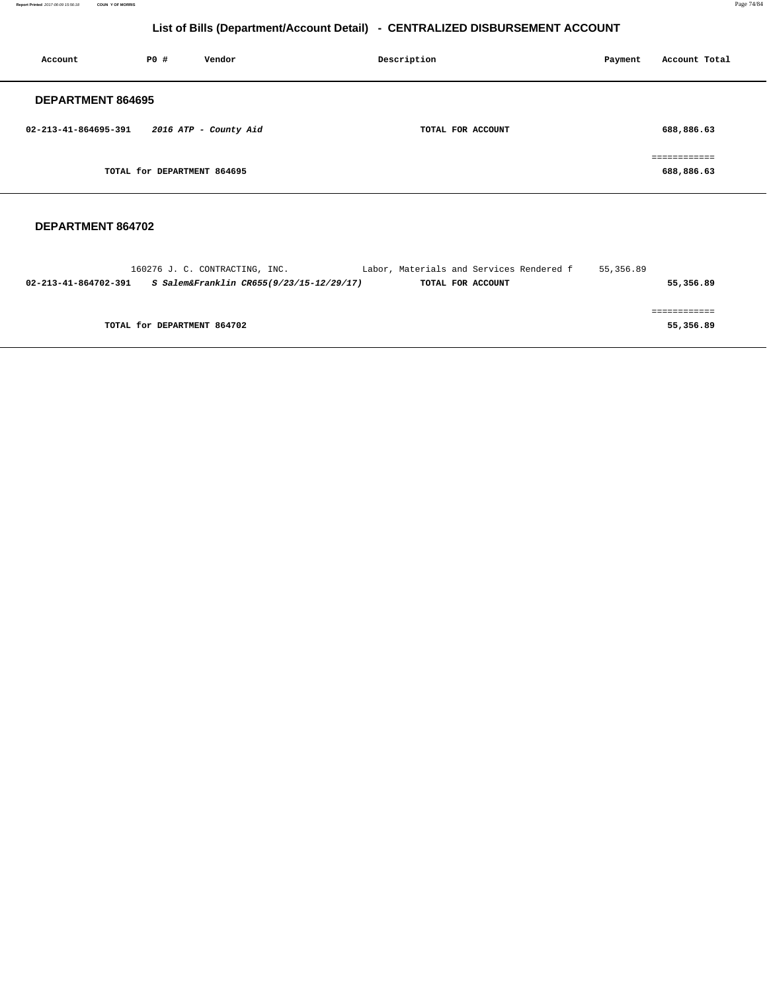**Report Printed** 2017-06-09 15:56:18 **COUN Y OF MORRIS** Page 74/84

# **List of Bills (Department/Account Detail) - CENTRALIZED DISBURSEMENT ACCOUNT**

| Account                  | PO#                         | Vendor                | Description       | Payment | Account Total                              |
|--------------------------|-----------------------------|-----------------------|-------------------|---------|--------------------------------------------|
| <b>DEPARTMENT 864695</b> |                             |                       |                   |         |                                            |
| 02-213-41-864695-391     |                             | 2016 ATP - County Aid | TOTAL FOR ACCOUNT |         | 688,886.63                                 |
|                          | TOTAL for DEPARTMENT 864695 |                       |                   |         | ------------<br>------------<br>688,886.63 |

|                      | 160276 J. C. CONTRACTING, INC.           | Labor, Materials and Services Rendered f | 55,356.89 |
|----------------------|------------------------------------------|------------------------------------------|-----------|
| 02-213-41-864702-391 | S Salem&Franklin CR655(9/23/15-12/29/17) | TOTAL FOR ACCOUNT                        | 55,356.89 |
|                      |                                          |                                          |           |
|                      |                                          |                                          |           |
|                      | TOTAL for DEPARTMENT 864702              |                                          | 55,356.89 |
|                      |                                          |                                          |           |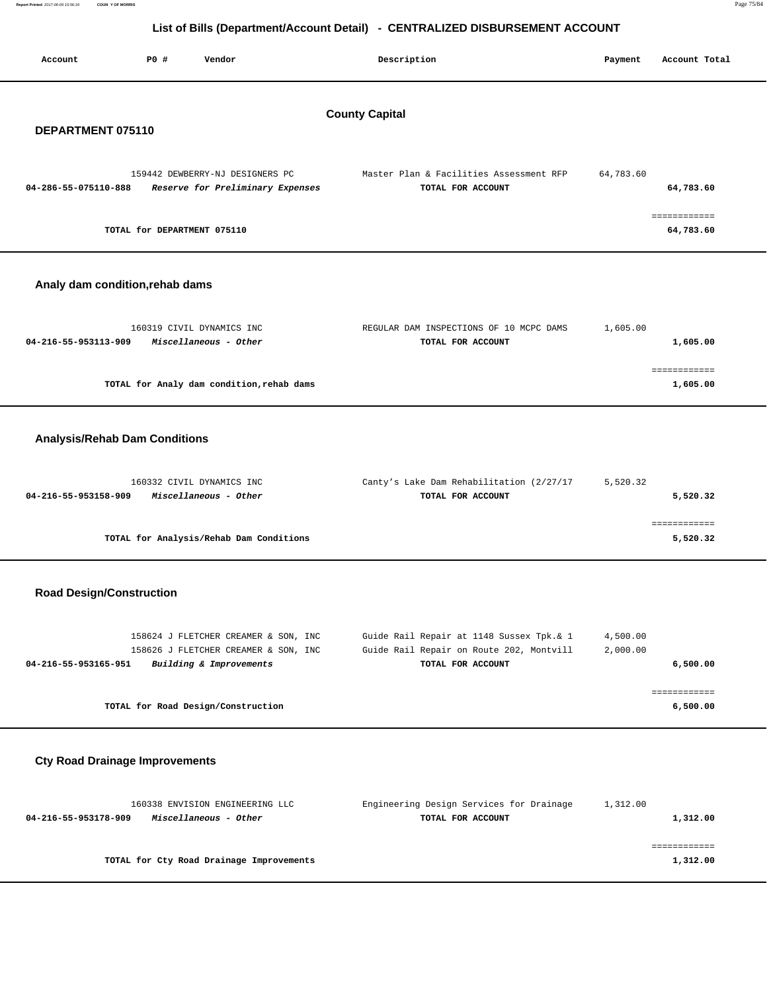| <b>COUN Y OF MORRIS</b><br>Report Printed 2017-06-09 15:56:18 |                                                                     |                                                                              |           | Page 75/84    |  |
|---------------------------------------------------------------|---------------------------------------------------------------------|------------------------------------------------------------------------------|-----------|---------------|--|
|                                                               |                                                                     | List of Bills (Department/Account Detail) - CENTRALIZED DISBURSEMENT ACCOUNT |           |               |  |
|                                                               |                                                                     |                                                                              |           |               |  |
| Account                                                       | P0 #<br>Vendor                                                      | Description                                                                  | Payment   | Account Total |  |
|                                                               |                                                                     |                                                                              |           |               |  |
|                                                               |                                                                     |                                                                              |           |               |  |
| DEPARTMENT 075110                                             |                                                                     | <b>County Capital</b>                                                        |           |               |  |
|                                                               |                                                                     |                                                                              |           |               |  |
|                                                               |                                                                     |                                                                              |           |               |  |
| 04-286-55-075110-888                                          | 159442 DEWBERRY-NJ DESIGNERS PC<br>Reserve for Preliminary Expenses | Master Plan & Facilities Assessment RFP<br>TOTAL FOR ACCOUNT                 | 64,783.60 | 64,783.60     |  |
|                                                               |                                                                     |                                                                              |           |               |  |
|                                                               |                                                                     |                                                                              |           | ============  |  |
|                                                               | TOTAL for DEPARTMENT 075110                                         |                                                                              |           | 64,783.60     |  |
|                                                               |                                                                     |                                                                              |           |               |  |
| Analy dam condition, rehab dams                               |                                                                     |                                                                              |           |               |  |
|                                                               |                                                                     |                                                                              |           |               |  |
|                                                               | 160319 CIVIL DYNAMICS INC                                           | REGULAR DAM INSPECTIONS OF 10 MCPC DAMS                                      | 1,605.00  |               |  |
| 04-216-55-953113-909                                          | Miscellaneous - Other                                               | TOTAL FOR ACCOUNT                                                            |           | 1,605.00      |  |
|                                                               |                                                                     |                                                                              |           | ============  |  |
|                                                               | TOTAL for Analy dam condition, rehab dams                           |                                                                              |           | 1,605.00      |  |

# **Analysis/Rehab Dam Conditions**

| 160332 CIVIL DYNAMICS INC                     | Canty's Lake Dam Rehabilitation (2/27/17 | 5,520.32 |
|-----------------------------------------------|------------------------------------------|----------|
| Miscellaneous - Other<br>04-216-55-953158-909 | TOTAL FOR ACCOUNT                        | 5,520.32 |
|                                               |                                          |          |
|                                               |                                          |          |
| TOTAL for Analysis/Rehab Dam Conditions       |                                          | 5,520.32 |
|                                               |                                          |          |

## **Road Design/Construction**

| 158624 J FLETCHER CREAMER & SON, INC            | Guide Rail Repair at 1148 Sussex Tpk. & 1 | 4,500.00 |
|-------------------------------------------------|-------------------------------------------|----------|
| 158626 J FLETCHER CREAMER & SON, INC            | Guide Rail Repair on Route 202, Montvill  | 2,000.00 |
| Building & Improvements<br>04-216-55-953165-951 | TOTAL FOR ACCOUNT                         | 6,500.00 |
|                                                 |                                           |          |
|                                                 |                                           |          |
| TOTAL for Road Design/Construction              |                                           | 6,500.00 |
|                                                 |                                           |          |

# **Cty Road Drainage Improvements**

| 160338 ENVISION ENGINEERING LLC               | Engineering Design Services for Drainage | 1,312.00 |
|-----------------------------------------------|------------------------------------------|----------|
| Miscellaneous - Other<br>04-216-55-953178-909 | TOTAL FOR ACCOUNT                        | 1,312.00 |
|                                               |                                          |          |
|                                               |                                          |          |
| TOTAL for Cty Road Drainage Improvements      |                                          | 1,312.00 |
|                                               |                                          |          |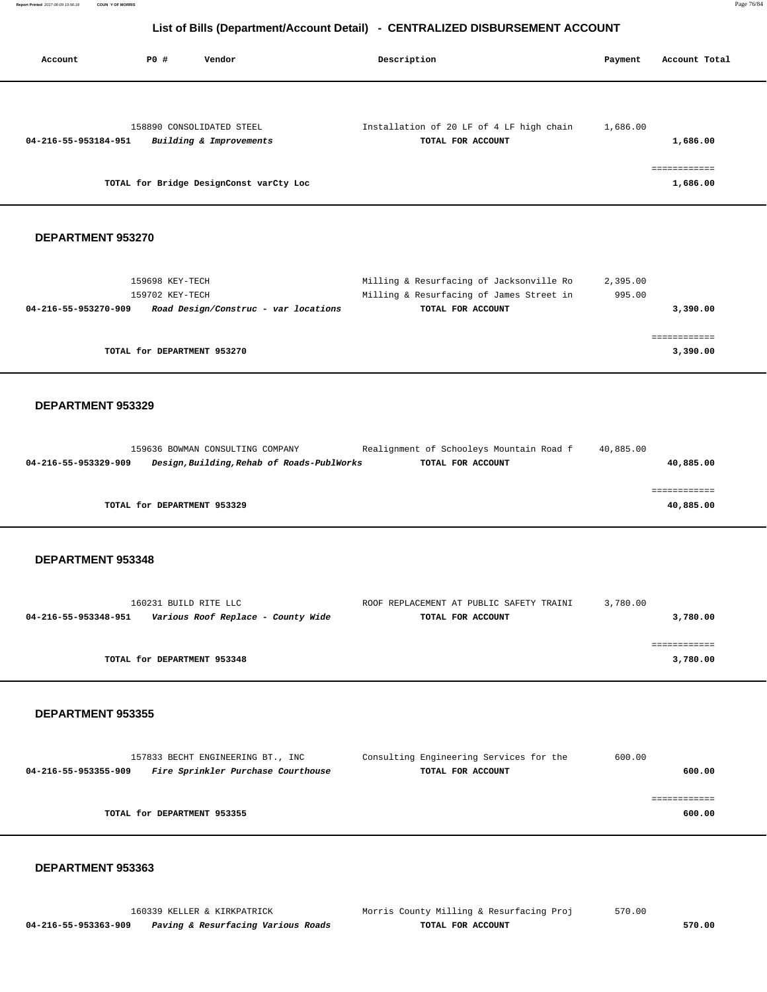| Account              | PO#                                | Vendor                                     | Description                                                   | Payment            | Account Total |
|----------------------|------------------------------------|--------------------------------------------|---------------------------------------------------------------|--------------------|---------------|
|                      |                                    |                                            |                                                               |                    |               |
|                      |                                    | 158890 CONSOLIDATED STEEL                  | Installation of 20 LF of 4 LF high chain                      | 1,686.00           |               |
| 04-216-55-953184-951 |                                    | Building & Improvements                    | TOTAL FOR ACCOUNT                                             |                    | 1,686.00      |
|                      |                                    |                                            |                                                               |                    | ============  |
|                      |                                    | TOTAL for Bridge DesignConst varCty Loc    |                                                               |                    | 1,686.00      |
|                      |                                    |                                            |                                                               |                    |               |
| DEPARTMENT 953270    |                                    |                                            |                                                               |                    |               |
|                      |                                    |                                            |                                                               |                    |               |
|                      | 159698 KEY-TECH<br>159702 KEY-TECH |                                            | Milling & Resurfacing of Jacksonville Ro                      | 2,395.00<br>995.00 |               |
| 04-216-55-953270-909 |                                    | Road Design/Construc - var locations       | Milling & Resurfacing of James Street in<br>TOTAL FOR ACCOUNT |                    | 3,390.00      |
|                      |                                    |                                            |                                                               |                    |               |
|                      |                                    |                                            |                                                               |                    | ============  |
|                      |                                    | TOTAL for DEPARTMENT 953270                |                                                               |                    | 3,390.00      |
|                      |                                    |                                            |                                                               |                    |               |
|                      |                                    |                                            |                                                               |                    |               |
| DEPARTMENT 953329    |                                    |                                            |                                                               |                    |               |
|                      |                                    |                                            |                                                               |                    |               |
|                      |                                    | 159636 BOWMAN CONSULTING COMPANY           | Realignment of Schooleys Mountain Road f                      | 40,885.00          |               |
| 04-216-55-953329-909 |                                    | Design, Building, Rehab of Roads-PublWorks | TOTAL FOR ACCOUNT                                             |                    | 40,885.00     |
|                      |                                    |                                            |                                                               |                    | ============  |
|                      |                                    | TOTAL for DEPARTMENT 953329                |                                                               |                    | 40,885.00     |
|                      |                                    |                                            |                                                               |                    |               |
| DEPARTMENT 953348    |                                    |                                            |                                                               |                    |               |
|                      |                                    |                                            |                                                               |                    |               |
|                      | 160231 BUILD RITE LLC              |                                            | ROOF REPLACEMENT AT PUBLIC SAFETY TRAINI                      | 3,780.00           |               |
| 04-216-55-953348-951 |                                    | Various Roof Replace - County Wide         | TOTAL FOR ACCOUNT                                             |                    | 3,780.00      |
|                      |                                    |                                            |                                                               |                    | ============  |

 **DEPARTMENT 953355** 

| 157833 BECHT ENGINEERING BT., INC                          | Consulting Engineering Services for the | 600.00 |
|------------------------------------------------------------|-----------------------------------------|--------|
| Fire Sprinkler Purchase Courthouse<br>04-216-55-953355-909 | TOTAL FOR ACCOUNT                       | 600.00 |
|                                                            |                                         |        |
|                                                            |                                         |        |
| TOTAL for DEPARTMENT 953355                                |                                         | 600.00 |
|                                                            |                                         |        |

**TOTAL for DEPARTMENT 953348 3,780.00**

## **DEPARTMENT 953363**

 **04-216-55-953363-909 Paving & Resurfacing Various Roads TOTAL FOR ACCOUNT 570.00**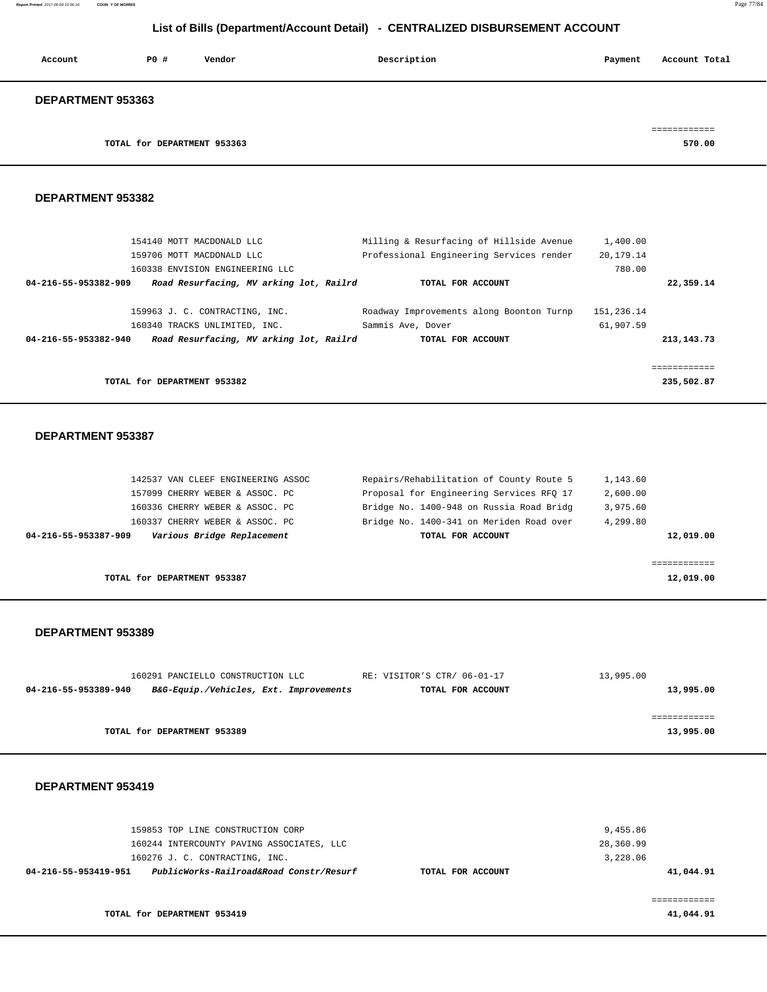**Report Printed** 2017-06-09 15:56:18 **COUN Y OF MORRIS** Page 77/84

## **List of Bills (Department/Account Detail) - CENTRALIZED DISBURSEMENT ACCOUNT**

| Account                  | P0#                         | Vendor | Description | Account Total<br>Payment |
|--------------------------|-----------------------------|--------|-------------|--------------------------|
| <b>DEPARTMENT 953363</b> |                             |        |             |                          |
|                          |                             |        |             |                          |
|                          | TOTAL for DEPARTMENT 953363 |        |             | 570.00                   |

## **DEPARTMENT 953382**

| 154140 MOTT MACDONALD LLC<br>159706 MOTT MACDONALD LLC<br>160338 ENVISION ENGINEERING LLC | Milling & Resurfacing of Hillside Avenue<br>Professional Engineering Services render | 1,400.00<br>20,179.14<br>780.00 |            |
|-------------------------------------------------------------------------------------------|--------------------------------------------------------------------------------------|---------------------------------|------------|
| Road Resurfacing, MV arking lot, Railrd<br>04-216-55-953382-909                           | TOTAL FOR ACCOUNT                                                                    |                                 | 22,359.14  |
| 159963 J. C. CONTRACTING, INC.<br>160340 TRACKS UNLIMITED, INC.                           | Roadway Improvements along Boonton Turnp<br>Sammis Ave, Dover                        | 151,236.14<br>61,907.59         |            |
| Road Resurfacing, MV arking lot, Railrd<br>04-216-55-953382-940                           | TOTAL FOR ACCOUNT                                                                    |                                 | 213,143.73 |
|                                                                                           |                                                                                      |                                 |            |
|                                                                                           |                                                                                      |                                 | .          |
| TOTAL for DEPARTMENT 953382                                                               |                                                                                      |                                 | 235,502.87 |

#### **DEPARTMENT 953387**

|           | 1,143.60 | Repairs/Rehabilitation of County Route 5 | 142537 VAN CLEEF ENGINEERING ASSOC                 |
|-----------|----------|------------------------------------------|----------------------------------------------------|
|           | 2,600.00 | Proposal for Engineering Services RFO 17 | 157099 CHERRY WEBER & ASSOC. PC                    |
|           | 3,975.60 | Bridge No. 1400-948 on Russia Road Bridg | 160336 CHERRY WEBER & ASSOC. PC                    |
|           | 4,299.80 | Bridge No. 1400-341 on Meriden Road over | 160337 CHERRY WEBER & ASSOC. PC                    |
| 12,019.00 |          | TOTAL FOR ACCOUNT                        | Various Bridge Replacement<br>04-216-55-953387-909 |
|           |          |                                          |                                                    |
|           |          |                                          |                                                    |
| 12,019.00 |          |                                          | TOTAL for DEPARTMENT 953387                        |

#### **DEPARTMENT 953389**

|                      | 160291 PANCIELLO CONSTRUCTION LLC      | RE: VISITOR'S CTR/ 06-01-17 | 13,995.00 |
|----------------------|----------------------------------------|-----------------------------|-----------|
| 04-216-55-953389-940 | B&G-Equip./Vehicles, Ext. Improvements | TOTAL FOR ACCOUNT           | 13,995.00 |
|                      |                                        |                             |           |
|                      |                                        |                             |           |
|                      | TOTAL for DEPARTMENT 953389            |                             | 13,995.00 |

| 159853 TOP LINE CONSTRUCTION CORP<br>160244 INTERCOUNTY PAVING ASSOCIATES, LLC<br>160276 J. C. CONTRACTING, INC. |                   | 9,455.86<br>28,360.99<br>3,228.06 |
|------------------------------------------------------------------------------------------------------------------|-------------------|-----------------------------------|
| PublicWorks-Railroad&Road Constr/Resurf<br>04-216-55-953419-951                                                  | TOTAL FOR ACCOUNT | 41,044.91                         |
| TOTAL for DEPARTMENT 953419                                                                                      |                   | 41,044.91                         |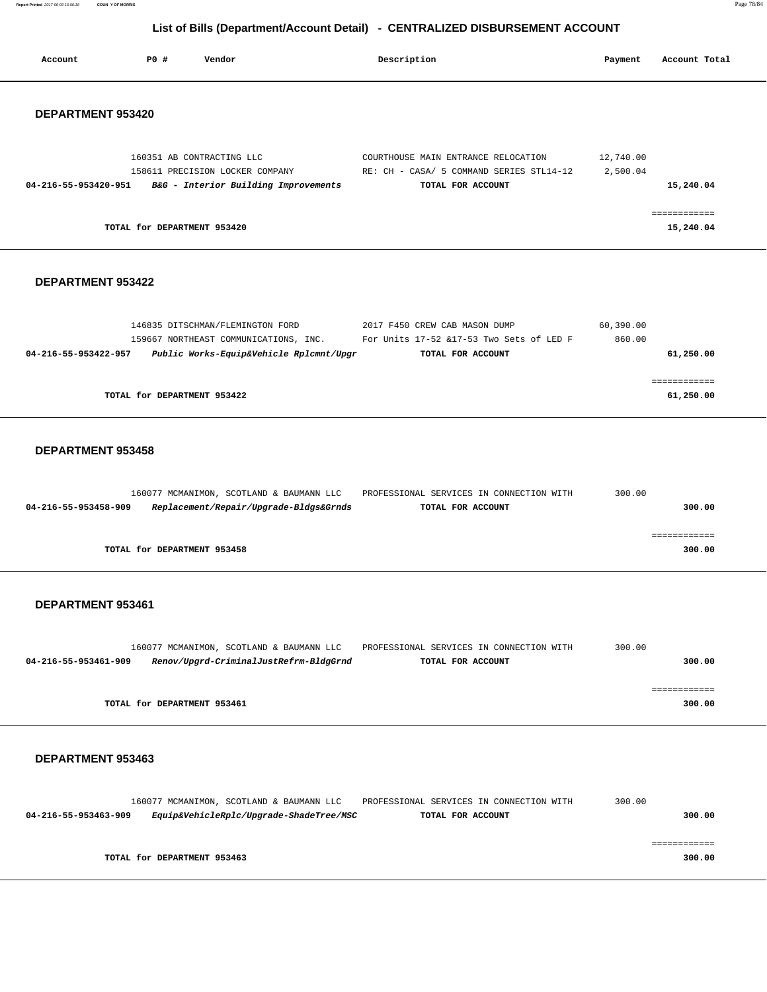**Report Printed** 2017-06-09 15:56:18 **COUN Y OF MORRIS** Page 78/84

## **List of Bills (Department/Account Detail) - CENTRALIZED DISBURSEMENT ACCOUNT**

| Account              | PO#                         | Vendor                                                                                                               | Description                                                                                          | Payment               | Account Total             |
|----------------------|-----------------------------|----------------------------------------------------------------------------------------------------------------------|------------------------------------------------------------------------------------------------------|-----------------------|---------------------------|
| DEPARTMENT 953420    |                             |                                                                                                                      |                                                                                                      |                       |                           |
| 04-216-55-953420-951 |                             | 160351 AB CONTRACTING LLC<br>158611 PRECISION LOCKER COMPANY<br>B&G - Interior Building Improvements                 | COURTHOUSE MAIN ENTRANCE RELOCATION<br>RE: CH - CASA/ 5 COMMAND SERIES STL14-12<br>TOTAL FOR ACCOUNT | 12,740.00<br>2,500.04 | 15,240.04                 |
|                      | TOTAL for DEPARTMENT 953420 |                                                                                                                      |                                                                                                      |                       | 15,240.04                 |
| DEPARTMENT 953422    |                             |                                                                                                                      |                                                                                                      |                       |                           |
| 04-216-55-953422-957 |                             | 146835 DITSCHMAN/FLEMINGTON FORD<br>159667 NORTHEAST COMMUNICATIONS, INC.<br>Public Works-Equip&Vehicle Rplcmnt/Upgr | 2017 F450 CREW CAB MASON DUMP<br>For Units 17-52 &17-53 Two Sets of LED F<br>TOTAL FOR ACCOUNT       | 60,390.00<br>860.00   | 61,250.00                 |
|                      | TOTAL for DEPARTMENT 953422 |                                                                                                                      |                                                                                                      |                       | ============<br>61,250.00 |
| DEPARTMENT 953458    |                             |                                                                                                                      |                                                                                                      |                       |                           |
| 04-216-55-953458-909 |                             | 160077 MCMANIMON, SCOTLAND & BAUMANN LLC<br>Replacement/Repair/Upgrade-Bldgs&Grnds                                   | PROFESSIONAL SERVICES IN CONNECTION WITH<br>TOTAL FOR ACCOUNT                                        | 300.00                | 300.00                    |
|                      | TOTAL for DEPARTMENT 953458 |                                                                                                                      |                                                                                                      |                       | ============<br>300.00    |
| DEPARTMENT 953461    |                             |                                                                                                                      |                                                                                                      |                       |                           |
| 04-216-55-953461-909 |                             | 160077 MCMANIMON, SCOTLAND & BAUMANN LLC<br>Renov/Upgrd-CriminalJustRefrm-BldgGrnd                                   | PROFESSIONAL SERVICES IN CONNECTION WITH<br>TOTAL FOR ACCOUNT                                        | 300.00                | 300.00                    |
|                      | TOTAL for DEPARTMENT 953461 |                                                                                                                      |                                                                                                      |                       | ============<br>300.00    |
| DEPARTMENT 953463    |                             |                                                                                                                      |                                                                                                      |                       |                           |

 160077 MCMANIMON, SCOTLAND & BAUMANN LLC PROFESSIONAL SERVICES IN CONNECTION WITH 300.00  **04-216-55-953463-909 Equip&VehicleRplc/Upgrade-ShadeTree/MSC TOTAL FOR ACCOUNT 300.00** ============ **TOTAL for DEPARTMENT 953463 300.00**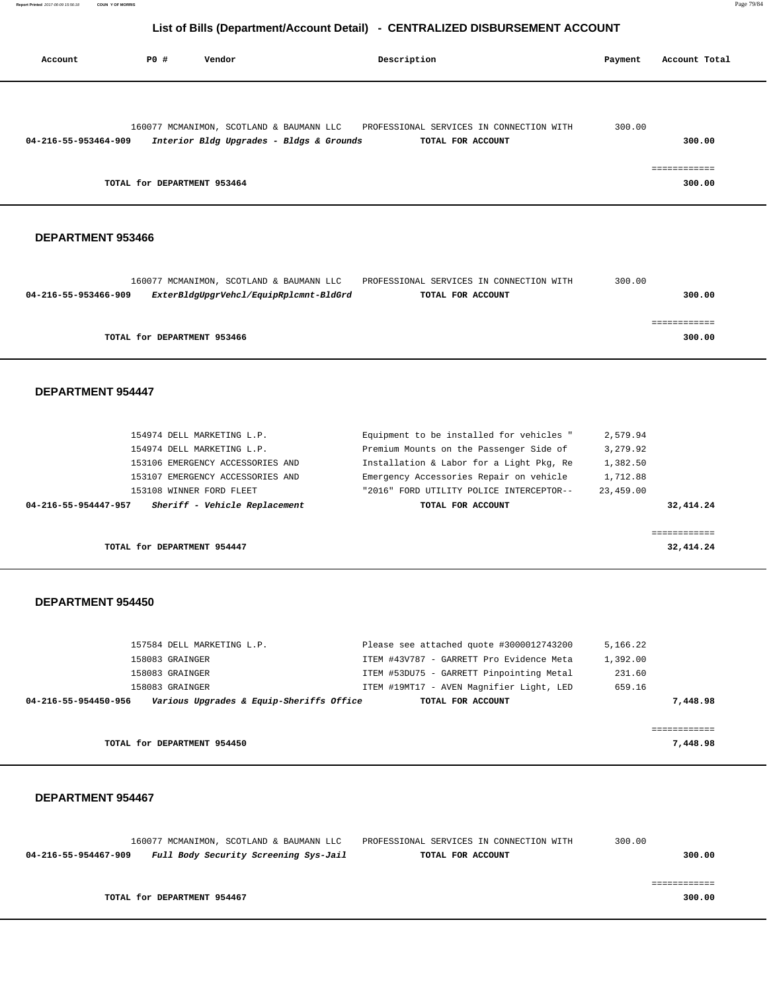| Account              | PO#                         | Vendor                                                                               | Description                                                   | Payment | Account Total        |
|----------------------|-----------------------------|--------------------------------------------------------------------------------------|---------------------------------------------------------------|---------|----------------------|
|                      |                             |                                                                                      |                                                               |         |                      |
| 04-216-55-953464-909 |                             | 160077 MCMANIMON, SCOTLAND & BAUMANN LLC<br>Interior Bldg Upgrades - Bldgs & Grounds | PROFESSIONAL SERVICES IN CONNECTION WITH<br>TOTAL FOR ACCOUNT | 300.00  | 300.00               |
|                      | TOTAL for DEPARTMENT 953464 |                                                                                      |                                                               |         | __________<br>300.00 |

### **DEPARTMENT 953466**

|                      | 160077 MCMANIMON, SCOTLAND & BAUMANN LLC | PROFESSIONAL SERVICES IN CONNECTION WITH | 300.00 |
|----------------------|------------------------------------------|------------------------------------------|--------|
| 04-216-55-953466-909 | ExterBldgUpgrVehcl/EquipRplcmnt-BldGrd   | TOTAL FOR ACCOUNT                        | 300.00 |
|                      |                                          |                                          |        |
|                      |                                          |                                          |        |
|                      | TOTAL for DEPARTMENT 953466              |                                          | 300.00 |
|                      |                                          |                                          |        |

### **DEPARTMENT 954447**

| 154974 DELL MARKETING L.P.                            | Equipment to be installed for vehicles " | 2,579.94    |
|-------------------------------------------------------|------------------------------------------|-------------|
| 154974 DELL MARKETING L.P.                            | Premium Mounts on the Passenger Side of  | 3,279.92    |
| 153106 EMERGENCY ACCESSORIES AND                      | Installation & Labor for a Light Pkg, Re | 1,382.50    |
| 153107 EMERGENCY ACCESSORIES AND                      | Emergency Accessories Repair on vehicle  | 1,712.88    |
| 153108 WINNER FORD FLEET                              | "2016" FORD UTILITY POLICE INTERCEPTOR-- | 23,459.00   |
| Sheriff - Vehicle Replacement<br>04-216-55-954447-957 | TOTAL FOR ACCOUNT                        | 32,414.24   |
|                                                       |                                          |             |
|                                                       |                                          | =========== |
| TOTAL for DEPARTMENT 954447                           |                                          | 32,414.24   |

#### **DEPARTMENT 954450**

|                             | 157584 DELL MARKETING L.P.               | Please see attached quote #3000012743200 | 5,166.22 |
|-----------------------------|------------------------------------------|------------------------------------------|----------|
| 158083 GRAINGER             |                                          | ITEM #43V787 - GARRETT Pro Evidence Meta | 1,392.00 |
| 158083 GRAINGER             |                                          | ITEM #53DU75 - GARRETT Pinpointing Metal | 231.60   |
| 158083 GRAINGER             |                                          | ITEM #19MT17 - AVEN Magnifier Light, LED | 659.16   |
| 04-216-55-954450-956        | Various Upgrades & Equip-Sheriffs Office | TOTAL FOR ACCOUNT                        | 7,448.98 |
|                             |                                          |                                          |          |
|                             |                                          |                                          |          |
| TOTAL for DEPARTMENT 954450 |                                          |                                          | 7,448.98 |

| 300.00 | PROFESSIONAL SERVICES IN CONNECTION WITH | 160077 MCMANIMON, SCOTLAND & BAUMANN LLC |                      |
|--------|------------------------------------------|------------------------------------------|----------------------|
| 300.00 | TOTAL FOR ACCOUNT                        | Full Body Security Screening Sys-Jail    | 04-216-55-954467-909 |
|        |                                          |                                          |                      |
|        |                                          |                                          |                      |
| 300.00 |                                          | TOTAL for DEPARTMENT 954467              |                      |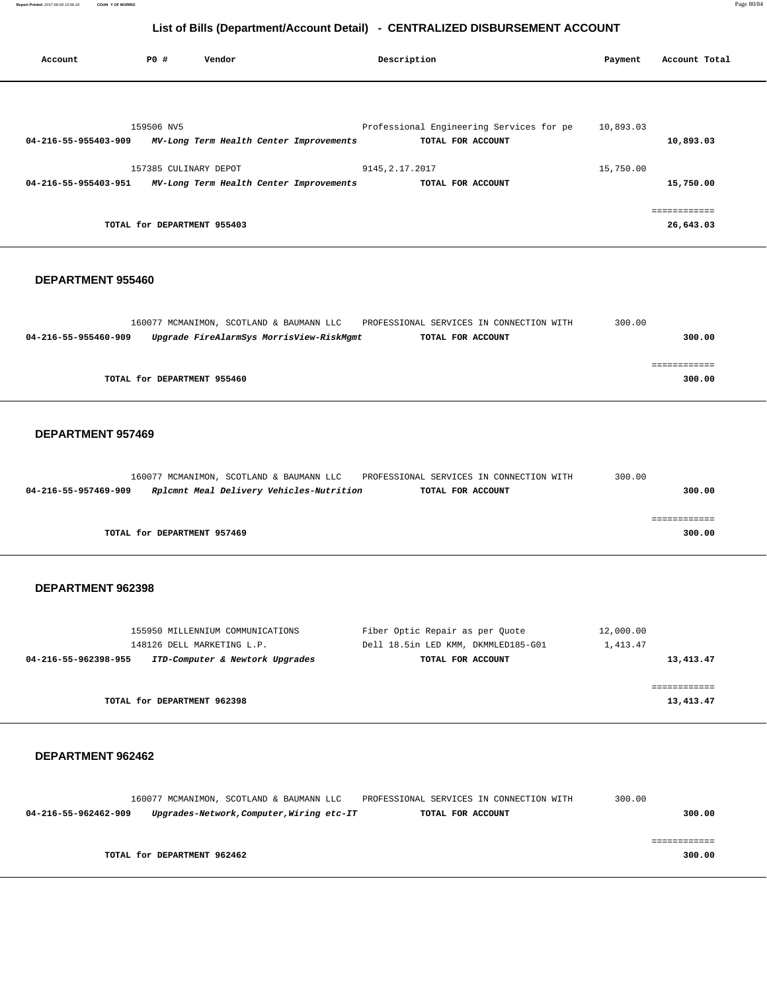**Report Printed** 2017-06-09 15:56:18 **COUN Y OF MORRIS** Page 80/84

# **List of Bills (Department/Account Detail) - CENTRALIZED DISBURSEMENT ACCOUNT**

| Account              | PO#                         | Vendor                                  | Description                              | Payment   | Account Total |
|----------------------|-----------------------------|-----------------------------------------|------------------------------------------|-----------|---------------|
|                      |                             |                                         |                                          |           |               |
|                      | 159506 NV5                  |                                         | Professional Engineering Services for pe | 10,893.03 |               |
| 04-216-55-955403-909 |                             | MV-Long Term Health Center Improvements | TOTAL FOR ACCOUNT                        |           | 10,893.03     |
|                      | 157385 CULINARY DEPOT       |                                         | 9145, 2.17.2017                          | 15,750.00 |               |
| 04-216-55-955403-951 |                             | MV-Long Term Health Center Improvements | TOTAL FOR ACCOUNT                        |           | 15,750.00     |
|                      |                             |                                         |                                          |           |               |
|                      | TOTAL for DEPARTMENT 955403 |                                         |                                          |           | 26,643.03     |

### **DEPARTMENT 955460**

| 160077 MCMANIMON, SCOTLAND & BAUMANN LLC<br>PROFESSIONAL SERVICES IN CONNECTION WITH  | 300.00 |
|---------------------------------------------------------------------------------------|--------|
| Upgrade FireAlarmSys MorrisView-RiskMgmt<br>04-216-55-955460-909<br>TOTAL FOR ACCOUNT | 300.00 |
|                                                                                       |        |
|                                                                                       |        |
| TOTAL for DEPARTMENT 955460                                                           | 300.00 |
|                                                                                       |        |

## **DEPARTMENT 957469**

|                             | 160077 MCMANIMON, SCOTLAND & BAUMANN LLC | PROFESSIONAL SERVICES IN CONNECTION WITH | 300.00 |
|-----------------------------|------------------------------------------|------------------------------------------|--------|
| 04-216-55-957469-909        | Rplcmnt Meal Delivery Vehicles-Nutrition | TOTAL FOR ACCOUNT                        | 300.00 |
|                             |                                          |                                          |        |
|                             |                                          |                                          |        |
| TOTAL for DEPARTMENT 957469 |                                          |                                          | 300.00 |
|                             |                                          |                                          |        |

## **DEPARTMENT 962398**

| 155950 MILLENNIUM COMMUNICATIONS                        | Fiber Optic Repair as per Ouote     | 12,000.00 |
|---------------------------------------------------------|-------------------------------------|-----------|
| 148126 DELL MARKETING L.P.                              | Dell 18.5in LED KMM, DKMMLED185-G01 | 1,413.47  |
| ITD-Computer & Newtork Upgrades<br>04-216-55-962398-955 | TOTAL FOR ACCOUNT                   | 13,413.47 |
|                                                         |                                     |           |
|                                                         |                                     |           |
| TOTAL for DEPARTMENT 962398                             |                                     | 13,413.47 |
|                                                         |                                     |           |

|                      |                             | 160077 MCMANIMON, SCOTLAND & BAUMANN LLC  | PROFESSIONAL SERVICES IN CONNECTION WITH | 300.00 |
|----------------------|-----------------------------|-------------------------------------------|------------------------------------------|--------|
| 04-216-55-962462-909 |                             | Upgrades-Network, Computer, Wiring etc-IT | TOTAL FOR ACCOUNT                        | 300.00 |
|                      |                             |                                           |                                          |        |
|                      |                             |                                           |                                          |        |
|                      | TOTAL for DEPARTMENT 962462 |                                           |                                          | 300.00 |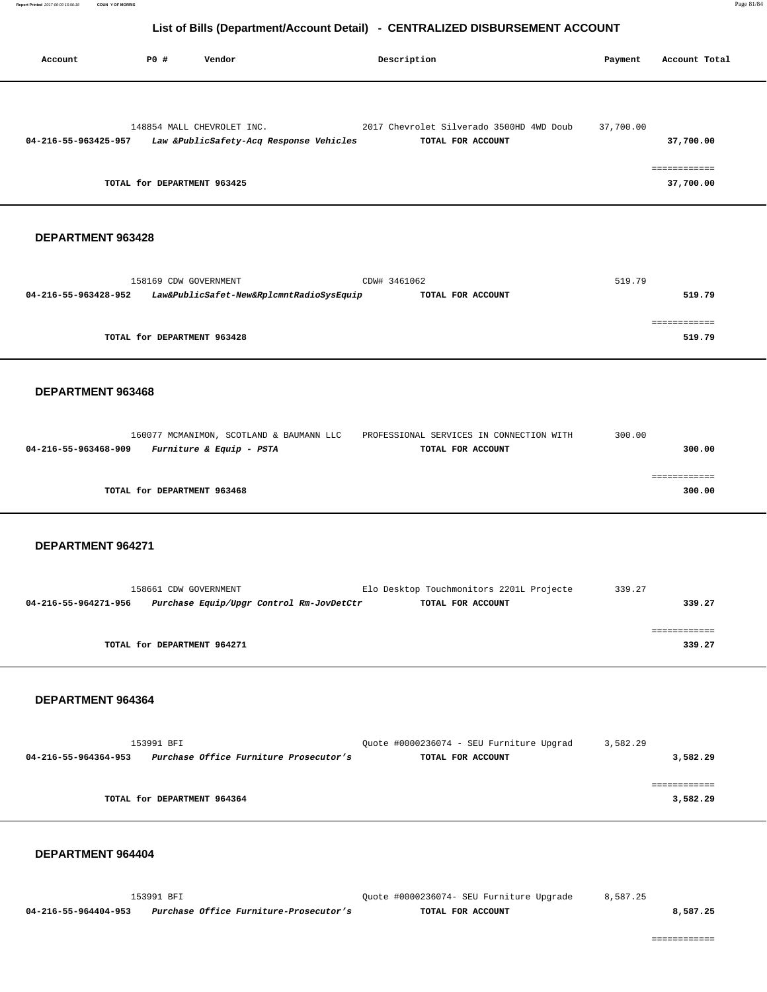|                      |                                                                                                      | LIST OF DIIIS (DEPARTIMENTACCOUNT DETAIL) - CLIVITALIZLO DISDONSLIVILIVI ACCOUNT |           |                                        |
|----------------------|------------------------------------------------------------------------------------------------------|----------------------------------------------------------------------------------|-----------|----------------------------------------|
| Account              | <b>PO #</b><br>Vendor                                                                                | Description                                                                      | Payment   | Account Total                          |
| 04-216-55-963425-957 | 148854 MALL CHEVROLET INC.<br>Law &PublicSafety-Acq Response Vehicles<br>TOTAL for DEPARTMENT 963425 | 2017 Chevrolet Silverado 3500HD 4WD Doub<br>TOTAL FOR ACCOUNT                    | 37,700.00 | 37,700.00<br>============<br>37,700.00 |
| DEPARTMENT 963428    |                                                                                                      |                                                                                  |           |                                        |
| 04-216-55-963428-952 | 158169 CDW GOVERNMENT<br>Law&PublicSafet-New&RplcmntRadioSysEquip                                    | CDW# 3461062<br>TOTAL FOR ACCOUNT                                                | 519.79    | 519.79                                 |
|                      | TOTAL for DEPARTMENT 963428                                                                          |                                                                                  |           | 519.79                                 |
| DEPARTMENT 963468    |                                                                                                      |                                                                                  |           |                                        |
| 04-216-55-963468-909 | 160077 MCMANIMON, SCOTLAND & BAUMANN LLC<br><i>Furniture &amp; Equip - PSTA</i>                      | PROFESSIONAL SERVICES IN CONNECTION WITH<br>TOTAL FOR ACCOUNT                    | 300.00    | 300.00                                 |
|                      | TOTAL for DEPARTMENT 963468                                                                          |                                                                                  |           | ============<br>300.00                 |
| DEPARTMENT 964271    |                                                                                                      |                                                                                  |           |                                        |
| 04-216-55-964271-956 | 158661 CDW GOVERNMENT<br>Purchase Equip/Upgr Control Rm-JovDetCtr                                    | Elo Desktop Touchmonitors 2201L Projecte<br>TOTAL FOR ACCOUNT                    | 339.27    | 339.27                                 |
|                      | TOTAL for DEPARTMENT 964271                                                                          |                                                                                  |           | ============<br>339.27                 |
| DEPARTMENT 964364    |                                                                                                      |                                                                                  |           |                                        |
|                      | 153991 BFI<br>04-216-55-964364-953 Purchase Office Furniture Prosecutor's                            | Quote #0000236074 - SEU Furniture Upgrad<br>TOTAL FOR ACCOUNT                    | 3,582.29  | 3,582.29                               |
|                      | TOTAL for DEPARTMENT 964364                                                                          |                                                                                  |           | ============<br>3,582.29               |
| DEPARTMENT 964404    |                                                                                                      |                                                                                  |           |                                        |

 153991 BFI Quote #0000236074- SEU Furniture Upgrade 8,587.25  **04-216-55-964404-953 Purchase Office Furniture-Prosecutor's TOTAL FOR ACCOUNT 8,587.25**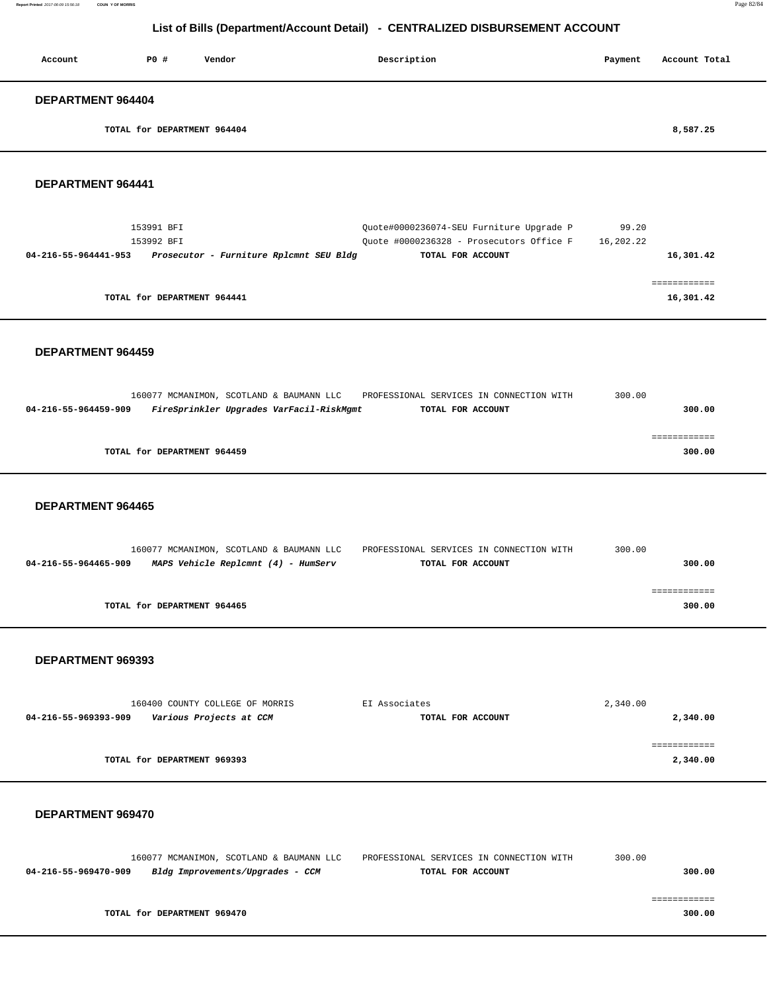| Report Printed 2017-06-09 15:56:18 | <b>COUN Y OF MORRIS</b> | Page 82/84 |
|------------------------------------|-------------------------|------------|
|------------------------------------|-------------------------|------------|

| Account                     | P0 # | Vendor | Description | Account Total<br>Payment |
|-----------------------------|------|--------|-------------|--------------------------|
| DEPARTMENT 964404           |      |        |             |                          |
| TOTAL for DEPARTMENT 964404 |      |        |             | 8,587.25                 |
| DEPARTMENT 964441           |      |        |             |                          |

| 153991 BFI<br>153992 BFT    |                                         | Ouote#0000236074-SEU Furniture Upgrade P<br>Ouote #0000236328 - Prosecutors Office F | 99.20<br>16,202.22 |           |
|-----------------------------|-----------------------------------------|--------------------------------------------------------------------------------------|--------------------|-----------|
| 04-216-55-964441-953        | Prosecutor - Furniture Rplcmnt SEU Bldg | TOTAL FOR ACCOUNT                                                                    |                    | 16,301.42 |
|                             |                                         |                                                                                      |                    |           |
|                             |                                         |                                                                                      |                    |           |
| TOTAL for DEPARTMENT 964441 |                                         |                                                                                      |                    | 16,301.42 |

## **DEPARTMENT 964459**

|                             | 160077 MCMANIMON, SCOTLAND & BAUMANN LLC | PROFESSIONAL SERVICES IN CONNECTION WITH | 300.00 |
|-----------------------------|------------------------------------------|------------------------------------------|--------|
| 04-216-55-964459-909        | FireSprinkler Upgrades VarFacil-RiskMgmt | TOTAL FOR ACCOUNT                        | 300.00 |
|                             |                                          |                                          |        |
|                             |                                          |                                          |        |
| TOTAL for DEPARTMENT 964459 |                                          |                                          | 300.00 |
|                             |                                          |                                          |        |

#### **DEPARTMENT 964465**

|                      | 160077 MCMANIMON, SCOTLAND & BAUMANN LLC | PROFESSIONAL SERVICES IN CONNECTION WITH | 300.00 |
|----------------------|------------------------------------------|------------------------------------------|--------|
| 04-216-55-964465-909 | MAPS Vehicle Replcmnt (4) - HumServ      | TOTAL FOR ACCOUNT                        | 300.00 |
|                      |                                          |                                          |        |
|                      |                                          |                                          |        |
|                      | TOTAL for DEPARTMENT 964465              |                                          | 300.00 |
|                      |                                          |                                          |        |

### **DEPARTMENT 969393**

| 160400 COUNTY COLLEGE OF MORRIS                 | EI Associates     | 2,340.00 |
|-------------------------------------------------|-------------------|----------|
| Various Projects at CCM<br>04-216-55-969393-909 | TOTAL FOR ACCOUNT | 2,340.00 |
|                                                 |                   |          |
|                                                 |                   |          |
| TOTAL for DEPARTMENT 969393                     |                   | 2,340.00 |
|                                                 |                   |          |

|                      |                             | 160077 MCMANIMON, SCOTLAND & BAUMANN LLC | PROFESSIONAL SERVICES IN CONNECTION WITH | 300.00 |
|----------------------|-----------------------------|------------------------------------------|------------------------------------------|--------|
| 04-216-55-969470-909 |                             | Bldg Improvements/Upgrades - CCM         | TOTAL FOR ACCOUNT                        | 300.00 |
|                      |                             |                                          |                                          |        |
|                      |                             |                                          |                                          |        |
|                      | TOTAL for DEPARTMENT 969470 |                                          |                                          | 300.00 |
|                      |                             |                                          |                                          |        |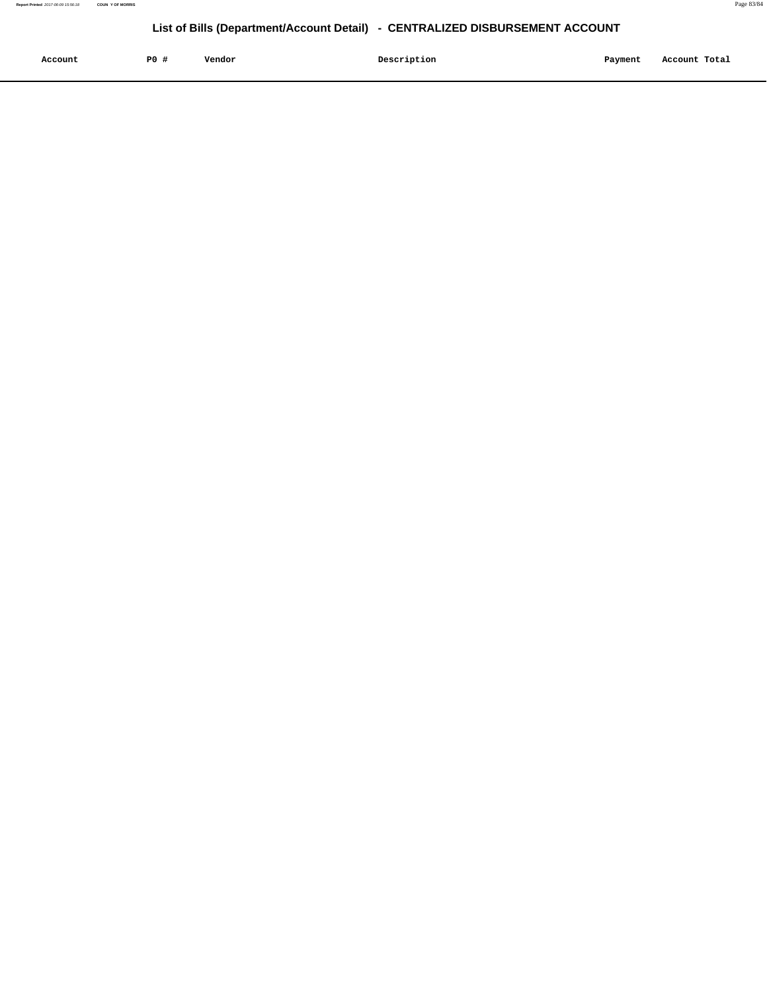|         | P <sub>0</sub> |        | Description | Payment |               |
|---------|----------------|--------|-------------|---------|---------------|
| Account |                | Vendor |             |         | Account Total |